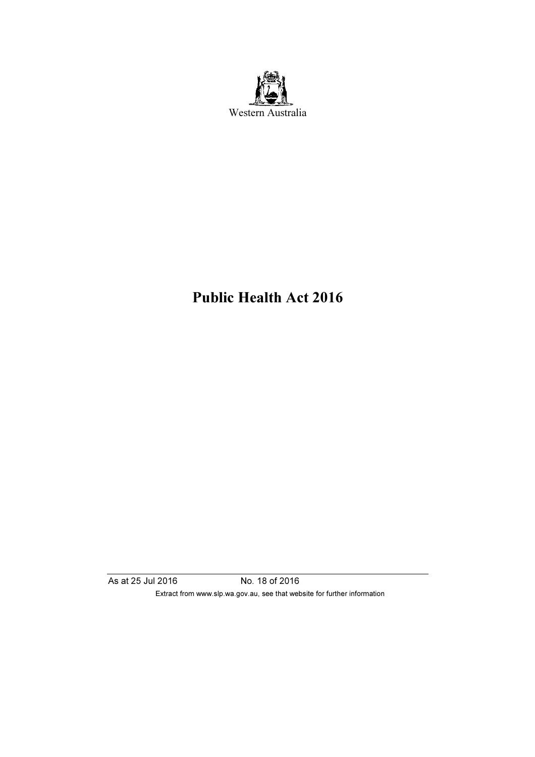

# Public Health Act 2016

As at 25 Jul 2016 No. 18 of 2016 Extract from www.slp.wa.gov.au, see that website for further information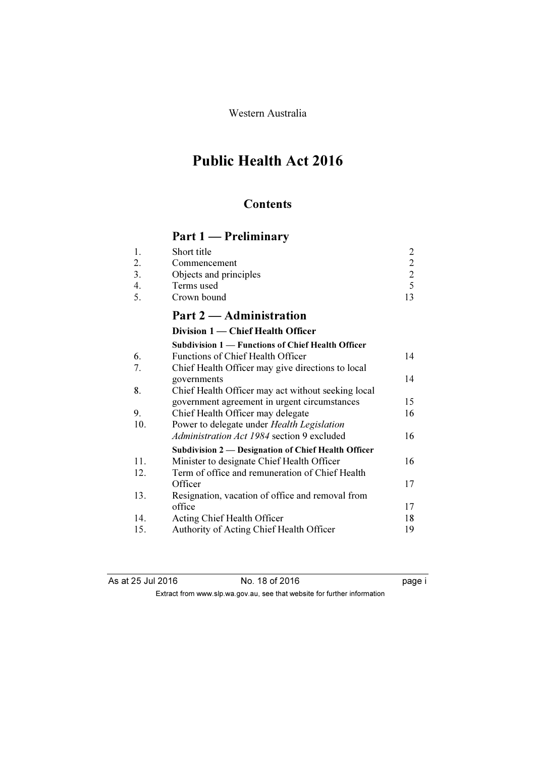Western Australia

# Public Health Act 2016

## **Contents**

# Part 1 — Preliminary

| 1.  | Short title                                              | $\overline{c}$                             |
|-----|----------------------------------------------------------|--------------------------------------------|
| 2.  | Commencement                                             |                                            |
| 3.  | Objects and principles                                   | $\begin{array}{c} 2 \\ 2 \\ 5 \end{array}$ |
| 4.  | Terms used                                               |                                            |
| 5.  | Crown bound                                              | 13                                         |
|     | Part 2 — Administration                                  |                                            |
|     | Division 1 — Chief Health Officer                        |                                            |
|     | <b>Subdivision 1 — Functions of Chief Health Officer</b> |                                            |
| 6.  | Functions of Chief Health Officer                        | 14                                         |
| 7.  | Chief Health Officer may give directions to local        |                                            |
|     | governments                                              | 14                                         |
| 8.  | Chief Health Officer may act without seeking local       |                                            |
|     | government agreement in urgent circumstances             | 15                                         |
| 9.  | Chief Health Officer may delegate                        | 16                                         |
| 10. | Power to delegate under Health Legislation               |                                            |
|     | Administration Act 1984 section 9 excluded               | 16                                         |
|     | Subdivision 2 — Designation of Chief Health Officer      |                                            |
| 11. | Minister to designate Chief Health Officer               | 16                                         |
| 12. | Term of office and remuneration of Chief Health          |                                            |
|     | Officer                                                  | 17                                         |
| 13. | Resignation, vacation of office and removal from         |                                            |
|     | office                                                   | 17                                         |
| 14. | Acting Chief Health Officer                              | 18                                         |
| 15. | Authority of Acting Chief Health Officer                 | 19                                         |
|     |                                                          |                                            |

| As at 25 Jul 2016 | No. 18 of 2016 |                                                                          | page i |
|-------------------|----------------|--------------------------------------------------------------------------|--------|
|                   |                | Extract from www.slp.wa.gov.au, see that website for further information |        |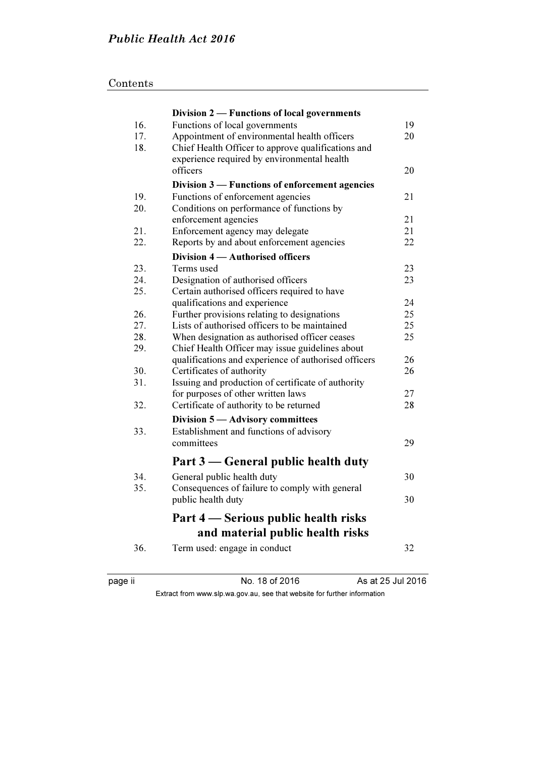|     | Division 2 — Functions of local governments                                  |    |
|-----|------------------------------------------------------------------------------|----|
| 16. | Functions of local governments                                               | 19 |
| 17. | Appointment of environmental health officers                                 | 20 |
| 18. | Chief Health Officer to approve qualifications and                           |    |
|     | experience required by environmental health                                  |    |
|     | officers                                                                     | 20 |
|     | Division 3 — Functions of enforcement agencies                               |    |
| 19. | Functions of enforcement agencies                                            | 21 |
| 20. | Conditions on performance of functions by                                    |    |
|     | enforcement agencies                                                         | 21 |
| 21. | Enforcement agency may delegate                                              | 21 |
| 22. | Reports by and about enforcement agencies                                    | 22 |
|     | Division 4 – Authorised officers                                             |    |
| 23. | Terms used                                                                   | 23 |
| 24. | Designation of authorised officers                                           | 23 |
| 25. | Certain authorised officers required to have                                 |    |
|     | qualifications and experience                                                | 24 |
| 26. | Further provisions relating to designations                                  | 25 |
| 27. | Lists of authorised officers to be maintained                                | 25 |
| 28. | When designation as authorised officer ceases                                | 25 |
| 29. | Chief Health Officer may issue guidelines about                              |    |
|     | qualifications and experience of authorised officers                         | 26 |
| 30. | Certificates of authority                                                    | 26 |
| 31. | Issuing and production of certificate of authority                           |    |
|     | for purposes of other written laws                                           | 27 |
| 32. | Certificate of authority to be returned                                      | 28 |
|     | Division 5 - Advisory committees                                             |    |
| 33. | Establishment and functions of advisory                                      |    |
|     | committees                                                                   | 29 |
|     | Part 3 — General public health duty                                          |    |
| 34. |                                                                              | 30 |
| 35. | General public health duty<br>Consequences of failure to comply with general |    |
|     | public health duty                                                           | 30 |
|     |                                                                              |    |
|     | Part 4 – Serious public health risks                                         |    |
|     | and material public health risks                                             |    |
| 36. | Term used: engage in conduct                                                 | 32 |
|     |                                                                              |    |
|     |                                                                              |    |

page ii No. 18 of 2016 As at 25 Jul 2016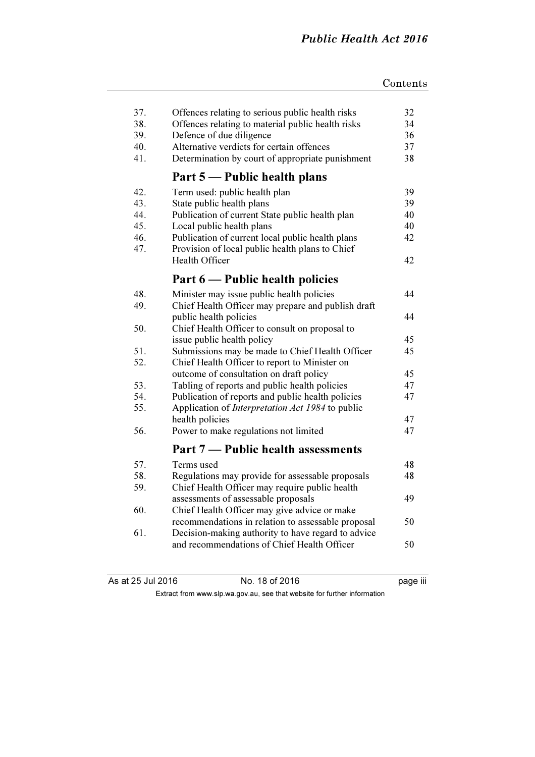| 37.<br>38.<br>39.<br>40.<br>41. | Offences relating to serious public health risks<br>Offences relating to material public health risks<br>Defence of due diligence<br>Alternative verdicts for certain offences<br>Determination by court of appropriate punishment | 32<br>34<br>36<br>37<br>38 |
|---------------------------------|------------------------------------------------------------------------------------------------------------------------------------------------------------------------------------------------------------------------------------|----------------------------|
|                                 | Part 5 — Public health plans                                                                                                                                                                                                       |                            |
| 42.<br>43.                      | Term used: public health plan<br>State public health plans                                                                                                                                                                         | 39<br>39                   |
| 44.                             | Publication of current State public health plan                                                                                                                                                                                    | 40                         |
| 45.                             | Local public health plans                                                                                                                                                                                                          | 40                         |
| 46.<br>47.                      | Publication of current local public health plans<br>Provision of local public health plans to Chief                                                                                                                                | 42                         |
|                                 | <b>Health Officer</b>                                                                                                                                                                                                              | 42                         |
|                                 | Part 6 — Public health policies                                                                                                                                                                                                    |                            |
| 48.                             | Minister may issue public health policies                                                                                                                                                                                          | 44                         |
| 49.                             | Chief Health Officer may prepare and publish draft                                                                                                                                                                                 |                            |
|                                 | public health policies                                                                                                                                                                                                             | 44                         |
| 50.                             | Chief Health Officer to consult on proposal to                                                                                                                                                                                     |                            |
|                                 | issue public health policy                                                                                                                                                                                                         | 45                         |
| 51.                             | Submissions may be made to Chief Health Officer                                                                                                                                                                                    | 45                         |
| 52.                             | Chief Health Officer to report to Minister on                                                                                                                                                                                      | 45                         |
| 53.                             | outcome of consultation on draft policy<br>Tabling of reports and public health policies                                                                                                                                           | 47                         |
| 54.                             | Publication of reports and public health policies                                                                                                                                                                                  | 47                         |
| 55.                             | Application of <i>Interpretation Act 1984</i> to public                                                                                                                                                                            |                            |
|                                 | health policies                                                                                                                                                                                                                    | 47                         |
| 56.                             | Power to make regulations not limited                                                                                                                                                                                              | 47                         |
|                                 | Part 7 — Public health assessments                                                                                                                                                                                                 |                            |
| 57.                             | Terms used                                                                                                                                                                                                                         | 48                         |
| 58.                             | Regulations may provide for assessable proposals                                                                                                                                                                                   | 48                         |
| 59.                             | Chief Health Officer may require public health                                                                                                                                                                                     |                            |
|                                 | assessments of assessable proposals                                                                                                                                                                                                | 49                         |
| 60.                             | Chief Health Officer may give advice or make                                                                                                                                                                                       |                            |
|                                 | recommendations in relation to assessable proposal                                                                                                                                                                                 | 50                         |
| 61.                             | Decision-making authority to have regard to advice<br>and recommendations of Chief Health Officer                                                                                                                                  | 50                         |
|                                 |                                                                                                                                                                                                                                    |                            |

| As at 25 Jul 2016 |  |  |
|-------------------|--|--|
|-------------------|--|--|

No. 18 of 2016 Page iii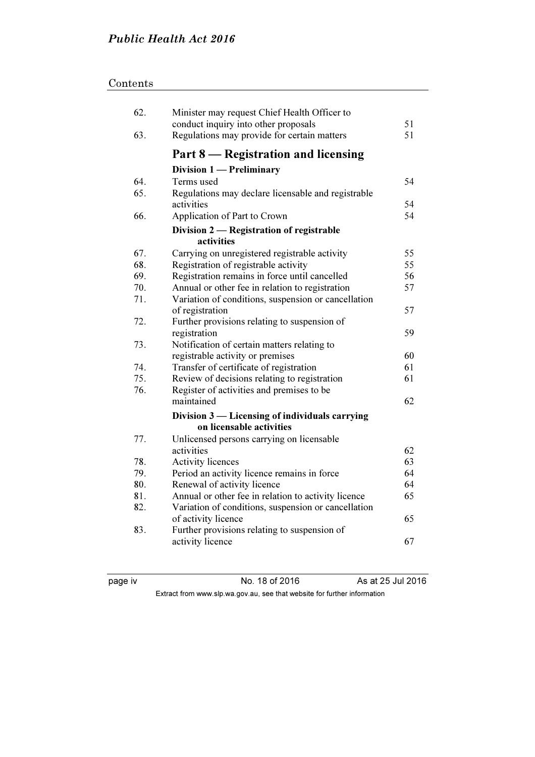## Contents

| 62. | Minister may request Chief Health Officer to<br>conduct inquiry into other proposals | 51 |
|-----|--------------------------------------------------------------------------------------|----|
| 63. | Regulations may provide for certain matters                                          | 51 |
|     | Part 8 – Registration and licensing                                                  |    |
|     | Division 1 - Preliminary                                                             |    |
| 64. | Terms used                                                                           | 54 |
| 65. | Regulations may declare licensable and registrable<br>activities                     | 54 |
| 66. | Application of Part to Crown                                                         | 54 |
|     | Division 2 — Registration of registrable                                             |    |
|     | activities                                                                           |    |
| 67. | Carrying on unregistered registrable activity                                        | 55 |
| 68. | Registration of registrable activity                                                 | 55 |
| 69. | Registration remains in force until cancelled                                        | 56 |
| 70. | Annual or other fee in relation to registration                                      | 57 |
| 71. | Variation of conditions, suspension or cancellation                                  |    |
|     | of registration                                                                      | 57 |
| 72. | Further provisions relating to suspension of                                         |    |
|     | registration                                                                         | 59 |
| 73. | Notification of certain matters relating to                                          |    |
|     | registrable activity or premises                                                     | 60 |
| 74. | Transfer of certificate of registration                                              | 61 |
| 75. | Review of decisions relating to registration                                         | 61 |
| 76. | Register of activities and premises to be                                            |    |
|     | maintained                                                                           | 62 |
|     | Division 3 — Licensing of individuals carrying                                       |    |
|     | on licensable activities                                                             |    |
| 77. | Unlicensed persons carrying on licensable                                            |    |
|     | activities                                                                           | 62 |
| 78. | <b>Activity licences</b>                                                             | 63 |
| 79. | Period an activity licence remains in force                                          | 64 |
| 80. | Renewal of activity licence                                                          | 64 |
| 81. | Annual or other fee in relation to activity licence                                  | 65 |
| 82. | Variation of conditions, suspension or cancellation                                  |    |
|     | of activity licence                                                                  | 65 |
| 83. | Further provisions relating to suspension of                                         |    |
|     | activity licence                                                                     | 67 |

page iv No. 18 of 2016 As at 25 Jul 2016 Extract from www.slp.wa.gov.au, see that website for further information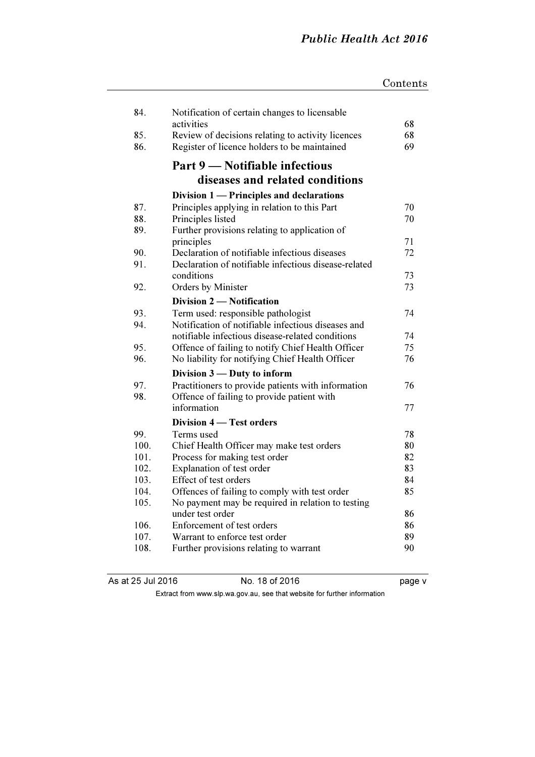| 84.  | Notification of certain changes to licensable<br>activities | 68 |
|------|-------------------------------------------------------------|----|
| 85.  | Review of decisions relating to activity licences           | 68 |
| 86.  | Register of licence holders to be maintained                | 69 |
|      | Part 9 — Notifiable infectious                              |    |
|      | diseases and related conditions                             |    |
|      | Division 1 — Principles and declarations                    |    |
| 87.  | Principles applying in relation to this Part                | 70 |
| 88.  | Principles listed                                           | 70 |
| 89.  | Further provisions relating to application of               |    |
|      | principles                                                  | 71 |
| 90.  | Declaration of notifiable infectious diseases               | 72 |
| 91.  | Declaration of notifiable infectious disease-related        |    |
|      | conditions                                                  | 73 |
| 92.  | Orders by Minister                                          | 73 |
|      | Division 2 - Notification                                   |    |
| 93.  | Term used: responsible pathologist                          | 74 |
| 94.  | Notification of notifiable infectious diseases and          |    |
|      | notifiable infectious disease-related conditions            | 74 |
| 95.  | Offence of failing to notify Chief Health Officer           | 75 |
| 96.  | No liability for notifying Chief Health Officer             | 76 |
|      | Division 3 — Duty to inform                                 |    |
| 97.  | Practitioners to provide patients with information          | 76 |
| 98.  | Offence of failing to provide patient with                  |    |
|      | information                                                 | 77 |
|      | Division 4 – Test orders                                    |    |
| 99.  | Terms used                                                  | 78 |
| 100. | Chief Health Officer may make test orders                   | 80 |
| 101. | Process for making test order                               | 82 |
| 102. | Explanation of test order                                   | 83 |
| 103. | Effect of test orders                                       | 84 |
| 104. | Offences of failing to comply with test order               | 85 |
| 105. | No payment may be required in relation to testing           |    |
|      | under test order                                            | 86 |
| 106. | Enforcement of test orders                                  | 86 |
| 107. | Warrant to enforce test order                               | 89 |
| 108. | Further provisions relating to warrant                      | 90 |

As at 25 Jul 2016 No. 18 of 2016 Page v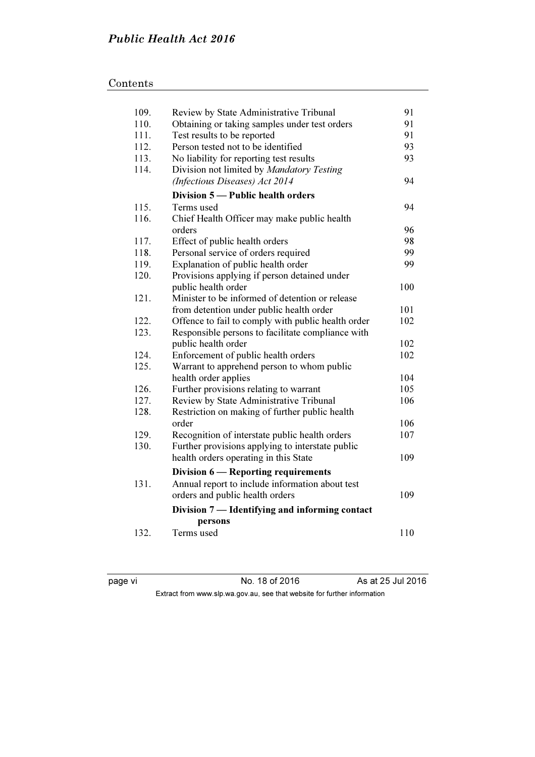## Contents

| 109. | Review by State Administrative Tribunal            | 91  |
|------|----------------------------------------------------|-----|
| 110. | Obtaining or taking samples under test orders      | 91  |
| 111. | Test results to be reported                        | 91  |
| 112. | Person tested not to be identified                 | 93  |
| 113. | No liability for reporting test results            | 93  |
| 114. | Division not limited by Mandatory Testing          |     |
|      | (Infectious Diseases) Act 2014                     | 94  |
|      | Division 5 — Public health orders                  |     |
| 115. | Terms used                                         | 94  |
| 116. | Chief Health Officer may make public health        |     |
|      | orders                                             | 96  |
| 117. | Effect of public health orders                     | 98  |
| 118. | Personal service of orders required                | 99  |
| 119. | Explanation of public health order                 | 99  |
| 120. | Provisions applying if person detained under       |     |
|      | public health order                                | 100 |
| 121. | Minister to be informed of detention or release    |     |
|      | from detention under public health order           | 101 |
| 122. | Offence to fail to comply with public health order | 102 |
| 123. | Responsible persons to facilitate compliance with  |     |
|      | public health order                                | 102 |
| 124. | Enforcement of public health orders                | 102 |
| 125. | Warrant to apprehend person to whom public         |     |
|      | health order applies                               | 104 |
| 126. | Further provisions relating to warrant             | 105 |
| 127. | Review by State Administrative Tribunal            | 106 |
| 128. | Restriction on making of further public health     |     |
|      | order                                              | 106 |
| 129. | Recognition of interstate public health orders     | 107 |
| 130. | Further provisions applying to interstate public   |     |
|      | health orders operating in this State              | 109 |
|      | Division 6 — Reporting requirements                |     |
| 131. | Annual report to include information about test    |     |
|      | orders and public health orders                    | 109 |
|      | Division 7 — Identifying and informing contact     |     |
|      | persons                                            |     |
| 132. | Terms used                                         | 110 |

page vi **No. 18 of 2016** As at 25 Jul 2016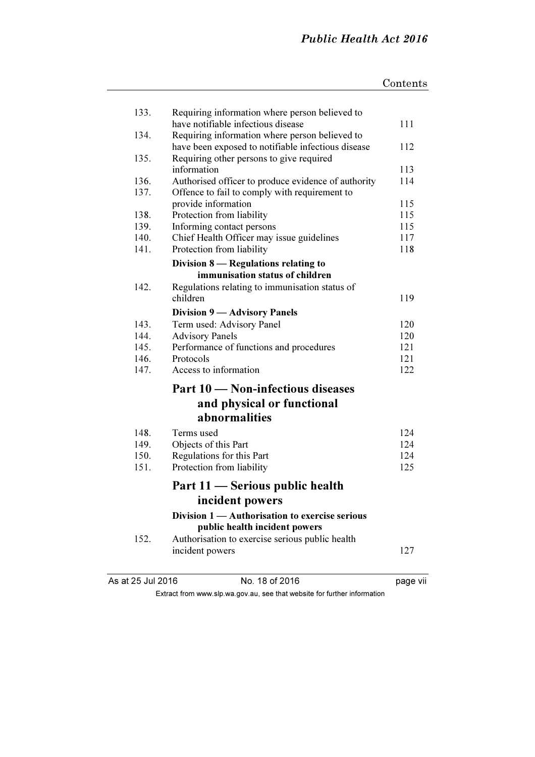|                   |                                                                                      | Contents |
|-------------------|--------------------------------------------------------------------------------------|----------|
|                   |                                                                                      |          |
| 133.              | Requiring information where person believed to<br>have notifiable infectious disease |          |
| 134.              | Requiring information where person believed to                                       | 111      |
|                   | have been exposed to notifiable infectious disease                                   | 112      |
| 135.              | Requiring other persons to give required                                             |          |
|                   | information                                                                          | 113      |
| 136.              | Authorised officer to produce evidence of authority                                  | 114      |
| 137.              | Offence to fail to comply with requirement to                                        |          |
|                   | provide information                                                                  | 115      |
| 138.              | Protection from liability                                                            | 115      |
| 139.              | Informing contact persons                                                            | 115      |
| 140.              | Chief Health Officer may issue guidelines                                            | 117      |
| 141.              | Protection from liability                                                            | 118      |
|                   | Division 8 — Regulations relating to                                                 |          |
|                   | immunisation status of children                                                      |          |
| 142.              | Regulations relating to immunisation status of                                       |          |
|                   | children                                                                             | 119      |
|                   | <b>Division 9 — Advisory Panels</b>                                                  |          |
| 143.              | Term used: Advisory Panel                                                            | 120      |
| 144.              | <b>Advisory Panels</b>                                                               | 120      |
| 145.              | Performance of functions and procedures                                              | 121      |
| 146.              | Protocols                                                                            | 121      |
| 147.              | Access to information                                                                | 122      |
|                   | Part 10 – Non-infectious diseases                                                    |          |
|                   | and physical or functional                                                           |          |
|                   | <i>abnormalities</i>                                                                 |          |
| 148.              | Terms used                                                                           | 124      |
| 149.              | Objects of this Part                                                                 | 124      |
| 150.              | Regulations for this Part                                                            | 124      |
| 151.              | Protection from liability                                                            | 125      |
|                   | Part 11 - Serious public health                                                      |          |
|                   | incident powers                                                                      |          |
|                   | Division 1 — Authorisation to exercise serious                                       |          |
|                   | public health incident powers                                                        |          |
| 152.              | Authorisation to exercise serious public health                                      |          |
|                   | incident powers                                                                      | 127      |
|                   |                                                                                      |          |
| As at 25 Jul 2016 | No. 18 of 2016                                                                       | page vii |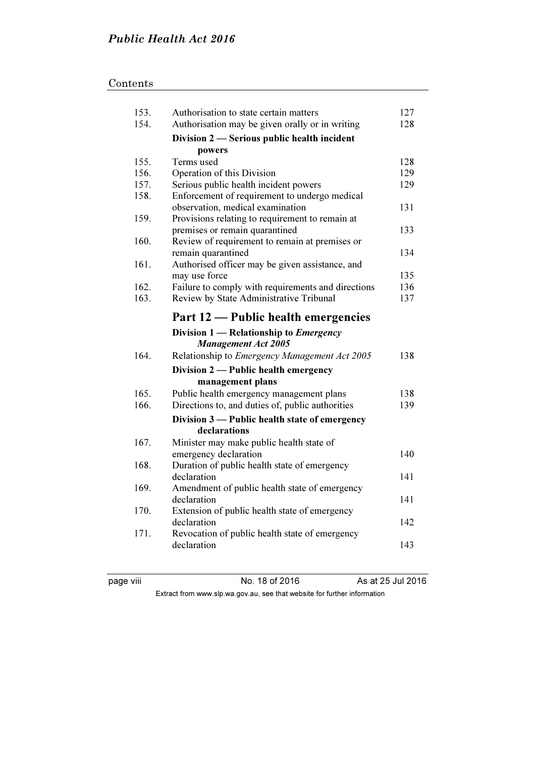## Contents

| 153. | Authorisation to state certain matters               | 127 |
|------|------------------------------------------------------|-----|
| 154. | Authorisation may be given orally or in writing      | 128 |
|      | Division 2 — Serious public health incident          |     |
|      | powers                                               |     |
| 155. | Terms used                                           | 128 |
| 156. | Operation of this Division                           | 129 |
| 157. | Serious public health incident powers                | 129 |
| 158. | Enforcement of requirement to undergo medical        |     |
|      | observation, medical examination                     | 131 |
| 159. | Provisions relating to requirement to remain at      |     |
|      | premises or remain quarantined                       | 133 |
| 160. | Review of requirement to remain at premises or       |     |
|      | remain quarantined                                   | 134 |
| 161. | Authorised officer may be given assistance, and      |     |
|      | may use force                                        | 135 |
| 162. | Failure to comply with requirements and directions   | 136 |
| 163. | Review by State Administrative Tribunal              | 137 |
|      | Part 12 — Public health emergencies                  |     |
|      | Division $1$ - Relationship to <i>Emergency</i>      |     |
|      | <b>Management Act 2005</b>                           |     |
| 164. | Relationship to <i>Emergency Management Act 2005</i> | 138 |
|      | Division 2 - Public health emergency                 |     |
|      | management plans                                     |     |
| 165. | Public health emergency management plans             | 138 |
| 166. | Directions to, and duties of, public authorities     | 139 |
|      | Division 3 - Public health state of emergency        |     |
|      | declarations                                         |     |
| 167. | Minister may make public health state of             |     |
|      | emergency declaration                                | 140 |
| 168. | Duration of public health state of emergency         |     |
|      | declaration                                          | 141 |
| 169. | Amendment of public health state of emergency        |     |
|      | declaration                                          | 141 |
| 170. | Extension of public health state of emergency        |     |
|      | declaration                                          | 142 |
| 171. | Revocation of public health state of emergency       |     |
|      | declaration                                          | 143 |
|      |                                                      |     |

page viii No. 18 of 2016 As at 25 Jul 2016 Extract from www.slp.wa.gov.au, see that website for further information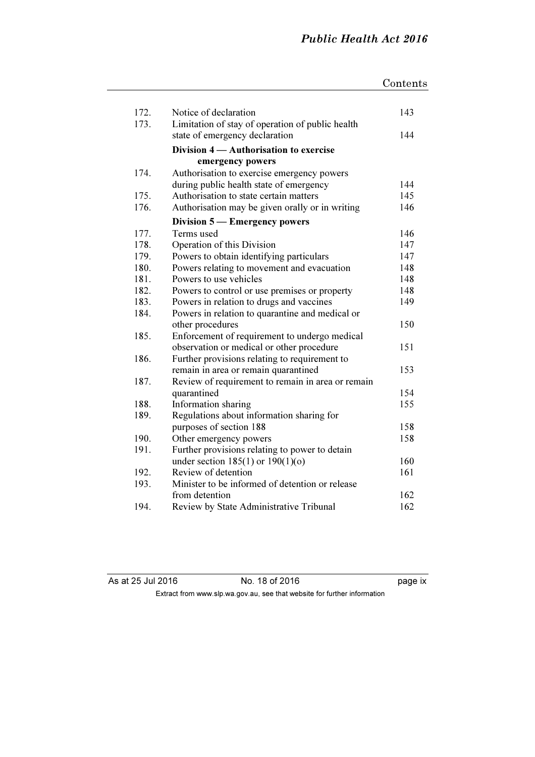|      |                                                   | Contents |
|------|---------------------------------------------------|----------|
|      |                                                   |          |
| 172. | Notice of declaration                             | 143      |
| 173. | Limitation of stay of operation of public health  |          |
|      | state of emergency declaration                    | 144      |
|      | Division 4 - Authorisation to exercise            |          |
|      | emergency powers                                  |          |
| 174. | Authorisation to exercise emergency powers        |          |
|      | during public health state of emergency           | 144      |
| 175. | Authorisation to state certain matters            | 145      |
| 176. | Authorisation may be given orally or in writing   | 146      |
|      | Division 5 – Emergency powers                     |          |
| 177. | Terms used                                        | 146      |
| 178. | Operation of this Division                        | 147      |
| 179. | Powers to obtain identifying particulars          | 147      |
| 180. | Powers relating to movement and evacuation        | 148      |
| 181. | Powers to use vehicles                            | 148      |
| 182. | Powers to control or use premises or property     | 148      |
| 183. | Powers in relation to drugs and vaccines          | 149      |
| 184. | Powers in relation to quarantine and medical or   |          |
|      | other procedures                                  | 150      |
| 185. | Enforcement of requirement to undergo medical     |          |
|      | observation or medical or other procedure         | 151      |
| 186. | Further provisions relating to requirement to     |          |
|      | remain in area or remain quarantined              | 153      |
| 187. | Review of requirement to remain in area or remain |          |
|      | quarantined                                       | 154      |
| 188. | Information sharing                               | 155      |
| 189. | Regulations about information sharing for         |          |
|      | purposes of section 188                           | 158      |
| 190. | Other emergency powers                            | 158      |
| 191. | Further provisions relating to power to detain    |          |
|      | under section $185(1)$ or $190(1)(o)$             | 160      |
| 192. | Review of detention                               | 161      |
| 193. | Minister to be informed of detention or release   |          |
|      | from detention                                    | 162      |
| 194. | Review by State Administrative Tribunal           | 162      |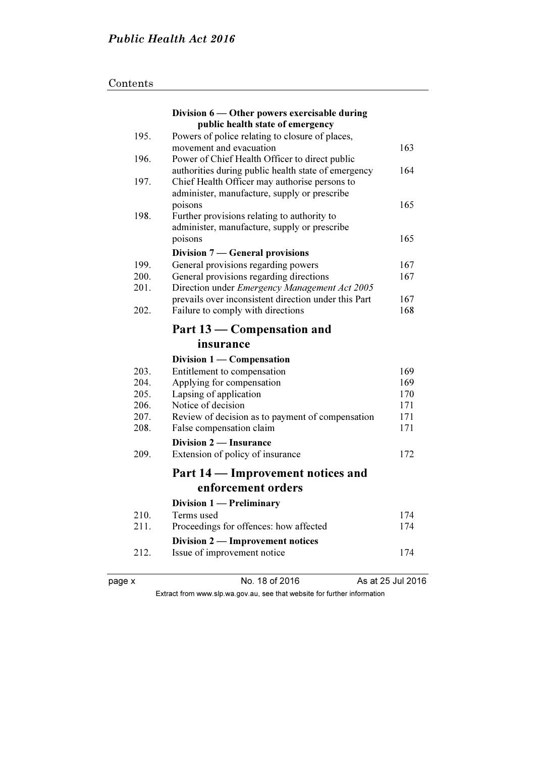## Contents

|        | Division 6 — Other powers exercisable during         |                   |
|--------|------------------------------------------------------|-------------------|
|        | public health state of emergency                     |                   |
| 195.   | Powers of police relating to closure of places,      |                   |
|        | movement and evacuation                              | 163               |
| 196.   | Power of Chief Health Officer to direct public       |                   |
|        | authorities during public health state of emergency  | 164               |
| 197.   | Chief Health Officer may authorise persons to        |                   |
|        | administer, manufacture, supply or prescribe         |                   |
|        | poisons                                              | 165               |
| 198.   | Further provisions relating to authority to          |                   |
|        | administer, manufacture, supply or prescribe         |                   |
|        | poisons                                              | 165               |
|        | Division 7 — General provisions                      |                   |
| 199.   | General provisions regarding powers                  | 167               |
| 200.   | General provisions regarding directions              | 167               |
| 201.   | Direction under Emergency Management Act 2005        |                   |
|        | prevails over inconsistent direction under this Part | 167               |
| 202.   | Failure to comply with directions                    | 168               |
|        | Part 13 – Compensation and                           |                   |
|        | insurance                                            |                   |
|        | Division $1$ — Compensation                          |                   |
| 203.   | Entitlement to compensation                          | 169               |
| 204.   | Applying for compensation                            | 169               |
| 205.   | Lapsing of application                               | 170               |
| 206.   | Notice of decision                                   | 171               |
| 207.   | Review of decision as to payment of compensation     | 171               |
| 208.   | False compensation claim                             | 171               |
|        | <b>Division 2 — Insurance</b>                        |                   |
| 209.   | Extension of policy of insurance                     | 172               |
|        | Part 14 — Improvement notices and                    |                   |
|        | enforcement orders                                   |                   |
|        | Division 1 - Preliminary                             |                   |
| 210.   | Terms used                                           | 174               |
| 211.   | Proceedings for offences: how affected               | 174               |
|        | Division 2 — Improvement notices                     |                   |
| 212.   | Issue of improvement notice                          | 174               |
|        |                                                      |                   |
| page x | No. 18 of 2016                                       | As at 25 Jul 2016 |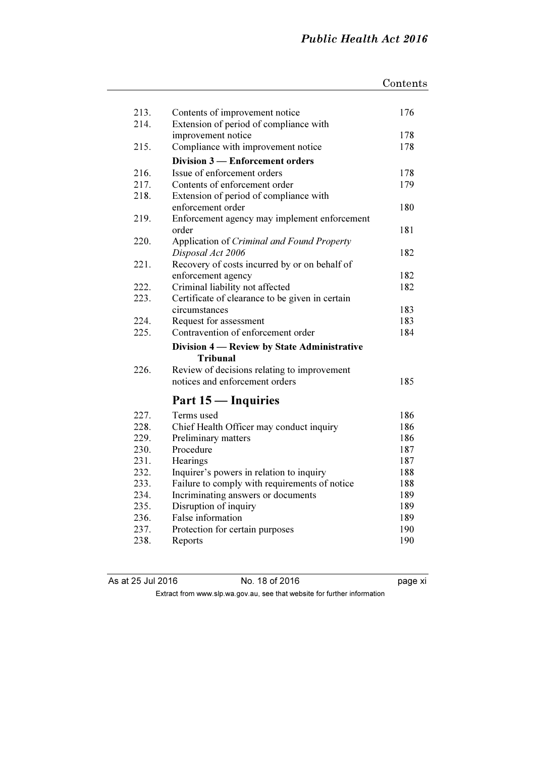|      |                                                                | Contents |
|------|----------------------------------------------------------------|----------|
|      |                                                                |          |
| 213. | Contents of improvement notice                                 | 176      |
| 214. | Extension of period of compliance with                         |          |
|      | improvement notice                                             | 178      |
| 215. | Compliance with improvement notice                             | 178      |
|      | Division 3 - Enforcement orders                                |          |
| 216. | Issue of enforcement orders                                    | 178      |
| 217. | Contents of enforcement order                                  | 179      |
| 218. | Extension of period of compliance with                         |          |
|      | enforcement order                                              | 180      |
| 219. | Enforcement agency may implement enforcement                   |          |
|      | order                                                          | 181      |
| 220. | Application of Criminal and Found Property                     |          |
|      | Disposal Act 2006                                              | 182      |
| 221. | Recovery of costs incurred by or on behalf of                  |          |
|      | enforcement agency                                             | 182      |
| 222. | Criminal liability not affected                                | 182      |
| 223. | Certificate of clearance to be given in certain                |          |
|      | circumstances                                                  | 183      |
| 224. | Request for assessment                                         | 183      |
| 225. | Contravention of enforcement order                             | 184      |
|      | Division 4 — Review by State Administrative<br><b>Tribunal</b> |          |
| 226. | Review of decisions relating to improvement                    |          |
|      | notices and enforcement orders                                 | 185      |
|      | Part 15 — Inquiries                                            |          |
| 227. | Terms used                                                     | 186      |
| 228. | Chief Health Officer may conduct inquiry                       | 186      |
| 229. | Preliminary matters                                            | 186      |
| 230. | Procedure                                                      | 187      |
| 231. | Hearings                                                       | 187      |
| 232. | Inquirer's powers in relation to inquiry                       | 188      |
| 233. | Failure to comply with requirements of notice                  | 188      |
| 234. | Incriminating answers or documents                             | 189      |
| 235. | Disruption of inquiry                                          | 189      |
| 236. | False information                                              | 189      |
| 237. | Protection for certain purposes                                | 190      |
| 238. | Reports                                                        | 190      |

As at 25 Jul 2016 No. 18 of 2016 page xi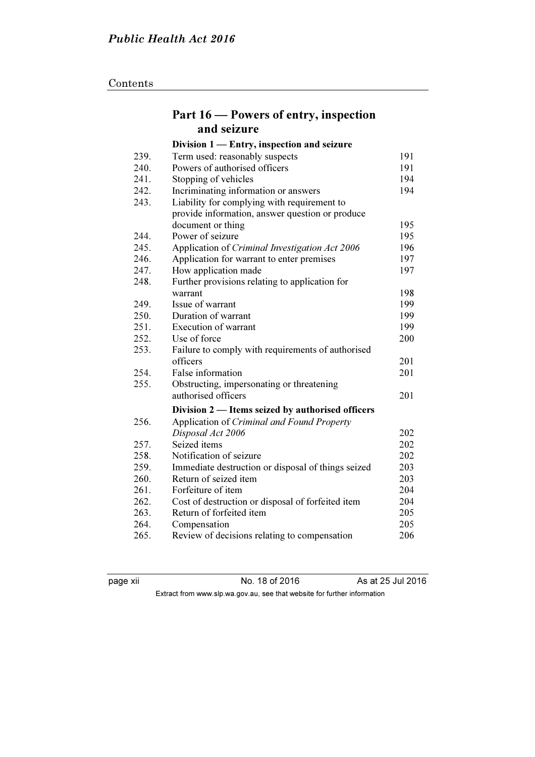## Contents

|      | Part 16 – Powers of entry, inspection              |     |
|------|----------------------------------------------------|-----|
|      | and seizure                                        |     |
|      | Division 1 - Entry, inspection and seizure         |     |
| 239. | Term used: reasonably suspects                     | 191 |
| 240. | Powers of authorised officers                      | 191 |
| 241. | Stopping of vehicles                               | 194 |
| 242. | Incriminating information or answers               | 194 |
| 243. | Liability for complying with requirement to        |     |
|      | provide information, answer question or produce    |     |
|      | document or thing                                  | 195 |
| 244. | Power of seizure                                   | 195 |
| 245. | Application of Criminal Investigation Act 2006     | 196 |
| 246. | Application for warrant to enter premises          | 197 |
| 247. | How application made                               | 197 |
| 248. | Further provisions relating to application for     |     |
|      | warrant                                            | 198 |
| 249. | Issue of warrant                                   | 199 |
| 250. | Duration of warrant                                | 199 |
| 251. | <b>Execution of warrant</b>                        | 199 |
| 252. | Use of force                                       | 200 |
| 253. | Failure to comply with requirements of authorised  |     |
|      | officers                                           | 201 |
| 254. | False information                                  | 201 |
| 255. | Obstructing, impersonating or threatening          |     |
|      | authorised officers                                | 201 |
|      | Division 2 — Items seized by authorised officers   |     |
| 256. | Application of Criminal and Found Property         |     |
|      | Disposal Act 2006                                  | 202 |
| 257. | Seized items                                       | 202 |
| 258. | Notification of seizure                            | 202 |
| 259. | Immediate destruction or disposal of things seized | 203 |
| 260. | Return of seized item                              | 203 |
| 261. | Forfeiture of item                                 | 204 |
| 262. | Cost of destruction or disposal of forfeited item  | 204 |
| 263. | Return of forfeited item                           | 205 |
| 264. | Compensation                                       | 205 |
| 265. | Review of decisions relating to compensation       | 206 |

page xii No. 18 of 2016 As at 25 Jul 2016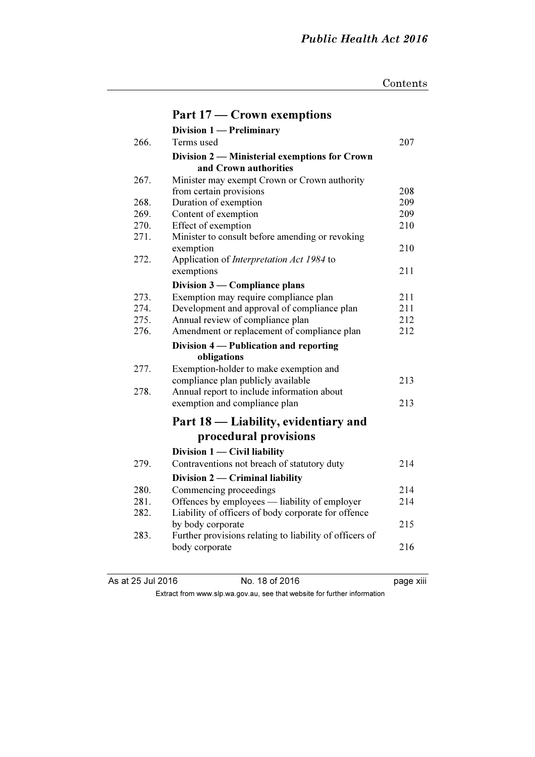|      | Part 17 – Crown exemptions                                             |     |
|------|------------------------------------------------------------------------|-----|
|      | <b>Division 1 — Preliminary</b>                                        |     |
| 266. | Terms used                                                             | 207 |
|      | Division 2 - Ministerial exemptions for Crown<br>and Crown authorities |     |
| 267. | Minister may exempt Crown or Crown authority                           |     |
|      | from certain provisions                                                | 208 |
| 268. | Duration of exemption                                                  | 209 |
| 269. | Content of exemption                                                   | 209 |
| 270. | Effect of exemption                                                    | 210 |
| 271. | Minister to consult before amending or revoking                        |     |
|      | exemption                                                              | 210 |
| 272. | Application of Interpretation Act 1984 to                              |     |
|      | exemptions                                                             | 211 |
|      | Division 3 — Compliance plans                                          |     |
| 273. | Exemption may require compliance plan                                  | 211 |
| 274. | Development and approval of compliance plan                            | 211 |
| 275. | Annual review of compliance plan                                       | 212 |
| 276. | Amendment or replacement of compliance plan                            | 212 |
|      | Division 4 - Publication and reporting                                 |     |
|      | obligations                                                            |     |
| 277. | Exemption-holder to make exemption and                                 |     |
|      | compliance plan publicly available                                     | 213 |
| 278. | Annual report to include information about                             |     |
|      | exemption and compliance plan                                          | 213 |
|      | Part 18 — Liability, evidentiary and                                   |     |
|      | procedural provisions                                                  |     |
|      | Division $1 -$ Civil liability                                         |     |
| 279. | Contraventions not breach of statutory duty                            | 214 |
|      | Division $2$ – Criminal liability                                      |     |
| 280. | Commencing proceedings                                                 | 214 |
| 281. | Offences by employees — liability of employer                          | 214 |
| 282. | Liability of officers of body corporate for offence                    |     |
|      | by body corporate                                                      | 215 |
| 283. | Further provisions relating to liability of officers of                |     |
|      | body corporate                                                         | 216 |
|      |                                                                        |     |

As at 25 Jul 2016 No. 18 of 2016 Page xiii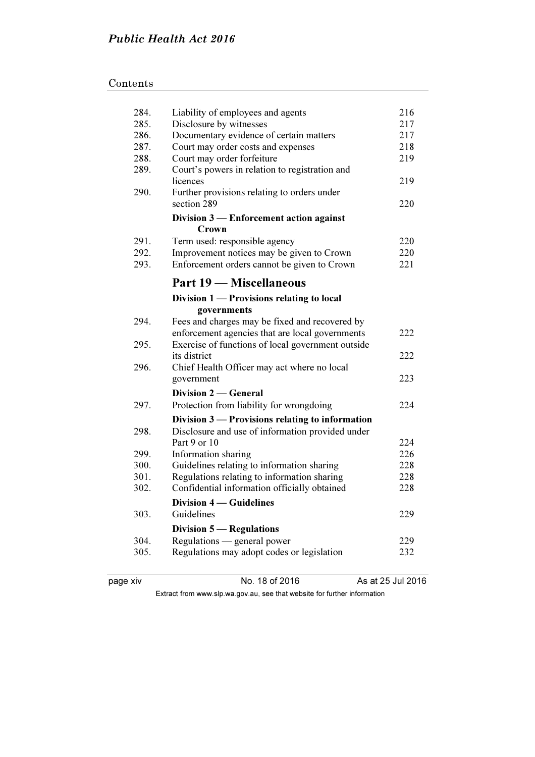| Contents |  |  |
|----------|--|--|
|          |  |  |

| 284.         | Liability of employees and agents                                                                    | 216        |
|--------------|------------------------------------------------------------------------------------------------------|------------|
| 285.         | Disclosure by witnesses                                                                              | 217        |
| 286.         | Documentary evidence of certain matters                                                              | 217        |
| 287.         | Court may order costs and expenses                                                                   | 218<br>219 |
| 288.<br>289. | Court may order forfeiture                                                                           |            |
|              | Court's powers in relation to registration and<br>licences                                           | 219        |
| 290.         | Further provisions relating to orders under                                                          |            |
|              | section 289                                                                                          | 220        |
|              | Division 3 - Enforcement action against                                                              |            |
| 291.         | Crown                                                                                                |            |
| 292.         | Term used: responsible agency<br>Improvement notices may be given to Crown                           | 220<br>220 |
| 293.         | Enforcement orders cannot be given to Crown                                                          | 221        |
|              |                                                                                                      |            |
|              | Part 19 — Miscellaneous                                                                              |            |
|              | Division 1 — Provisions relating to local                                                            |            |
|              | governments                                                                                          |            |
| 294.         | Fees and charges may be fixed and recovered by                                                       |            |
| 295.         | enforcement agencies that are local governments<br>Exercise of functions of local government outside | 222        |
|              | its district                                                                                         | 222        |
| 296.         | Chief Health Officer may act where no local                                                          |            |
|              | government                                                                                           | 223        |
|              | Division 2 — General                                                                                 |            |
| 297.         | Protection from liability for wrongdoing                                                             | 224        |
|              | Division 3 - Provisions relating to information                                                      |            |
| 298.         | Disclosure and use of information provided under                                                     |            |
|              | Part 9 or 10                                                                                         | 224        |
| 299.         | Information sharing                                                                                  | 226        |
| 300.         | Guidelines relating to information sharing                                                           | 228        |
| 301.         | Regulations relating to information sharing                                                          | 228        |
| 302.         | Confidential information officially obtained                                                         | 228        |
|              | <b>Division 4 – Guidelines</b>                                                                       |            |
| 303.         | Guidelines                                                                                           | 229        |
|              | <b>Division 5 — Regulations</b>                                                                      |            |
| 304.         | Regulations — general power                                                                          | 229        |
| 305.         | Regulations may adopt codes or legislation                                                           | 232        |
|              |                                                                                                      |            |

page xiv Mo. 18 of 2016 As at 25 Jul 2016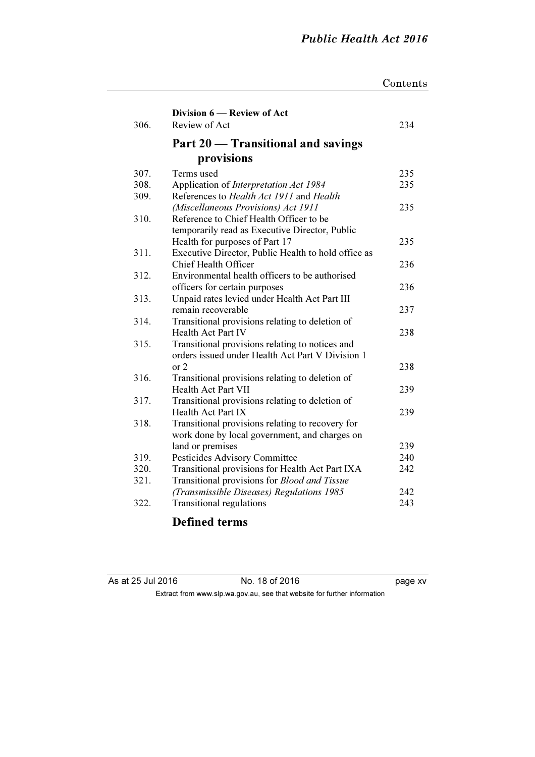page xv

|              |                                                     | Contents   |
|--------------|-----------------------------------------------------|------------|
|              |                                                     |            |
|              | Division 6 – Review of Act                          |            |
| 306.         | Review of Act                                       | 234        |
|              | Part 20 – Transitional and savings                  |            |
|              | provisions                                          |            |
| 307.         | Terms used                                          | 235        |
| 308.         | Application of Interpretation Act 1984              | 235        |
| 309.         | References to Health Act 1911 and Health            |            |
|              | (Miscellaneous Provisions) Act 1911                 | 235        |
| 310.         | Reference to Chief Health Officer to be             |            |
|              | temporarily read as Executive Director, Public      |            |
|              | Health for purposes of Part 17                      | 235        |
| 311.         | Executive Director, Public Health to hold office as |            |
|              | <b>Chief Health Officer</b>                         | 236        |
| 312.         | Environmental health officers to be authorised      |            |
|              | officers for certain purposes                       | 236        |
| 313.         | Unpaid rates levied under Health Act Part III       |            |
|              | remain recoverable                                  | 237        |
| 314.         | Transitional provisions relating to deletion of     |            |
|              | <b>Health Act Part IV</b>                           | 238        |
| 315.         | Transitional provisions relating to notices and     |            |
|              | orders issued under Health Act Part V Division 1    |            |
|              | or 2                                                | 238        |
| 316.         | Transitional provisions relating to deletion of     |            |
|              | <b>Health Act Part VII</b>                          | 239        |
| 317.         | Transitional provisions relating to deletion of     |            |
|              | Health Act Part IX                                  | 239        |
| 318.         | Transitional provisions relating to recovery for    |            |
|              | work done by local government, and charges on       |            |
|              | land or premises                                    | 239        |
| 319.         | Pesticides Advisory Committee                       | 240        |
| 320.<br>321. | Transitional provisions for Health Act Part IXA     | 242        |
|              | Transitional provisions for Blood and Tissue        |            |
|              | (Transmissible Diseases) Regulations 1985           | 242<br>243 |
| 322.         | <b>Transitional regulations</b>                     |            |

## Defined terms

| As at 25 Jul 2016 | No. 18 of 2016                                                           |
|-------------------|--------------------------------------------------------------------------|
|                   | Extract from www.slp.wa.gov.au, see that website for further information |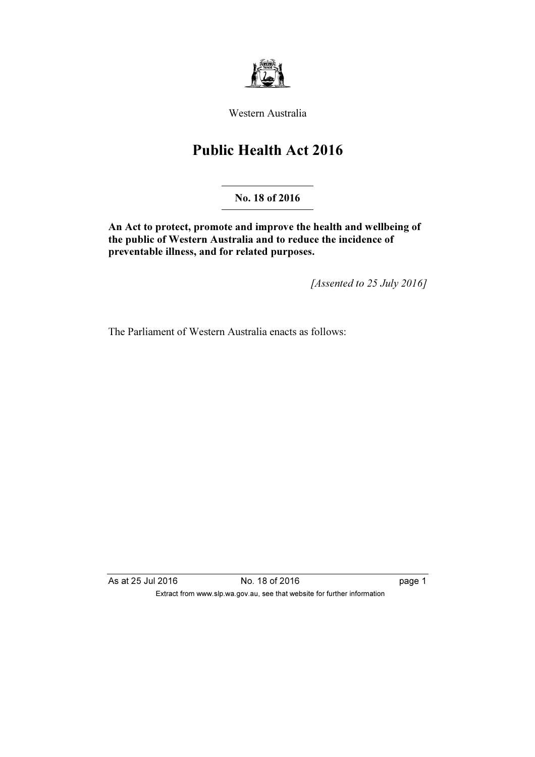

Western Australia

# Public Health Act 2016

No. 18 of 2016

An Act to protect, promote and improve the health and wellbeing of the public of Western Australia and to reduce the incidence of preventable illness, and for related purposes.

[Assented to 25 July 2016]

The Parliament of Western Australia enacts as follows:

As at 25 Jul 2016 18 O. 18 of 2016 1991 1992 1993 1994 1995 1999 1999 1999 1999 1 Extract from www.slp.wa.gov.au, see that website for further information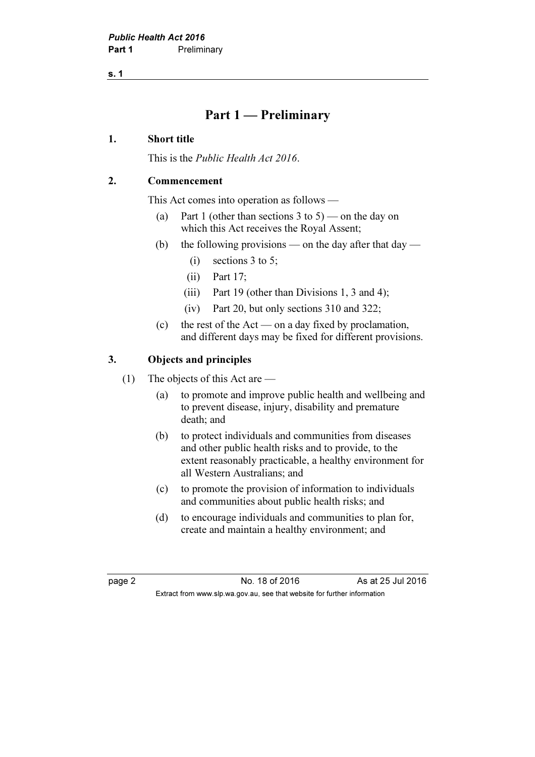s. 1

## Part 1 — Preliminary

## 1. Short title

This is the Public Health Act 2016.

## 2. Commencement

This Act comes into operation as follows —

- (a) Part 1 (other than sections 3 to 5) on the day on which this Act receives the Royal Assent;
- (b) the following provisions on the day after that  $day -$ 
	- (i) sections 3 to 5;
	- (ii) Part 17;
	- (iii) Part 19 (other than Divisions 1, 3 and 4);
	- (iv) Part 20, but only sections 310 and 322;
- (c) the rest of the Act on a day fixed by proclamation, and different days may be fixed for different provisions.

## 3. Objects and principles

- (1) The objects of this Act are
	- (a) to promote and improve public health and wellbeing and to prevent disease, injury, disability and premature death; and
	- (b) to protect individuals and communities from diseases and other public health risks and to provide, to the extent reasonably practicable, a healthy environment for all Western Australians; and
	- (c) to promote the provision of information to individuals and communities about public health risks; and
	- (d) to encourage individuals and communities to plan for, create and maintain a healthy environment; and

page 2 No. 18 of 2016 As at 25 Jul 2016 Extract from www.slp.wa.gov.au, see that website for further information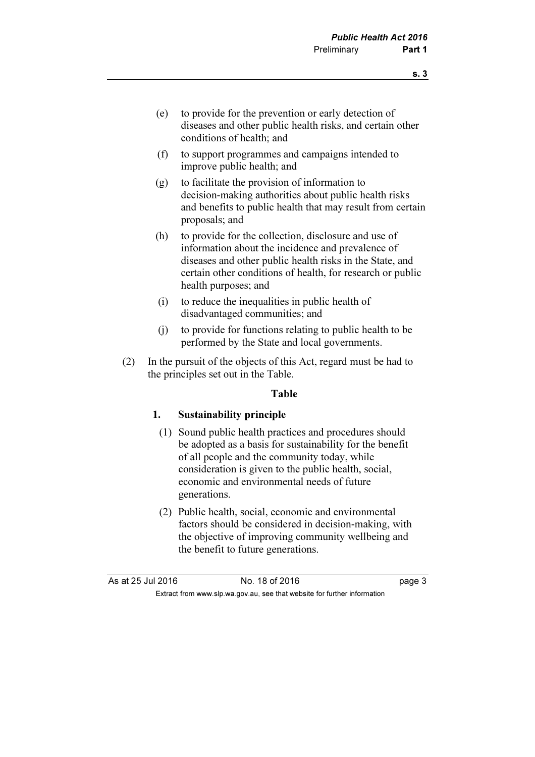- (e) to provide for the prevention or early detection of diseases and other public health risks, and certain other conditions of health; and
- (f) to support programmes and campaigns intended to improve public health; and
- (g) to facilitate the provision of information to decision-making authorities about public health risks and benefits to public health that may result from certain proposals; and
- (h) to provide for the collection, disclosure and use of information about the incidence and prevalence of diseases and other public health risks in the State, and certain other conditions of health, for research or public health purposes; and
- (i) to reduce the inequalities in public health of disadvantaged communities; and
- (j) to provide for functions relating to public health to be performed by the State and local governments.
- (2) In the pursuit of the objects of this Act, regard must be had to the principles set out in the Table.

#### Table

## 1. Sustainability principle

- (1) Sound public health practices and procedures should be adopted as a basis for sustainability for the benefit of all people and the community today, while consideration is given to the public health, social, economic and environmental needs of future generations.
- (2) Public health, social, economic and environmental factors should be considered in decision-making, with the objective of improving community wellbeing and the benefit to future generations.

| As at 25 Jul 2016 | No. 18 of 2016                                                           | page 3 |
|-------------------|--------------------------------------------------------------------------|--------|
|                   | Extract from www.slp.wa.gov.au, see that website for further information |        |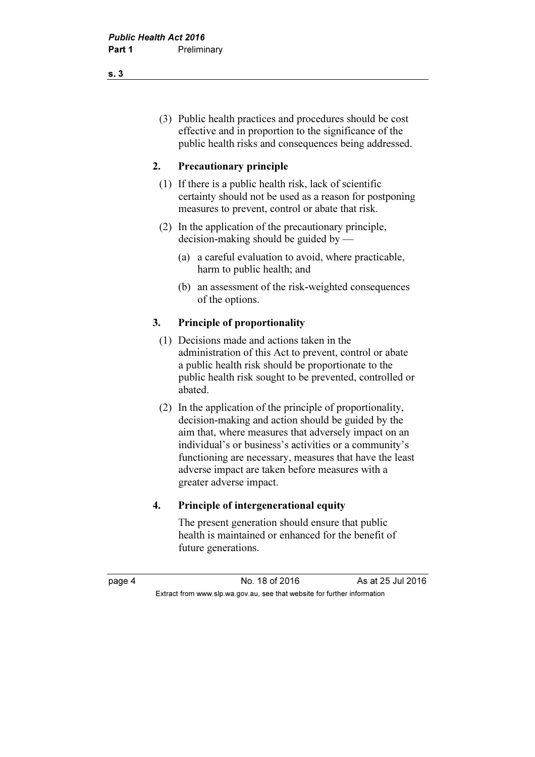(3) Public health practices and procedures should be cost effective and in proportion to the significance of the public health risks and consequences being addressed.

## 2. Precautionary principle

- (1) If there is a public health risk, lack of scientific certainty should not be used as a reason for postponing measures to prevent, control or abate that risk.
- (2) In the application of the precautionary principle, decision-making should be guided by —
	- (a) a careful evaluation to avoid, where practicable, harm to public health; and
	- (b) an assessment of the risk-weighted consequences of the options.

## 3. Principle of proportionality

- (1) Decisions made and actions taken in the administration of this Act to prevent, control or abate a public health risk should be proportionate to the public health risk sought to be prevented, controlled or abated.
- (2) In the application of the principle of proportionality, decision-making and action should be guided by the aim that, where measures that adversely impact on an individual's or business's activities or a community's functioning are necessary, measures that have the least adverse impact are taken before measures with a greater adverse impact.

#### 4. Principle of intergenerational equity

 The present generation should ensure that public health is maintained or enhanced for the benefit of future generations.

page 4 No. 18 of 2016 As at 25 Jul 2016 Extract from www.slp.wa.gov.au, see that website for further information

s. 3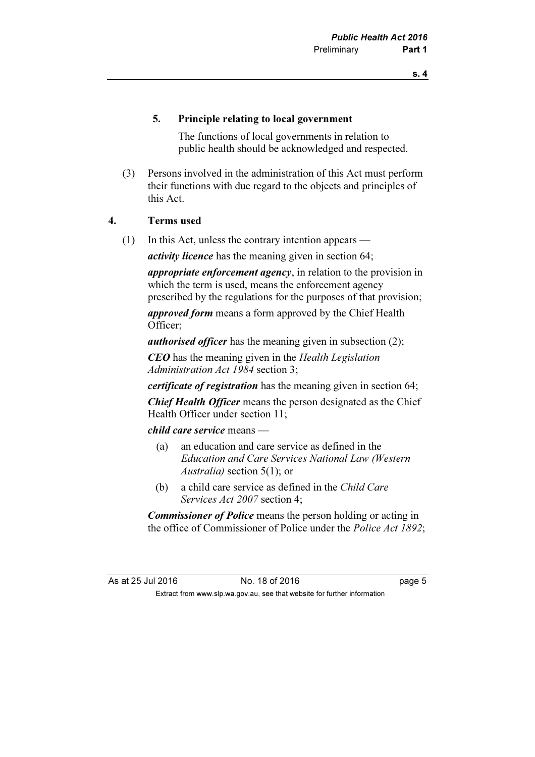## 5. Principle relating to local government

 The functions of local governments in relation to public health should be acknowledged and respected.

 (3) Persons involved in the administration of this Act must perform their functions with due regard to the objects and principles of this Act.

## 4. Terms used

(1) In this Act, unless the contrary intention appears —

*activity licence* has the meaning given in section 64;

appropriate enforcement agency, in relation to the provision in which the term is used, means the enforcement agency prescribed by the regulations for the purposes of that provision;

approved form means a form approved by the Chief Health Officer;

*authorised officer* has the meaning given in subsection (2);

CEO has the meaning given in the Health Legislation Administration Act 1984 section 3;

certificate of registration has the meaning given in section 64;

Chief Health Officer means the person designated as the Chief Health Officer under section 11;

child care service means —

- (a) an education and care service as defined in the Education and Care Services National Law (Western Australia) section 5(1); or
- (b) a child care service as defined in the Child Care Services Act 2007 section 4;

**Commissioner of Police** means the person holding or acting in the office of Commissioner of Police under the *Police Act 1892*;

As at 25 Jul 2016 18 of 2016 18 of 2016 Extract from www.slp.wa.gov.au, see that website for further information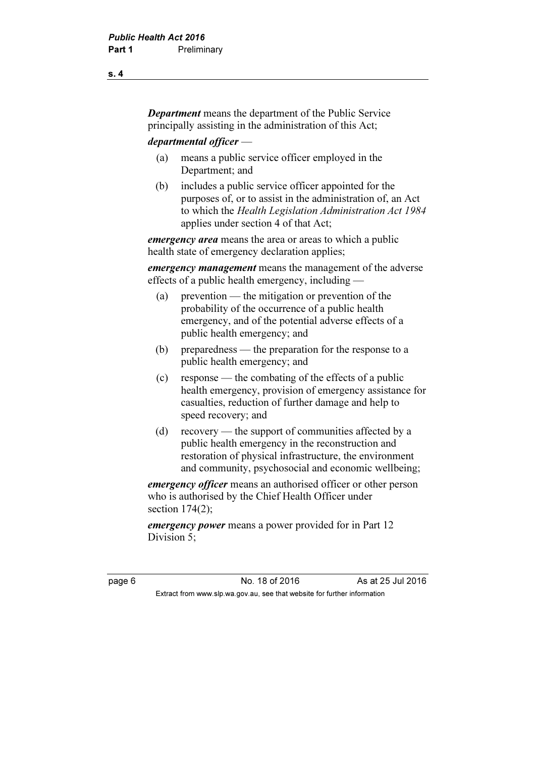Department means the department of the Public Service principally assisting in the administration of this Act;

departmental officer —

- (a) means a public service officer employed in the Department; and
- (b) includes a public service officer appointed for the purposes of, or to assist in the administration of, an Act to which the Health Legislation Administration Act 1984 applies under section 4 of that Act;

emergency area means the area or areas to which a public health state of emergency declaration applies;

*emergency management* means the management of the adverse effects of a public health emergency, including —

- (a) prevention the mitigation or prevention of the probability of the occurrence of a public health emergency, and of the potential adverse effects of a public health emergency; and
- (b) preparedness the preparation for the response to a public health emergency; and
- (c) response the combating of the effects of a public health emergency, provision of emergency assistance for casualties, reduction of further damage and help to speed recovery; and
- (d) recovery the support of communities affected by a public health emergency in the reconstruction and restoration of physical infrastructure, the environment and community, psychosocial and economic wellbeing;

emergency officer means an authorised officer or other person who is authorised by the Chief Health Officer under section 174(2);

emergency power means a power provided for in Part 12 Division 5;

page 6 No. 18 of 2016 As at 25 Jul 2016 Extract from www.slp.wa.gov.au, see that website for further information

s. 4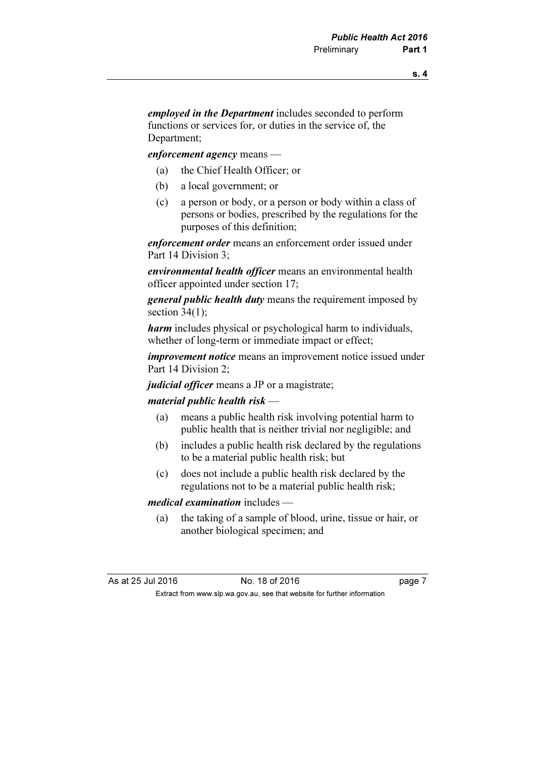employed in the Department includes seconded to perform functions or services for, or duties in the service of, the Department;

enforcement agency means —

- (a) the Chief Health Officer; or
- (b) a local government; or
- (c) a person or body, or a person or body within a class of persons or bodies, prescribed by the regulations for the purposes of this definition;

enforcement order means an enforcement order issued under Part 14 Division 3;

environmental health officer means an environmental health officer appointed under section 17;

general public health duty means the requirement imposed by section  $34(1)$ ;

harm includes physical or psychological harm to individuals, whether of long-term or immediate impact or effect;

improvement notice means an improvement notice issued under Part 14 Division 2;

judicial officer means a JP or a magistrate;

#### material public health risk —

- (a) means a public health risk involving potential harm to public health that is neither trivial nor negligible; and
- (b) includes a public health risk declared by the regulations to be a material public health risk; but
- (c) does not include a public health risk declared by the regulations not to be a material public health risk;

#### medical examination includes —

 (a) the taking of a sample of blood, urine, tissue or hair, or another biological specimen; and

| As at 25 Jul 2016 | No. 18 of 2016                                                           | page 7 |
|-------------------|--------------------------------------------------------------------------|--------|
|                   | Extract from www.slp.wa.gov.au, see that website for further information |        |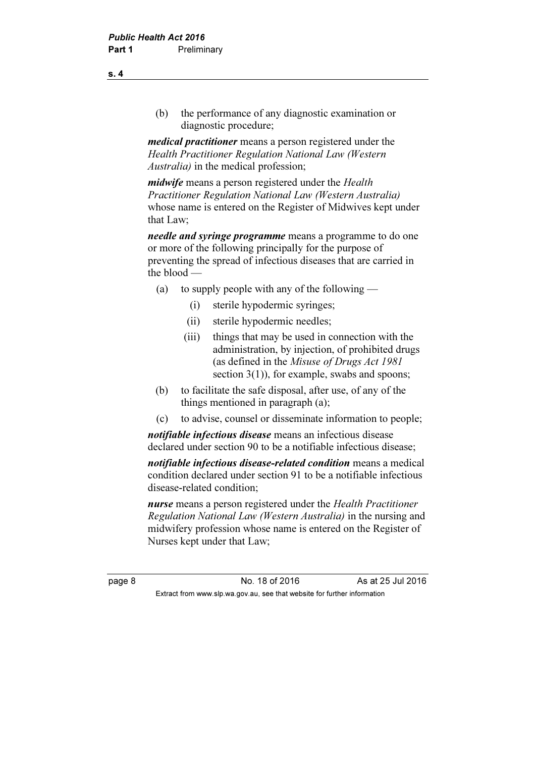(b) the performance of any diagnostic examination or diagnostic procedure;

medical practitioner means a person registered under the Health Practitioner Regulation National Law (Western Australia) in the medical profession;

midwife means a person registered under the Health Practitioner Regulation National Law (Western Australia) whose name is entered on the Register of Midwives kept under that Law;

needle and syringe programme means a programme to do one or more of the following principally for the purpose of preventing the spread of infectious diseases that are carried in the blood —

- (a) to supply people with any of the following
	- (i) sterile hypodermic syringes;
	- (ii) sterile hypodermic needles;
	- (iii) things that may be used in connection with the administration, by injection, of prohibited drugs (as defined in the Misuse of Drugs Act 1981 section 3(1)), for example, swabs and spoons;
- (b) to facilitate the safe disposal, after use, of any of the things mentioned in paragraph (a);
- (c) to advise, counsel or disseminate information to people;

notifiable infectious disease means an infectious disease declared under section 90 to be a notifiable infectious disease;

notifiable infectious disease-related condition means a medical condition declared under section 91 to be a notifiable infectious disease-related condition;

nurse means a person registered under the Health Practitioner Regulation National Law (Western Australia) in the nursing and midwifery profession whose name is entered on the Register of Nurses kept under that Law;

page 8 No. 18 of 2016 As at 25 Jul 2016 Extract from www.slp.wa.gov.au, see that website for further information

s. 4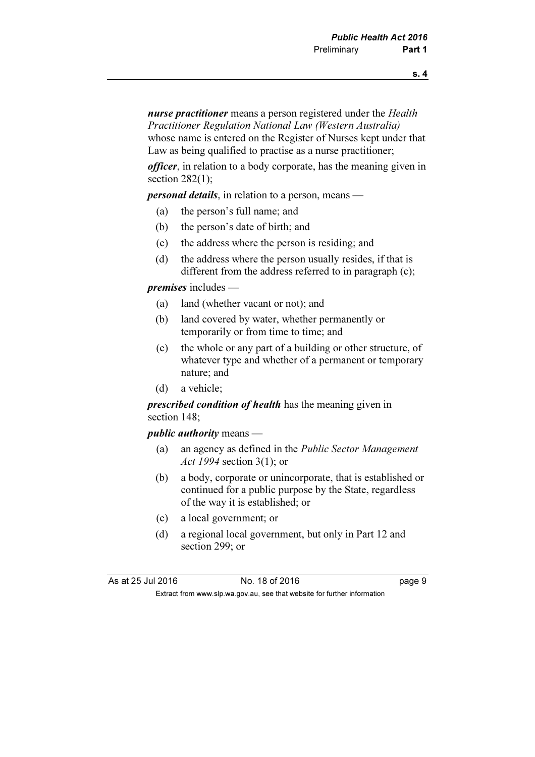nurse practitioner means a person registered under the Health Practitioner Regulation National Law (Western Australia) whose name is entered on the Register of Nurses kept under that Law as being qualified to practise as a nurse practitioner;

officer, in relation to a body corporate, has the meaning given in section  $282(1)$ ;

personal details, in relation to a person, means —

- (a) the person's full name; and
- (b) the person's date of birth; and
- (c) the address where the person is residing; and
- (d) the address where the person usually resides, if that is different from the address referred to in paragraph (c);

premises includes —

- (a) land (whether vacant or not); and
- (b) land covered by water, whether permanently or temporarily or from time to time; and
- (c) the whole or any part of a building or other structure, of whatever type and whether of a permanent or temporary nature; and
- (d) a vehicle;

**prescribed condition of health** has the meaning given in section 148;

*public authority* means  $-$ 

- (a) an agency as defined in the Public Sector Management Act 1994 section 3(1); or
- (b) a body, corporate or unincorporate, that is established or continued for a public purpose by the State, regardless of the way it is established; or
- (c) a local government; or
- (d) a regional local government, but only in Part 12 and section 299; or

As at 25 Jul 2016 18 of 2016 18 of 2016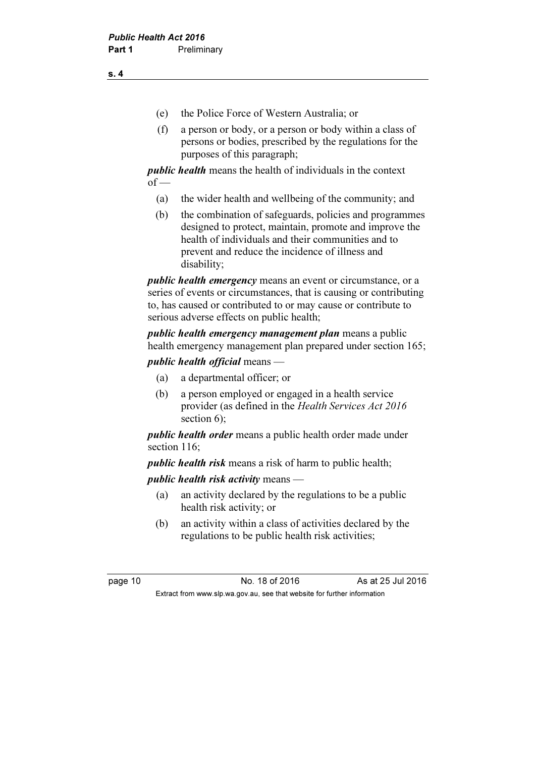- (e) the Police Force of Western Australia; or
- (f) a person or body, or a person or body within a class of persons or bodies, prescribed by the regulations for the purposes of this paragraph;

public health means the health of individuals in the context  $of$  —

- (a) the wider health and wellbeing of the community; and
- (b) the combination of safeguards, policies and programmes designed to protect, maintain, promote and improve the health of individuals and their communities and to prevent and reduce the incidence of illness and disability;

public health emergency means an event or circumstance, or a series of events or circumstances, that is causing or contributing to, has caused or contributed to or may cause or contribute to serious adverse effects on public health;

public health emergency management plan means a public health emergency management plan prepared under section 165;

public health official means —

- (a) a departmental officer; or
- (b) a person employed or engaged in a health service provider (as defined in the Health Services Act 2016 section 6);

public health order means a public health order made under section 116:

public health risk means a risk of harm to public health;

public health risk activity means —

- (a) an activity declared by the regulations to be a public health risk activity; or
- (b) an activity within a class of activities declared by the regulations to be public health risk activities;

page 10 No. 18 of 2016 As at 25 Jul 2016 Extract from www.slp.wa.gov.au, see that website for further information

s. 4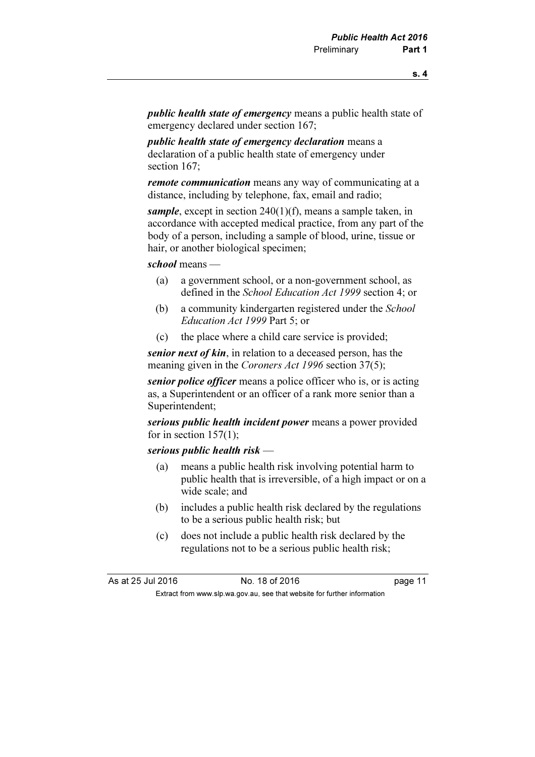public health state of emergency means a public health state of emergency declared under section 167;

public health state of emergency declaration means a declaration of a public health state of emergency under section 167:

**remote communication** means any way of communicating at a distance, including by telephone, fax, email and radio;

sample, except in section  $240(1)(f)$ , means a sample taken, in accordance with accepted medical practice, from any part of the body of a person, including a sample of blood, urine, tissue or hair, or another biological specimen;

school means —

- (a) a government school, or a non-government school, as defined in the School Education Act 1999 section 4; or
- (b) a community kindergarten registered under the School Education Act 1999 Part 5; or
- (c) the place where a child care service is provided;

senior next of kin, in relation to a deceased person, has the meaning given in the Coroners Act 1996 section 37(5);

senior police officer means a police officer who is, or is acting as, a Superintendent or an officer of a rank more senior than a Superintendent;

serious public health incident power means a power provided for in section  $157(1)$ ;

## serious public health risk —

- (a) means a public health risk involving potential harm to public health that is irreversible, of a high impact or on a wide scale; and
- (b) includes a public health risk declared by the regulations to be a serious public health risk; but
- (c) does not include a public health risk declared by the regulations not to be a serious public health risk;

As at 25 Jul 2016 18 0.18 of 2016 Extract from www.slp.wa.gov.au, see that website for further information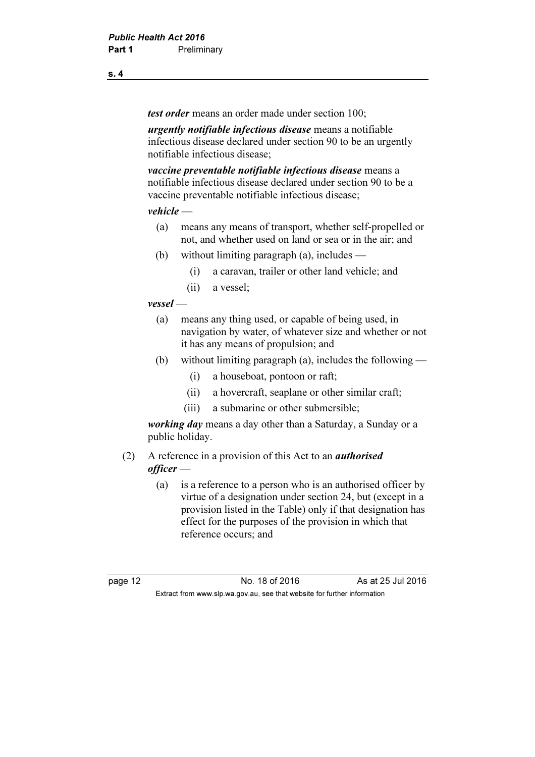test order means an order made under section 100;

urgently notifiable infectious disease means a notifiable infectious disease declared under section 90 to be an urgently notifiable infectious disease;

vaccine preventable notifiable infectious disease means a notifiable infectious disease declared under section 90 to be a vaccine preventable notifiable infectious disease;

#### vehicle —

- (a) means any means of transport, whether self-propelled or not, and whether used on land or sea or in the air; and
- (b) without limiting paragraph (a), includes
	- (i) a caravan, trailer or other land vehicle; and
	- (ii) a vessel;

## vessel —

- (a) means any thing used, or capable of being used, in navigation by water, of whatever size and whether or not it has any means of propulsion; and
- (b) without limiting paragraph (a), includes the following
	- (i) a houseboat, pontoon or raft;
	- (ii) a hovercraft, seaplane or other similar craft;
	- (iii) a submarine or other submersible;

working day means a day other than a Saturday, a Sunday or a public holiday.

## (2) A reference in a provision of this Act to an authorised officer —

 (a) is a reference to a person who is an authorised officer by virtue of a designation under section 24, but (except in a provision listed in the Table) only if that designation has effect for the purposes of the provision in which that reference occurs; and

page 12 **No. 18 of 2016** As at 25 Jul 2016 Extract from www.slp.wa.gov.au, see that website for further information

s. 4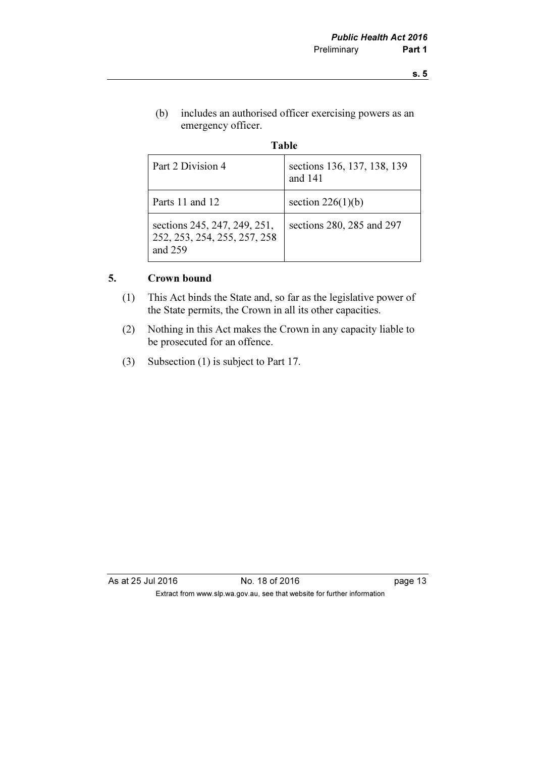(b) includes an authorised officer exercising powers as an emergency officer.

| Table                                                                     |                                        |  |
|---------------------------------------------------------------------------|----------------------------------------|--|
| Part 2 Division 4                                                         | sections 136, 137, 138, 139<br>and 141 |  |
| Parts 11 and 12                                                           | section $226(1)(b)$                    |  |
| sections 245, 247, 249, 251,<br>252, 253, 254, 255, 257, 258<br>and $259$ | sections 280, 285 and 297              |  |

## 5. Crown bound

- (1) This Act binds the State and, so far as the legislative power of the State permits, the Crown in all its other capacities.
- (2) Nothing in this Act makes the Crown in any capacity liable to be prosecuted for an offence.
- (3) Subsection (1) is subject to Part 17.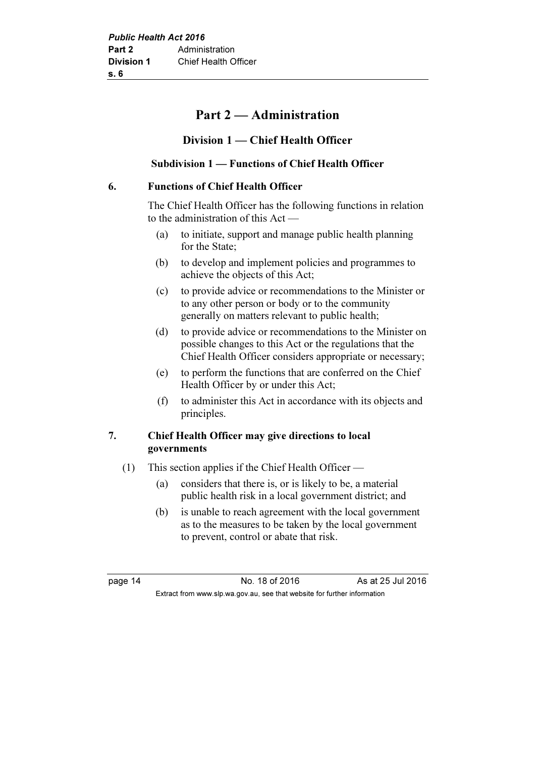## Part 2 — Administration

## Division 1 — Chief Health Officer

## Subdivision 1 — Functions of Chief Health Officer

## 6. Functions of Chief Health Officer

 The Chief Health Officer has the following functions in relation to the administration of this Act —

- (a) to initiate, support and manage public health planning for the State;
- (b) to develop and implement policies and programmes to achieve the objects of this Act;
- (c) to provide advice or recommendations to the Minister or to any other person or body or to the community generally on matters relevant to public health;
- (d) to provide advice or recommendations to the Minister on possible changes to this Act or the regulations that the Chief Health Officer considers appropriate or necessary;
- (e) to perform the functions that are conferred on the Chief Health Officer by or under this Act;
- (f) to administer this Act in accordance with its objects and principles.

## 7. Chief Health Officer may give directions to local governments

- (1) This section applies if the Chief Health Officer
	- (a) considers that there is, or is likely to be, a material public health risk in a local government district; and
	- (b) is unable to reach agreement with the local government as to the measures to be taken by the local government to prevent, control or abate that risk.

page 14 **No. 18 of 2016** As at 25 Jul 2016 Extract from www.slp.wa.gov.au, see that website for further information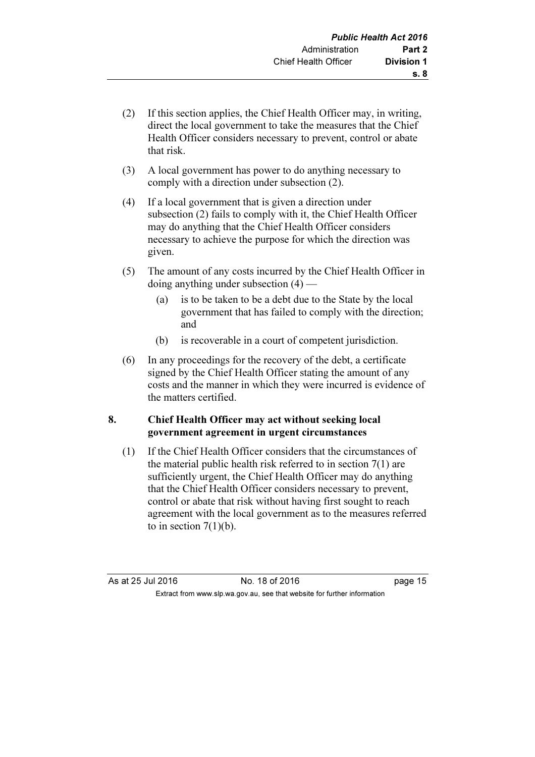- (2) If this section applies, the Chief Health Officer may, in writing, direct the local government to take the measures that the Chief Health Officer considers necessary to prevent, control or abate that risk.
- (3) A local government has power to do anything necessary to comply with a direction under subsection (2).
- (4) If a local government that is given a direction under subsection (2) fails to comply with it, the Chief Health Officer may do anything that the Chief Health Officer considers necessary to achieve the purpose for which the direction was given.
- (5) The amount of any costs incurred by the Chief Health Officer in doing anything under subsection (4) —
	- (a) is to be taken to be a debt due to the State by the local government that has failed to comply with the direction; and
	- (b) is recoverable in a court of competent jurisdiction.
- (6) In any proceedings for the recovery of the debt, a certificate signed by the Chief Health Officer stating the amount of any costs and the manner in which they were incurred is evidence of the matters certified.

## 8. Chief Health Officer may act without seeking local government agreement in urgent circumstances

 (1) If the Chief Health Officer considers that the circumstances of the material public health risk referred to in section 7(1) are sufficiently urgent, the Chief Health Officer may do anything that the Chief Health Officer considers necessary to prevent, control or abate that risk without having first sought to reach agreement with the local government as to the measures referred to in section  $7(1)(b)$ .

As at 25 Jul 2016 No. 18 of 2016 page 15 Extract from www.slp.wa.gov.au, see that website for further information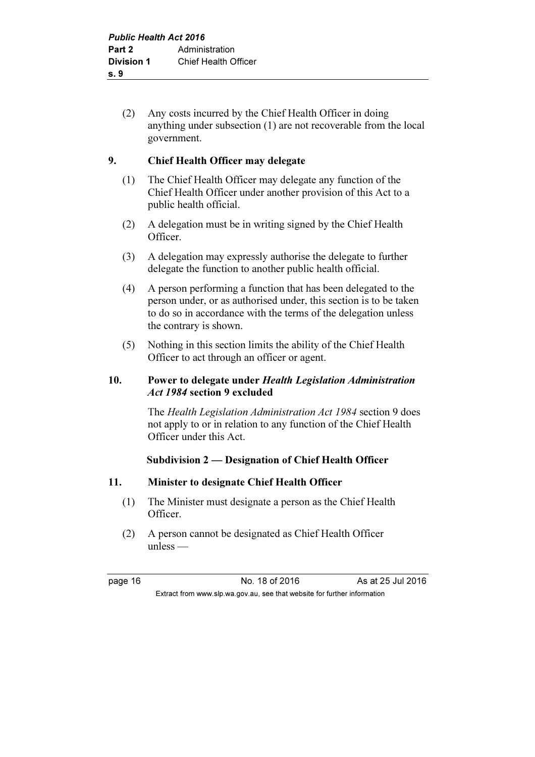(2) Any costs incurred by the Chief Health Officer in doing anything under subsection (1) are not recoverable from the local government.

## 9. Chief Health Officer may delegate

- (1) The Chief Health Officer may delegate any function of the Chief Health Officer under another provision of this Act to a public health official.
- (2) A delegation must be in writing signed by the Chief Health Officer.
- (3) A delegation may expressly authorise the delegate to further delegate the function to another public health official.
- (4) A person performing a function that has been delegated to the person under, or as authorised under, this section is to be taken to do so in accordance with the terms of the delegation unless the contrary is shown.
- (5) Nothing in this section limits the ability of the Chief Health Officer to act through an officer or agent.

## 10. Power to delegate under Health Legislation Administration Act 1984 section 9 excluded

 The Health Legislation Administration Act 1984 section 9 does not apply to or in relation to any function of the Chief Health Officer under this Act.

## Subdivision 2 — Designation of Chief Health Officer

## 11. Minister to designate Chief Health Officer

- (1) The Minister must designate a person as the Chief Health Officer.
- (2) A person cannot be designated as Chief Health Officer unless —

Extract from www.slp.wa.gov.au, see that website for further information

page 16 **No. 18 of 2016** As at 25 Jul 2016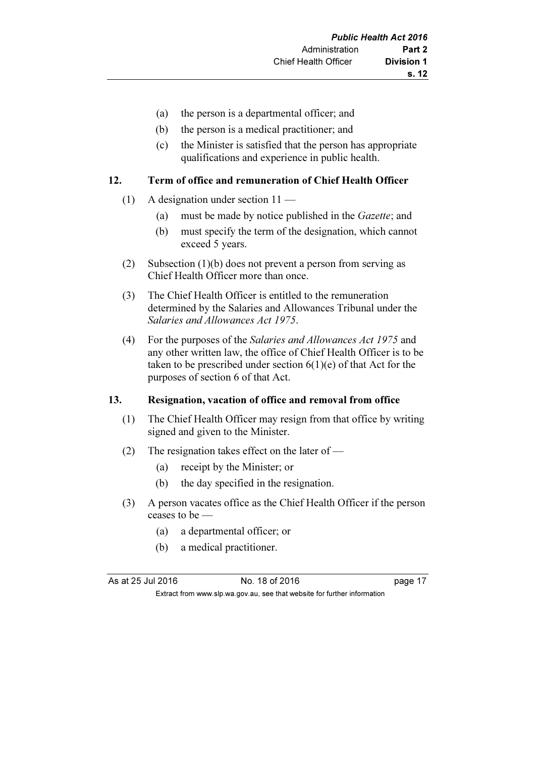- (a) the person is a departmental officer; and
- (b) the person is a medical practitioner; and
- (c) the Minister is satisfied that the person has appropriate qualifications and experience in public health.

## 12. Term of office and remuneration of Chief Health Officer

- (1) A designation under section 11
	- (a) must be made by notice published in the Gazette; and
	- (b) must specify the term of the designation, which cannot exceed 5 years.
- (2) Subsection (1)(b) does not prevent a person from serving as Chief Health Officer more than once.
- (3) The Chief Health Officer is entitled to the remuneration determined by the Salaries and Allowances Tribunal under the Salaries and Allowances Act 1975.
- (4) For the purposes of the Salaries and Allowances Act 1975 and any other written law, the office of Chief Health Officer is to be taken to be prescribed under section  $6(1)(e)$  of that Act for the purposes of section 6 of that Act.

## 13. Resignation, vacation of office and removal from office

- (1) The Chief Health Officer may resign from that office by writing signed and given to the Minister.
- (2) The resignation takes effect on the later of
	- (a) receipt by the Minister; or
	- (b) the day specified in the resignation.
- (3) A person vacates office as the Chief Health Officer if the person ceases to be —
	- (a) a departmental officer; or
	- (b) a medical practitioner.

As at 25 Jul 2016 18 of 2016 No. 18 of 2016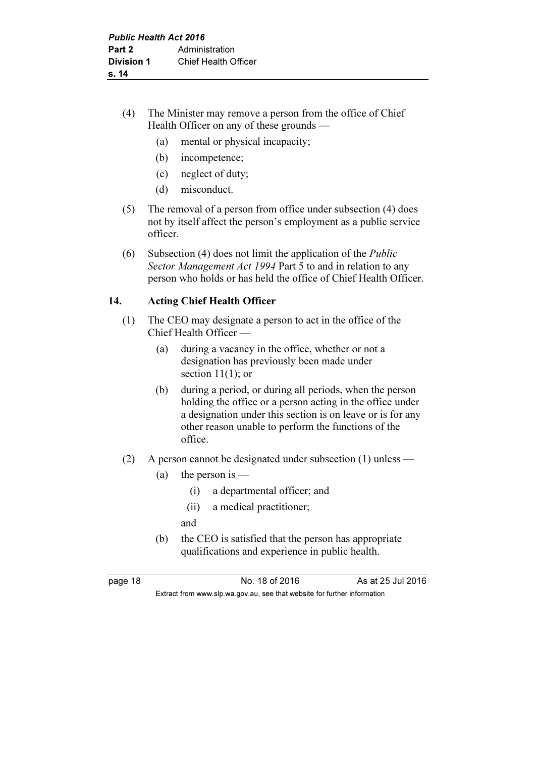## (4) The Minister may remove a person from the office of Chief Health Officer on any of these grounds —

- (a) mental or physical incapacity;
- (b) incompetence;
- (c) neglect of duty;
- (d) misconduct.
- (5) The removal of a person from office under subsection (4) does not by itself affect the person's employment as a public service officer.
- (6) Subsection (4) does not limit the application of the Public Sector Management Act 1994 Part 5 to and in relation to any person who holds or has held the office of Chief Health Officer.

## 14. Acting Chief Health Officer

- (1) The CEO may designate a person to act in the office of the Chief Health Officer —
	- (a) during a vacancy in the office, whether or not a designation has previously been made under section 11(1); or
	- (b) during a period, or during all periods, when the person holding the office or a person acting in the office under a designation under this section is on leave or is for any other reason unable to perform the functions of the office.
- (2) A person cannot be designated under subsection (1) unless
	- (a) the person is  $-$ 
		- (i) a departmental officer; and
		- (ii) a medical practitioner;

Extract from www.slp.wa.gov.au, see that website for further information

- and
- (b) the CEO is satisfied that the person has appropriate qualifications and experience in public health.

page 18 No. 18 of 2016 As at 25 Jul 2016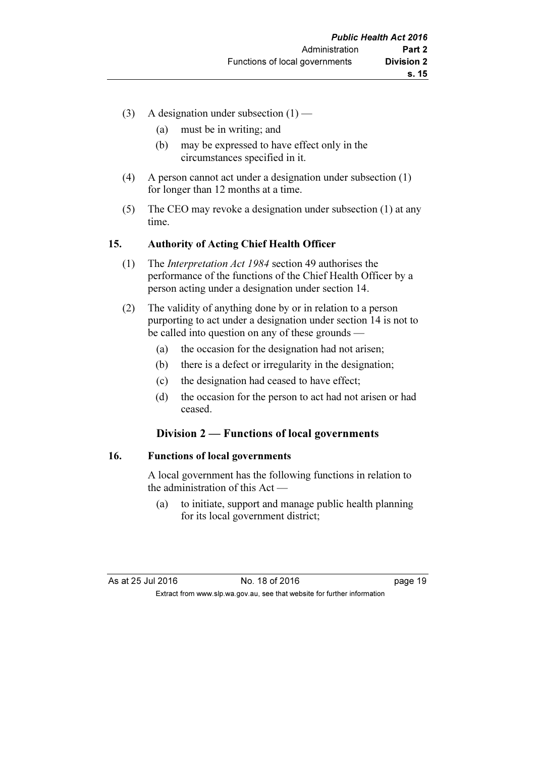- (3) A designation under subsection  $(1)$ 
	- (a) must be in writing; and
	- (b) may be expressed to have effect only in the circumstances specified in it.
- (4) A person cannot act under a designation under subsection (1) for longer than 12 months at a time.
- (5) The CEO may revoke a designation under subsection (1) at any time.

#### 15. Authority of Acting Chief Health Officer

- (1) The Interpretation Act 1984 section 49 authorises the performance of the functions of the Chief Health Officer by a person acting under a designation under section 14.
- (2) The validity of anything done by or in relation to a person purporting to act under a designation under section 14 is not to be called into question on any of these grounds —
	- (a) the occasion for the designation had not arisen;
	- (b) there is a defect or irregularity in the designation;
	- (c) the designation had ceased to have effect;
	- (d) the occasion for the person to act had not arisen or had ceased.

## Division 2 — Functions of local governments

#### 16. Functions of local governments

 A local government has the following functions in relation to the administration of this Act —

 (a) to initiate, support and manage public health planning for its local government district;

As at 25 Jul 2016 18 0.18 of 2016 Extract from www.slp.wa.gov.au, see that website for further information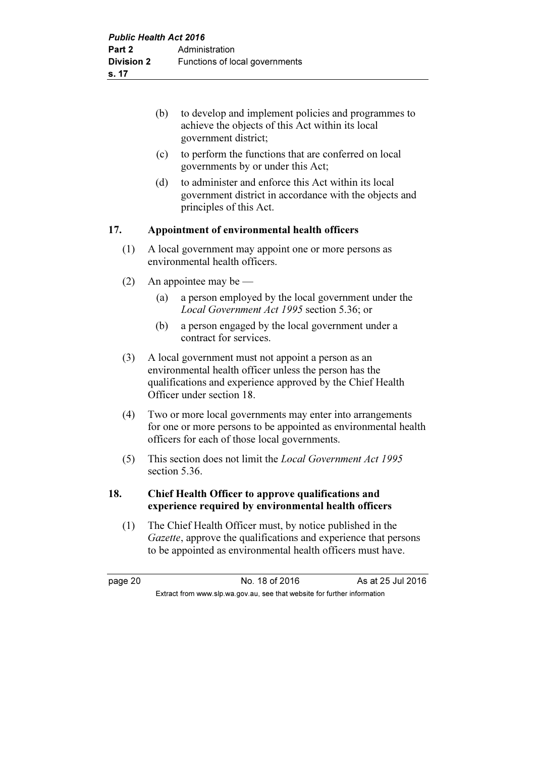| to develop and implement policies and programmes to |
|-----------------------------------------------------|
| achieve the objects of this Act within its local    |
| government district;                                |

- (c) to perform the functions that are conferred on local governments by or under this Act;
- (d) to administer and enforce this Act within its local government district in accordance with the objects and principles of this Act.

#### 17. Appointment of environmental health officers

- (1) A local government may appoint one or more persons as environmental health officers.
- (2) An appointee may be
	- (a) a person employed by the local government under the Local Government Act 1995 section 5.36; or
	- (b) a person engaged by the local government under a contract for services.
- (3) A local government must not appoint a person as an environmental health officer unless the person has the qualifications and experience approved by the Chief Health Officer under section 18.
- (4) Two or more local governments may enter into arrangements for one or more persons to be appointed as environmental health officers for each of those local governments.
- (5) This section does not limit the Local Government Act 1995 section 5.36.

## 18. Chief Health Officer to approve qualifications and experience required by environmental health officers

 (1) The Chief Health Officer must, by notice published in the Gazette, approve the qualifications and experience that persons to be appointed as environmental health officers must have.

page 20 No. 18 of 2016 As at 25 Jul 2016 Extract from www.slp.wa.gov.au, see that website for further information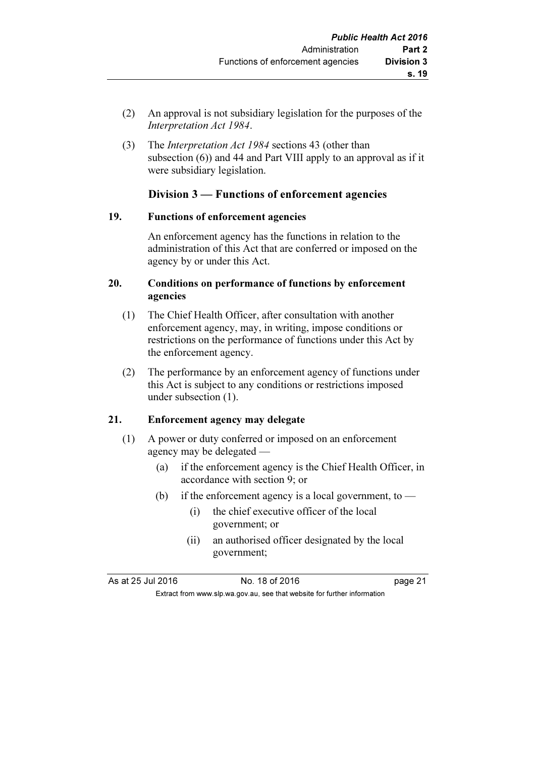- (2) An approval is not subsidiary legislation for the purposes of the Interpretation Act 1984.
- (3) The Interpretation Act 1984 sections 43 (other than subsection (6)) and 44 and Part VIII apply to an approval as if it were subsidiary legislation.

## Division 3 — Functions of enforcement agencies

#### 19. Functions of enforcement agencies

 An enforcement agency has the functions in relation to the administration of this Act that are conferred or imposed on the agency by or under this Act.

#### 20. Conditions on performance of functions by enforcement agencies

- (1) The Chief Health Officer, after consultation with another enforcement agency, may, in writing, impose conditions or restrictions on the performance of functions under this Act by the enforcement agency.
- (2) The performance by an enforcement agency of functions under this Act is subject to any conditions or restrictions imposed under subsection (1).

## 21. Enforcement agency may delegate

- (1) A power or duty conferred or imposed on an enforcement agency may be delegated —
	- (a) if the enforcement agency is the Chief Health Officer, in accordance with section 9; or
	- (b) if the enforcement agency is a local government, to  $-$ 
		- (i) the chief executive officer of the local government; or
		- (ii) an authorised officer designated by the local government;

As at 25 Jul 2016 18 Oct 2016 18 of 2016

Extract from www.slp.wa.gov.au, see that website for further information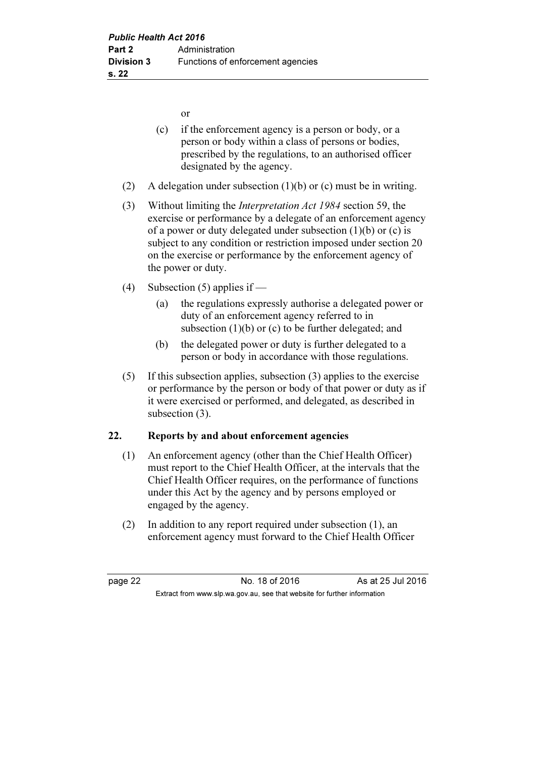or

- (c) if the enforcement agency is a person or body, or a person or body within a class of persons or bodies, prescribed by the regulations, to an authorised officer designated by the agency.
- (2) A delegation under subsection (1)(b) or (c) must be in writing.
- (3) Without limiting the Interpretation Act 1984 section 59, the exercise or performance by a delegate of an enforcement agency of a power or duty delegated under subsection  $(1)(b)$  or  $(c)$  is subject to any condition or restriction imposed under section 20 on the exercise or performance by the enforcement agency of the power or duty.
- (4) Subsection (5) applies if
	- (a) the regulations expressly authorise a delegated power or duty of an enforcement agency referred to in subsection  $(1)(b)$  or  $(c)$  to be further delegated; and
	- (b) the delegated power or duty is further delegated to a person or body in accordance with those regulations.
- (5) If this subsection applies, subsection (3) applies to the exercise or performance by the person or body of that power or duty as if it were exercised or performed, and delegated, as described in subsection (3).

## 22. Reports by and about enforcement agencies

- (1) An enforcement agency (other than the Chief Health Officer) must report to the Chief Health Officer, at the intervals that the Chief Health Officer requires, on the performance of functions under this Act by the agency and by persons employed or engaged by the agency.
- (2) In addition to any report required under subsection (1), an enforcement agency must forward to the Chief Health Officer

page 22 **No. 18 of 2016** As at 25 Jul 2016 Extract from www.slp.wa.gov.au, see that website for further information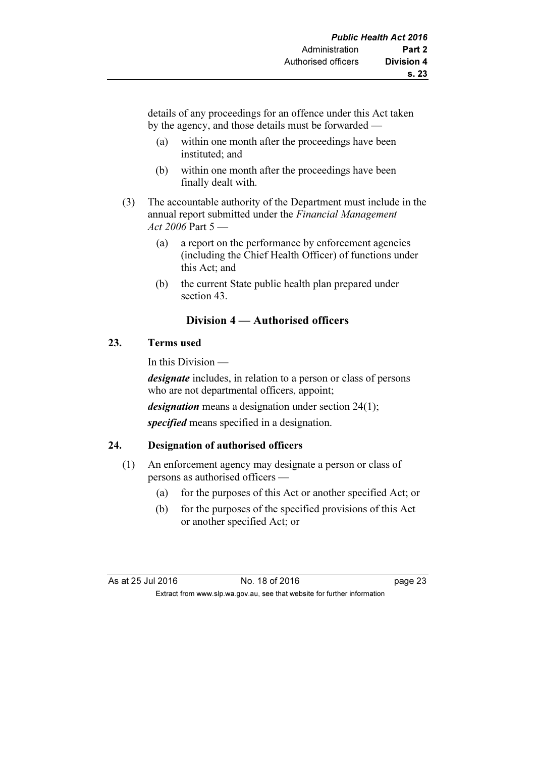details of any proceedings for an offence under this Act taken by the agency, and those details must be forwarded —

- (a) within one month after the proceedings have been instituted; and
- (b) within one month after the proceedings have been finally dealt with.
- (3) The accountable authority of the Department must include in the annual report submitted under the *Financial Management* Act 2006 Part  $5$  —
	- (a) a report on the performance by enforcement agencies (including the Chief Health Officer) of functions under this Act; and
	- (b) the current State public health plan prepared under section 43.

## Division 4 — Authorised officers

## 23. Terms used

In this Division —

designate includes, in relation to a person or class of persons who are not departmental officers, appoint;

designation means a designation under section 24(1);

specified means specified in a designation.

## 24. Designation of authorised officers

- (1) An enforcement agency may designate a person or class of persons as authorised officers —
	- (a) for the purposes of this Act or another specified Act; or
	- (b) for the purposes of the specified provisions of this Act or another specified Act; or

| As at 25 Jul 2016                                                        |  | No. 18 of 2016 | page 23 |
|--------------------------------------------------------------------------|--|----------------|---------|
| Extract from www.slp.wa.gov.au, see that website for further information |  |                |         |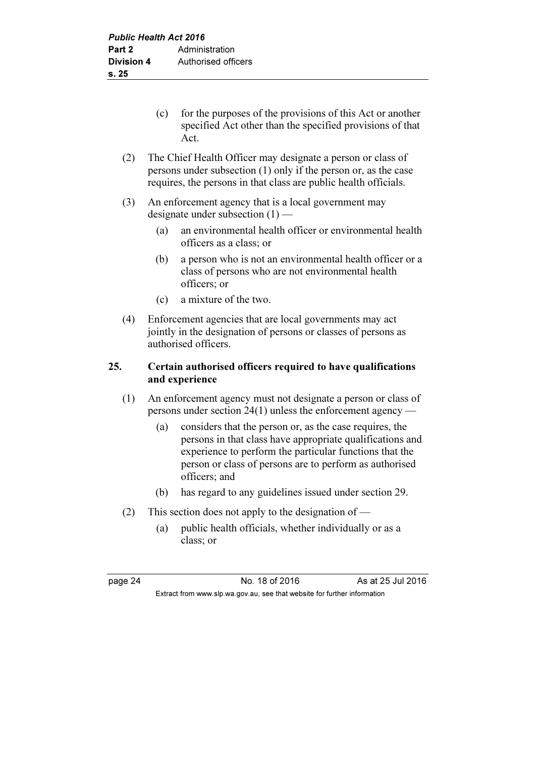- (c) for the purposes of the provisions of this Act or another specified Act other than the specified provisions of that Act.
- (2) The Chief Health Officer may designate a person or class of persons under subsection (1) only if the person or, as the case requires, the persons in that class are public health officials.
- (3) An enforcement agency that is a local government may designate under subsection (1) —
	- (a) an environmental health officer or environmental health officers as a class; or
	- (b) a person who is not an environmental health officer or a class of persons who are not environmental health officers; or
	- (c) a mixture of the two.
- (4) Enforcement agencies that are local governments may act jointly in the designation of persons or classes of persons as authorised officers.

## 25. Certain authorised officers required to have qualifications and experience

- (1) An enforcement agency must not designate a person or class of persons under section 24(1) unless the enforcement agency —
	- (a) considers that the person or, as the case requires, the persons in that class have appropriate qualifications and experience to perform the particular functions that the person or class of persons are to perform as authorised officers; and
	- (b) has regard to any guidelines issued under section 29.
- (2) This section does not apply to the designation of
	- (a) public health officials, whether individually or as a class; or

page 24 **No. 18 of 2016** As at 25 Jul 2016 Extract from www.slp.wa.gov.au, see that website for further information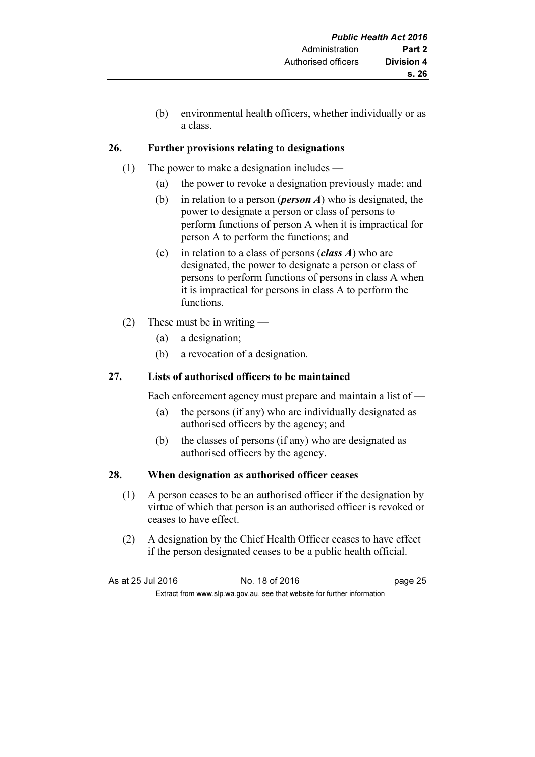(b) environmental health officers, whether individually or as a class.

## 26. Further provisions relating to designations

- (1) The power to make a designation includes
	- (a) the power to revoke a designation previously made; and
	- (b) in relation to a person (*person A*) who is designated, the power to designate a person or class of persons to perform functions of person A when it is impractical for person A to perform the functions; and
	- (c) in relation to a class of persons (*class A*) who are designated, the power to designate a person or class of persons to perform functions of persons in class A when it is impractical for persons in class A to perform the functions.
- (2) These must be in writing
	- (a) a designation;
	- (b) a revocation of a designation.

## 27. Lists of authorised officers to be maintained

Each enforcement agency must prepare and maintain a list of —

- (a) the persons (if any) who are individually designated as authorised officers by the agency; and
- (b) the classes of persons (if any) who are designated as authorised officers by the agency.

## 28. When designation as authorised officer ceases

- (1) A person ceases to be an authorised officer if the designation by virtue of which that person is an authorised officer is revoked or ceases to have effect.
- (2) A designation by the Chief Health Officer ceases to have effect if the person designated ceases to be a public health official.

| As at 25 Jul 2016                                                        |  | No. 18 of 2016 | page 25 |
|--------------------------------------------------------------------------|--|----------------|---------|
| Extract from www.slp.wa.gov.au, see that website for further information |  |                |         |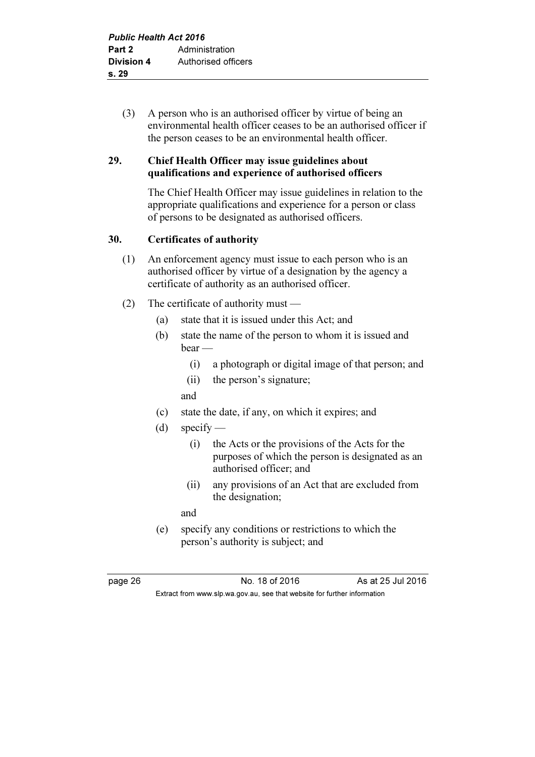(3) A person who is an authorised officer by virtue of being an environmental health officer ceases to be an authorised officer if the person ceases to be an environmental health officer.

## 29. Chief Health Officer may issue guidelines about qualifications and experience of authorised officers

 The Chief Health Officer may issue guidelines in relation to the appropriate qualifications and experience for a person or class of persons to be designated as authorised officers.

## 30. Certificates of authority

- (1) An enforcement agency must issue to each person who is an authorised officer by virtue of a designation by the agency a certificate of authority as an authorised officer.
- (2) The certificate of authority must
	- (a) state that it is issued under this Act; and
	- (b) state the name of the person to whom it is issued and bear —
		- (i) a photograph or digital image of that person; and
		- (ii) the person's signature;
		- and
	- (c) state the date, if any, on which it expires; and
	- (d) specify
		- (i) the Acts or the provisions of the Acts for the purposes of which the person is designated as an authorised officer; and
		- (ii) any provisions of an Act that are excluded from the designation;

and

 (e) specify any conditions or restrictions to which the person's authority is subject; and

page 26 No. 18 of 2016 As at 25 Jul 2016 Extract from www.slp.wa.gov.au, see that website for further information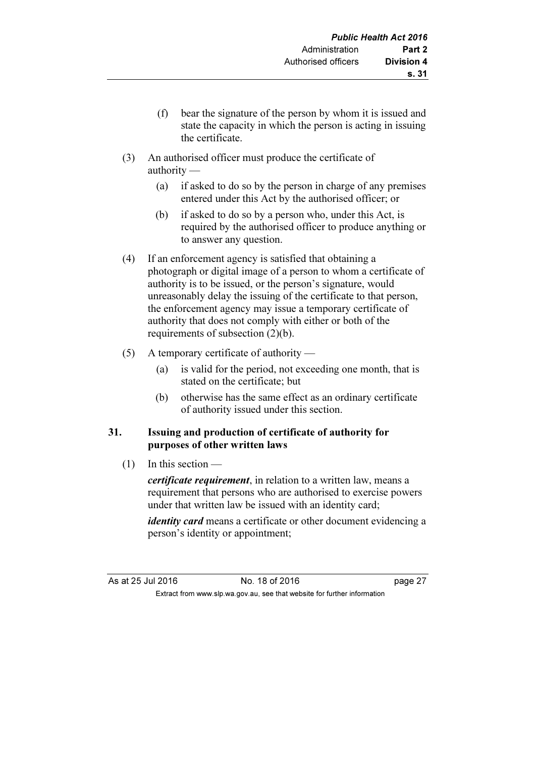- (f) bear the signature of the person by whom it is issued and state the capacity in which the person is acting in issuing the certificate.
- (3) An authorised officer must produce the certificate of authority —
	- (a) if asked to do so by the person in charge of any premises entered under this Act by the authorised officer; or
	- (b) if asked to do so by a person who, under this Act, is required by the authorised officer to produce anything or to answer any question.
- (4) If an enforcement agency is satisfied that obtaining a photograph or digital image of a person to whom a certificate of authority is to be issued, or the person's signature, would unreasonably delay the issuing of the certificate to that person, the enforcement agency may issue a temporary certificate of authority that does not comply with either or both of the requirements of subsection (2)(b).
- (5) A temporary certificate of authority
	- (a) is valid for the period, not exceeding one month, that is stated on the certificate; but
	- (b) otherwise has the same effect as an ordinary certificate of authority issued under this section.

#### 31. Issuing and production of certificate of authority for purposes of other written laws

 $(1)$  In this section —

certificate requirement, in relation to a written law, means a requirement that persons who are authorised to exercise powers under that written law be issued with an identity card;

identity card means a certificate or other document evidencing a person's identity or appointment;

As at 25 Jul 2016 18 One 27 No. 18 of 2016 Extract from www.slp.wa.gov.au, see that website for further information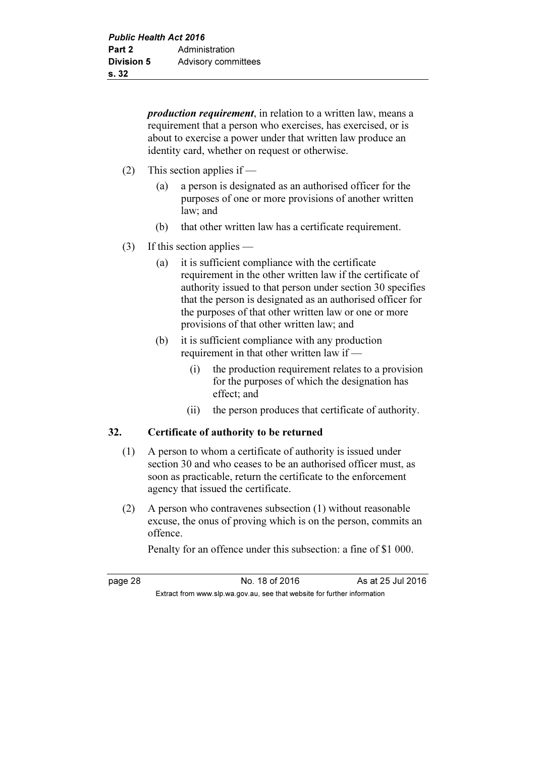production requirement, in relation to a written law, means a requirement that a person who exercises, has exercised, or is about to exercise a power under that written law produce an identity card, whether on request or otherwise.

- (2) This section applies if
	- (a) a person is designated as an authorised officer for the purposes of one or more provisions of another written law; and
	- (b) that other written law has a certificate requirement.
- (3) If this section applies
	- (a) it is sufficient compliance with the certificate requirement in the other written law if the certificate of authority issued to that person under section 30 specifies that the person is designated as an authorised officer for the purposes of that other written law or one or more provisions of that other written law; and
	- (b) it is sufficient compliance with any production requirement in that other written law if –
		- (i) the production requirement relates to a provision for the purposes of which the designation has effect; and
		- (ii) the person produces that certificate of authority.

## 32. Certificate of authority to be returned

- (1) A person to whom a certificate of authority is issued under section 30 and who ceases to be an authorised officer must, as soon as practicable, return the certificate to the enforcement agency that issued the certificate.
- (2) A person who contravenes subsection (1) without reasonable excuse, the onus of proving which is on the person, commits an offence.

Penalty for an offence under this subsection: a fine of \$1 000.

page 28 No. 18 of 2016 As at 25 Jul 2016 Extract from www.slp.wa.gov.au, see that website for further information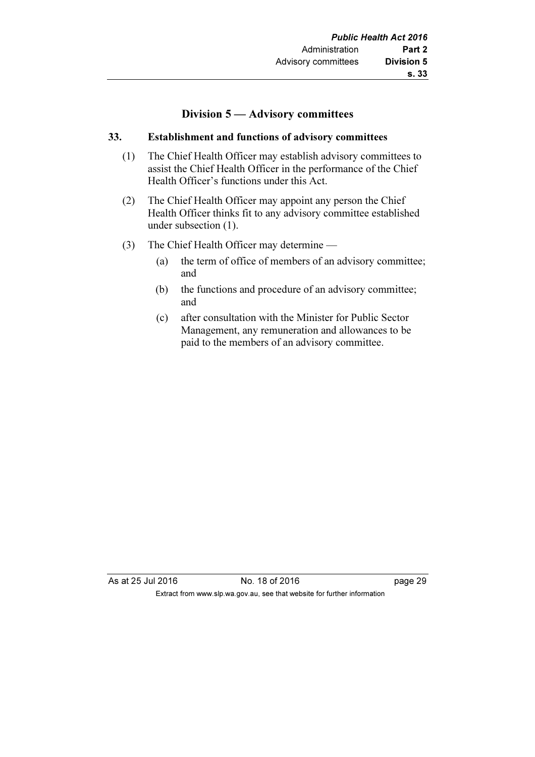## Division 5 — Advisory committees

#### 33. Establishment and functions of advisory committees

- (1) The Chief Health Officer may establish advisory committees to assist the Chief Health Officer in the performance of the Chief Health Officer's functions under this Act.
- (2) The Chief Health Officer may appoint any person the Chief Health Officer thinks fit to any advisory committee established under subsection (1).
- (3) The Chief Health Officer may determine
	- (a) the term of office of members of an advisory committee; and
	- (b) the functions and procedure of an advisory committee; and
	- (c) after consultation with the Minister for Public Sector Management, any remuneration and allowances to be paid to the members of an advisory committee.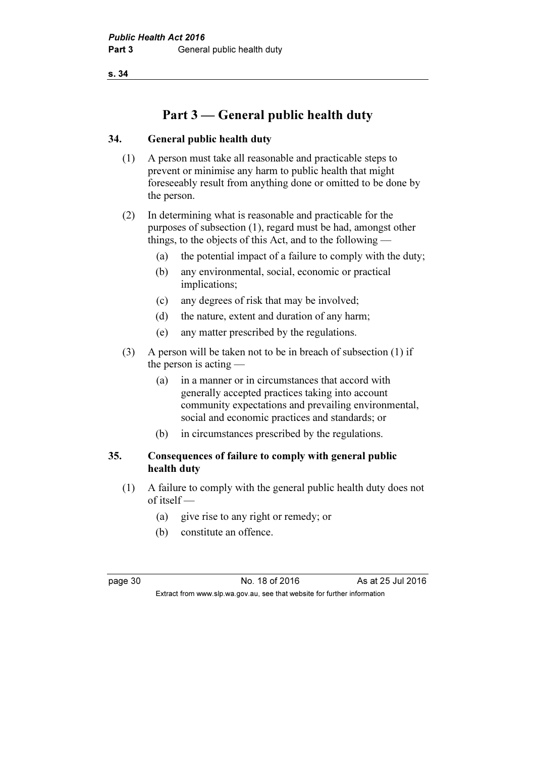# Part 3 — General public health duty

#### 34. General public health duty

- (1) A person must take all reasonable and practicable steps to prevent or minimise any harm to public health that might foreseeably result from anything done or omitted to be done by the person.
- (2) In determining what is reasonable and practicable for the purposes of subsection (1), regard must be had, amongst other things, to the objects of this Act, and to the following —
	- (a) the potential impact of a failure to comply with the duty;
	- (b) any environmental, social, economic or practical implications;
	- (c) any degrees of risk that may be involved;
	- (d) the nature, extent and duration of any harm;
	- (e) any matter prescribed by the regulations.
- (3) A person will be taken not to be in breach of subsection (1) if the person is acting —
	- (a) in a manner or in circumstances that accord with generally accepted practices taking into account community expectations and prevailing environmental, social and economic practices and standards; or
	- (b) in circumstances prescribed by the regulations.

#### 35. Consequences of failure to comply with general public health duty

- (1) A failure to comply with the general public health duty does not of itself —
	- (a) give rise to any right or remedy; or
	- (b) constitute an offence.

page 30 No. 18 of 2016 As at 25 Jul 2016 Extract from www.slp.wa.gov.au, see that website for further information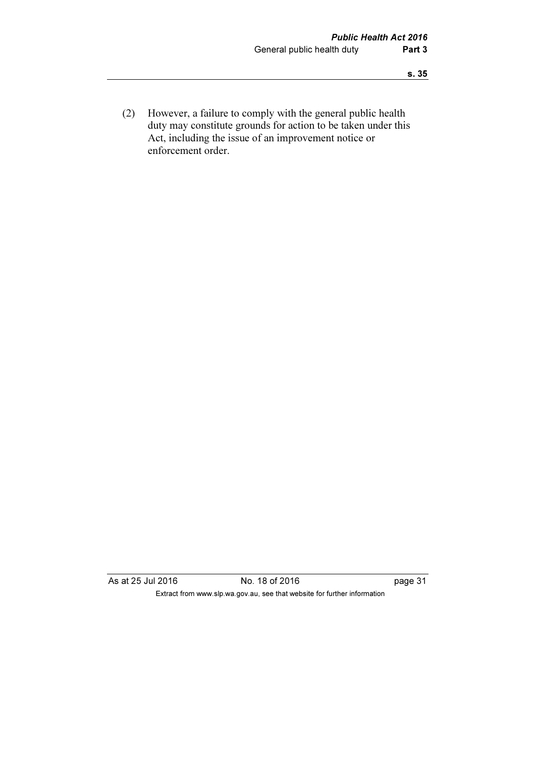(2) However, a failure to comply with the general public health duty may constitute grounds for action to be taken under this Act, including the issue of an improvement notice or enforcement order.

As at 25 Jul 2016 No. 18 of 2016 hotels and a page 31 Extract from www.slp.wa.gov.au, see that website for further information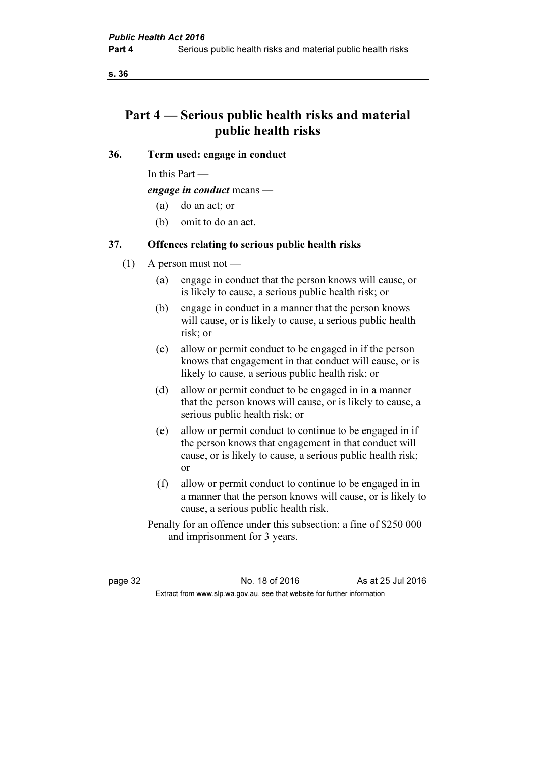# Part 4 — Serious public health risks and material public health risks

#### 36. Term used: engage in conduct

In this Part —

engage in conduct means —

- (a) do an act; or
- (b) omit to do an act.

#### 37. Offences relating to serious public health risks

- $(1)$  A person must not
	- (a) engage in conduct that the person knows will cause, or is likely to cause, a serious public health risk; or
	- (b) engage in conduct in a manner that the person knows will cause, or is likely to cause, a serious public health risk; or
	- (c) allow or permit conduct to be engaged in if the person knows that engagement in that conduct will cause, or is likely to cause, a serious public health risk; or
	- (d) allow or permit conduct to be engaged in in a manner that the person knows will cause, or is likely to cause, a serious public health risk; or
	- (e) allow or permit conduct to continue to be engaged in if the person knows that engagement in that conduct will cause, or is likely to cause, a serious public health risk; or
	- (f) allow or permit conduct to continue to be engaged in in a manner that the person knows will cause, or is likely to cause, a serious public health risk.
	- Penalty for an offence under this subsection: a fine of \$250 000 and imprisonment for 3 years.

page 32 No. 18 of 2016 As at 25 Jul 2016 Extract from www.slp.wa.gov.au, see that website for further information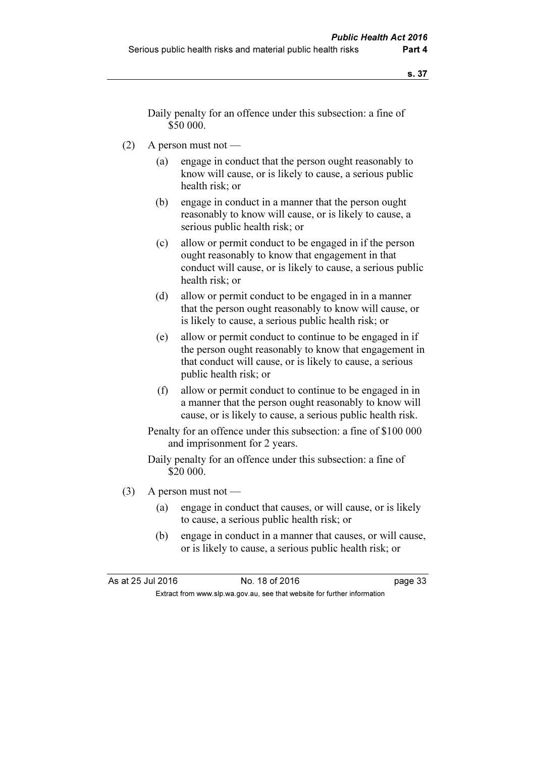Daily penalty for an offence under this subsection: a fine of \$50 000.

- (2) A person must not
	- (a) engage in conduct that the person ought reasonably to know will cause, or is likely to cause, a serious public health risk; or
	- (b) engage in conduct in a manner that the person ought reasonably to know will cause, or is likely to cause, a serious public health risk; or
	- (c) allow or permit conduct to be engaged in if the person ought reasonably to know that engagement in that conduct will cause, or is likely to cause, a serious public health risk; or
	- (d) allow or permit conduct to be engaged in in a manner that the person ought reasonably to know will cause, or is likely to cause, a serious public health risk; or
	- (e) allow or permit conduct to continue to be engaged in if the person ought reasonably to know that engagement in that conduct will cause, or is likely to cause, a serious public health risk; or
	- (f) allow or permit conduct to continue to be engaged in in a manner that the person ought reasonably to know will cause, or is likely to cause, a serious public health risk.

 Penalty for an offence under this subsection: a fine of \$100 000 and imprisonment for 2 years.

 Daily penalty for an offence under this subsection: a fine of \$20 000.

- $(3)$  A person must not
	- (a) engage in conduct that causes, or will cause, or is likely to cause, a serious public health risk; or
	- (b) engage in conduct in a manner that causes, or will cause, or is likely to cause, a serious public health risk; or

As at 25 Jul 2016 18 Oct 2016 18 of 2016 Extract from www.slp.wa.gov.au, see that website for further information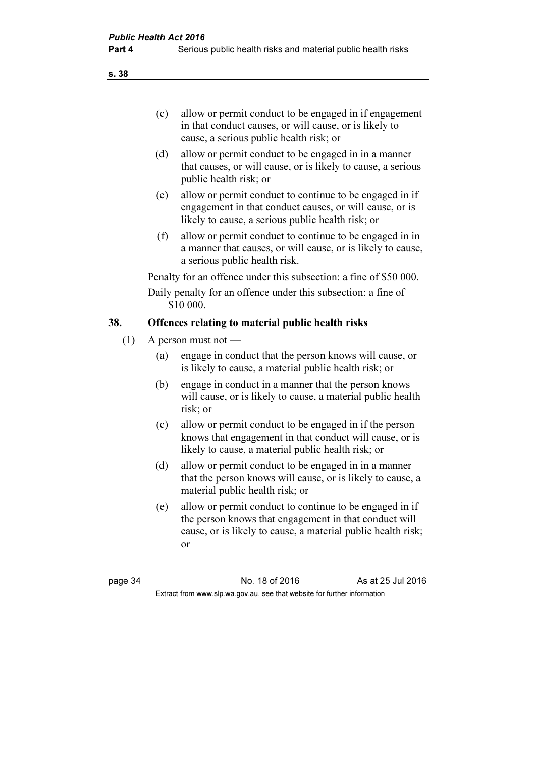- (c) allow or permit conduct to be engaged in if engagement in that conduct causes, or will cause, or is likely to cause, a serious public health risk; or
- (d) allow or permit conduct to be engaged in in a manner that causes, or will cause, or is likely to cause, a serious public health risk; or
- (e) allow or permit conduct to continue to be engaged in if engagement in that conduct causes, or will cause, or is likely to cause, a serious public health risk; or
- (f) allow or permit conduct to continue to be engaged in in a manner that causes, or will cause, or is likely to cause, a serious public health risk.

Penalty for an offence under this subsection: a fine of \$50 000.

 Daily penalty for an offence under this subsection: a fine of \$10 000.

## 38. Offences relating to material public health risks

- (1) A person must not
	- (a) engage in conduct that the person knows will cause, or is likely to cause, a material public health risk; or
	- (b) engage in conduct in a manner that the person knows will cause, or is likely to cause, a material public health risk; or
	- (c) allow or permit conduct to be engaged in if the person knows that engagement in that conduct will cause, or is likely to cause, a material public health risk; or
	- (d) allow or permit conduct to be engaged in in a manner that the person knows will cause, or is likely to cause, a material public health risk; or
	- (e) allow or permit conduct to continue to be engaged in if the person knows that engagement in that conduct will cause, or is likely to cause, a material public health risk; or

page 34 No. 18 of 2016 As at 25 Jul 2016 Extract from www.slp.wa.gov.au, see that website for further information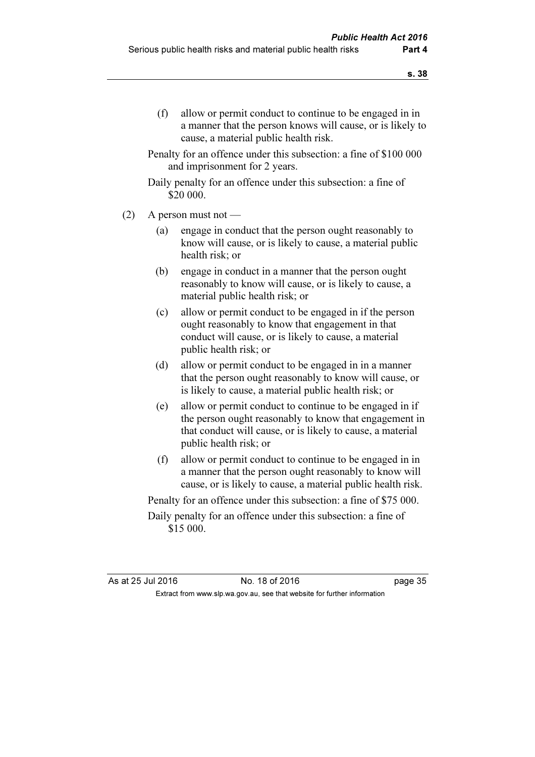Penalty for an offence under this subsection: a fine of \$100 000 and imprisonment for 2 years.

```
 Daily penalty for an offence under this subsection: a fine of 
$20 000.
```
- $(2)$  A person must not
	- (a) engage in conduct that the person ought reasonably to know will cause, or is likely to cause, a material public health risk; or
	- (b) engage in conduct in a manner that the person ought reasonably to know will cause, or is likely to cause, a material public health risk; or
	- (c) allow or permit conduct to be engaged in if the person ought reasonably to know that engagement in that conduct will cause, or is likely to cause, a material public health risk; or
	- (d) allow or permit conduct to be engaged in in a manner that the person ought reasonably to know will cause, or is likely to cause, a material public health risk; or
	- (e) allow or permit conduct to continue to be engaged in if the person ought reasonably to know that engagement in that conduct will cause, or is likely to cause, a material public health risk; or
	- (f) allow or permit conduct to continue to be engaged in in a manner that the person ought reasonably to know will cause, or is likely to cause, a material public health risk.

Penalty for an offence under this subsection: a fine of \$75 000.

 Daily penalty for an offence under this subsection: a fine of \$15 000.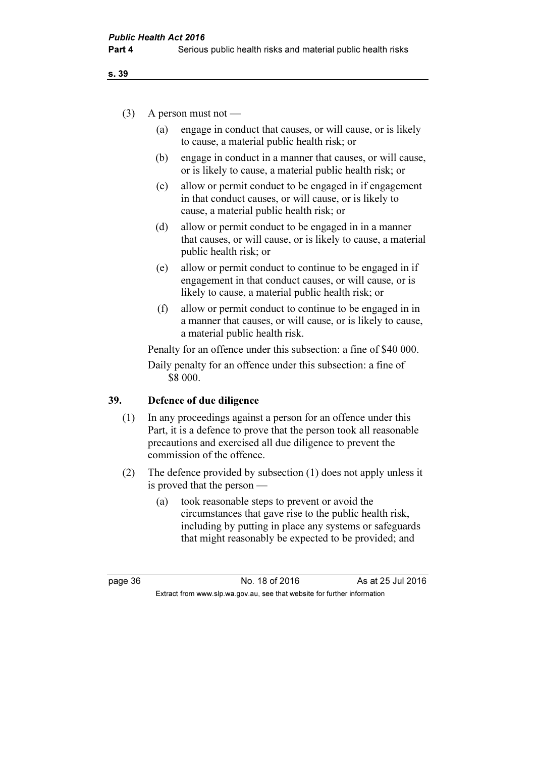#### $(3)$  A person must not —

- (a) engage in conduct that causes, or will cause, or is likely to cause, a material public health risk; or
- (b) engage in conduct in a manner that causes, or will cause, or is likely to cause, a material public health risk; or
- (c) allow or permit conduct to be engaged in if engagement in that conduct causes, or will cause, or is likely to cause, a material public health risk; or
- (d) allow or permit conduct to be engaged in in a manner that causes, or will cause, or is likely to cause, a material public health risk; or
- (e) allow or permit conduct to continue to be engaged in if engagement in that conduct causes, or will cause, or is likely to cause, a material public health risk; or
- (f) allow or permit conduct to continue to be engaged in in a manner that causes, or will cause, or is likely to cause, a material public health risk.

 Penalty for an offence under this subsection: a fine of \$40 000. Daily penalty for an offence under this subsection: a fine of \$8 000.

#### 39. Defence of due diligence

- (1) In any proceedings against a person for an offence under this Part, it is a defence to prove that the person took all reasonable precautions and exercised all due diligence to prevent the commission of the offence.
- (2) The defence provided by subsection (1) does not apply unless it is proved that the person —
	- (a) took reasonable steps to prevent or avoid the circumstances that gave rise to the public health risk, including by putting in place any systems or safeguards that might reasonably be expected to be provided; and

page 36 No. 18 of 2016 As at 25 Jul 2016 Extract from www.slp.wa.gov.au, see that website for further information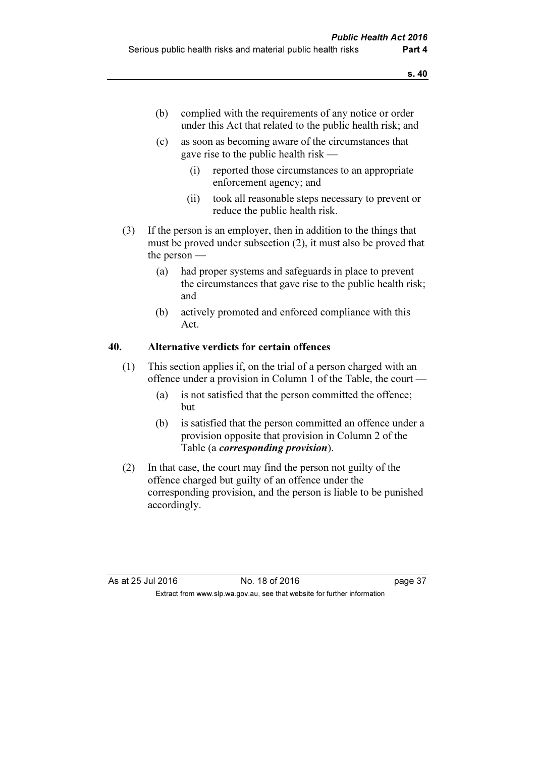- (b) complied with the requirements of any notice or order under this Act that related to the public health risk; and
- (c) as soon as becoming aware of the circumstances that gave rise to the public health risk —
	- (i) reported those circumstances to an appropriate enforcement agency; and
	- (ii) took all reasonable steps necessary to prevent or reduce the public health risk.
- (3) If the person is an employer, then in addition to the things that must be proved under subsection (2), it must also be proved that the person —
	- (a) had proper systems and safeguards in place to prevent the circumstances that gave rise to the public health risk; and
	- (b) actively promoted and enforced compliance with this Act.

## 40. Alternative verdicts for certain offences

- (1) This section applies if, on the trial of a person charged with an offence under a provision in Column 1 of the Table, the court —
	- (a) is not satisfied that the person committed the offence; but
	- (b) is satisfied that the person committed an offence under a provision opposite that provision in Column 2 of the Table (a corresponding provision).
- (2) In that case, the court may find the person not guilty of the offence charged but guilty of an offence under the corresponding provision, and the person is liable to be punished accordingly.

As at 25 Jul 2016 18 Oct 2016 18 of 2016 Extract from www.slp.wa.gov.au, see that website for further information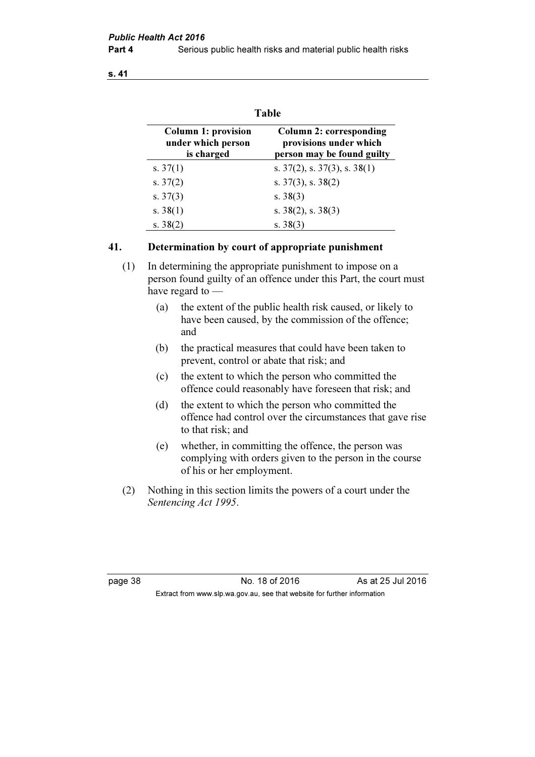| <b>Table</b>                                                   |                                                                                 |  |  |  |
|----------------------------------------------------------------|---------------------------------------------------------------------------------|--|--|--|
| <b>Column 1: provision</b><br>under which person<br>is charged | Column 2: corresponding<br>provisions under which<br>person may be found guilty |  |  |  |
| s. $37(1)$                                                     | s. $37(2)$ , s. $37(3)$ , s. $38(1)$                                            |  |  |  |
| s. $37(2)$                                                     | s. $37(3)$ , s. $38(2)$                                                         |  |  |  |
| s. $37(3)$                                                     | s. $38(3)$                                                                      |  |  |  |
| s. $38(1)$                                                     | s. $38(2)$ , s. $38(3)$                                                         |  |  |  |
| s. $38(2)$                                                     | s. $38(3)$                                                                      |  |  |  |

#### 41. Determination by court of appropriate punishment

 (1) In determining the appropriate punishment to impose on a person found guilty of an offence under this Part, the court must have regard to —

- (a) the extent of the public health risk caused, or likely to have been caused, by the commission of the offence; and
- (b) the practical measures that could have been taken to prevent, control or abate that risk; and
- (c) the extent to which the person who committed the offence could reasonably have foreseen that risk; and
- (d) the extent to which the person who committed the offence had control over the circumstances that gave rise to that risk; and
- (e) whether, in committing the offence, the person was complying with orders given to the person in the course of his or her employment.
- (2) Nothing in this section limits the powers of a court under the Sentencing Act 1995.

page 38 No. 18 of 2016 As at 25 Jul 2016 Extract from www.slp.wa.gov.au, see that website for further information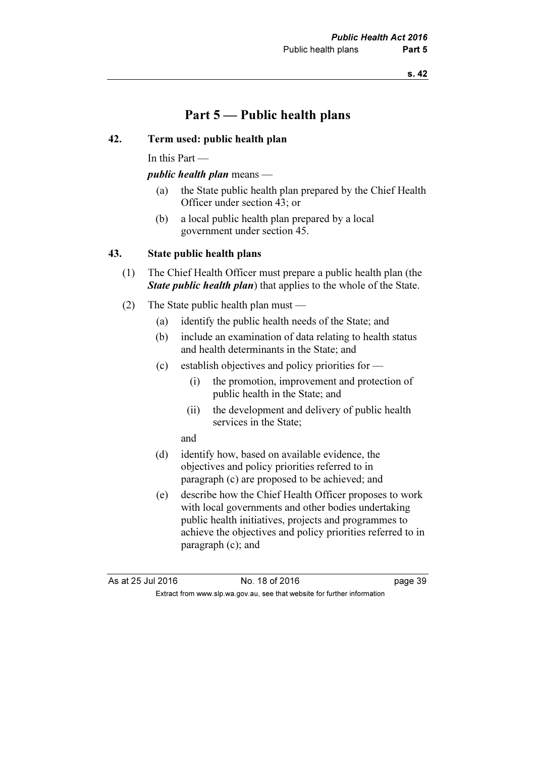## Part 5 — Public health plans

#### 42. Term used: public health plan

In this Part —

#### public health plan means —

- (a) the State public health plan prepared by the Chief Health Officer under section 43; or
- (b) a local public health plan prepared by a local government under section 45.

#### 43. State public health plans

- (1) The Chief Health Officer must prepare a public health plan (the **State public health plan**) that applies to the whole of the State.
- (2) The State public health plan must
	- (a) identify the public health needs of the State; and
	- (b) include an examination of data relating to health status and health determinants in the State; and
	- (c) establish objectives and policy priorities for  $-$ 
		- (i) the promotion, improvement and protection of public health in the State; and
		- (ii) the development and delivery of public health services in the State;

and

- (d) identify how, based on available evidence, the objectives and policy priorities referred to in paragraph (c) are proposed to be achieved; and
- (e) describe how the Chief Health Officer proposes to work with local governments and other bodies undertaking public health initiatives, projects and programmes to achieve the objectives and policy priorities referred to in paragraph (c); and

As at 25 Jul 2016 18 Oct 2016 18 of 2016 Extract from www.slp.wa.gov.au, see that website for further information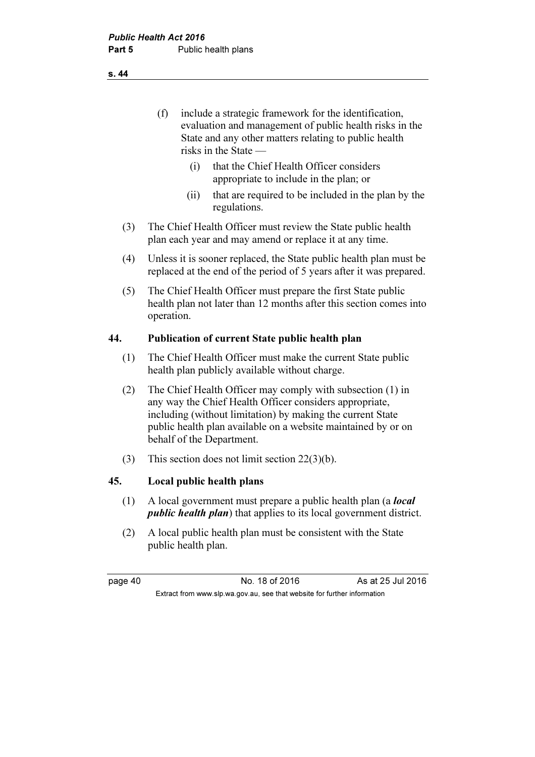(f) include a strategic framework for the identification, evaluation and management of public health risks in the State and any other matters relating to public health risks in the State —

- (i) that the Chief Health Officer considers appropriate to include in the plan; or
- (ii) that are required to be included in the plan by the regulations.
- (3) The Chief Health Officer must review the State public health plan each year and may amend or replace it at any time.
- (4) Unless it is sooner replaced, the State public health plan must be replaced at the end of the period of 5 years after it was prepared.
- (5) The Chief Health Officer must prepare the first State public health plan not later than 12 months after this section comes into operation.

#### 44. Publication of current State public health plan

- (1) The Chief Health Officer must make the current State public health plan publicly available without charge.
- (2) The Chief Health Officer may comply with subsection (1) in any way the Chief Health Officer considers appropriate, including (without limitation) by making the current State public health plan available on a website maintained by or on behalf of the Department.
- (3) This section does not limit section 22(3)(b).

#### 45. Local public health plans

- (1) A local government must prepare a public health plan (a local public health plan) that applies to its local government district.
- (2) A local public health plan must be consistent with the State public health plan.

page 40 **No. 18 of 2016** As at 25 Jul 2016 Extract from www.slp.wa.gov.au, see that website for further information

s. 44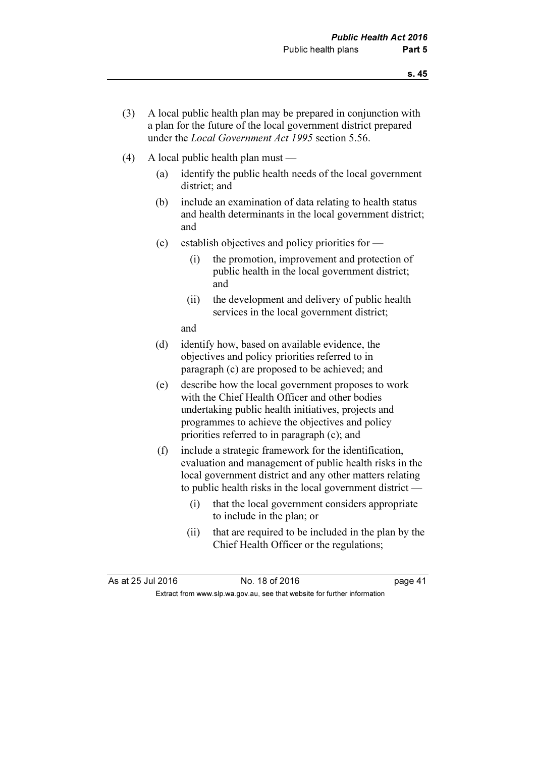- (3) A local public health plan may be prepared in conjunction with a plan for the future of the local government district prepared under the *Local Government Act 1995* section 5.56.
- (4) A local public health plan must
	- (a) identify the public health needs of the local government district; and
	- (b) include an examination of data relating to health status and health determinants in the local government district; and
	- (c) establish objectives and policy priorities for
		- (i) the promotion, improvement and protection of public health in the local government district; and
		- (ii) the development and delivery of public health services in the local government district;

and

- (d) identify how, based on available evidence, the objectives and policy priorities referred to in paragraph (c) are proposed to be achieved; and
- (e) describe how the local government proposes to work with the Chief Health Officer and other bodies undertaking public health initiatives, projects and programmes to achieve the objectives and policy priorities referred to in paragraph (c); and
- (f) include a strategic framework for the identification, evaluation and management of public health risks in the local government district and any other matters relating to public health risks in the local government district —
	- (i) that the local government considers appropriate to include in the plan; or
	- (ii) that are required to be included in the plan by the Chief Health Officer or the regulations;

As at 25 Jul 2016 18 Oct 2016 18 of 2016 Extract from www.slp.wa.gov.au, see that website for further information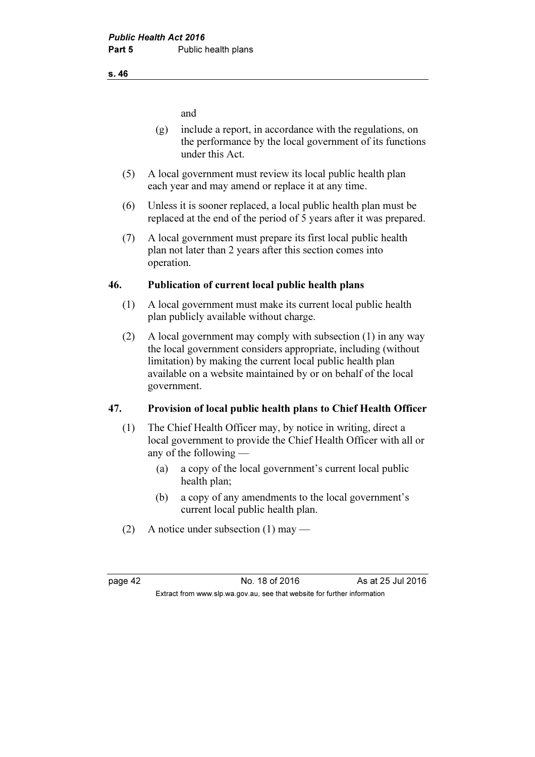and

- (g) include a report, in accordance with the regulations, on the performance by the local government of its functions under this Act.
- (5) A local government must review its local public health plan each year and may amend or replace it at any time.
- (6) Unless it is sooner replaced, a local public health plan must be replaced at the end of the period of 5 years after it was prepared.
- (7) A local government must prepare its first local public health plan not later than 2 years after this section comes into operation.

## 46. Publication of current local public health plans

- (1) A local government must make its current local public health plan publicly available without charge.
- (2) A local government may comply with subsection (1) in any way the local government considers appropriate, including (without limitation) by making the current local public health plan available on a website maintained by or on behalf of the local government.

## 47. Provision of local public health plans to Chief Health Officer

- (1) The Chief Health Officer may, by notice in writing, direct a local government to provide the Chief Health Officer with all or any of the following —
	- (a) a copy of the local government's current local public health plan;
	- (b) a copy of any amendments to the local government's current local public health plan.
- (2) A notice under subsection (1) may —

page 42 **No. 18 of 2016** As at 25 Jul 2016 Extract from www.slp.wa.gov.au, see that website for further information

#### s. 46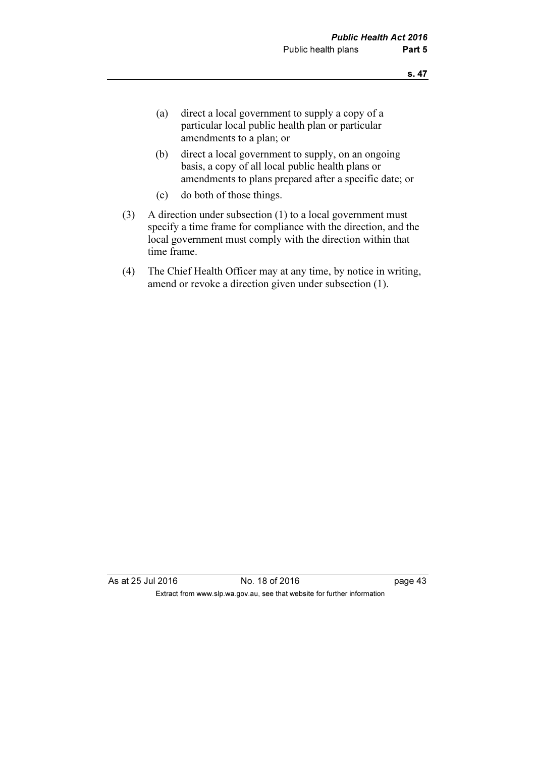- (a) direct a local government to supply a copy of a particular local public health plan or particular amendments to a plan; or
- (b) direct a local government to supply, on an ongoing basis, a copy of all local public health plans or amendments to plans prepared after a specific date; or
- (c) do both of those things.
- (3) A direction under subsection (1) to a local government must specify a time frame for compliance with the direction, and the local government must comply with the direction within that time frame.
- (4) The Chief Health Officer may at any time, by notice in writing, amend or revoke a direction given under subsection (1).

As at 25 Jul 2016 18 of 2016 18 of 2016 Extract from www.slp.wa.gov.au, see that website for further information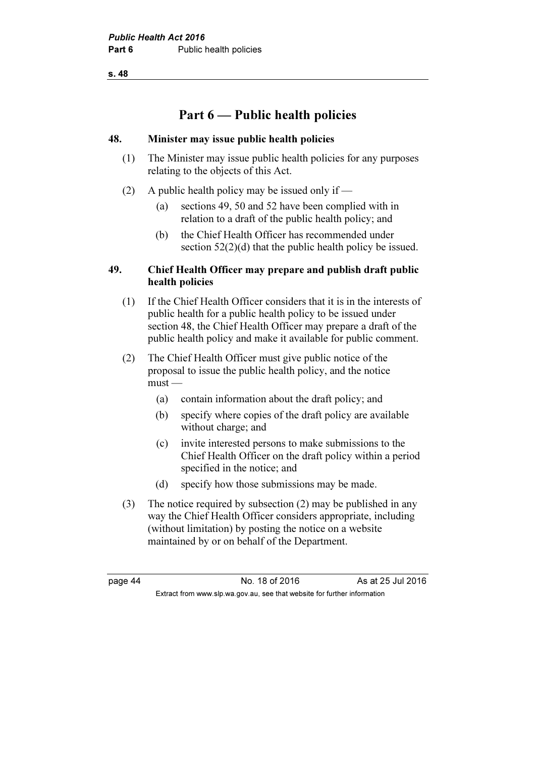# Part 6 — Public health policies

#### 48. Minister may issue public health policies

- (1) The Minister may issue public health policies for any purposes relating to the objects of this Act.
- (2) A public health policy may be issued only if
	- (a) sections 49, 50 and 52 have been complied with in relation to a draft of the public health policy; and
	- (b) the Chief Health Officer has recommended under section  $52(2)(d)$  that the public health policy be issued.

#### 49. Chief Health Officer may prepare and publish draft public health policies

- (1) If the Chief Health Officer considers that it is in the interests of public health for a public health policy to be issued under section 48, the Chief Health Officer may prepare a draft of the public health policy and make it available for public comment.
- (2) The Chief Health Officer must give public notice of the proposal to issue the public health policy, and the notice must —
	- (a) contain information about the draft policy; and
	- (b) specify where copies of the draft policy are available without charge; and
	- (c) invite interested persons to make submissions to the Chief Health Officer on the draft policy within a period specified in the notice; and
	- (d) specify how those submissions may be made.
- (3) The notice required by subsection (2) may be published in any way the Chief Health Officer considers appropriate, including (without limitation) by posting the notice on a website maintained by or on behalf of the Department.

page 44 No. 18 of 2016 As at 25 Jul 2016 Extract from www.slp.wa.gov.au, see that website for further information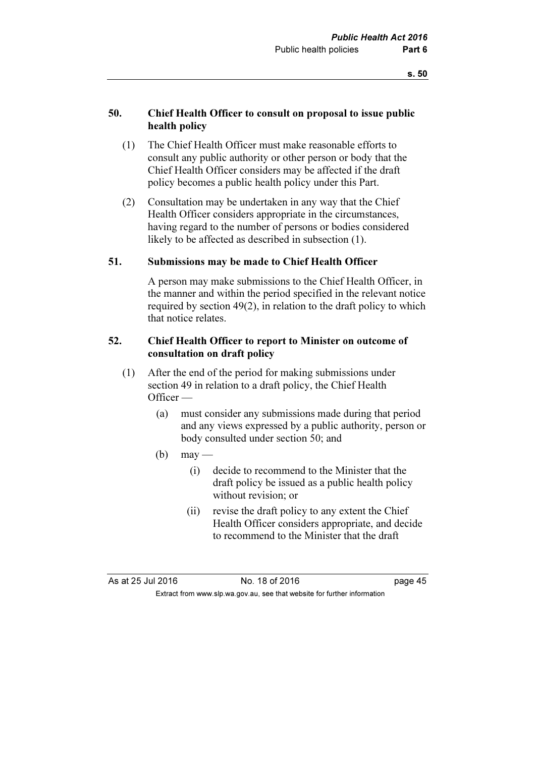#### 50. Chief Health Officer to consult on proposal to issue public health policy

- (1) The Chief Health Officer must make reasonable efforts to consult any public authority or other person or body that the Chief Health Officer considers may be affected if the draft policy becomes a public health policy under this Part.
- (2) Consultation may be undertaken in any way that the Chief Health Officer considers appropriate in the circumstances, having regard to the number of persons or bodies considered likely to be affected as described in subsection (1).

#### 51. Submissions may be made to Chief Health Officer

 A person may make submissions to the Chief Health Officer, in the manner and within the period specified in the relevant notice required by section 49(2), in relation to the draft policy to which that notice relates.

#### 52. Chief Health Officer to report to Minister on outcome of consultation on draft policy

- (1) After the end of the period for making submissions under section 49 in relation to a draft policy, the Chief Health Officer —
	- (a) must consider any submissions made during that period and any views expressed by a public authority, person or body consulted under section 50; and
	- $(b)$  may
		- (i) decide to recommend to the Minister that the draft policy be issued as a public health policy without revision; or
		- (ii) revise the draft policy to any extent the Chief Health Officer considers appropriate, and decide to recommend to the Minister that the draft

As at 25 Jul 2016 18 Oct 2016 18 of 2016 Extract from www.slp.wa.gov.au, see that website for further information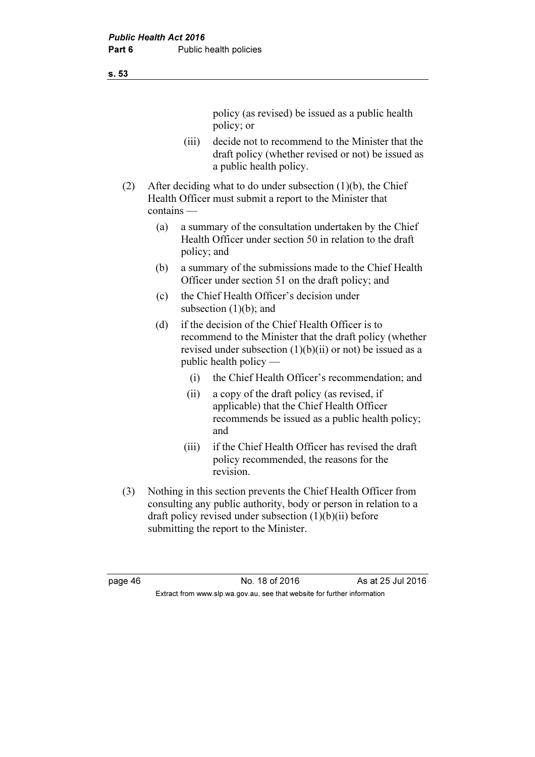policy (as revised) be issued as a public health policy; or

- (iii) decide not to recommend to the Minister that the draft policy (whether revised or not) be issued as a public health policy.
- (2) After deciding what to do under subsection (1)(b), the Chief Health Officer must submit a report to the Minister that contains —
	- (a) a summary of the consultation undertaken by the Chief Health Officer under section 50 in relation to the draft policy; and
	- (b) a summary of the submissions made to the Chief Health Officer under section 51 on the draft policy; and
	- (c) the Chief Health Officer's decision under subsection  $(1)(b)$ ; and
	- (d) if the decision of the Chief Health Officer is to recommend to the Minister that the draft policy (whether revised under subsection  $(1)(b)(ii)$  or not) be issued as a public health policy —
		- (i) the Chief Health Officer's recommendation; and
		- (ii) a copy of the draft policy (as revised, if applicable) that the Chief Health Officer recommends be issued as a public health policy; and
		- (iii) if the Chief Health Officer has revised the draft policy recommended, the reasons for the revision.
- (3) Nothing in this section prevents the Chief Health Officer from consulting any public authority, body or person in relation to a draft policy revised under subsection (1)(b)(ii) before submitting the report to the Minister.

page 46 No. 18 of 2016 As at 25 Jul 2016 Extract from www.slp.wa.gov.au, see that website for further information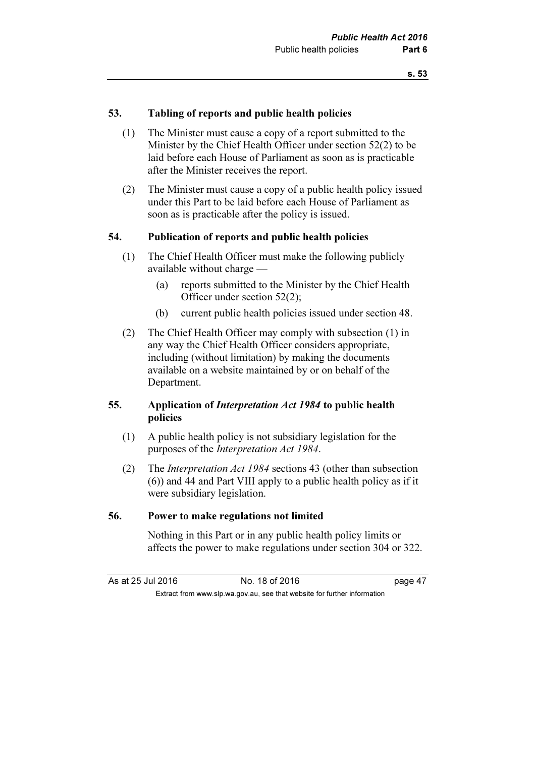#### 53. Tabling of reports and public health policies

- (1) The Minister must cause a copy of a report submitted to the Minister by the Chief Health Officer under section 52(2) to be laid before each House of Parliament as soon as is practicable after the Minister receives the report.
- (2) The Minister must cause a copy of a public health policy issued under this Part to be laid before each House of Parliament as soon as is practicable after the policy is issued.

#### 54. Publication of reports and public health policies

- (1) The Chief Health Officer must make the following publicly available without charge —
	- (a) reports submitted to the Minister by the Chief Health Officer under section 52(2);
	- (b) current public health policies issued under section 48.
- (2) The Chief Health Officer may comply with subsection (1) in any way the Chief Health Officer considers appropriate, including (without limitation) by making the documents available on a website maintained by or on behalf of the Department.

#### 55. Application of Interpretation Act 1984 to public health policies

- (1) A public health policy is not subsidiary legislation for the purposes of the Interpretation Act 1984.
- (2) The Interpretation Act 1984 sections 43 (other than subsection (6)) and 44 and Part VIII apply to a public health policy as if it were subsidiary legislation.

#### 56. Power to make regulations not limited

 Nothing in this Part or in any public health policy limits or affects the power to make regulations under section 304 or 322.

| As at 25 Jul 2016                                                        |  | No. 18 of 2016 | page 47 |
|--------------------------------------------------------------------------|--|----------------|---------|
| Extract from www.slp.wa.gov.au, see that website for further information |  |                |         |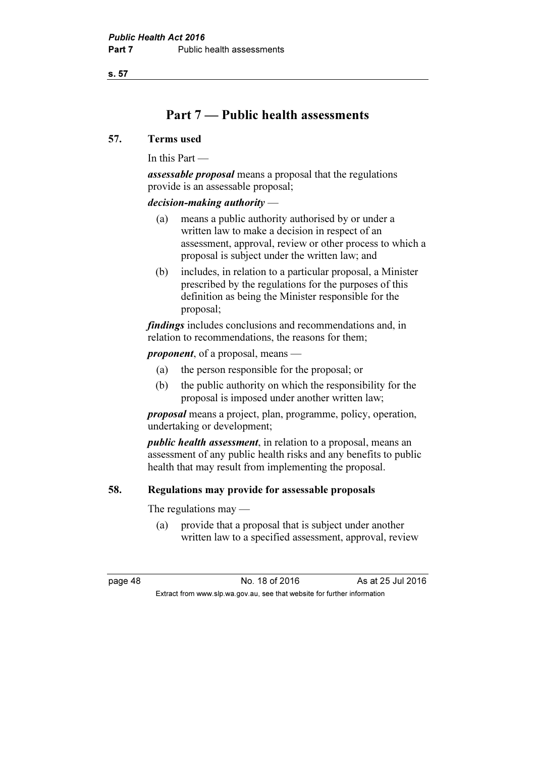## Part 7 — Public health assessments

#### 57. Terms used

In this Part —

assessable proposal means a proposal that the regulations provide is an assessable proposal;

#### decision-making authority —

- (a) means a public authority authorised by or under a written law to make a decision in respect of an assessment, approval, review or other process to which a proposal is subject under the written law; and
- (b) includes, in relation to a particular proposal, a Minister prescribed by the regulations for the purposes of this definition as being the Minister responsible for the proposal;

findings includes conclusions and recommendations and, in relation to recommendations, the reasons for them;

proponent, of a proposal, means —

- (a) the person responsible for the proposal; or
- (b) the public authority on which the responsibility for the proposal is imposed under another written law;

proposal means a project, plan, programme, policy, operation, undertaking or development;

public health assessment, in relation to a proposal, means an assessment of any public health risks and any benefits to public health that may result from implementing the proposal.

#### 58. Regulations may provide for assessable proposals

The regulations may —

 (a) provide that a proposal that is subject under another written law to a specified assessment, approval, review

page 48 No. 18 of 2016 As at 25 Jul 2016 Extract from www.slp.wa.gov.au, see that website for further information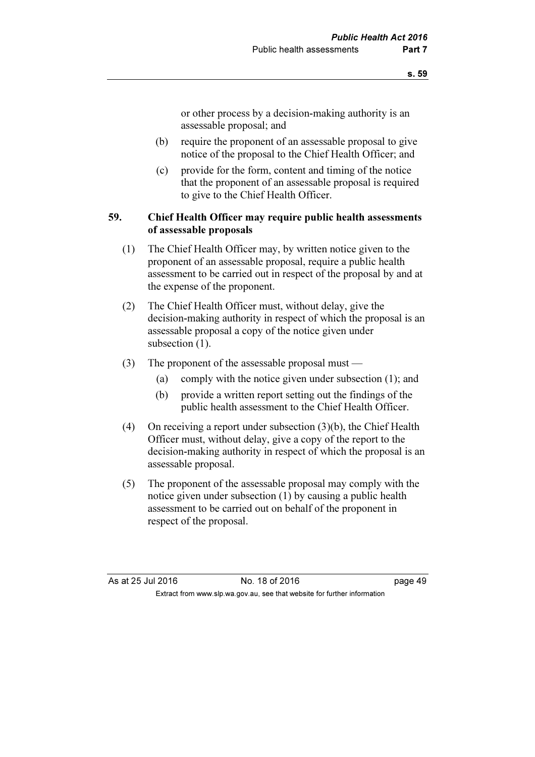or other process by a decision-making authority is an assessable proposal; and

- (b) require the proponent of an assessable proposal to give notice of the proposal to the Chief Health Officer; and
- (c) provide for the form, content and timing of the notice that the proponent of an assessable proposal is required to give to the Chief Health Officer.

#### 59. Chief Health Officer may require public health assessments of assessable proposals

- (1) The Chief Health Officer may, by written notice given to the proponent of an assessable proposal, require a public health assessment to be carried out in respect of the proposal by and at the expense of the proponent.
- (2) The Chief Health Officer must, without delay, give the decision-making authority in respect of which the proposal is an assessable proposal a copy of the notice given under subsection  $(1)$ .
- (3) The proponent of the assessable proposal must
	- (a) comply with the notice given under subsection (1); and
	- (b) provide a written report setting out the findings of the public health assessment to the Chief Health Officer.
- (4) On receiving a report under subsection (3)(b), the Chief Health Officer must, without delay, give a copy of the report to the decision-making authority in respect of which the proposal is an assessable proposal.
- (5) The proponent of the assessable proposal may comply with the notice given under subsection (1) by causing a public health assessment to be carried out on behalf of the proponent in respect of the proposal.

As at 25 Jul 2016 18 Oct 2016 18 of 2016 Extract from www.slp.wa.gov.au, see that website for further information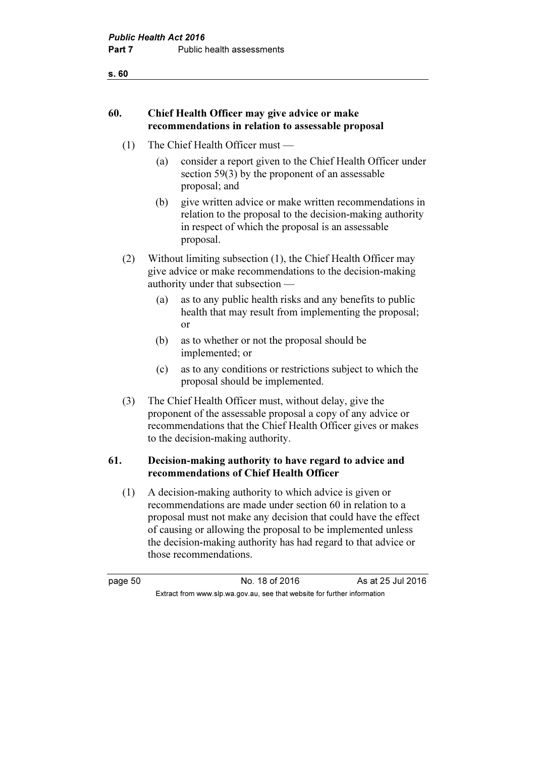## 60. Chief Health Officer may give advice or make recommendations in relation to assessable proposal

- (1) The Chief Health Officer must
	- (a) consider a report given to the Chief Health Officer under section 59(3) by the proponent of an assessable proposal; and
	- (b) give written advice or make written recommendations in relation to the proposal to the decision-making authority in respect of which the proposal is an assessable proposal.
- (2) Without limiting subsection (1), the Chief Health Officer may give advice or make recommendations to the decision-making authority under that subsection —
	- (a) as to any public health risks and any benefits to public health that may result from implementing the proposal; or
	- (b) as to whether or not the proposal should be implemented; or
	- (c) as to any conditions or restrictions subject to which the proposal should be implemented.
- (3) The Chief Health Officer must, without delay, give the proponent of the assessable proposal a copy of any advice or recommendations that the Chief Health Officer gives or makes to the decision-making authority.

#### 61. Decision-making authority to have regard to advice and recommendations of Chief Health Officer

 (1) A decision-making authority to which advice is given or recommendations are made under section 60 in relation to a proposal must not make any decision that could have the effect of causing or allowing the proposal to be implemented unless the decision-making authority has had regard to that advice or those recommendations.

page 50 No. 18 of 2016 As at 25 Jul 2016 Extract from www.slp.wa.gov.au, see that website for further information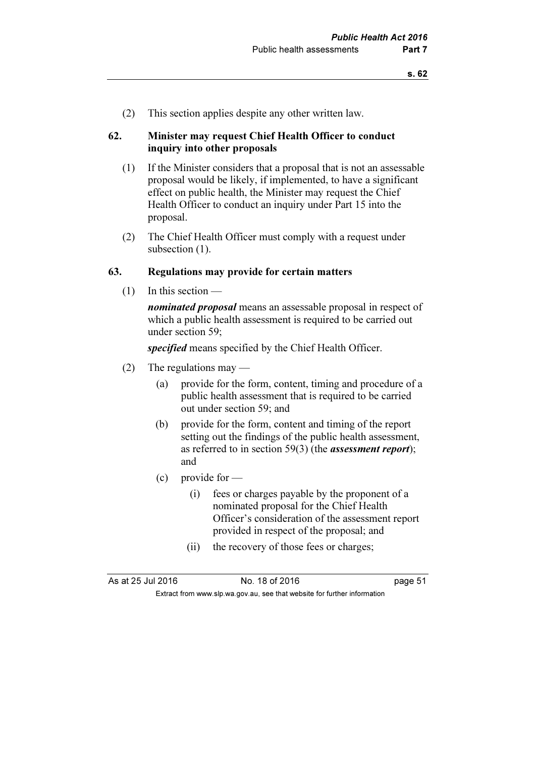(2) This section applies despite any other written law.

#### 62. Minister may request Chief Health Officer to conduct inquiry into other proposals

- (1) If the Minister considers that a proposal that is not an assessable proposal would be likely, if implemented, to have a significant effect on public health, the Minister may request the Chief Health Officer to conduct an inquiry under Part 15 into the proposal.
- (2) The Chief Health Officer must comply with a request under subsection  $(1)$ .

#### 63. Regulations may provide for certain matters

(1) In this section —

*nominated proposal* means an assessable proposal in respect of which a public health assessment is required to be carried out under section 59;

specified means specified by the Chief Health Officer.

- (2) The regulations may
	- (a) provide for the form, content, timing and procedure of a public health assessment that is required to be carried out under section 59; and
	- (b) provide for the form, content and timing of the report setting out the findings of the public health assessment, as referred to in section 59(3) (the assessment report); and
	- $(c)$  provide for
		- (i) fees or charges payable by the proponent of a nominated proposal for the Chief Health Officer's consideration of the assessment report provided in respect of the proposal; and
		- (ii) the recovery of those fees or charges;

As at 25 Jul 2016 18 0.18 of 2016 Extract from www.slp.wa.gov.au, see that website for further information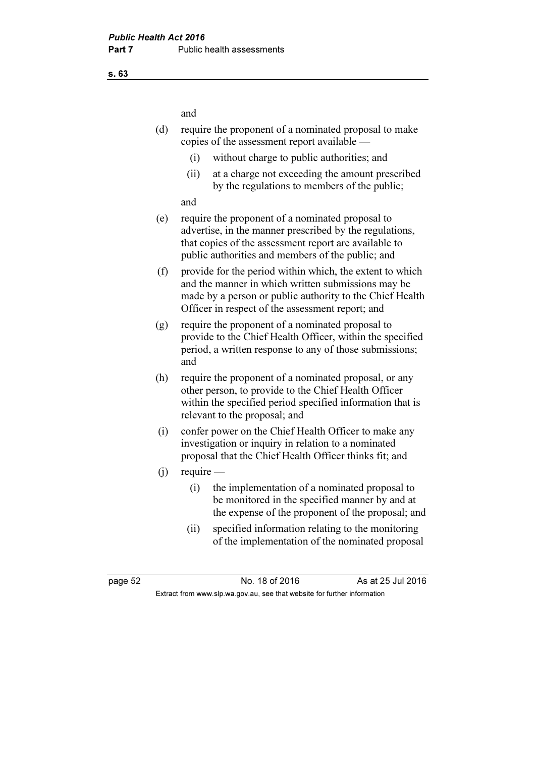and

- (d) require the proponent of a nominated proposal to make copies of the assessment report available —
	- (i) without charge to public authorities; and
	- (ii) at a charge not exceeding the amount prescribed by the regulations to members of the public;

and

- (e) require the proponent of a nominated proposal to advertise, in the manner prescribed by the regulations, that copies of the assessment report are available to public authorities and members of the public; and
- (f) provide for the period within which, the extent to which and the manner in which written submissions may be made by a person or public authority to the Chief Health Officer in respect of the assessment report; and
- (g) require the proponent of a nominated proposal to provide to the Chief Health Officer, within the specified period, a written response to any of those submissions; and
- (h) require the proponent of a nominated proposal, or any other person, to provide to the Chief Health Officer within the specified period specified information that is relevant to the proposal; and
- (i) confer power on the Chief Health Officer to make any investigation or inquiry in relation to a nominated proposal that the Chief Health Officer thinks fit; and
- $(i)$  require
	- (i) the implementation of a nominated proposal to be monitored in the specified manner by and at the expense of the proponent of the proposal; and
	- (ii) specified information relating to the monitoring of the implementation of the nominated proposal

page 52 No. 18 of 2016 As at 25 Jul 2016 Extract from www.slp.wa.gov.au, see that website for further information

s. 63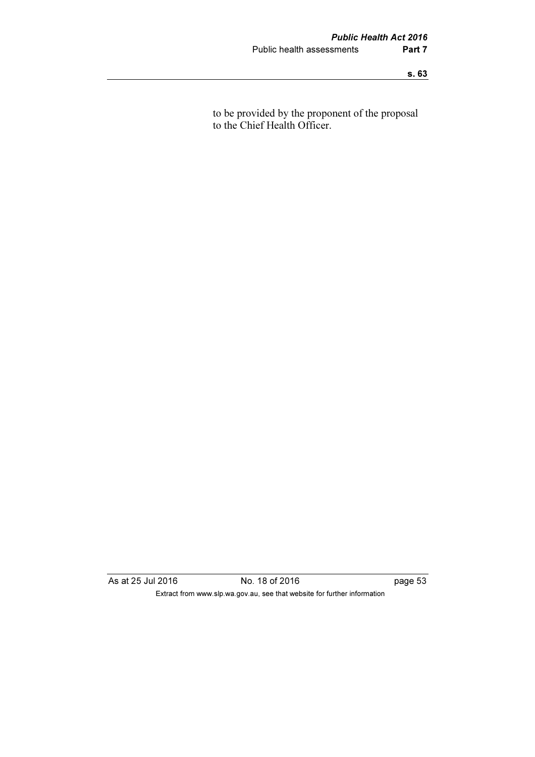to be provided by the proponent of the proposal to the Chief Health Officer.

As at 25 Jul 2016 No. 18 of 2016 page 53 Extract from www.slp.wa.gov.au, see that website for further information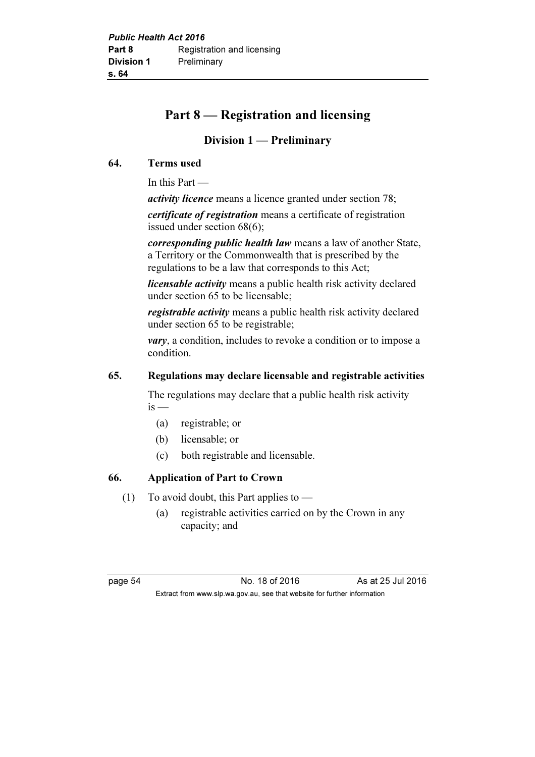# Part 8 — Registration and licensing

## Division 1 — Preliminary

## 64. Terms used

In this Part —

activity licence means a licence granted under section 78;

certificate of registration means a certificate of registration issued under section 68(6);

corresponding public health law means a law of another State, a Territory or the Commonwealth that is prescribed by the regulations to be a law that corresponds to this Act;

*licensable activity* means a public health risk activity declared under section 65 to be licensable;

registrable activity means a public health risk activity declared under section 65 to be registrable;

*vary*, a condition, includes to revoke a condition or to impose a condition.

#### 65. Regulations may declare licensable and registrable activities

 The regulations may declare that a public health risk activity  $is -$ 

- (a) registrable; or
- (b) licensable; or
- (c) both registrable and licensable.

## 66. Application of Part to Crown

- (1) To avoid doubt, this Part applies to  $-$ 
	- (a) registrable activities carried on by the Crown in any capacity; and

page 54 No. 18 of 2016 As at 25 Jul 2016 Extract from www.slp.wa.gov.au, see that website for further information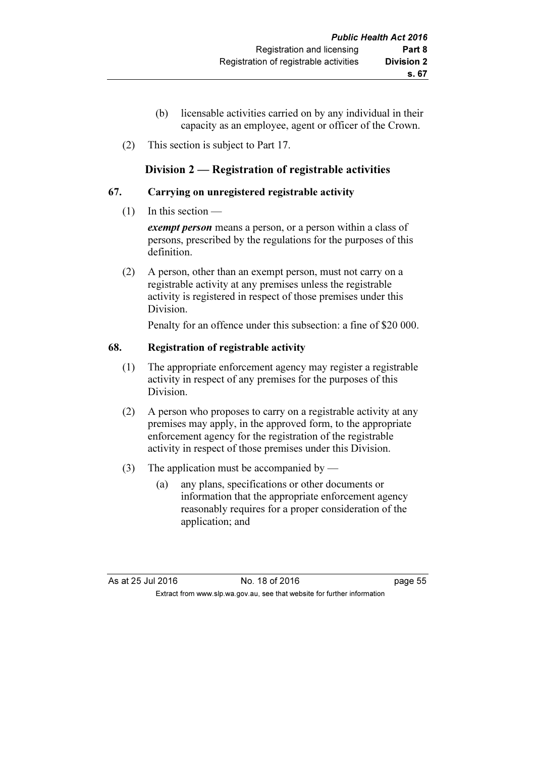- (b) licensable activities carried on by any individual in their capacity as an employee, agent or officer of the Crown.
- (2) This section is subject to Part 17.

# Division 2 — Registration of registrable activities

#### 67. Carrying on unregistered registrable activity

 $(1)$  In this section –

exempt person means a person, or a person within a class of persons, prescribed by the regulations for the purposes of this definition.

 (2) A person, other than an exempt person, must not carry on a registrable activity at any premises unless the registrable activity is registered in respect of those premises under this Division.

Penalty for an offence under this subsection: a fine of \$20 000.

#### 68. Registration of registrable activity

- (1) The appropriate enforcement agency may register a registrable activity in respect of any premises for the purposes of this Division.
- (2) A person who proposes to carry on a registrable activity at any premises may apply, in the approved form, to the appropriate enforcement agency for the registration of the registrable activity in respect of those premises under this Division.
- (3) The application must be accompanied by
	- (a) any plans, specifications or other documents or information that the appropriate enforcement agency reasonably requires for a proper consideration of the application; and

As at 25 Jul 2016 18 Oct 2016 18 of 2016 Extract from www.slp.wa.gov.au, see that website for further information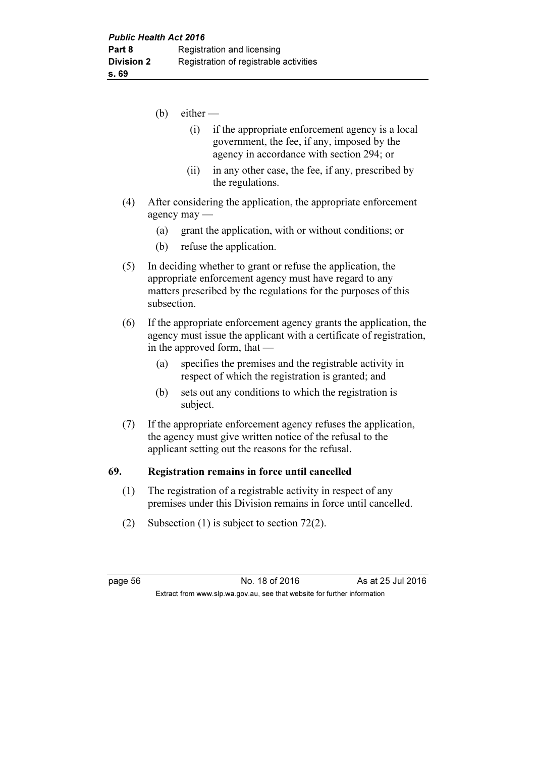- $(b)$  either
	- (i) if the appropriate enforcement agency is a local government, the fee, if any, imposed by the agency in accordance with section 294; or
	- (ii) in any other case, the fee, if any, prescribed by the regulations.
- (4) After considering the application, the appropriate enforcement agency may —
	- (a) grant the application, with or without conditions; or
	- (b) refuse the application.
- (5) In deciding whether to grant or refuse the application, the appropriate enforcement agency must have regard to any matters prescribed by the regulations for the purposes of this subsection.
- (6) If the appropriate enforcement agency grants the application, the agency must issue the applicant with a certificate of registration, in the approved form, that —
	- (a) specifies the premises and the registrable activity in respect of which the registration is granted; and
	- (b) sets out any conditions to which the registration is subject.
- (7) If the appropriate enforcement agency refuses the application, the agency must give written notice of the refusal to the applicant setting out the reasons for the refusal.

#### 69. Registration remains in force until cancelled

- (1) The registration of a registrable activity in respect of any premises under this Division remains in force until cancelled.
- (2) Subsection (1) is subject to section 72(2).

page 56 No. 18 of 2016 As at 25 Jul 2016 Extract from www.slp.wa.gov.au, see that website for further information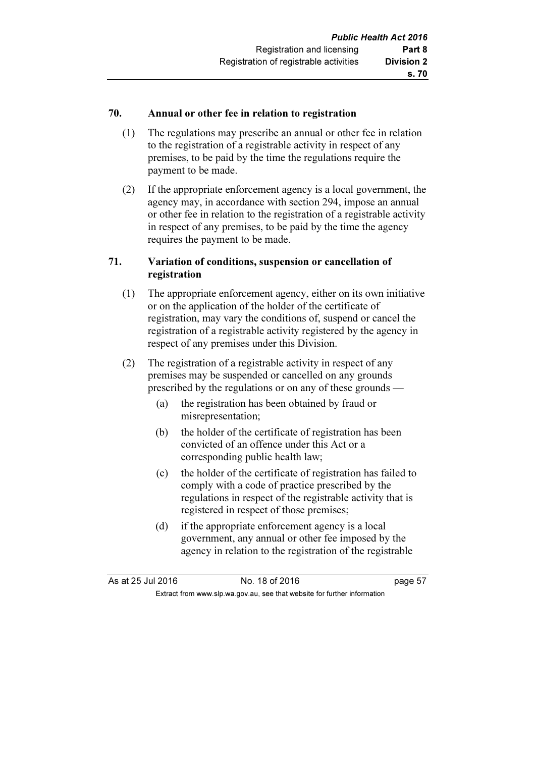### 70. Annual or other fee in relation to registration

- (1) The regulations may prescribe an annual or other fee in relation to the registration of a registrable activity in respect of any premises, to be paid by the time the regulations require the payment to be made.
- (2) If the appropriate enforcement agency is a local government, the agency may, in accordance with section 294, impose an annual or other fee in relation to the registration of a registrable activity in respect of any premises, to be paid by the time the agency requires the payment to be made.

#### 71. Variation of conditions, suspension or cancellation of registration

- (1) The appropriate enforcement agency, either on its own initiative or on the application of the holder of the certificate of registration, may vary the conditions of, suspend or cancel the registration of a registrable activity registered by the agency in respect of any premises under this Division.
- (2) The registration of a registrable activity in respect of any premises may be suspended or cancelled on any grounds prescribed by the regulations or on any of these grounds —
	- (a) the registration has been obtained by fraud or misrepresentation;
	- (b) the holder of the certificate of registration has been convicted of an offence under this Act or a corresponding public health law;
	- (c) the holder of the certificate of registration has failed to comply with a code of practice prescribed by the regulations in respect of the registrable activity that is registered in respect of those premises;
	- (d) if the appropriate enforcement agency is a local government, any annual or other fee imposed by the agency in relation to the registration of the registrable

As at 25 Jul 2016 18 Oct 2016 18 of 2016 Extract from www.slp.wa.gov.au, see that website for further information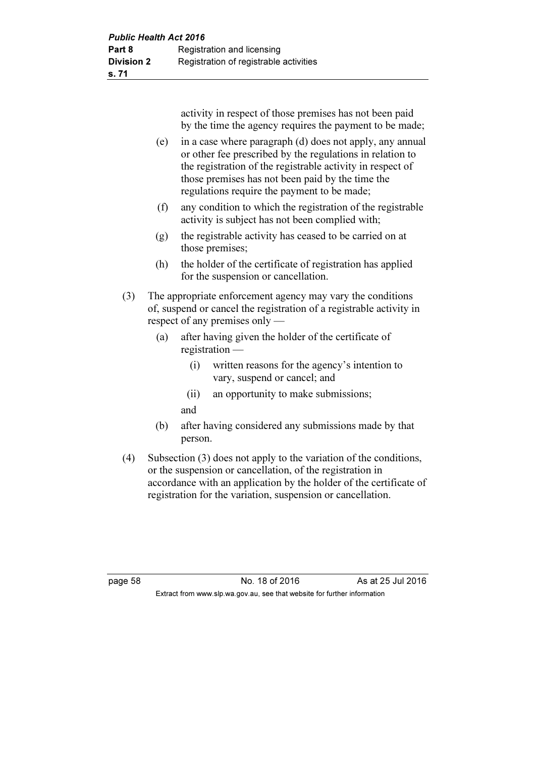activity in respect of those premises has not been paid by the time the agency requires the payment to be made;

- (e) in a case where paragraph (d) does not apply, any annual or other fee prescribed by the regulations in relation to the registration of the registrable activity in respect of those premises has not been paid by the time the regulations require the payment to be made;
- (f) any condition to which the registration of the registrable activity is subject has not been complied with;
- (g) the registrable activity has ceased to be carried on at those premises;
- (h) the holder of the certificate of registration has applied for the suspension or cancellation.
- (3) The appropriate enforcement agency may vary the conditions of, suspend or cancel the registration of a registrable activity in respect of any premises only —
	- (a) after having given the holder of the certificate of registration —
		- (i) written reasons for the agency's intention to vary, suspend or cancel; and
		- (ii) an opportunity to make submissions; and
	- (b) after having considered any submissions made by that person.
- (4) Subsection (3) does not apply to the variation of the conditions, or the suspension or cancellation, of the registration in accordance with an application by the holder of the certificate of registration for the variation, suspension or cancellation.

page 58 No. 18 of 2016 As at 25 Jul 2016 Extract from www.slp.wa.gov.au, see that website for further information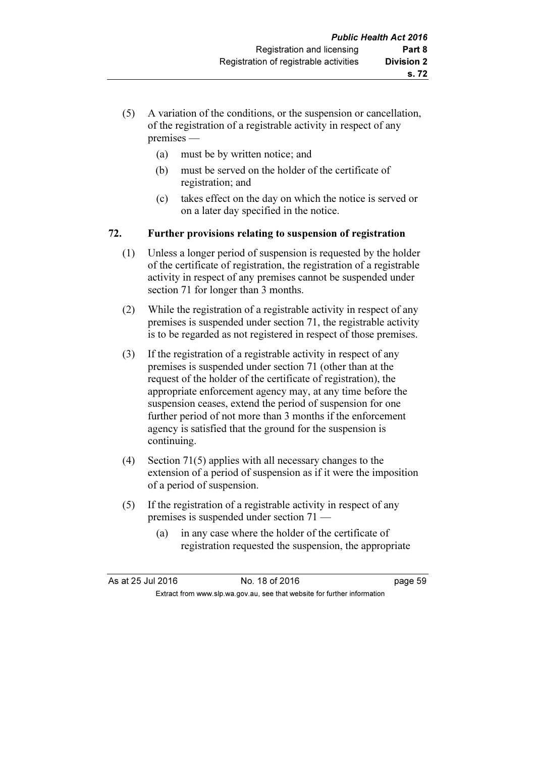- (5) A variation of the conditions, or the suspension or cancellation, of the registration of a registrable activity in respect of any premises —
	- (a) must be by written notice; and
	- (b) must be served on the holder of the certificate of registration; and
	- (c) takes effect on the day on which the notice is served or on a later day specified in the notice.

# 72. Further provisions relating to suspension of registration

- (1) Unless a longer period of suspension is requested by the holder of the certificate of registration, the registration of a registrable activity in respect of any premises cannot be suspended under section 71 for longer than 3 months.
- (2) While the registration of a registrable activity in respect of any premises is suspended under section 71, the registrable activity is to be regarded as not registered in respect of those premises.
- (3) If the registration of a registrable activity in respect of any premises is suspended under section 71 (other than at the request of the holder of the certificate of registration), the appropriate enforcement agency may, at any time before the suspension ceases, extend the period of suspension for one further period of not more than 3 months if the enforcement agency is satisfied that the ground for the suspension is continuing.
- (4) Section 71(5) applies with all necessary changes to the extension of a period of suspension as if it were the imposition of a period of suspension.
- (5) If the registration of a registrable activity in respect of any premises is suspended under section 71 —
	- (a) in any case where the holder of the certificate of registration requested the suspension, the appropriate

| As at 25 Jul 2016 | No. 18 of 2016                                                           | page 59 |
|-------------------|--------------------------------------------------------------------------|---------|
|                   | Extract from www.slp.wa.gov.au, see that website for further information |         |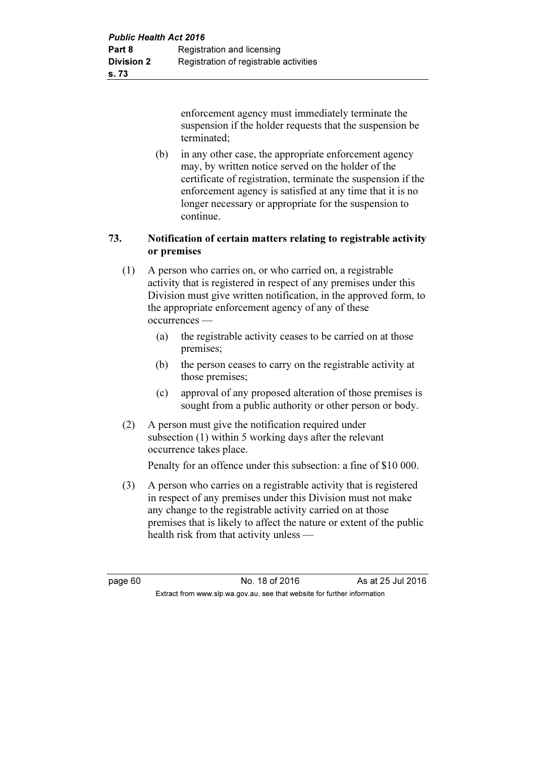enforcement agency must immediately terminate the suspension if the holder requests that the suspension be terminated;

 (b) in any other case, the appropriate enforcement agency may, by written notice served on the holder of the certificate of registration, terminate the suspension if the enforcement agency is satisfied at any time that it is no longer necessary or appropriate for the suspension to continue.

## 73. Notification of certain matters relating to registrable activity or premises

- (1) A person who carries on, or who carried on, a registrable activity that is registered in respect of any premises under this Division must give written notification, in the approved form, to the appropriate enforcement agency of any of these occurrences —
	- (a) the registrable activity ceases to be carried on at those premises;
	- (b) the person ceases to carry on the registrable activity at those premises;
	- (c) approval of any proposed alteration of those premises is sought from a public authority or other person or body.
- (2) A person must give the notification required under subsection (1) within 5 working days after the relevant occurrence takes place.

Penalty for an offence under this subsection: a fine of \$10 000.

 (3) A person who carries on a registrable activity that is registered in respect of any premises under this Division must not make any change to the registrable activity carried on at those premises that is likely to affect the nature or extent of the public health risk from that activity unless —

page 60 **No. 18 of 2016** As at 25 Jul 2016 Extract from www.slp.wa.gov.au, see that website for further information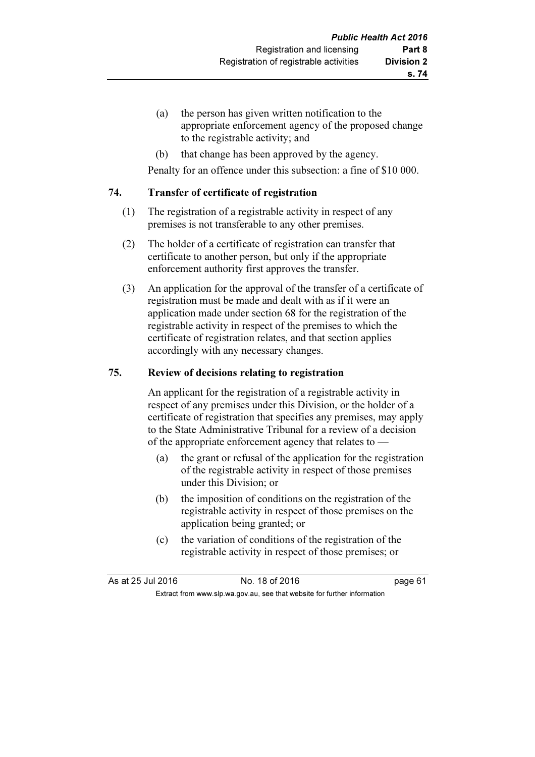- (a) the person has given written notification to the appropriate enforcement agency of the proposed change to the registrable activity; and
- (b) that change has been approved by the agency.

Penalty for an offence under this subsection: a fine of \$10 000.

#### 74. Transfer of certificate of registration

- (1) The registration of a registrable activity in respect of any premises is not transferable to any other premises.
- (2) The holder of a certificate of registration can transfer that certificate to another person, but only if the appropriate enforcement authority first approves the transfer.
- (3) An application for the approval of the transfer of a certificate of registration must be made and dealt with as if it were an application made under section 68 for the registration of the registrable activity in respect of the premises to which the certificate of registration relates, and that section applies accordingly with any necessary changes.

#### 75. Review of decisions relating to registration

 An applicant for the registration of a registrable activity in respect of any premises under this Division, or the holder of a certificate of registration that specifies any premises, may apply to the State Administrative Tribunal for a review of a decision of the appropriate enforcement agency that relates to —

- (a) the grant or refusal of the application for the registration of the registrable activity in respect of those premises under this Division; or
- (b) the imposition of conditions on the registration of the registrable activity in respect of those premises on the application being granted; or
- (c) the variation of conditions of the registration of the registrable activity in respect of those premises; or

As at 25 Jul 2016 18 0.18 of 2016 Extract from www.slp.wa.gov.au, see that website for further information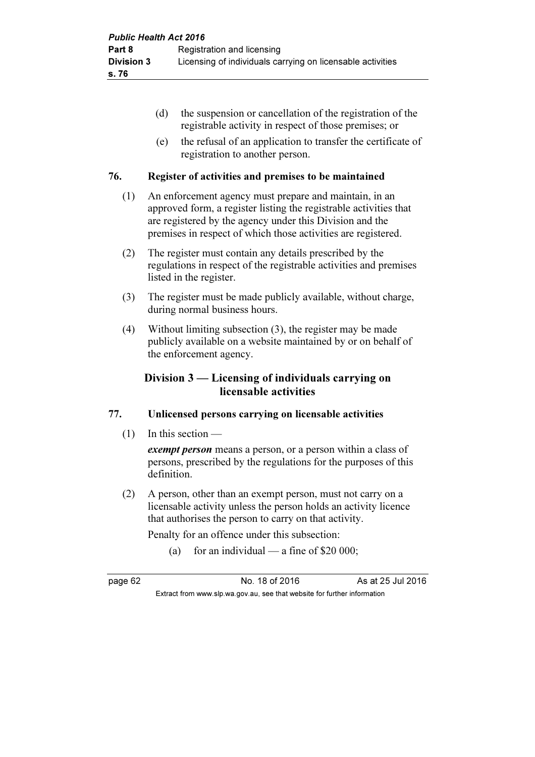- (d) the suspension or cancellation of the registration of the registrable activity in respect of those premises; or
- (e) the refusal of an application to transfer the certificate of registration to another person.

#### 76. Register of activities and premises to be maintained

- (1) An enforcement agency must prepare and maintain, in an approved form, a register listing the registrable activities that are registered by the agency under this Division and the premises in respect of which those activities are registered.
- (2) The register must contain any details prescribed by the regulations in respect of the registrable activities and premises listed in the register.
- (3) The register must be made publicly available, without charge, during normal business hours.
- (4) Without limiting subsection (3), the register may be made publicly available on a website maintained by or on behalf of the enforcement agency.

# Division 3 — Licensing of individuals carrying on licensable activities

### 77. Unlicensed persons carrying on licensable activities

(1) In this section —

exempt person means a person, or a person within a class of persons, prescribed by the regulations for the purposes of this definition.

 (2) A person, other than an exempt person, must not carry on a licensable activity unless the person holds an activity licence that authorises the person to carry on that activity.

Penalty for an offence under this subsection:

(a) for an individual — a fine of \$20 000;

page 62 No. 18 of 2016 As at 25 Jul 2016 Extract from www.slp.wa.gov.au, see that website for further information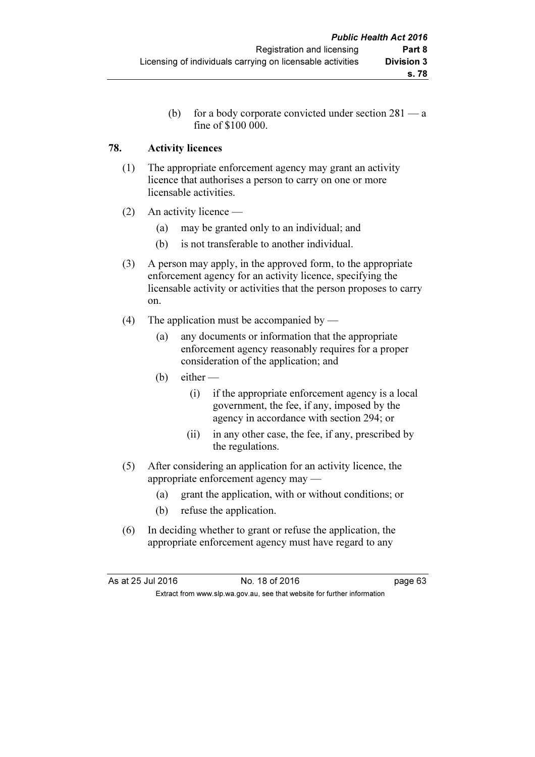(b) for a body corporate convicted under section 281 — a fine of \$100 000.

## 78. Activity licences

- (1) The appropriate enforcement agency may grant an activity licence that authorises a person to carry on one or more licensable activities.
- (2) An activity licence
	- (a) may be granted only to an individual; and
	- (b) is not transferable to another individual.
- (3) A person may apply, in the approved form, to the appropriate enforcement agency for an activity licence, specifying the licensable activity or activities that the person proposes to carry on.
- (4) The application must be accompanied by
	- (a) any documents or information that the appropriate enforcement agency reasonably requires for a proper consideration of the application; and
	- $(b)$  either
		- (i) if the appropriate enforcement agency is a local government, the fee, if any, imposed by the agency in accordance with section 294; or
		- (ii) in any other case, the fee, if any, prescribed by the regulations.
- (5) After considering an application for an activity licence, the appropriate enforcement agency may —
	- (a) grant the application, with or without conditions; or
	- (b) refuse the application.
- (6) In deciding whether to grant or refuse the application, the appropriate enforcement agency must have regard to any

| As at 25 Jul 2016 | No. 18 of 2016                                                           | page 63 |
|-------------------|--------------------------------------------------------------------------|---------|
|                   | Extract from www.slp.wa.gov.au, see that website for further information |         |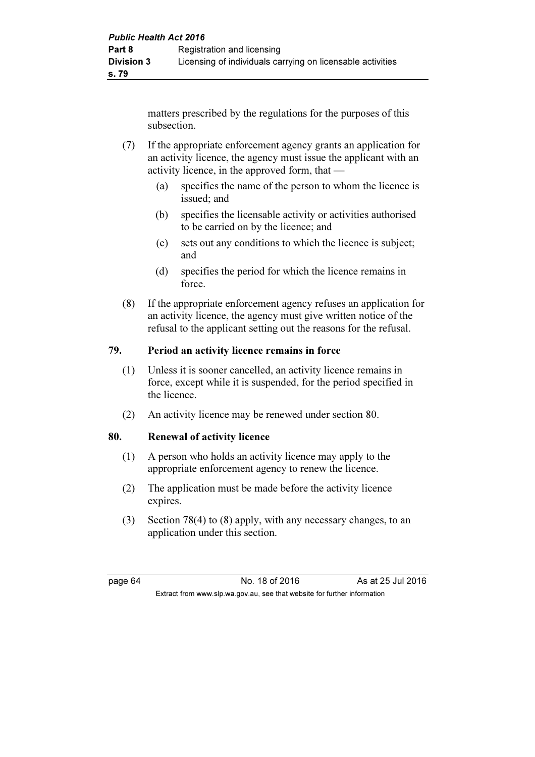matters prescribed by the regulations for the purposes of this subsection.

- (7) If the appropriate enforcement agency grants an application for an activity licence, the agency must issue the applicant with an activity licence, in the approved form, that —
	- (a) specifies the name of the person to whom the licence is issued; and
	- (b) specifies the licensable activity or activities authorised to be carried on by the licence; and
	- (c) sets out any conditions to which the licence is subject; and
	- (d) specifies the period for which the licence remains in force.
- (8) If the appropriate enforcement agency refuses an application for an activity licence, the agency must give written notice of the refusal to the applicant setting out the reasons for the refusal.

# 79. Period an activity licence remains in force

- (1) Unless it is sooner cancelled, an activity licence remains in force, except while it is suspended, for the period specified in the licence.
- (2) An activity licence may be renewed under section 80.

### 80. Renewal of activity licence

- (1) A person who holds an activity licence may apply to the appropriate enforcement agency to renew the licence.
- (2) The application must be made before the activity licence expires.
- (3) Section 78(4) to (8) apply, with any necessary changes, to an application under this section.

page 64 **No. 18 of 2016** As at 25 Jul 2016 Extract from www.slp.wa.gov.au, see that website for further information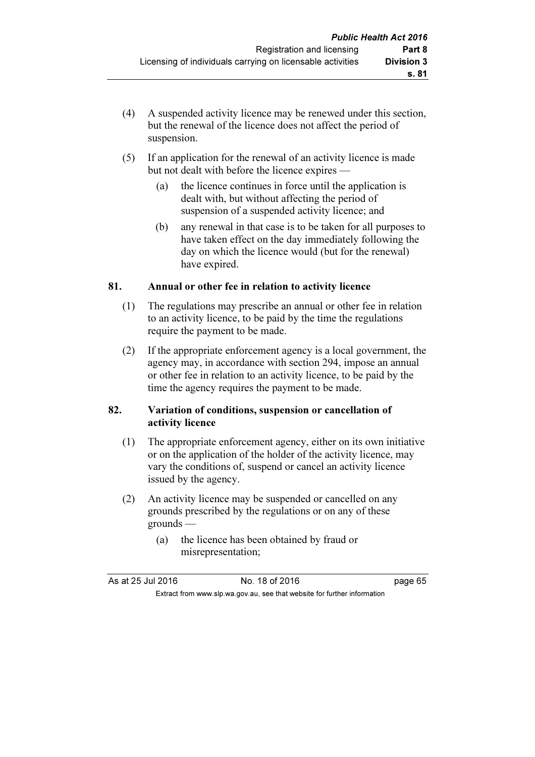- (4) A suspended activity licence may be renewed under this section, but the renewal of the licence does not affect the period of suspension.
- (5) If an application for the renewal of an activity licence is made but not dealt with before the licence expires —
	- (a) the licence continues in force until the application is dealt with, but without affecting the period of suspension of a suspended activity licence; and
	- (b) any renewal in that case is to be taken for all purposes to have taken effect on the day immediately following the day on which the licence would (but for the renewal) have expired.

### 81. Annual or other fee in relation to activity licence

- (1) The regulations may prescribe an annual or other fee in relation to an activity licence, to be paid by the time the regulations require the payment to be made.
- (2) If the appropriate enforcement agency is a local government, the agency may, in accordance with section 294, impose an annual or other fee in relation to an activity licence, to be paid by the time the agency requires the payment to be made.

#### 82. Variation of conditions, suspension or cancellation of activity licence

- (1) The appropriate enforcement agency, either on its own initiative or on the application of the holder of the activity licence, may vary the conditions of, suspend or cancel an activity licence issued by the agency.
- (2) An activity licence may be suspended or cancelled on any grounds prescribed by the regulations or on any of these grounds —
	- (a) the licence has been obtained by fraud or misrepresentation;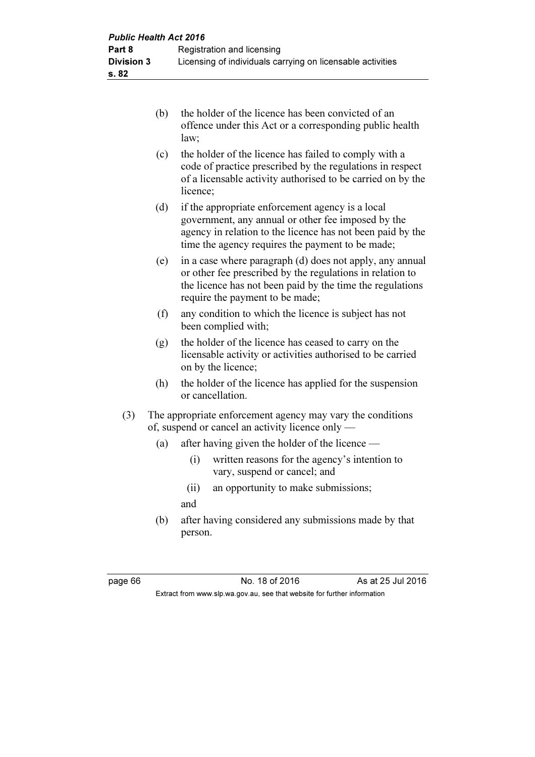| the holder of the licence has been convicted of an<br>offence under this Act or a corresponding public health<br>law: |
|-----------------------------------------------------------------------------------------------------------------------|
| the holder of the licence has failed to comply with a                                                                 |

- (c) the holder of the licence has failed to comply with a code of practice prescribed by the regulations in respect of a licensable activity authorised to be carried on by the licence;
	- (d) if the appropriate enforcement agency is a local government, any annual or other fee imposed by the agency in relation to the licence has not been paid by the time the agency requires the payment to be made;
	- (e) in a case where paragraph (d) does not apply, any annual or other fee prescribed by the regulations in relation to the licence has not been paid by the time the regulations require the payment to be made;
	- (f) any condition to which the licence is subject has not been complied with;
	- (g) the holder of the licence has ceased to carry on the licensable activity or activities authorised to be carried on by the licence;
	- (h) the holder of the licence has applied for the suspension or cancellation.
	- (3) The appropriate enforcement agency may vary the conditions of, suspend or cancel an activity licence only —
		- (a) after having given the holder of the licence
			- (i) written reasons for the agency's intention to vary, suspend or cancel; and
			- (ii) an opportunity to make submissions;

and

 (b) after having considered any submissions made by that person.

page 66 No. 18 of 2016 As at 25 Jul 2016 Extract from www.slp.wa.gov.au, see that website for further information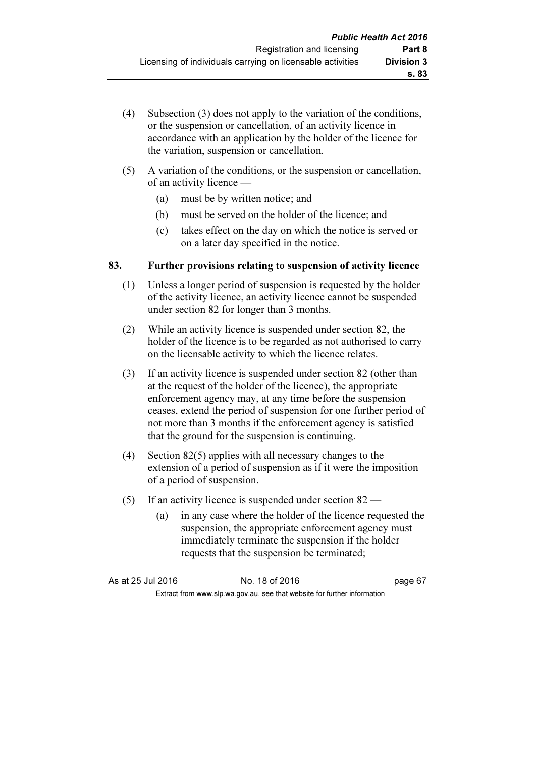- (4) Subsection (3) does not apply to the variation of the conditions, or the suspension or cancellation, of an activity licence in accordance with an application by the holder of the licence for the variation, suspension or cancellation.
- (5) A variation of the conditions, or the suspension or cancellation, of an activity licence —
	- (a) must be by written notice; and
	- (b) must be served on the holder of the licence; and
	- (c) takes effect on the day on which the notice is served or on a later day specified in the notice.

# 83. Further provisions relating to suspension of activity licence

- (1) Unless a longer period of suspension is requested by the holder of the activity licence, an activity licence cannot be suspended under section 82 for longer than 3 months.
- (2) While an activity licence is suspended under section 82, the holder of the licence is to be regarded as not authorised to carry on the licensable activity to which the licence relates.
- (3) If an activity licence is suspended under section 82 (other than at the request of the holder of the licence), the appropriate enforcement agency may, at any time before the suspension ceases, extend the period of suspension for one further period of not more than 3 months if the enforcement agency is satisfied that the ground for the suspension is continuing.
- (4) Section 82(5) applies with all necessary changes to the extension of a period of suspension as if it were the imposition of a period of suspension.
- (5) If an activity licence is suspended under section 82
	- (a) in any case where the holder of the licence requested the suspension, the appropriate enforcement agency must immediately terminate the suspension if the holder requests that the suspension be terminated;

As at 25 Jul 2016 No. 18 of 2016 page 67 Extract from www.slp.wa.gov.au, see that website for further information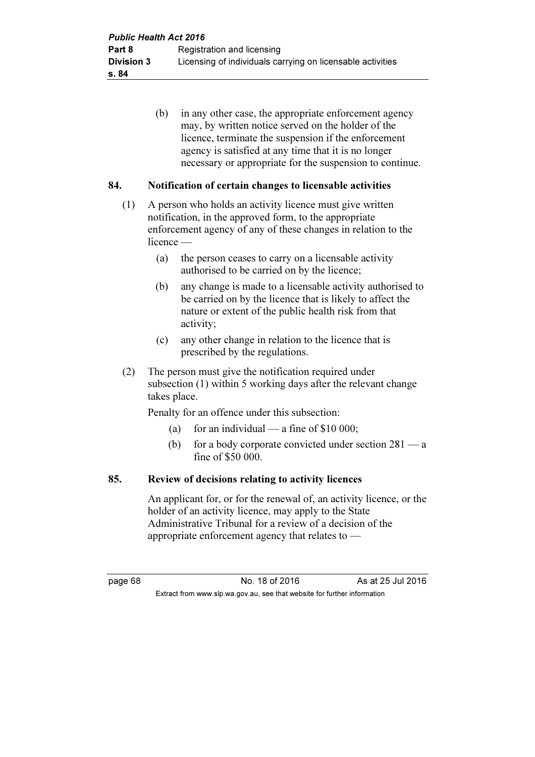(b) in any other case, the appropriate enforcement agency may, by written notice served on the holder of the licence, terminate the suspension if the enforcement agency is satisfied at any time that it is no longer necessary or appropriate for the suspension to continue.

### 84. Notification of certain changes to licensable activities

- (1) A person who holds an activity licence must give written notification, in the approved form, to the appropriate enforcement agency of any of these changes in relation to the licence —
	- (a) the person ceases to carry on a licensable activity authorised to be carried on by the licence;
	- (b) any change is made to a licensable activity authorised to be carried on by the licence that is likely to affect the nature or extent of the public health risk from that activity;
	- (c) any other change in relation to the licence that is prescribed by the regulations.
- (2) The person must give the notification required under subsection (1) within 5 working days after the relevant change takes place.

Penalty for an offence under this subsection:

- (a) for an individual a fine of  $$10,000$ ;
- (b) for a body corporate convicted under section  $281 a$ fine of \$50 000.

#### 85. Review of decisions relating to activity licences

 An applicant for, or for the renewal of, an activity licence, or the holder of an activity licence, may apply to the State Administrative Tribunal for a review of a decision of the appropriate enforcement agency that relates to —

page 68 No. 18 of 2016 As at 25 Jul 2016 Extract from www.slp.wa.gov.au, see that website for further information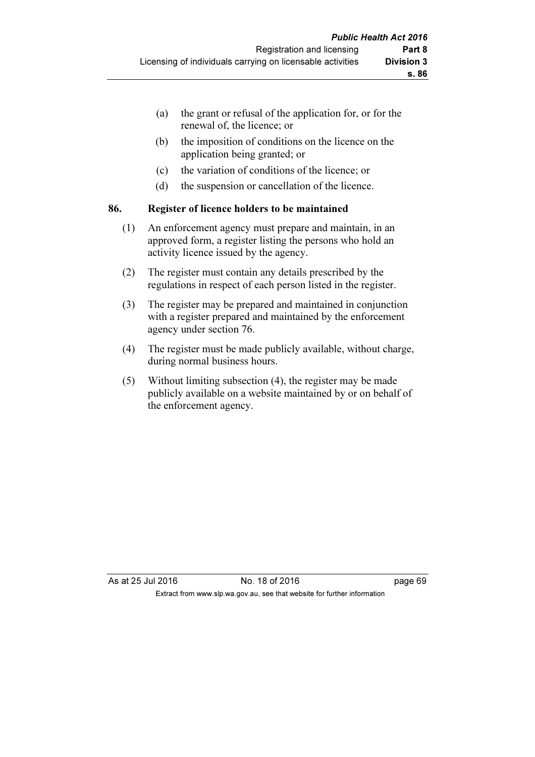- (a) the grant or refusal of the application for, or for the renewal of, the licence; or
- (b) the imposition of conditions on the licence on the application being granted; or
- (c) the variation of conditions of the licence; or
- (d) the suspension or cancellation of the licence.

#### 86. Register of licence holders to be maintained

- (1) An enforcement agency must prepare and maintain, in an approved form, a register listing the persons who hold an activity licence issued by the agency.
- (2) The register must contain any details prescribed by the regulations in respect of each person listed in the register.
- (3) The register may be prepared and maintained in conjunction with a register prepared and maintained by the enforcement agency under section 76.
- (4) The register must be made publicly available, without charge, during normal business hours.
- (5) Without limiting subsection (4), the register may be made publicly available on a website maintained by or on behalf of the enforcement agency.

As at 25 Jul 2016 18 Oct 2016 18 of 2016 Extract from www.slp.wa.gov.au, see that website for further information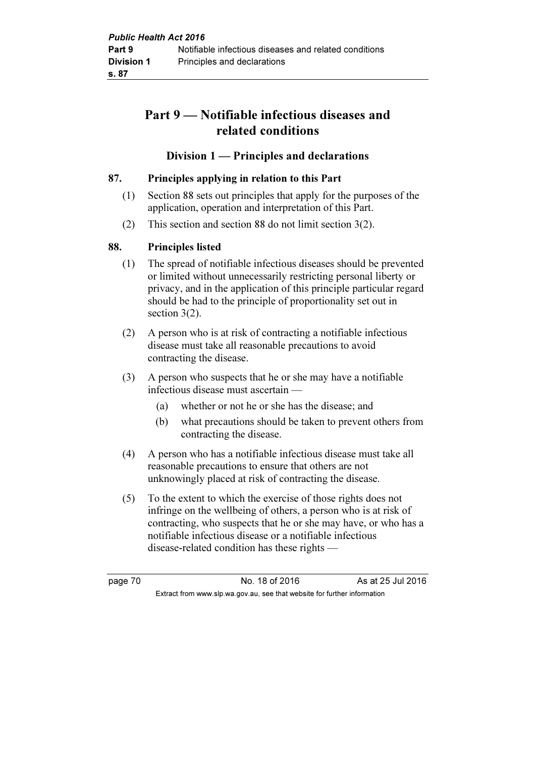# Part 9 — Notifiable infectious diseases and related conditions

### Division 1 — Principles and declarations

### 87. Principles applying in relation to this Part

- (1) Section 88 sets out principles that apply for the purposes of the application, operation and interpretation of this Part.
- (2) This section and section 88 do not limit section 3(2).

### 88. Principles listed

- (1) The spread of notifiable infectious diseases should be prevented or limited without unnecessarily restricting personal liberty or privacy, and in the application of this principle particular regard should be had to the principle of proportionality set out in section 3(2).
- (2) A person who is at risk of contracting a notifiable infectious disease must take all reasonable precautions to avoid contracting the disease.
- (3) A person who suspects that he or she may have a notifiable infectious disease must ascertain —
	- (a) whether or not he or she has the disease; and
	- (b) what precautions should be taken to prevent others from contracting the disease.
- (4) A person who has a notifiable infectious disease must take all reasonable precautions to ensure that others are not unknowingly placed at risk of contracting the disease.
- (5) To the extent to which the exercise of those rights does not infringe on the wellbeing of others, a person who is at risk of contracting, who suspects that he or she may have, or who has a notifiable infectious disease or a notifiable infectious disease-related condition has these rights —

page 70 No. 18 of 2016 As at 25 Jul 2016 Extract from www.slp.wa.gov.au, see that website for further information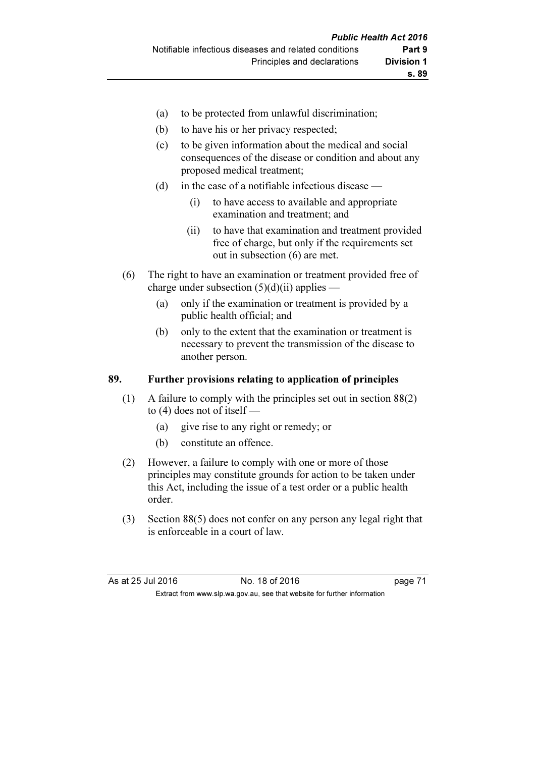- (a) to be protected from unlawful discrimination;
- (b) to have his or her privacy respected;
- (c) to be given information about the medical and social consequences of the disease or condition and about any proposed medical treatment;
- (d) in the case of a notifiable infectious disease
	- (i) to have access to available and appropriate examination and treatment; and
	- (ii) to have that examination and treatment provided free of charge, but only if the requirements set out in subsection (6) are met.
- (6) The right to have an examination or treatment provided free of charge under subsection  $(5)(d)(ii)$  applies —
	- (a) only if the examination or treatment is provided by a public health official; and
	- (b) only to the extent that the examination or treatment is necessary to prevent the transmission of the disease to another person.

#### 89. Further provisions relating to application of principles

- (1) A failure to comply with the principles set out in section 88(2) to (4) does not of itself —
	- (a) give rise to any right or remedy; or
	- (b) constitute an offence.
- (2) However, a failure to comply with one or more of those principles may constitute grounds for action to be taken under this Act, including the issue of a test order or a public health order.
- (3) Section 88(5) does not confer on any person any legal right that is enforceable in a court of law.

| As at 25 Jul 2016 | No. 18 of 2016                                                           | page 71 |
|-------------------|--------------------------------------------------------------------------|---------|
|                   | Extract from www.slp.wa.gov.au, see that website for further information |         |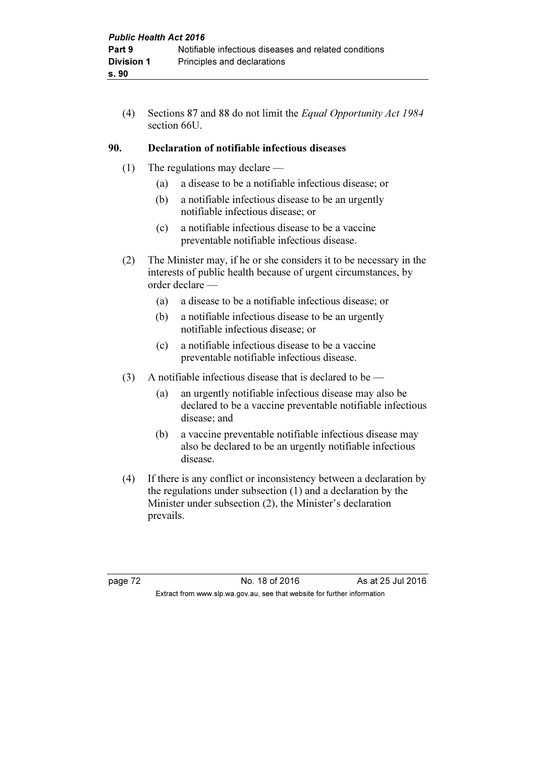(4) Sections 87 and 88 do not limit the Equal Opportunity Act 1984 section 66U.

### 90. Declaration of notifiable infectious diseases

- (1) The regulations may declare
	- (a) a disease to be a notifiable infectious disease; or
	- (b) a notifiable infectious disease to be an urgently notifiable infectious disease; or
	- (c) a notifiable infectious disease to be a vaccine preventable notifiable infectious disease.
- (2) The Minister may, if he or she considers it to be necessary in the interests of public health because of urgent circumstances, by order declare —
	- (a) a disease to be a notifiable infectious disease; or
	- (b) a notifiable infectious disease to be an urgently notifiable infectious disease; or
	- (c) a notifiable infectious disease to be a vaccine preventable notifiable infectious disease.
- (3) A notifiable infectious disease that is declared to be  $-$ 
	- (a) an urgently notifiable infectious disease may also be declared to be a vaccine preventable notifiable infectious disease; and
	- (b) a vaccine preventable notifiable infectious disease may also be declared to be an urgently notifiable infectious disease.
- (4) If there is any conflict or inconsistency between a declaration by the regulations under subsection (1) and a declaration by the Minister under subsection (2), the Minister's declaration prevails.

page 72 No. 18 of 2016 As at 25 Jul 2016 Extract from www.slp.wa.gov.au, see that website for further information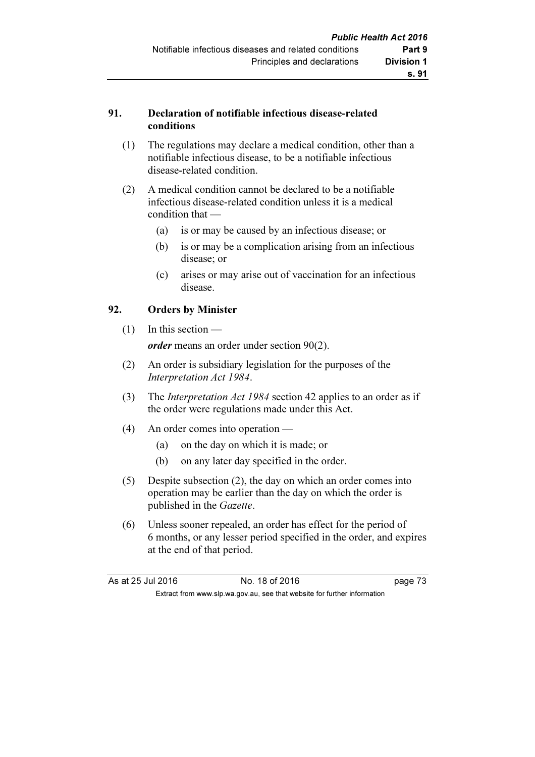#### 91. Declaration of notifiable infectious disease-related conditions

- (1) The regulations may declare a medical condition, other than a notifiable infectious disease, to be a notifiable infectious disease-related condition.
- (2) A medical condition cannot be declared to be a notifiable infectious disease-related condition unless it is a medical condition that —
	- (a) is or may be caused by an infectious disease; or
	- (b) is or may be a complication arising from an infectious disease; or
	- (c) arises or may arise out of vaccination for an infectious disease.

#### 92. Orders by Minister

- (1) In this section order means an order under section 90(2).
- (2) An order is subsidiary legislation for the purposes of the Interpretation Act 1984.
- (3) The Interpretation Act 1984 section 42 applies to an order as if the order were regulations made under this Act.
- (4) An order comes into operation
	- (a) on the day on which it is made; or
	- (b) on any later day specified in the order.
- (5) Despite subsection (2), the day on which an order comes into operation may be earlier than the day on which the order is published in the Gazette.
- (6) Unless sooner repealed, an order has effect for the period of 6 months, or any lesser period specified in the order, and expires at the end of that period.

| As at 25 Jul 2016 | No. 18 of 2016                                                           | page 73 |
|-------------------|--------------------------------------------------------------------------|---------|
|                   | Extract from www.slp.wa.gov.au, see that website for further information |         |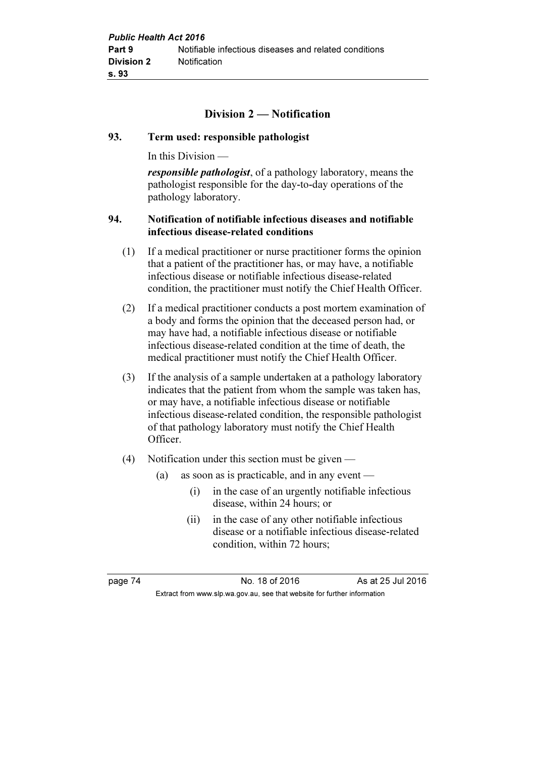# Division 2 — Notification

#### 93. Term used: responsible pathologist

In this Division —

responsible pathologist, of a pathology laboratory, means the pathologist responsible for the day-to-day operations of the pathology laboratory.

#### 94. Notification of notifiable infectious diseases and notifiable infectious disease-related conditions

- (1) If a medical practitioner or nurse practitioner forms the opinion that a patient of the practitioner has, or may have, a notifiable infectious disease or notifiable infectious disease-related condition, the practitioner must notify the Chief Health Officer.
- (2) If a medical practitioner conducts a post mortem examination of a body and forms the opinion that the deceased person had, or may have had, a notifiable infectious disease or notifiable infectious disease-related condition at the time of death, the medical practitioner must notify the Chief Health Officer.
- (3) If the analysis of a sample undertaken at a pathology laboratory indicates that the patient from whom the sample was taken has, or may have, a notifiable infectious disease or notifiable infectious disease-related condition, the responsible pathologist of that pathology laboratory must notify the Chief Health Officer.
- (4) Notification under this section must be given
	- (a) as soon as is practicable, and in any event
		- (i) in the case of an urgently notifiable infectious disease, within 24 hours; or
		- (ii) in the case of any other notifiable infectious disease or a notifiable infectious disease-related condition, within 72 hours;

page 74 No. 18 of 2016 As at 25 Jul 2016 Extract from www.slp.wa.gov.au, see that website for further information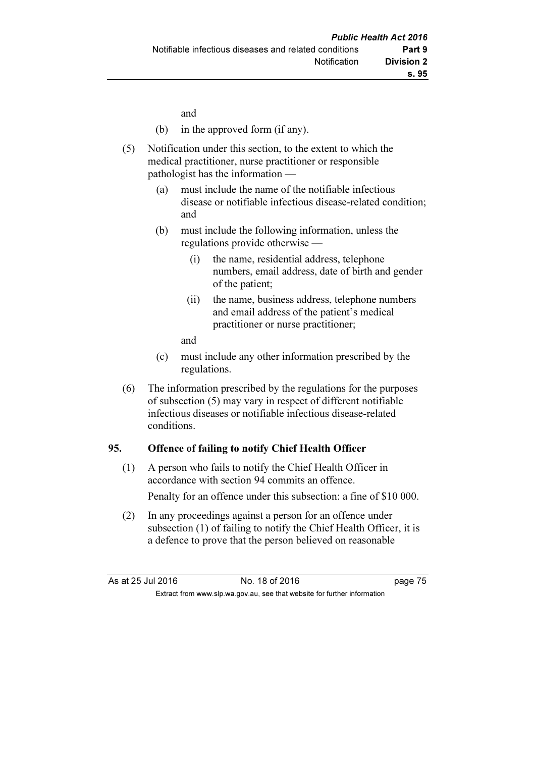and

- (b) in the approved form (if any).
- (5) Notification under this section, to the extent to which the medical practitioner, nurse practitioner or responsible pathologist has the information —
	- (a) must include the name of the notifiable infectious disease or notifiable infectious disease-related condition; and
	- (b) must include the following information, unless the regulations provide otherwise —
		- (i) the name, residential address, telephone numbers, email address, date of birth and gender of the patient;
		- (ii) the name, business address, telephone numbers and email address of the patient's medical practitioner or nurse practitioner;
		- and
	- (c) must include any other information prescribed by the regulations.
- (6) The information prescribed by the regulations for the purposes of subsection (5) may vary in respect of different notifiable infectious diseases or notifiable infectious disease-related conditions.

### 95. Offence of failing to notify Chief Health Officer

 (1) A person who fails to notify the Chief Health Officer in accordance with section 94 commits an offence.

Penalty for an offence under this subsection: a fine of \$10 000.

 (2) In any proceedings against a person for an offence under subsection (1) of failing to notify the Chief Health Officer, it is a defence to prove that the person believed on reasonable

| As at 25 Jul 2016 | No. 18 of 2016                                                           | page 75 |
|-------------------|--------------------------------------------------------------------------|---------|
|                   | Extract from www.slp.wa.gov.au, see that website for further information |         |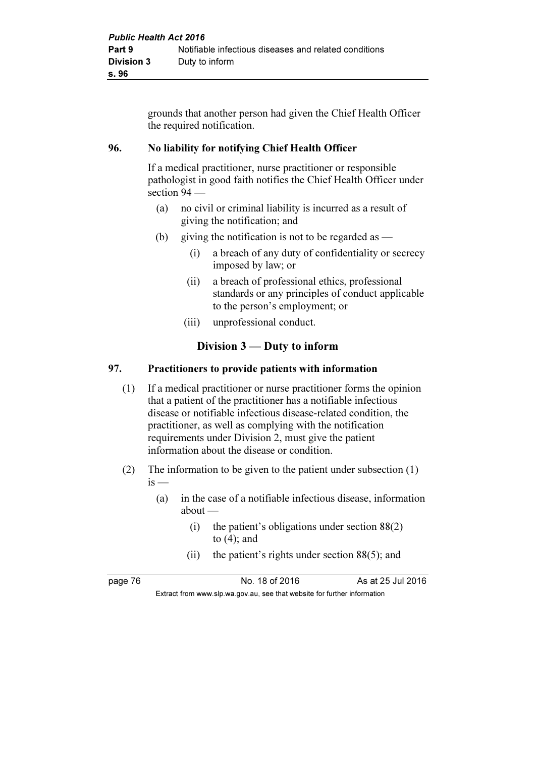grounds that another person had given the Chief Health Officer the required notification.

### 96. No liability for notifying Chief Health Officer

 If a medical practitioner, nurse practitioner or responsible pathologist in good faith notifies the Chief Health Officer under section 94 —

- (a) no civil or criminal liability is incurred as a result of giving the notification; and
- (b) giving the notification is not to be regarded as  $-$ 
	- (i) a breach of any duty of confidentiality or secrecy imposed by law; or
	- (ii) a breach of professional ethics, professional standards or any principles of conduct applicable to the person's employment; or
	- (iii) unprofessional conduct.

# Division 3 — Duty to inform

#### 97. Practitioners to provide patients with information

- (1) If a medical practitioner or nurse practitioner forms the opinion that a patient of the practitioner has a notifiable infectious disease or notifiable infectious disease-related condition, the practitioner, as well as complying with the notification requirements under Division 2, must give the patient information about the disease or condition.
- (2) The information to be given to the patient under subsection (1)  $is -$ 
	- (a) in the case of a notifiable infectious disease, information about —
		- (i) the patient's obligations under section 88(2) to (4); and
		- (ii) the patient's rights under section 88(5); and

page 76 No. 18 of 2016 As at 25 Jul 2016

Extract from www.slp.wa.gov.au, see that website for further information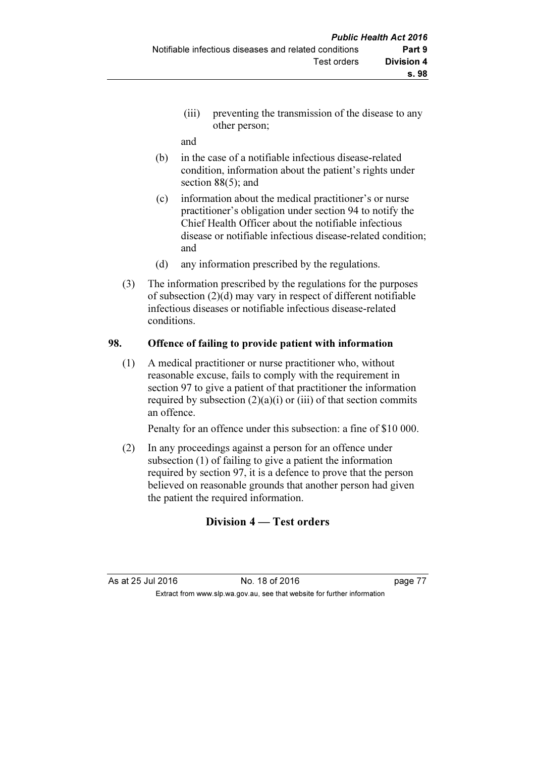(iii) preventing the transmission of the disease to any other person;

and

- (b) in the case of a notifiable infectious disease-related condition, information about the patient's rights under section 88(5); and
- (c) information about the medical practitioner's or nurse practitioner's obligation under section 94 to notify the Chief Health Officer about the notifiable infectious disease or notifiable infectious disease-related condition; and
- (d) any information prescribed by the regulations.
- (3) The information prescribed by the regulations for the purposes of subsection (2)(d) may vary in respect of different notifiable infectious diseases or notifiable infectious disease-related conditions.

#### 98. Offence of failing to provide patient with information

 (1) A medical practitioner or nurse practitioner who, without reasonable excuse, fails to comply with the requirement in section 97 to give a patient of that practitioner the information required by subsection  $(2)(a)(i)$  or (iii) of that section commits an offence.

Penalty for an offence under this subsection: a fine of \$10 000.

 (2) In any proceedings against a person for an offence under subsection (1) of failing to give a patient the information required by section 97, it is a defence to prove that the person believed on reasonable grounds that another person had given the patient the required information.

# Division 4 — Test orders

As at 25 Jul 2016 18 of 2016 **No. 18 of 2016** Extract from www.slp.wa.gov.au, see that website for further information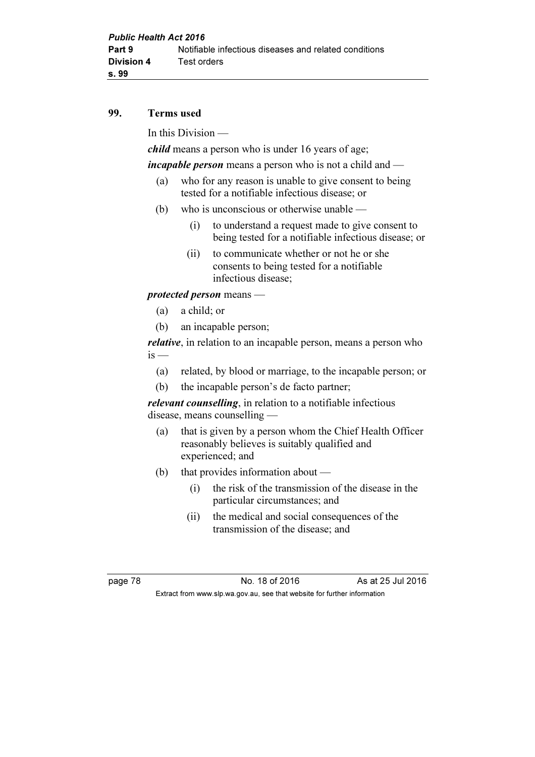#### 99. Terms used

In this Division —

child means a person who is under 16 years of age;

incapable person means a person who is not a child and —

- (a) who for any reason is unable to give consent to being tested for a notifiable infectious disease; or
- (b) who is unconscious or otherwise unable
	- (i) to understand a request made to give consent to being tested for a notifiable infectious disease; or
	- (ii) to communicate whether or not he or she consents to being tested for a notifiable infectious disease;

### protected person means —

- (a) a child; or
- (b) an incapable person;

relative, in relation to an incapable person, means a person who  $is -$ 

- (a) related, by blood or marriage, to the incapable person; or
- (b) the incapable person's de facto partner;

relevant counselling, in relation to a notifiable infectious disease, means counselling —

- (a) that is given by a person whom the Chief Health Officer reasonably believes is suitably qualified and experienced; and
- (b) that provides information about
	- (i) the risk of the transmission of the disease in the particular circumstances; and
	- (ii) the medical and social consequences of the transmission of the disease; and

page 78 No. 18 of 2016 As at 25 Jul 2016 Extract from www.slp.wa.gov.au, see that website for further information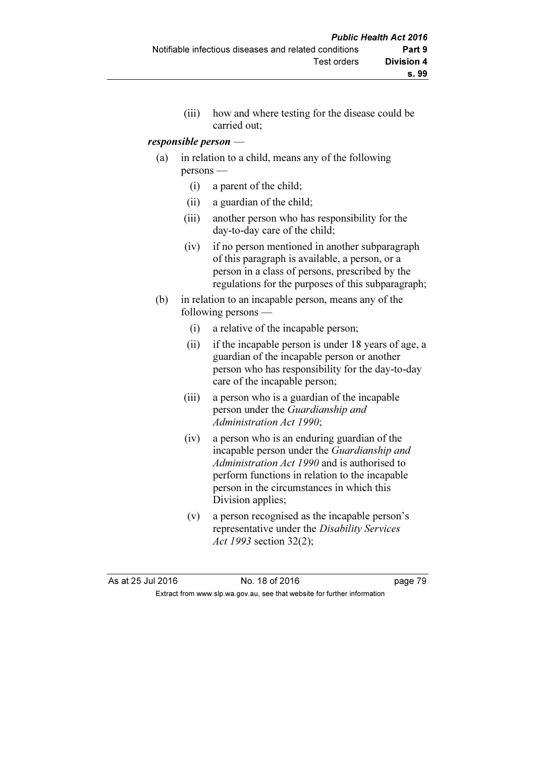(iii) how and where testing for the disease could be carried out;

#### responsible person —

- (a) in relation to a child, means any of the following persons —
	- (i) a parent of the child;
	- (ii) a guardian of the child;
	- (iii) another person who has responsibility for the day-to-day care of the child;
	- (iv) if no person mentioned in another subparagraph of this paragraph is available, a person, or a person in a class of persons, prescribed by the regulations for the purposes of this subparagraph;
- (b) in relation to an incapable person, means any of the following persons —
	- (i) a relative of the incapable person;
	- (ii) if the incapable person is under 18 years of age, a guardian of the incapable person or another person who has responsibility for the day-to-day care of the incapable person;
	- (iii) a person who is a guardian of the incapable person under the Guardianship and Administration Act 1990;
	- (iv) a person who is an enduring guardian of the incapable person under the Guardianship and Administration Act 1990 and is authorised to perform functions in relation to the incapable person in the circumstances in which this Division applies;
	- (v) a person recognised as the incapable person's representative under the Disability Services Act 1993 section 32(2);

As at 25 Jul 2016 18 Oct 2016 18 of 2016 Extract from www.slp.wa.gov.au, see that website for further information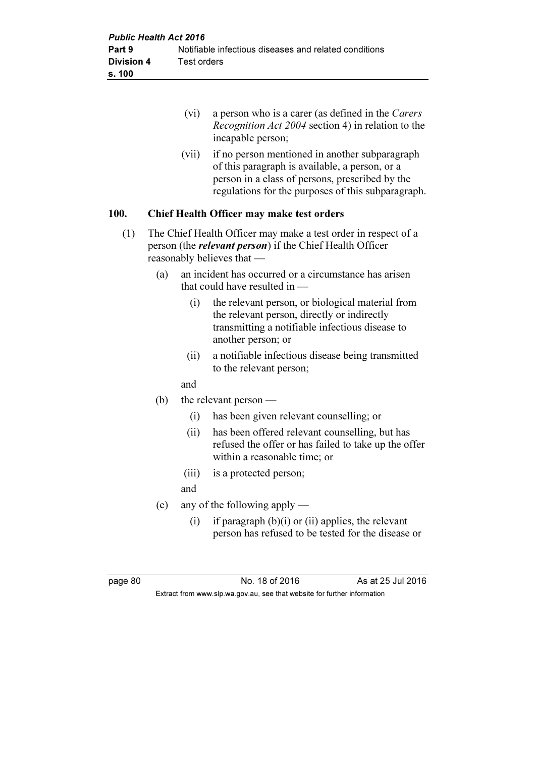|      |     | (vi)  | a person who is a carer (as defined in the Carers<br>Recognition Act 2004 section 4) in relation to the<br>incapable person;                                                                              |
|------|-----|-------|-----------------------------------------------------------------------------------------------------------------------------------------------------------------------------------------------------------|
|      |     | (vii) | if no person mentioned in another subparagraph<br>of this paragraph is available, a person, or a<br>person in a class of persons, prescribed by the<br>regulations for the purposes of this subparagraph. |
| 100. |     |       | Chief Health Officer may make test orders                                                                                                                                                                 |
| (1)  |     |       | The Chief Health Officer may make a test order in respect of a<br>person (the <i>relevant person</i> ) if the Chief Health Officer<br>reasonably believes that -                                          |
|      | (a) |       | an incident has occurred or a circumstance has arisen<br>that could have resulted in $-$                                                                                                                  |
|      |     | (i)   | the relevant person, or biological material from<br>the relevant person, directly or indirectly<br>transmitting a notifiable infectious disease to<br>another person; or                                  |
|      |     | (ii)  | a notifiable infectious disease being transmitted<br>to the relevant person;                                                                                                                              |
|      |     | and   |                                                                                                                                                                                                           |
|      | (b) |       | the relevant person $-$                                                                                                                                                                                   |
|      |     | (i)   | has been given relevant counselling; or                                                                                                                                                                   |
|      |     |       | $(i)$ has been offered relevant counselling but has                                                                                                                                                       |

- (ii) has been offered relevant counselling, but has refused the offer or has failed to take up the offer within a reasonable time; or
- (iii) is a protected person;
- and
- (c) any of the following apply
	- (i) if paragraph  $(b)(i)$  or (ii) applies, the relevant person has refused to be tested for the disease or

page 80 No. 18 of 2016 As at 25 Jul 2016 Extract from www.slp.wa.gov.au, see that website for further information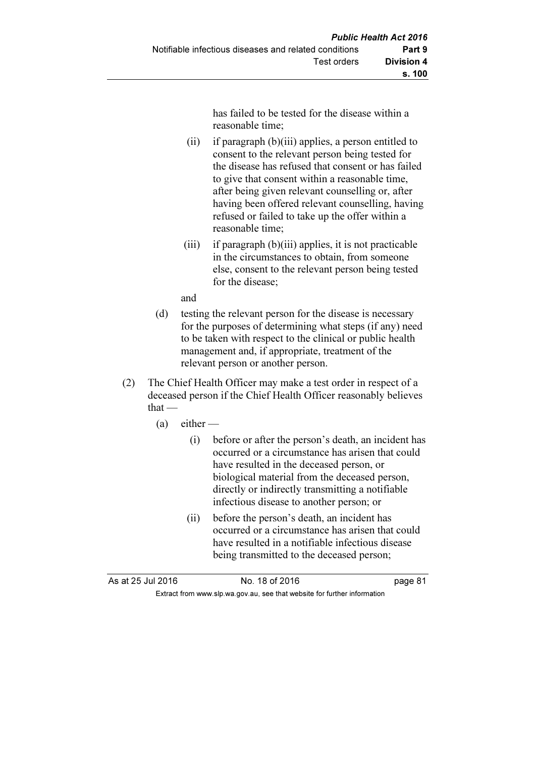has failed to be tested for the disease within a reasonable time;

- (ii) if paragraph (b)(iii) applies, a person entitled to consent to the relevant person being tested for the disease has refused that consent or has failed to give that consent within a reasonable time, after being given relevant counselling or, after having been offered relevant counselling, having refused or failed to take up the offer within a reasonable time;
- (iii) if paragraph  $(b)$ (iii) applies, it is not practicable in the circumstances to obtain, from someone else, consent to the relevant person being tested for the disease;

and

- (d) testing the relevant person for the disease is necessary for the purposes of determining what steps (if any) need to be taken with respect to the clinical or public health management and, if appropriate, treatment of the relevant person or another person.
- (2) The Chief Health Officer may make a test order in respect of a deceased person if the Chief Health Officer reasonably believes that —
	- $(a)$  either
		- (i) before or after the person's death, an incident has occurred or a circumstance has arisen that could have resulted in the deceased person, or biological material from the deceased person, directly or indirectly transmitting a notifiable infectious disease to another person; or
		- (ii) before the person's death, an incident has occurred or a circumstance has arisen that could have resulted in a notifiable infectious disease being transmitted to the deceased person;

As at 25 Jul 2016 18 0.18 of 2016

Extract from www.slp.wa.gov.au, see that website for further information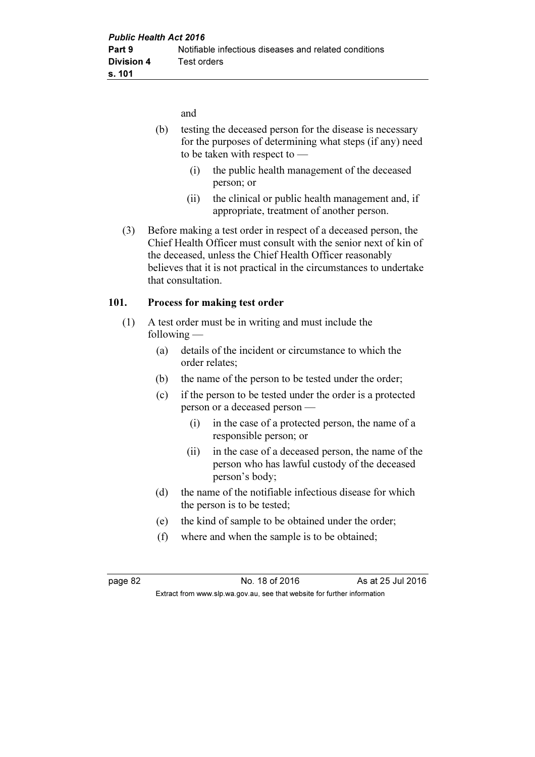and

- (b) testing the deceased person for the disease is necessary for the purposes of determining what steps (if any) need to be taken with respect to —
	- (i) the public health management of the deceased person; or
	- (ii) the clinical or public health management and, if appropriate, treatment of another person.
- (3) Before making a test order in respect of a deceased person, the Chief Health Officer must consult with the senior next of kin of the deceased, unless the Chief Health Officer reasonably believes that it is not practical in the circumstances to undertake that consultation.

### 101. Process for making test order

- (1) A test order must be in writing and must include the following —
	- (a) details of the incident or circumstance to which the order relates;
	- (b) the name of the person to be tested under the order;
	- (c) if the person to be tested under the order is a protected person or a deceased person —
		- (i) in the case of a protected person, the name of a responsible person; or
		- (ii) in the case of a deceased person, the name of the person who has lawful custody of the deceased person's body;
	- (d) the name of the notifiable infectious disease for which the person is to be tested;
	- (e) the kind of sample to be obtained under the order;
	- (f) where and when the sample is to be obtained;

page 82 **No. 18 of 2016** As at 25 Jul 2016 Extract from www.slp.wa.gov.au, see that website for further information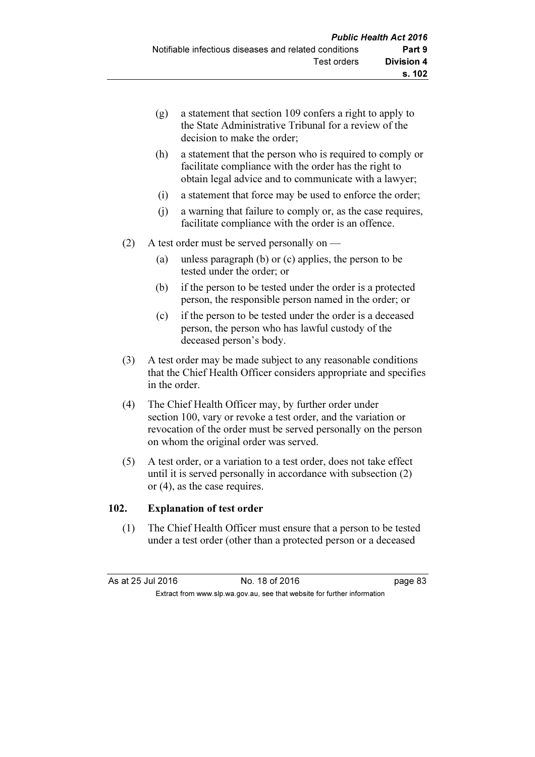- (g) a statement that section 109 confers a right to apply to the State Administrative Tribunal for a review of the decision to make the order;
- (h) a statement that the person who is required to comply or facilitate compliance with the order has the right to obtain legal advice and to communicate with a lawyer;
- (i) a statement that force may be used to enforce the order;
- (j) a warning that failure to comply or, as the case requires, facilitate compliance with the order is an offence.
- (2) A test order must be served personally on
	- (a) unless paragraph (b) or (c) applies, the person to be tested under the order; or
	- (b) if the person to be tested under the order is a protected person, the responsible person named in the order; or
	- (c) if the person to be tested under the order is a deceased person, the person who has lawful custody of the deceased person's body.
- (3) A test order may be made subject to any reasonable conditions that the Chief Health Officer considers appropriate and specifies in the order.
- (4) The Chief Health Officer may, by further order under section 100, vary or revoke a test order, and the variation or revocation of the order must be served personally on the person on whom the original order was served.
- (5) A test order, or a variation to a test order, does not take effect until it is served personally in accordance with subsection (2) or (4), as the case requires.

### 102. Explanation of test order

 (1) The Chief Health Officer must ensure that a person to be tested under a test order (other than a protected person or a deceased

As at 25 Jul 2016 18 Oct 2016 18 of 2016

Extract from www.slp.wa.gov.au, see that website for further information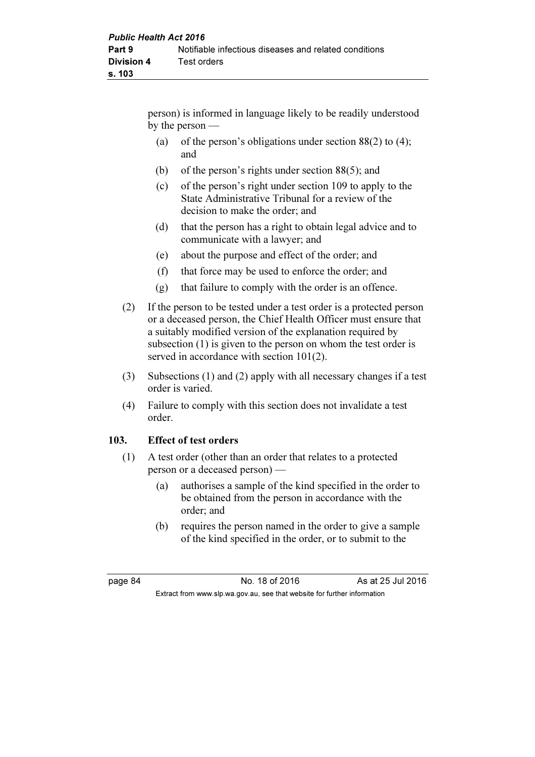person) is informed in language likely to be readily understood by the person —

- (a) of the person's obligations under section  $88(2)$  to (4); and
- (b) of the person's rights under section 88(5); and
- (c) of the person's right under section 109 to apply to the State Administrative Tribunal for a review of the decision to make the order; and
- (d) that the person has a right to obtain legal advice and to communicate with a lawyer; and
- (e) about the purpose and effect of the order; and
- (f) that force may be used to enforce the order; and
- (g) that failure to comply with the order is an offence.
- (2) If the person to be tested under a test order is a protected person or a deceased person, the Chief Health Officer must ensure that a suitably modified version of the explanation required by subsection (1) is given to the person on whom the test order is served in accordance with section 101(2).
- (3) Subsections (1) and (2) apply with all necessary changes if a test order is varied.
- (4) Failure to comply with this section does not invalidate a test order.

### 103. Effect of test orders

- (1) A test order (other than an order that relates to a protected person or a deceased person) —
	- (a) authorises a sample of the kind specified in the order to be obtained from the person in accordance with the order; and
	- (b) requires the person named in the order to give a sample of the kind specified in the order, or to submit to the

page 84 No. 18 of 2016 As at 25 Jul 2016 Extract from www.slp.wa.gov.au, see that website for further information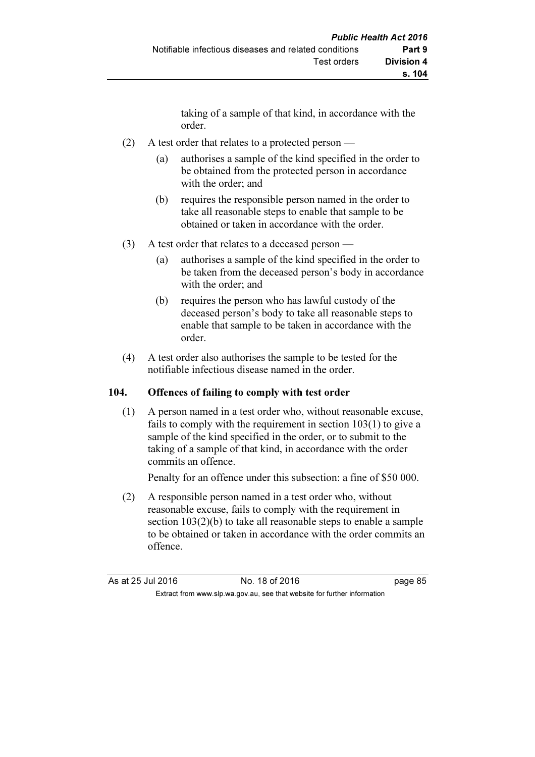taking of a sample of that kind, in accordance with the order.

- (2) A test order that relates to a protected person
	- (a) authorises a sample of the kind specified in the order to be obtained from the protected person in accordance with the order; and
	- (b) requires the responsible person named in the order to take all reasonable steps to enable that sample to be obtained or taken in accordance with the order.
- (3) A test order that relates to a deceased person
	- (a) authorises a sample of the kind specified in the order to be taken from the deceased person's body in accordance with the order; and
	- (b) requires the person who has lawful custody of the deceased person's body to take all reasonable steps to enable that sample to be taken in accordance with the order.
- (4) A test order also authorises the sample to be tested for the notifiable infectious disease named in the order.

### 104. Offences of failing to comply with test order

 (1) A person named in a test order who, without reasonable excuse, fails to comply with the requirement in section 103(1) to give a sample of the kind specified in the order, or to submit to the taking of a sample of that kind, in accordance with the order commits an offence.

Penalty for an offence under this subsection: a fine of \$50 000.

 (2) A responsible person named in a test order who, without reasonable excuse, fails to comply with the requirement in section  $103(2)(b)$  to take all reasonable steps to enable a sample to be obtained or taken in accordance with the order commits an offence.

| As at 25 Jul 2016 | No. 18 of 2016                                                           | page 85 |
|-------------------|--------------------------------------------------------------------------|---------|
|                   | Extract from www.slp.wa.gov.au, see that website for further information |         |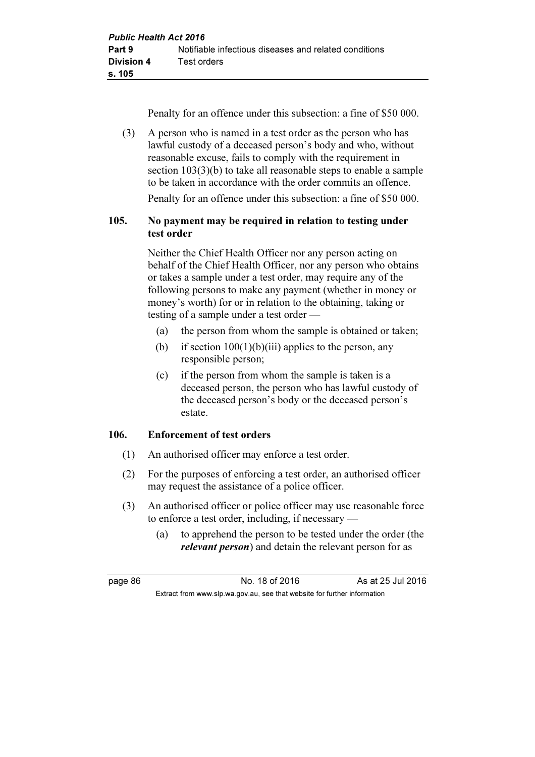Penalty for an offence under this subsection: a fine of \$50 000.

 (3) A person who is named in a test order as the person who has lawful custody of a deceased person's body and who, without reasonable excuse, fails to comply with the requirement in section  $103(3)(b)$  to take all reasonable steps to enable a sample to be taken in accordance with the order commits an offence.

Penalty for an offence under this subsection: a fine of \$50 000.

# 105. No payment may be required in relation to testing under test order

 Neither the Chief Health Officer nor any person acting on behalf of the Chief Health Officer, nor any person who obtains or takes a sample under a test order, may require any of the following persons to make any payment (whether in money or money's worth) for or in relation to the obtaining, taking or testing of a sample under a test order —

- (a) the person from whom the sample is obtained or taken;
- (b) if section  $100(1)(b)(iii)$  applies to the person, any responsible person;
- (c) if the person from whom the sample is taken is a deceased person, the person who has lawful custody of the deceased person's body or the deceased person's estate.

### 106. Enforcement of test orders

- (1) An authorised officer may enforce a test order.
- (2) For the purposes of enforcing a test order, an authorised officer may request the assistance of a police officer.
- (3) An authorised officer or police officer may use reasonable force to enforce a test order, including, if necessary —
	- (a) to apprehend the person to be tested under the order (the *relevant person*) and detain the relevant person for as

page 86 No. 18 of 2016 As at 25 Jul 2016 Extract from www.slp.wa.gov.au, see that website for further information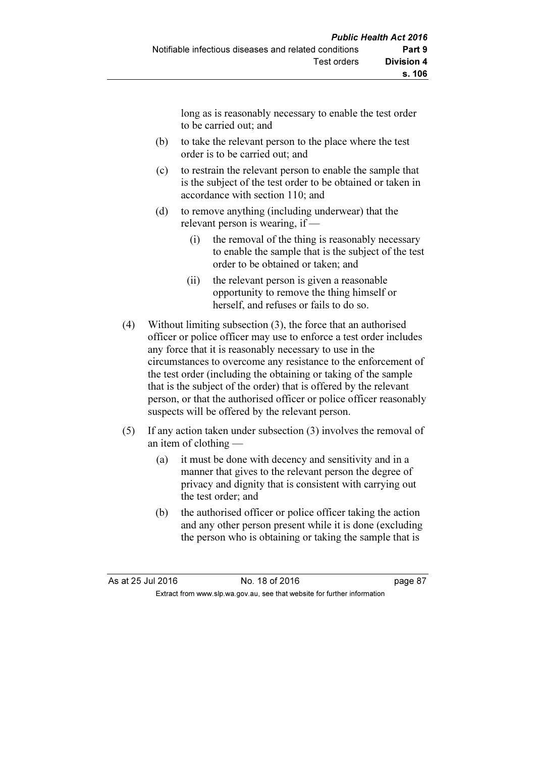long as is reasonably necessary to enable the test order to be carried out; and

- (b) to take the relevant person to the place where the test order is to be carried out; and
- (c) to restrain the relevant person to enable the sample that is the subject of the test order to be obtained or taken in accordance with section 110; and
- (d) to remove anything (including underwear) that the relevant person is wearing, if —
	- (i) the removal of the thing is reasonably necessary to enable the sample that is the subject of the test order to be obtained or taken; and
	- (ii) the relevant person is given a reasonable opportunity to remove the thing himself or herself, and refuses or fails to do so.
- (4) Without limiting subsection (3), the force that an authorised officer or police officer may use to enforce a test order includes any force that it is reasonably necessary to use in the circumstances to overcome any resistance to the enforcement of the test order (including the obtaining or taking of the sample that is the subject of the order) that is offered by the relevant person, or that the authorised officer or police officer reasonably suspects will be offered by the relevant person.
- (5) If any action taken under subsection (3) involves the removal of an item of clothing —
	- (a) it must be done with decency and sensitivity and in a manner that gives to the relevant person the degree of privacy and dignity that is consistent with carrying out the test order; and
	- (b) the authorised officer or police officer taking the action and any other person present while it is done (excluding the person who is obtaining or taking the sample that is

| As at 25 Jul 2016 | No. 18 of 2016                                                           | page 87 |
|-------------------|--------------------------------------------------------------------------|---------|
|                   | Extract from www.slp.wa.gov.au, see that website for further information |         |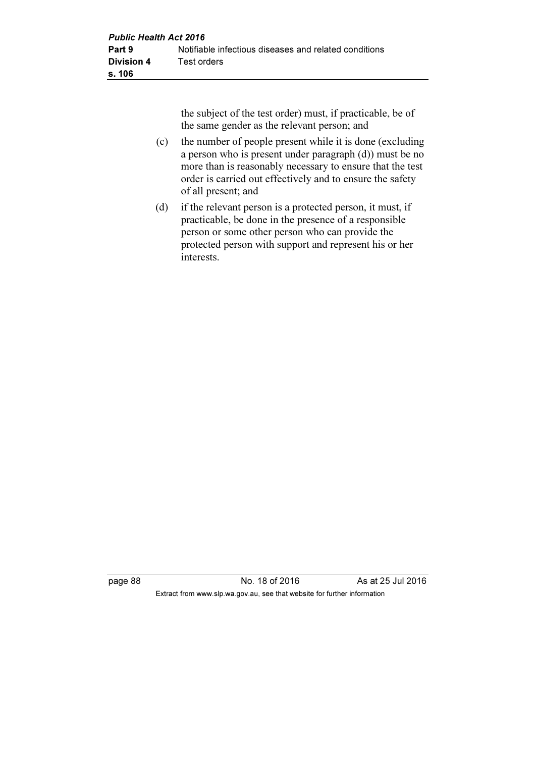the subject of the test order) must, if practicable, be of the same gender as the relevant person; and

- (c) the number of people present while it is done (excluding a person who is present under paragraph (d)) must be no more than is reasonably necessary to ensure that the test order is carried out effectively and to ensure the safety of all present; and
- (d) if the relevant person is a protected person, it must, if practicable, be done in the presence of a responsible person or some other person who can provide the protected person with support and represent his or her interests.

page 88 No. 18 of 2016 As at 25 Jul 2016 Extract from www.slp.wa.gov.au, see that website for further information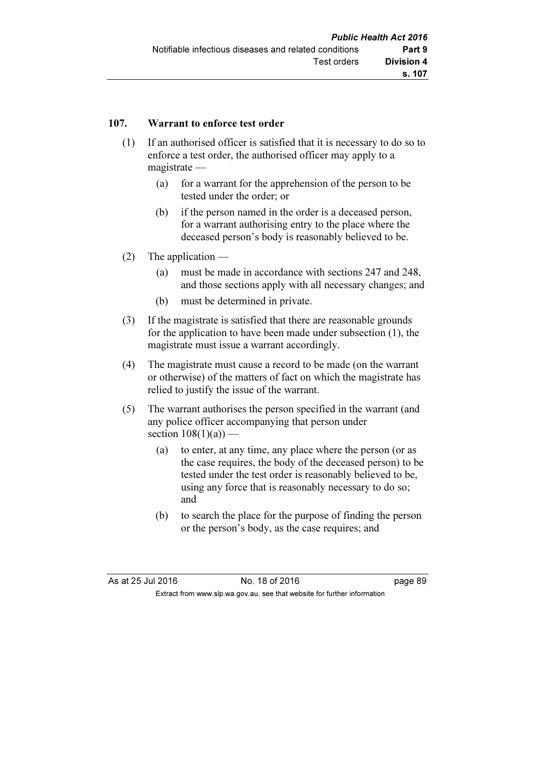## 107. Warrant to enforce test order

- (1) If an authorised officer is satisfied that it is necessary to do so to enforce a test order, the authorised officer may apply to a magistrate —
	- (a) for a warrant for the apprehension of the person to be tested under the order; or
	- (b) if the person named in the order is a deceased person, for a warrant authorising entry to the place where the deceased person's body is reasonably believed to be.
- (2) The application
	- (a) must be made in accordance with sections 247 and 248, and those sections apply with all necessary changes; and
	- (b) must be determined in private.
- (3) If the magistrate is satisfied that there are reasonable grounds for the application to have been made under subsection (1), the magistrate must issue a warrant accordingly.
- (4) The magistrate must cause a record to be made (on the warrant or otherwise) of the matters of fact on which the magistrate has relied to justify the issue of the warrant.
- (5) The warrant authorises the person specified in the warrant (and any police officer accompanying that person under section  $108(1)(a)$  —
	- (a) to enter, at any time, any place where the person (or as the case requires, the body of the deceased person) to be tested under the test order is reasonably believed to be, using any force that is reasonably necessary to do so; and
	- (b) to search the place for the purpose of finding the person or the person's body, as the case requires; and

| As at 25 Jul 2016 | No. 18 of 2016                                                           | page 89 |
|-------------------|--------------------------------------------------------------------------|---------|
|                   | Extract from www.slp.wa.gov.au, see that website for further information |         |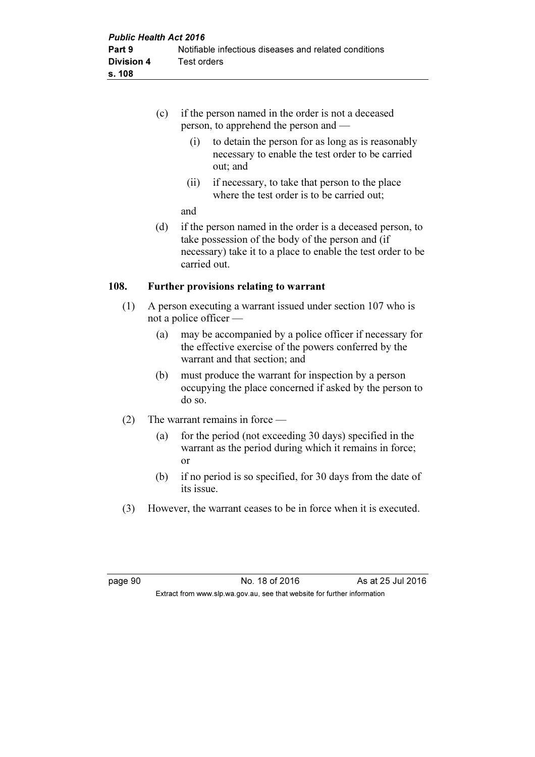|      | (c) | if the person named in the order is not a deceased<br>person, to apprehend the person and —                                                                                                    |
|------|-----|------------------------------------------------------------------------------------------------------------------------------------------------------------------------------------------------|
|      |     | to detain the person for as long as is reasonably<br>(1)<br>necessary to enable the test order to be carried<br>out; and                                                                       |
|      |     | if necessary, to take that person to the place<br>(ii)<br>where the test order is to be carried out;                                                                                           |
|      |     | and                                                                                                                                                                                            |
|      | (d) | if the person named in the order is a deceased person, to<br>take possession of the body of the person and (if<br>necessary) take it to a place to enable the test order to be<br>carried out. |
| 108. |     | Further provisions relating to warrant                                                                                                                                                         |

- (1) A person executing a warrant issued under section 107 who is not a police officer —
	- (a) may be accompanied by a police officer if necessary for the effective exercise of the powers conferred by the warrant and that section; and
	- (b) must produce the warrant for inspection by a person occupying the place concerned if asked by the person to do so.
- (2) The warrant remains in force
	- (a) for the period (not exceeding 30 days) specified in the warrant as the period during which it remains in force; or
	- (b) if no period is so specified, for 30 days from the date of its issue.
- (3) However, the warrant ceases to be in force when it is executed.

page 90 No. 18 of 2016 As at 25 Jul 2016 Extract from www.slp.wa.gov.au, see that website for further information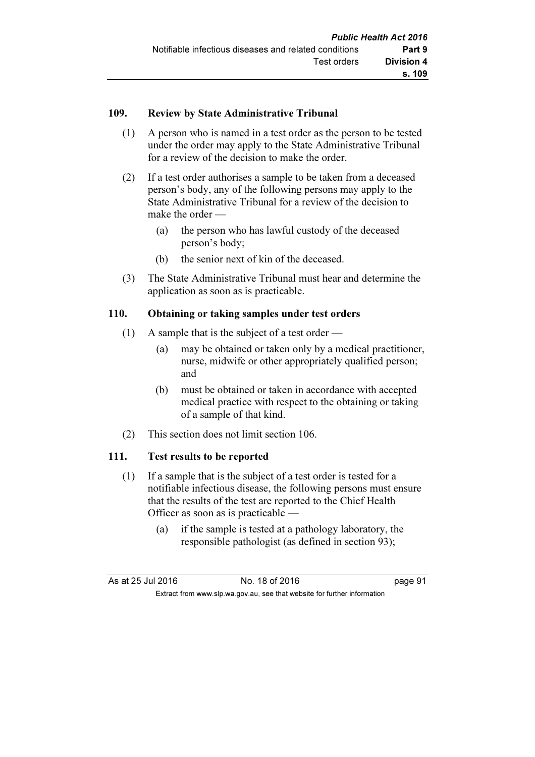## 109. Review by State Administrative Tribunal

- (1) A person who is named in a test order as the person to be tested under the order may apply to the State Administrative Tribunal for a review of the decision to make the order.
- (2) If a test order authorises a sample to be taken from a deceased person's body, any of the following persons may apply to the State Administrative Tribunal for a review of the decision to make the order —
	- (a) the person who has lawful custody of the deceased person's body;
	- (b) the senior next of kin of the deceased.
- (3) The State Administrative Tribunal must hear and determine the application as soon as is practicable.

## 110. Obtaining or taking samples under test orders

- (1) A sample that is the subject of a test order
	- (a) may be obtained or taken only by a medical practitioner, nurse, midwife or other appropriately qualified person; and
	- (b) must be obtained or taken in accordance with accepted medical practice with respect to the obtaining or taking of a sample of that kind.
- (2) This section does not limit section 106.

## 111. Test results to be reported

- (1) If a sample that is the subject of a test order is tested for a notifiable infectious disease, the following persons must ensure that the results of the test are reported to the Chief Health Officer as soon as is practicable —
	- (a) if the sample is tested at a pathology laboratory, the responsible pathologist (as defined in section 93);

| As at 25 Jul 2016                                                        |  | No. 18 of 2016 | page 91 |
|--------------------------------------------------------------------------|--|----------------|---------|
| Extract from www.slp.wa.gov.au, see that website for further information |  |                |         |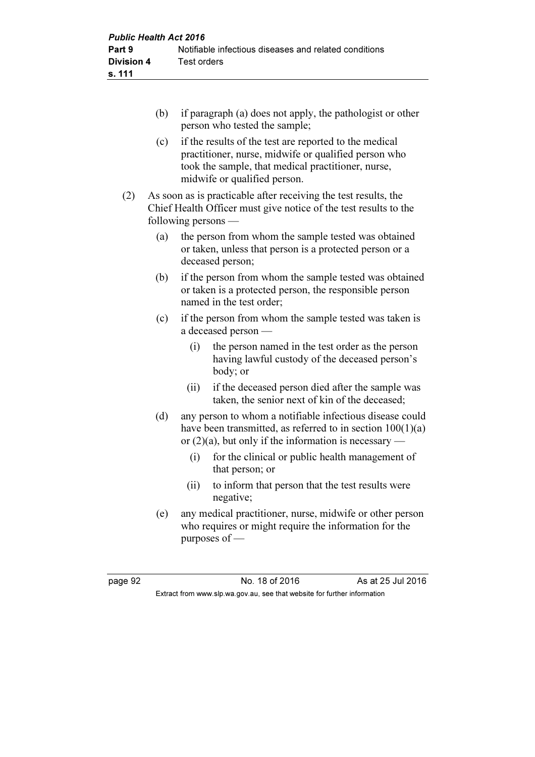- (b) if paragraph (a) does not apply, the pathologist or other person who tested the sample;
- (c) if the results of the test are reported to the medical practitioner, nurse, midwife or qualified person who took the sample, that medical practitioner, nurse, midwife or qualified person.
- (2) As soon as is practicable after receiving the test results, the Chief Health Officer must give notice of the test results to the following persons —
	- (a) the person from whom the sample tested was obtained or taken, unless that person is a protected person or a deceased person;
	- (b) if the person from whom the sample tested was obtained or taken is a protected person, the responsible person named in the test order;
	- (c) if the person from whom the sample tested was taken is a deceased person —
		- (i) the person named in the test order as the person having lawful custody of the deceased person's body; or
		- (ii) if the deceased person died after the sample was taken, the senior next of kin of the deceased;
	- (d) any person to whom a notifiable infectious disease could have been transmitted, as referred to in section  $100(1)(a)$ or  $(2)(a)$ , but only if the information is necessary —
		- (i) for the clinical or public health management of that person; or
		- (ii) to inform that person that the test results were negative;
	- (e) any medical practitioner, nurse, midwife or other person who requires or might require the information for the purposes of —

page 92 **No. 18 of 2016** As at 25 Jul 2016 Extract from www.slp.wa.gov.au, see that website for further information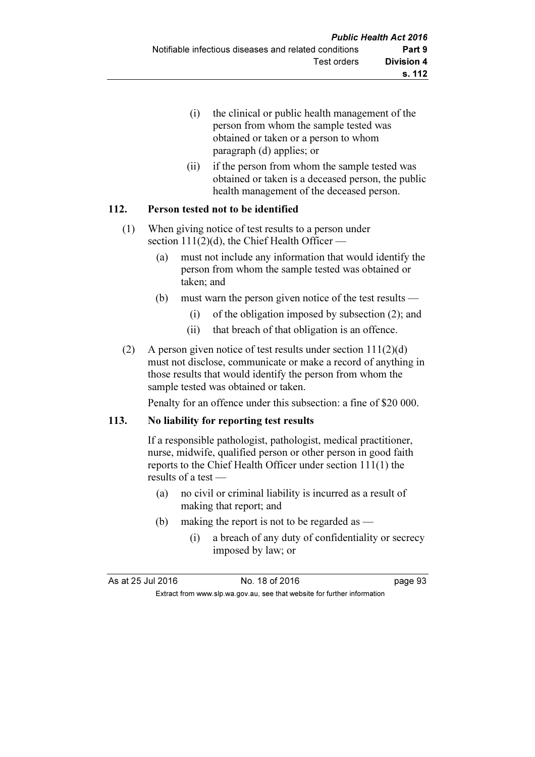- (i) the clinical or public health management of the person from whom the sample tested was obtained or taken or a person to whom paragraph (d) applies; or
- (ii) if the person from whom the sample tested was obtained or taken is a deceased person, the public health management of the deceased person.

## 112. Person tested not to be identified

- (1) When giving notice of test results to a person under section  $111(2)(d)$ , the Chief Health Officer –
	- (a) must not include any information that would identify the person from whom the sample tested was obtained or taken; and
	- (b) must warn the person given notice of the test results
		- (i) of the obligation imposed by subsection (2); and
		- (ii) that breach of that obligation is an offence.
- (2) A person given notice of test results under section 111(2)(d) must not disclose, communicate or make a record of anything in those results that would identify the person from whom the sample tested was obtained or taken.

Penalty for an offence under this subsection: a fine of \$20 000.

#### 113. No liability for reporting test results

 If a responsible pathologist, pathologist, medical practitioner, nurse, midwife, qualified person or other person in good faith reports to the Chief Health Officer under section 111(1) the results of a test —

- (a) no civil or criminal liability is incurred as a result of making that report; and
- (b) making the report is not to be regarded as
	- (i) a breach of any duty of confidentiality or secrecy imposed by law; or

As at 25 Jul 2016 18 Oct 2016 18 of 2016 Extract from www.slp.wa.gov.au, see that website for further information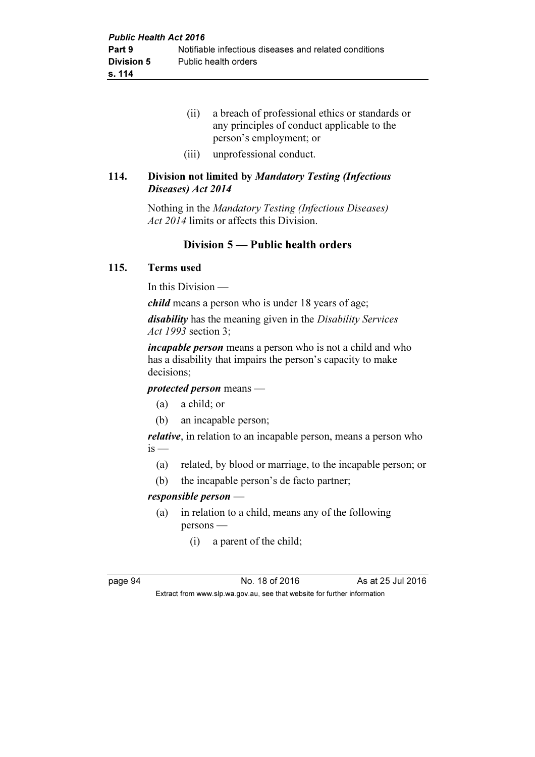- (ii) a breach of professional ethics or standards or any principles of conduct applicable to the person's employment; or
- (iii) unprofessional conduct.

## 114. Division not limited by Mandatory Testing (Infectious Diseases) Act 2014

 Nothing in the Mandatory Testing (Infectious Diseases) Act 2014 limits or affects this Division.

## Division 5 — Public health orders

#### 115. Terms used

In this Division —

child means a person who is under 18 years of age;

disability has the meaning given in the Disability Services Act 1993 section 3;

incapable person means a person who is not a child and who has a disability that impairs the person's capacity to make decisions;

protected person means —

- (a) a child; or
- (b) an incapable person;

relative, in relation to an incapable person, means a person who  $is$  —

- (a) related, by blood or marriage, to the incapable person; or
- (b) the incapable person's de facto partner;

#### responsible person —

- (a) in relation to a child, means any of the following persons —
	- (i) a parent of the child;

page 94 **No. 18 of 2016** As at 25 Jul 2016 Extract from www.slp.wa.gov.au, see that website for further information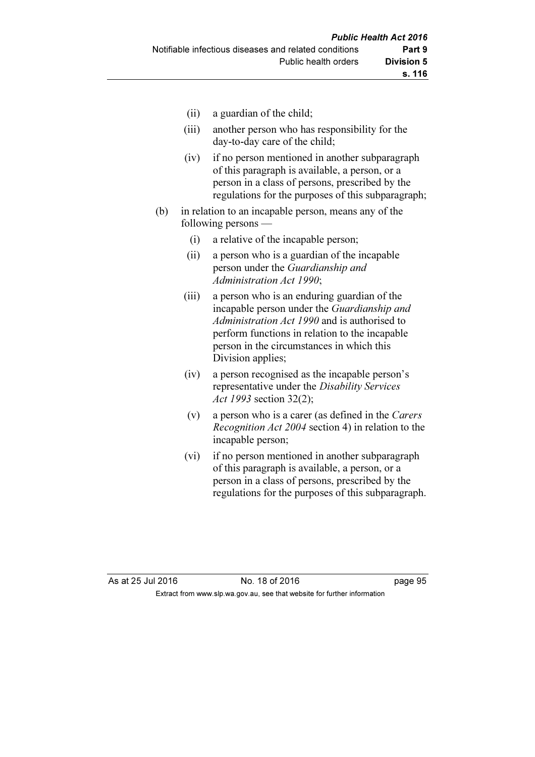- (ii) a guardian of the child;
- (iii) another person who has responsibility for the day-to-day care of the child;
- (iv) if no person mentioned in another subparagraph of this paragraph is available, a person, or a person in a class of persons, prescribed by the regulations for the purposes of this subparagraph;
- (b) in relation to an incapable person, means any of the following persons —
	- (i) a relative of the incapable person;
	- (ii) a person who is a guardian of the incapable person under the Guardianship and Administration Act 1990;
	- (iii) a person who is an enduring guardian of the incapable person under the Guardianship and Administration Act 1990 and is authorised to perform functions in relation to the incapable person in the circumstances in which this Division applies;
	- (iv) a person recognised as the incapable person's representative under the Disability Services Act 1993 section 32(2);
	- (v) a person who is a carer (as defined in the Carers Recognition Act 2004 section 4) in relation to the incapable person;
	- (vi) if no person mentioned in another subparagraph of this paragraph is available, a person, or a person in a class of persons, prescribed by the regulations for the purposes of this subparagraph.

As at 25 Jul 2016 18 Oct 2016 18 of 2016 Extract from www.slp.wa.gov.au, see that website for further information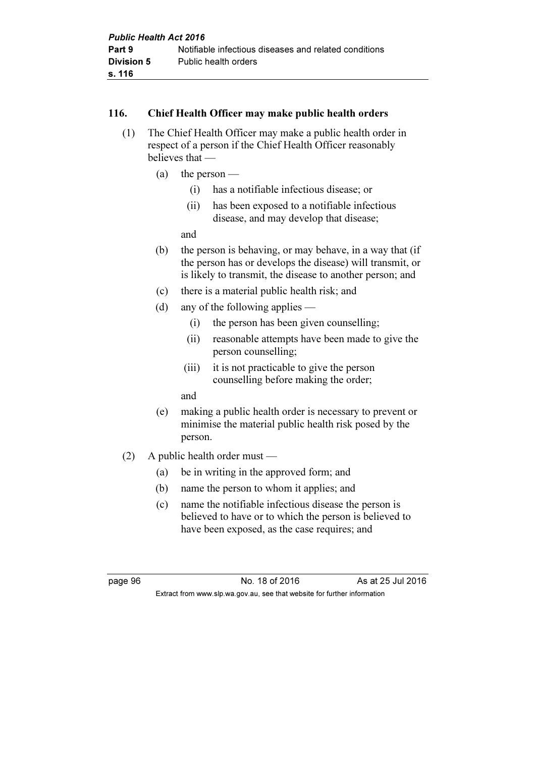## 116. Chief Health Officer may make public health orders

- (1) The Chief Health Officer may make a public health order in respect of a person if the Chief Health Officer reasonably believes that —
	- (a) the person
		- (i) has a notifiable infectious disease; or
		- (ii) has been exposed to a notifiable infectious disease, and may develop that disease;

and

- (b) the person is behaving, or may behave, in a way that (if the person has or develops the disease) will transmit, or is likely to transmit, the disease to another person; and
- (c) there is a material public health risk; and
- (d) any of the following applies
	- (i) the person has been given counselling;
	- (ii) reasonable attempts have been made to give the person counselling;
	- (iii) it is not practicable to give the person counselling before making the order;
	- and
- (e) making a public health order is necessary to prevent or minimise the material public health risk posed by the person.
- (2) A public health order must
	- (a) be in writing in the approved form; and
	- (b) name the person to whom it applies; and
	- (c) name the notifiable infectious disease the person is believed to have or to which the person is believed to have been exposed, as the case requires; and

page 96 **No. 18 of 2016** As at 25 Jul 2016 Extract from www.slp.wa.gov.au, see that website for further information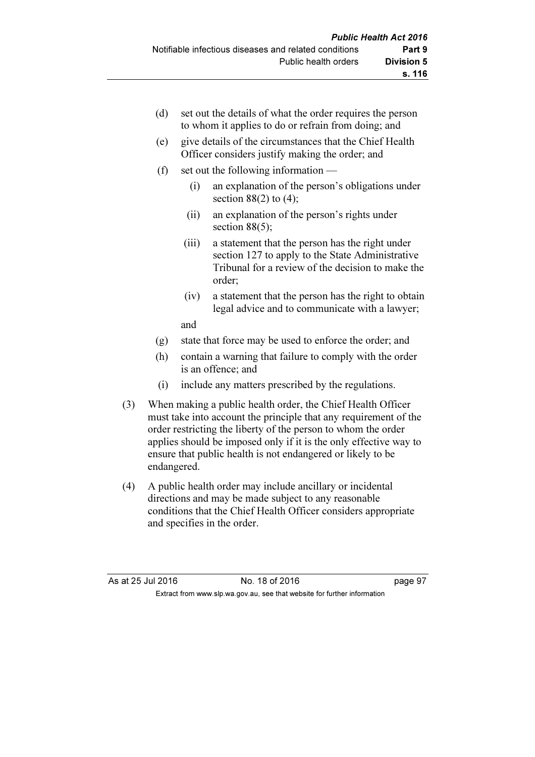| (d) |       | set out the details of what the order requires the person<br>to whom it applies to do or refrain from doing; and                                                   |
|-----|-------|--------------------------------------------------------------------------------------------------------------------------------------------------------------------|
| (e) |       | give details of the circumstances that the Chief Health<br>Officer considers justify making the order; and                                                         |
| (f) |       | set out the following information —                                                                                                                                |
|     | (i)   | an explanation of the person's obligations under<br>section $88(2)$ to $(4)$ ;                                                                                     |
|     | (ii)  | an explanation of the person's rights under<br>section $88(5)$ ;                                                                                                   |
|     | (iii) | a statement that the person has the right under<br>section 127 to apply to the State Administrative<br>Tribunal for a review of the decision to make the<br>order; |
|     | (iv)  | a statement that the person has the right to obtain<br>legal advice and to communicate with a lawyer;                                                              |
|     | and   |                                                                                                                                                                    |
| (g) |       | state that force may be used to enforce the order; and                                                                                                             |
| (h) |       | contain a warning that failure to comply with the order<br>is an offence; and                                                                                      |

- (i) include any matters prescribed by the regulations.
- (3) When making a public health order, the Chief Health Officer must take into account the principle that any requirement of the order restricting the liberty of the person to whom the order applies should be imposed only if it is the only effective way to ensure that public health is not endangered or likely to be endangered.
- (4) A public health order may include ancillary or incidental directions and may be made subject to any reasonable conditions that the Chief Health Officer considers appropriate and specifies in the order.

| As at 25 Jul 2016 | No. 18 of 2016                                                           | page 97 |
|-------------------|--------------------------------------------------------------------------|---------|
|                   | Extract from www.slp.wa.gov.au, see that website for further information |         |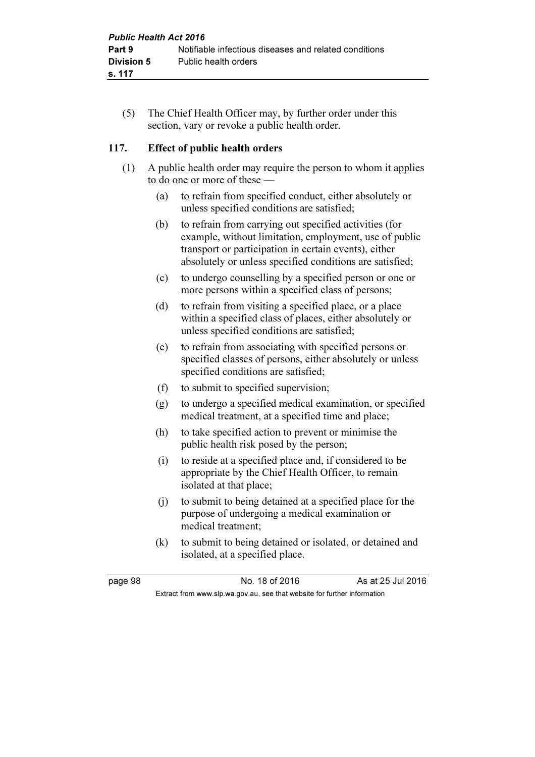(5) The Chief Health Officer may, by further order under this section, vary or revoke a public health order.

## 117. Effect of public health orders

- (1) A public health order may require the person to whom it applies to do one or more of these —
	- (a) to refrain from specified conduct, either absolutely or unless specified conditions are satisfied;
	- (b) to refrain from carrying out specified activities (for example, without limitation, employment, use of public transport or participation in certain events), either absolutely or unless specified conditions are satisfied;
	- (c) to undergo counselling by a specified person or one or more persons within a specified class of persons;
	- (d) to refrain from visiting a specified place, or a place within a specified class of places, either absolutely or unless specified conditions are satisfied;
	- (e) to refrain from associating with specified persons or specified classes of persons, either absolutely or unless specified conditions are satisfied;
	- (f) to submit to specified supervision;
	- (g) to undergo a specified medical examination, or specified medical treatment, at a specified time and place;
	- (h) to take specified action to prevent or minimise the public health risk posed by the person;
	- (i) to reside at a specified place and, if considered to be appropriate by the Chief Health Officer, to remain isolated at that place;
	- (j) to submit to being detained at a specified place for the purpose of undergoing a medical examination or medical treatment;
	- (k) to submit to being detained or isolated, or detained and isolated, at a specified place.

page 98 No. 18 of 2016 As at 25 Jul 2016 Extract from www.slp.wa.gov.au, see that website for further information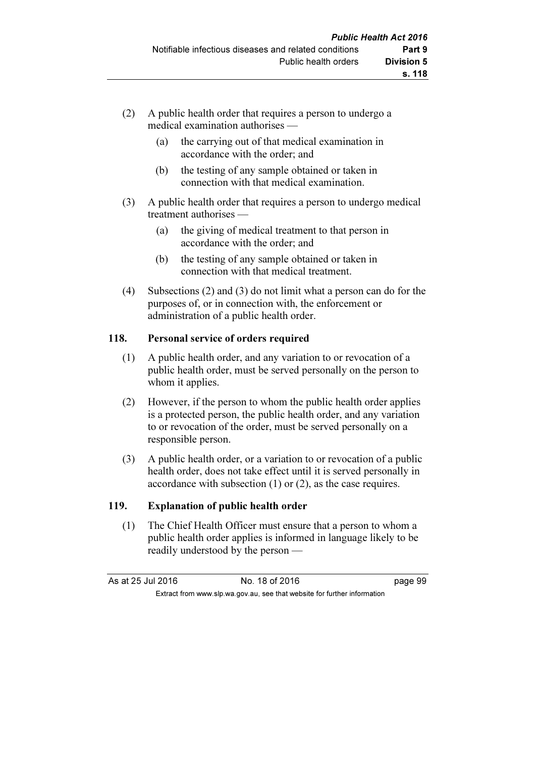- (2) A public health order that requires a person to undergo a medical examination authorises —
	- (a) the carrying out of that medical examination in accordance with the order; and
	- (b) the testing of any sample obtained or taken in connection with that medical examination.
- (3) A public health order that requires a person to undergo medical treatment authorises —
	- (a) the giving of medical treatment to that person in accordance with the order; and
	- (b) the testing of any sample obtained or taken in connection with that medical treatment.
- (4) Subsections (2) and (3) do not limit what a person can do for the purposes of, or in connection with, the enforcement or administration of a public health order.

## 118. Personal service of orders required

- (1) A public health order, and any variation to or revocation of a public health order, must be served personally on the person to whom it applies.
- (2) However, if the person to whom the public health order applies is a protected person, the public health order, and any variation to or revocation of the order, must be served personally on a responsible person.
- (3) A public health order, or a variation to or revocation of a public health order, does not take effect until it is served personally in accordance with subsection (1) or (2), as the case requires.

## 119. Explanation of public health order

 (1) The Chief Health Officer must ensure that a person to whom a public health order applies is informed in language likely to be readily understood by the person —

As at 25 Jul 2016 18 of 2016 18 of 2016

Extract from www.slp.wa.gov.au, see that website for further information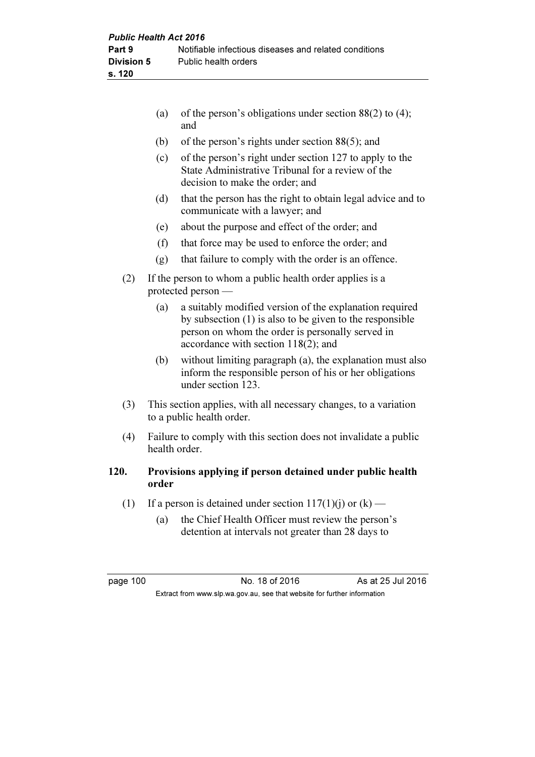|     | (a) | of the person's obligations under section $88(2)$ to (4);<br>and                                                                                                                                                    |
|-----|-----|---------------------------------------------------------------------------------------------------------------------------------------------------------------------------------------------------------------------|
|     | (b) | of the person's rights under section $88(5)$ ; and                                                                                                                                                                  |
|     | (c) | of the person's right under section 127 to apply to the<br>State Administrative Tribunal for a review of the<br>decision to make the order; and                                                                     |
|     | (d) | that the person has the right to obtain legal advice and to<br>communicate with a lawyer; and                                                                                                                       |
|     | (e) | about the purpose and effect of the order; and                                                                                                                                                                      |
|     | (f) | that force may be used to enforce the order; and                                                                                                                                                                    |
|     | (g) | that failure to comply with the order is an offence.                                                                                                                                                                |
| (2) |     | If the person to whom a public health order applies is a<br>protected person -                                                                                                                                      |
|     | (a) | a suitably modified version of the explanation required<br>by subsection $(1)$ is also to be given to the responsible<br>person on whom the order is personally served in<br>accordance with section $118(2)$ ; and |
|     | (b) | without limiting paragraph (a), the explanation must also<br>inform the responsible person of his or her obligations<br>under section 123.                                                                          |
| (3) |     | This section applies, with all necessary changes, to a variation<br>to a public health order.                                                                                                                       |
| (4) |     | Failure to comply with this section does not invalidate a public                                                                                                                                                    |

# health order.

## 120. Provisions applying if person detained under public health order

- (1) If a person is detained under section  $117(1)(j)$  or  $(k)$ 
	- (a) the Chief Health Officer must review the person's detention at intervals not greater than 28 days to

page 100 No. 18 of 2016 As at 25 Jul 2016 Extract from www.slp.wa.gov.au, see that website for further information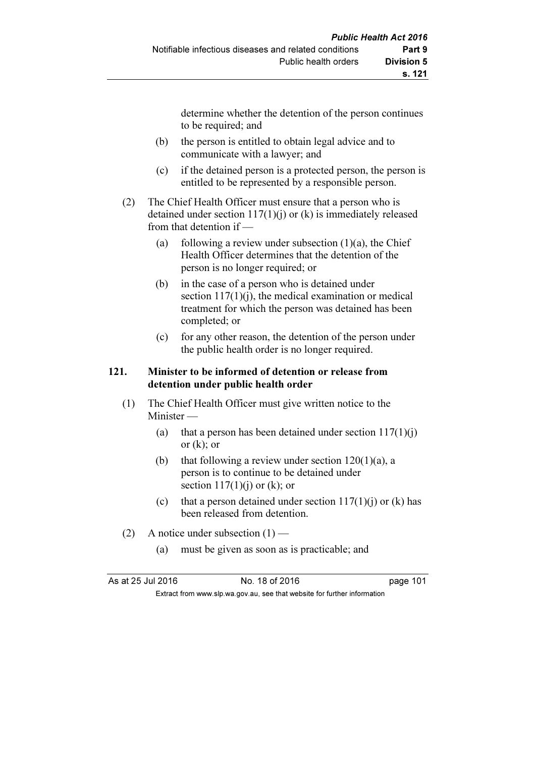determine whether the detention of the person continues to be required; and

- (b) the person is entitled to obtain legal advice and to communicate with a lawyer; and
- (c) if the detained person is a protected person, the person is entitled to be represented by a responsible person.
- (2) The Chief Health Officer must ensure that a person who is detained under section 117(1)(j) or (k) is immediately released from that detention if —
	- (a) following a review under subsection  $(1)(a)$ , the Chief Health Officer determines that the detention of the person is no longer required; or
	- (b) in the case of a person who is detained under section  $117(1)(i)$ , the medical examination or medical treatment for which the person was detained has been completed; or
	- (c) for any other reason, the detention of the person under the public health order is no longer required.

## 121. Minister to be informed of detention or release from detention under public health order

- (1) The Chief Health Officer must give written notice to the Minister —
	- (a) that a person has been detained under section  $117(1)(i)$ or  $(k)$ ; or
	- (b) that following a review under section 120(1)(a), a person is to continue to be detained under section  $117(1)(i)$  or (k); or
	- (c) that a person detained under section  $117(1)(i)$  or (k) has been released from detention.
- (2) A notice under subsection  $(1)$ 
	- (a) must be given as soon as is practicable; and

As at 25 Jul 2016 18 0.18 of 2016 1991 100 101

Extract from www.slp.wa.gov.au, see that website for further information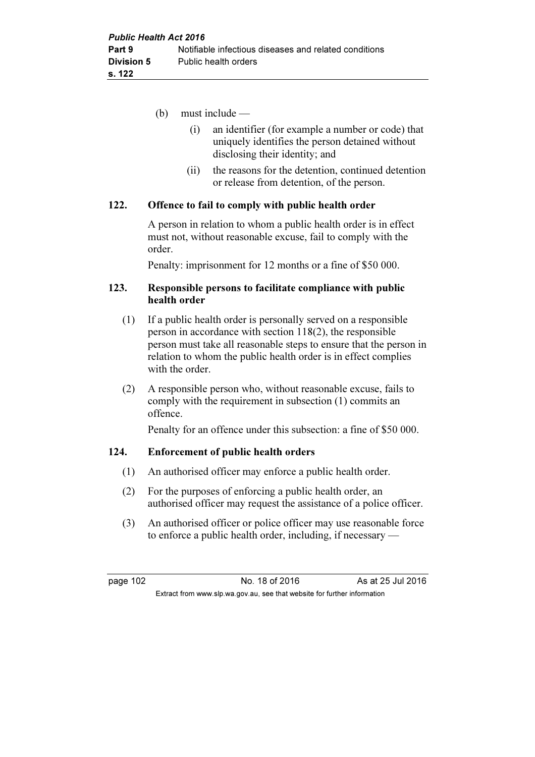- (b) must include
	- (i) an identifier (for example a number or code) that uniquely identifies the person detained without disclosing their identity; and
	- (ii) the reasons for the detention, continued detention or release from detention, of the person.

#### 122. Offence to fail to comply with public health order

 A person in relation to whom a public health order is in effect must not, without reasonable excuse, fail to comply with the order.

Penalty: imprisonment for 12 months or a fine of \$50 000.

#### 123. Responsible persons to facilitate compliance with public health order

- (1) If a public health order is personally served on a responsible person in accordance with section 118(2), the responsible person must take all reasonable steps to ensure that the person in relation to whom the public health order is in effect complies with the order.
- (2) A responsible person who, without reasonable excuse, fails to comply with the requirement in subsection (1) commits an offence.

Penalty for an offence under this subsection: a fine of \$50 000.

## 124. Enforcement of public health orders

- (1) An authorised officer may enforce a public health order.
- (2) For the purposes of enforcing a public health order, an authorised officer may request the assistance of a police officer.
- (3) An authorised officer or police officer may use reasonable force to enforce a public health order, including, if necessary —

page 102 No. 18 of 2016 As at 25 Jul 2016 Extract from www.slp.wa.gov.au, see that website for further information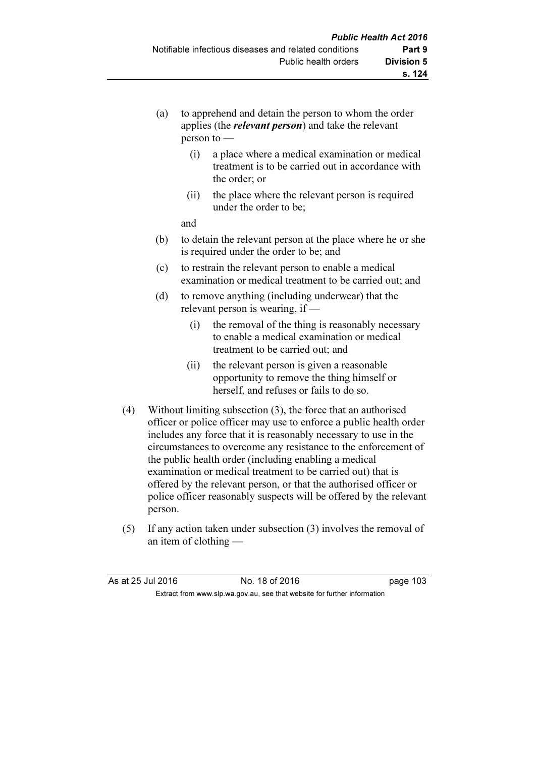- (a) to apprehend and detain the person to whom the order applies (the relevant person) and take the relevant person to —
	- (i) a place where a medical examination or medical treatment is to be carried out in accordance with the order; or
	- (ii) the place where the relevant person is required under the order to be;

and

- (b) to detain the relevant person at the place where he or she is required under the order to be; and
- (c) to restrain the relevant person to enable a medical examination or medical treatment to be carried out; and
- (d) to remove anything (including underwear) that the relevant person is wearing, if —
	- (i) the removal of the thing is reasonably necessary to enable a medical examination or medical treatment to be carried out; and
	- (ii) the relevant person is given a reasonable opportunity to remove the thing himself or herself, and refuses or fails to do so.
- (4) Without limiting subsection (3), the force that an authorised officer or police officer may use to enforce a public health order includes any force that it is reasonably necessary to use in the circumstances to overcome any resistance to the enforcement of the public health order (including enabling a medical examination or medical treatment to be carried out) that is offered by the relevant person, or that the authorised officer or police officer reasonably suspects will be offered by the relevant person.
- (5) If any action taken under subsection (3) involves the removal of an item of clothing —

| As at 25 Jul 2016 | No. 18 of 2016                                                           | page 103 |
|-------------------|--------------------------------------------------------------------------|----------|
|                   | Extract from www.slp.wa.gov.au, see that website for further information |          |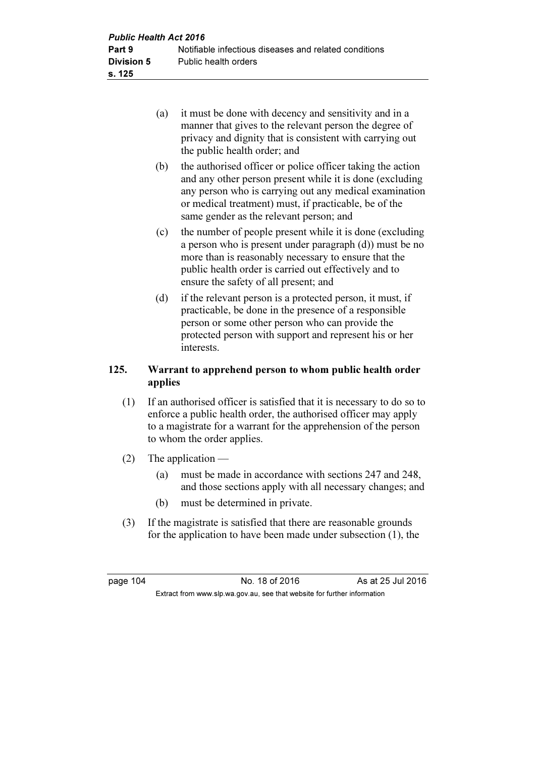- (a) it must be done with decency and sensitivity and in a manner that gives to the relevant person the degree of privacy and dignity that is consistent with carrying out the public health order; and
- (b) the authorised officer or police officer taking the action and any other person present while it is done (excluding any person who is carrying out any medical examination or medical treatment) must, if practicable, be of the same gender as the relevant person; and
- (c) the number of people present while it is done (excluding a person who is present under paragraph (d)) must be no more than is reasonably necessary to ensure that the public health order is carried out effectively and to ensure the safety of all present; and
- (d) if the relevant person is a protected person, it must, if practicable, be done in the presence of a responsible person or some other person who can provide the protected person with support and represent his or her interests.

## 125. Warrant to apprehend person to whom public health order applies

- (1) If an authorised officer is satisfied that it is necessary to do so to enforce a public health order, the authorised officer may apply to a magistrate for a warrant for the apprehension of the person to whom the order applies.
- (2) The application
	- (a) must be made in accordance with sections 247 and 248, and those sections apply with all necessary changes; and
	- (b) must be determined in private.
- (3) If the magistrate is satisfied that there are reasonable grounds for the application to have been made under subsection (1), the

page 104 **No. 18 of 2016** As at 25 Jul 2016 Extract from www.slp.wa.gov.au, see that website for further information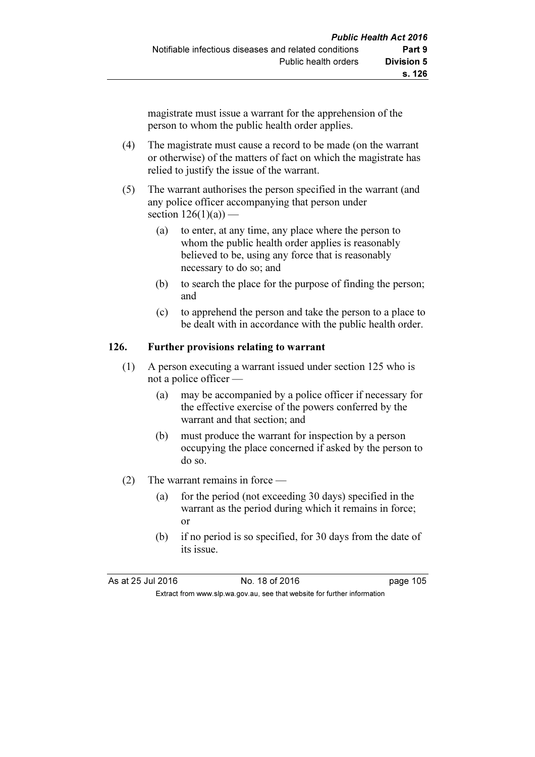magistrate must issue a warrant for the apprehension of the person to whom the public health order applies.

- (4) The magistrate must cause a record to be made (on the warrant or otherwise) of the matters of fact on which the magistrate has relied to justify the issue of the warrant.
- (5) The warrant authorises the person specified in the warrant (and any police officer accompanying that person under section  $126(1)(a)$  —
	- (a) to enter, at any time, any place where the person to whom the public health order applies is reasonably believed to be, using any force that is reasonably necessary to do so; and
	- (b) to search the place for the purpose of finding the person; and
	- (c) to apprehend the person and take the person to a place to be dealt with in accordance with the public health order.

## 126. Further provisions relating to warrant

- (1) A person executing a warrant issued under section 125 who is not a police officer —
	- (a) may be accompanied by a police officer if necessary for the effective exercise of the powers conferred by the warrant and that section; and
	- (b) must produce the warrant for inspection by a person occupying the place concerned if asked by the person to do so.
- (2) The warrant remains in force
	- (a) for the period (not exceeding 30 days) specified in the warrant as the period during which it remains in force; or
	- (b) if no period is so specified, for 30 days from the date of its issue.

As at 25 Jul 2016 18 0.18 of 2016 Extract from www.slp.wa.gov.au, see that website for further information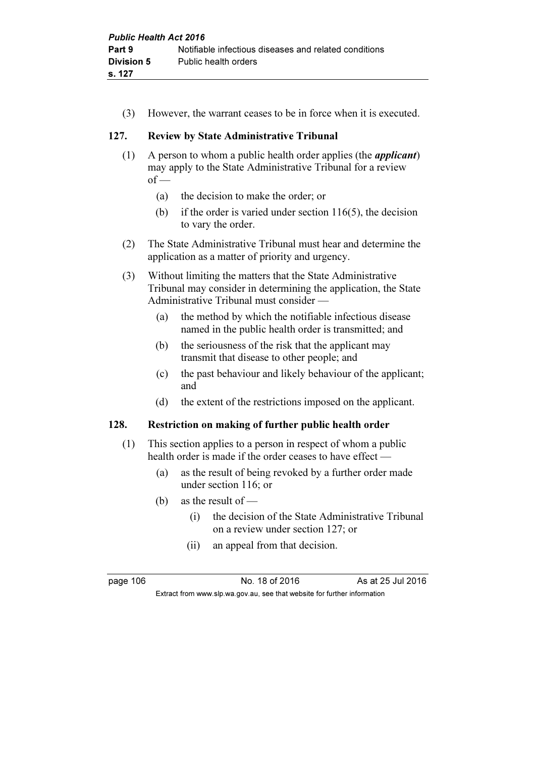(3) However, the warrant ceases to be in force when it is executed.

## 127. Review by State Administrative Tribunal

- (1) A person to whom a public health order applies (the applicant) may apply to the State Administrative Tribunal for a review  $of$  —
	- (a) the decision to make the order; or
	- (b) if the order is varied under section  $116(5)$ , the decision to vary the order.
- (2) The State Administrative Tribunal must hear and determine the application as a matter of priority and urgency.
- (3) Without limiting the matters that the State Administrative Tribunal may consider in determining the application, the State Administrative Tribunal must consider —
	- (a) the method by which the notifiable infectious disease named in the public health order is transmitted; and
	- (b) the seriousness of the risk that the applicant may transmit that disease to other people; and
	- (c) the past behaviour and likely behaviour of the applicant; and
	- (d) the extent of the restrictions imposed on the applicant.

#### 128. Restriction on making of further public health order

- (1) This section applies to a person in respect of whom a public health order is made if the order ceases to have effect —
	- (a) as the result of being revoked by a further order made under section 116; or
	- (b) as the result of
		- (i) the decision of the State Administrative Tribunal on a review under section 127; or
		- (ii) an appeal from that decision.

page 106 **No. 18 of 2016** As at 25 Jul 2016 Extract from www.slp.wa.gov.au, see that website for further information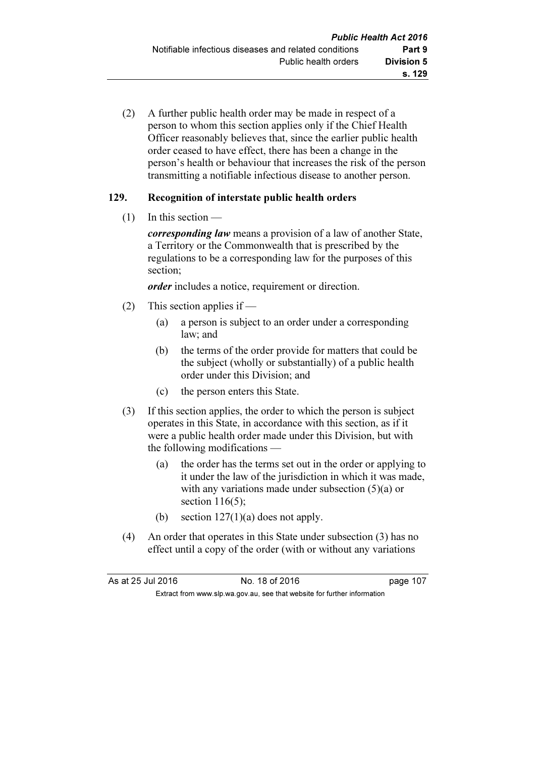(2) A further public health order may be made in respect of a person to whom this section applies only if the Chief Health Officer reasonably believes that, since the earlier public health order ceased to have effect, there has been a change in the person's health or behaviour that increases the risk of the person transmitting a notifiable infectious disease to another person.

## 129. Recognition of interstate public health orders

 $(1)$  In this section —

corresponding law means a provision of a law of another State, a Territory or the Commonwealth that is prescribed by the regulations to be a corresponding law for the purposes of this section;

order includes a notice, requirement or direction.

- (2) This section applies if
	- (a) a person is subject to an order under a corresponding law; and
	- (b) the terms of the order provide for matters that could be the subject (wholly or substantially) of a public health order under this Division; and
	- (c) the person enters this State.
- (3) If this section applies, the order to which the person is subject operates in this State, in accordance with this section, as if it were a public health order made under this Division, but with the following modifications —
	- (a) the order has the terms set out in the order or applying to it under the law of the jurisdiction in which it was made, with any variations made under subsection (5)(a) or section  $116(5)$ ;
	- (b) section  $127(1)(a)$  does not apply.
- (4) An order that operates in this State under subsection (3) has no effect until a copy of the order (with or without any variations

| As at 25 Jul 2016 | No. 18 of 2016                                                           | page 107 |
|-------------------|--------------------------------------------------------------------------|----------|
|                   | Extract from www.slp.wa.gov.au, see that website for further information |          |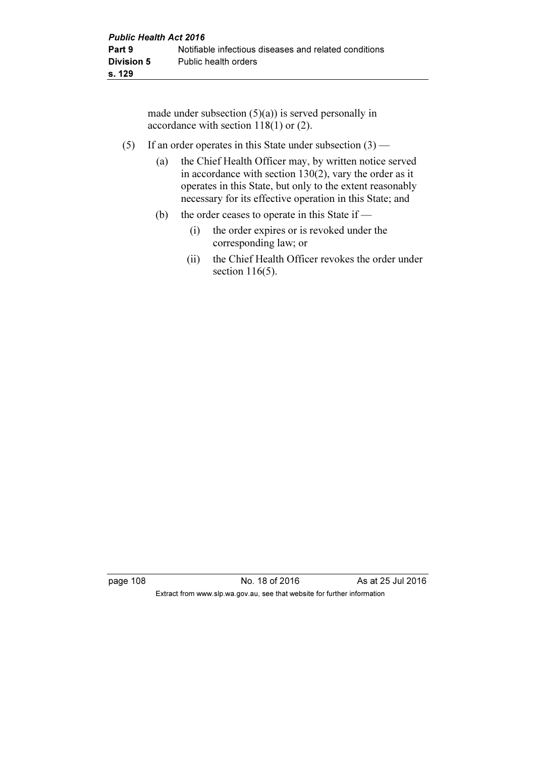made under subsection  $(5)(a)$  is served personally in accordance with section 118(1) or (2).

- (5) If an order operates in this State under subsection  $(3)$ 
	- (a) the Chief Health Officer may, by written notice served in accordance with section  $130(2)$ , vary the order as it operates in this State, but only to the extent reasonably necessary for its effective operation in this State; and
	- (b) the order ceases to operate in this State if
		- (i) the order expires or is revoked under the corresponding law; or
		- (ii) the Chief Health Officer revokes the order under section 116(5).

page 108 No. 18 of 2016 As at 25 Jul 2016 Extract from www.slp.wa.gov.au, see that website for further information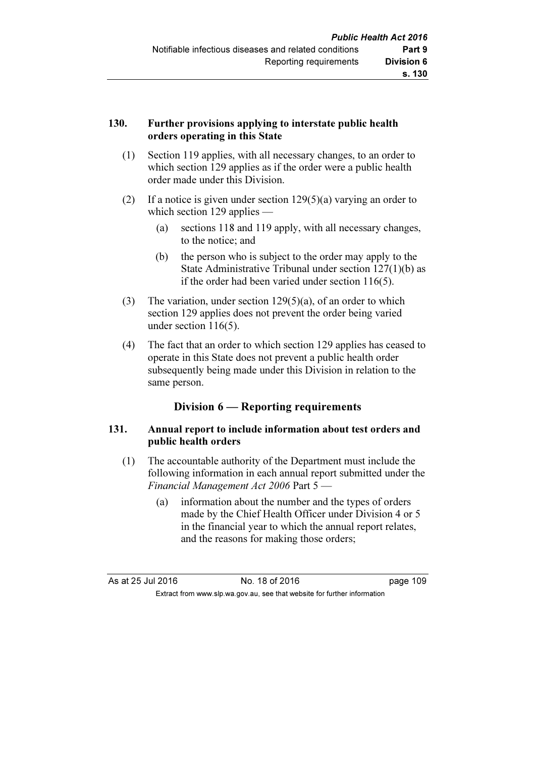## 130. Further provisions applying to interstate public health orders operating in this State

- (1) Section 119 applies, with all necessary changes, to an order to which section 129 applies as if the order were a public health order made under this Division.
- (2) If a notice is given under section 129(5)(a) varying an order to which section 129 applies —
	- (a) sections 118 and 119 apply, with all necessary changes, to the notice; and
	- (b) the person who is subject to the order may apply to the State Administrative Tribunal under section 127(1)(b) as if the order had been varied under section 116(5).
- (3) The variation, under section 129(5)(a), of an order to which section 129 applies does not prevent the order being varied under section 116(5).
- (4) The fact that an order to which section 129 applies has ceased to operate in this State does not prevent a public health order subsequently being made under this Division in relation to the same person.

## Division 6 — Reporting requirements

## 131. Annual report to include information about test orders and public health orders

- (1) The accountable authority of the Department must include the following information in each annual report submitted under the Financial Management Act 2006 Part 5 —
	- (a) information about the number and the types of orders made by the Chief Health Officer under Division 4 or 5 in the financial year to which the annual report relates, and the reasons for making those orders;

As at 25 Jul 2016 18 0.18 of 2016 19 Extract from www.slp.wa.gov.au, see that website for further information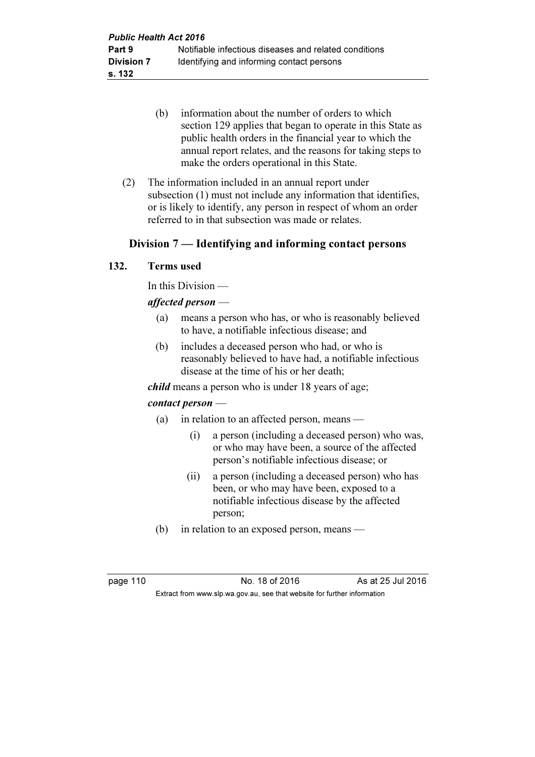- (b) information about the number of orders to which section 129 applies that began to operate in this State as public health orders in the financial year to which the annual report relates, and the reasons for taking steps to make the orders operational in this State.
- (2) The information included in an annual report under subsection (1) must not include any information that identifies, or is likely to identify, any person in respect of whom an order referred to in that subsection was made or relates.

## Division 7 — Identifying and informing contact persons

#### 132. Terms used

In this Division —

#### affected person —

- (a) means a person who has, or who is reasonably believed to have, a notifiable infectious disease; and
- (b) includes a deceased person who had, or who is reasonably believed to have had, a notifiable infectious disease at the time of his or her death;

child means a person who is under 18 years of age;

#### contact person —

- (a) in relation to an affected person, means
	- (i) a person (including a deceased person) who was, or who may have been, a source of the affected person's notifiable infectious disease; or
	- (ii) a person (including a deceased person) who has been, or who may have been, exposed to a notifiable infectious disease by the affected person;
- (b) in relation to an exposed person, means —

page 110 **No. 18 of 2016** As at 25 Jul 2016 Extract from www.slp.wa.gov.au, see that website for further information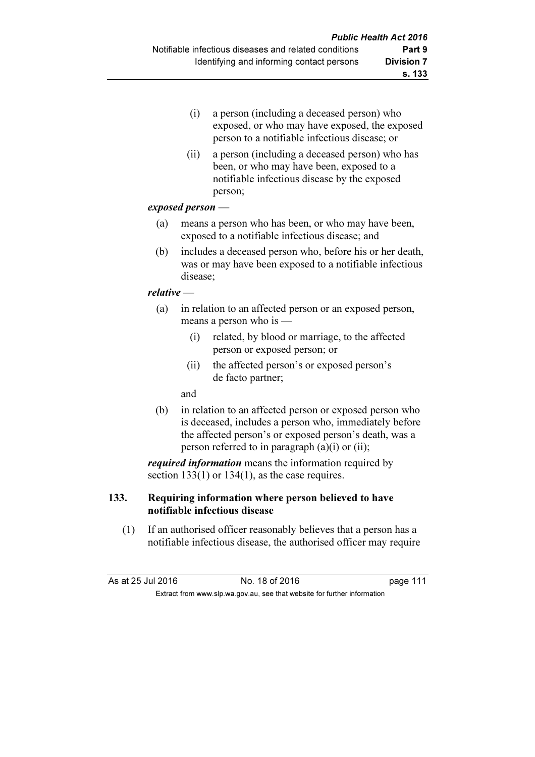- (i) a person (including a deceased person) who exposed, or who may have exposed, the exposed person to a notifiable infectious disease; or
- (ii) a person (including a deceased person) who has been, or who may have been, exposed to a notifiable infectious disease by the exposed person;

#### exposed person —

- (a) means a person who has been, or who may have been, exposed to a notifiable infectious disease; and
- (b) includes a deceased person who, before his or her death, was or may have been exposed to a notifiable infectious disease;

## relative —

- (a) in relation to an affected person or an exposed person, means a person who is —
	- (i) related, by blood or marriage, to the affected person or exposed person; or
	- (ii) the affected person's or exposed person's de facto partner;

and

 (b) in relation to an affected person or exposed person who is deceased, includes a person who, immediately before the affected person's or exposed person's death, was a person referred to in paragraph (a)(i) or (ii);

required information means the information required by section  $133(1)$  or  $134(1)$ , as the case requires.

## 133. Requiring information where person believed to have notifiable infectious disease

 (1) If an authorised officer reasonably believes that a person has a notifiable infectious disease, the authorised officer may require

As at 25 Jul 2016 18 0.18 of 2016 19:30 19:30 19:30 19:30 19:30 19:40 19:40 19:40 19:40 19:40 19:40 19:40 19:4 Extract from www.slp.wa.gov.au, see that website for further information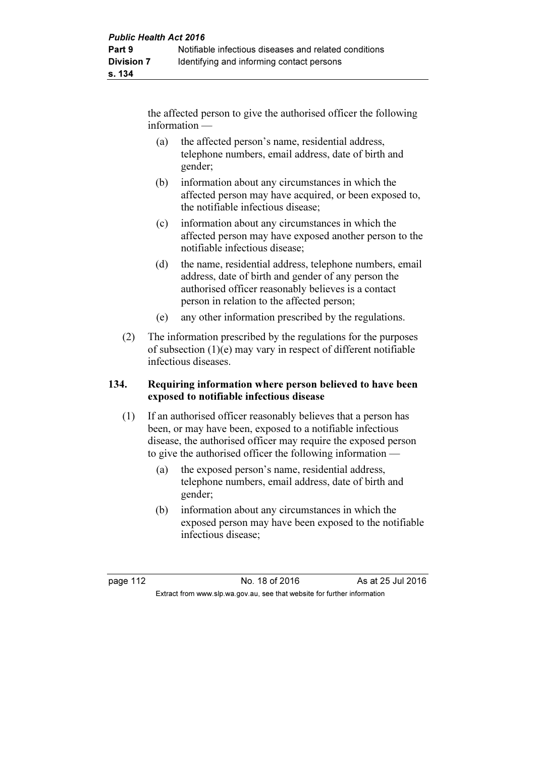the affected person to give the authorised officer the following information —

- (a) the affected person's name, residential address, telephone numbers, email address, date of birth and gender;
- (b) information about any circumstances in which the affected person may have acquired, or been exposed to, the notifiable infectious disease;
- (c) information about any circumstances in which the affected person may have exposed another person to the notifiable infectious disease;
- (d) the name, residential address, telephone numbers, email address, date of birth and gender of any person the authorised officer reasonably believes is a contact person in relation to the affected person;
- (e) any other information prescribed by the regulations.
- (2) The information prescribed by the regulations for the purposes of subsection (1)(e) may vary in respect of different notifiable infectious diseases.

## 134. Requiring information where person believed to have been exposed to notifiable infectious disease

- (1) If an authorised officer reasonably believes that a person has been, or may have been, exposed to a notifiable infectious disease, the authorised officer may require the exposed person to give the authorised officer the following information —
	- (a) the exposed person's name, residential address, telephone numbers, email address, date of birth and gender;
	- (b) information about any circumstances in which the exposed person may have been exposed to the notifiable infectious disease;

page 112 **No. 18 of 2016** As at 25 Jul 2016 Extract from www.slp.wa.gov.au, see that website for further information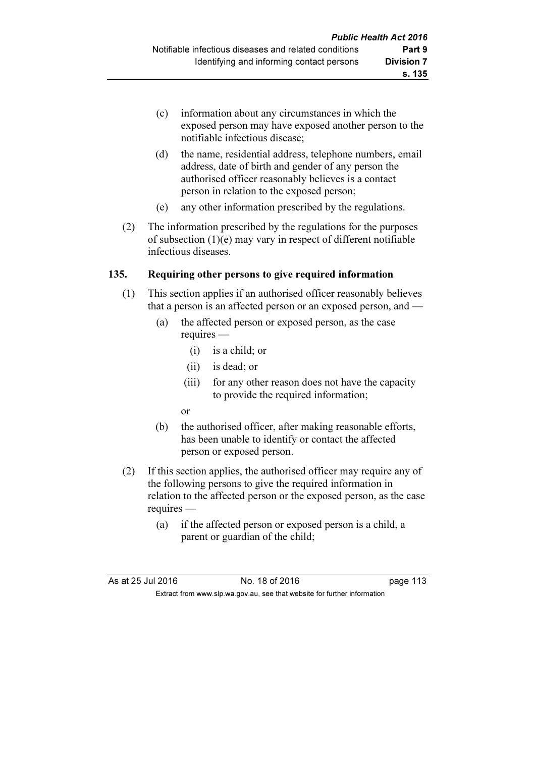- (c) information about any circumstances in which the exposed person may have exposed another person to the notifiable infectious disease;
- (d) the name, residential address, telephone numbers, email address, date of birth and gender of any person the authorised officer reasonably believes is a contact person in relation to the exposed person;
- (e) any other information prescribed by the regulations.
- (2) The information prescribed by the regulations for the purposes of subsection (1)(e) may vary in respect of different notifiable infectious diseases.

## 135. Requiring other persons to give required information

- (1) This section applies if an authorised officer reasonably believes that a person is an affected person or an exposed person, and —
	- (a) the affected person or exposed person, as the case requires —
		- (i) is a child; or
		- (ii) is dead; or
		- (iii) for any other reason does not have the capacity to provide the required information;
		- or
	- (b) the authorised officer, after making reasonable efforts, has been unable to identify or contact the affected person or exposed person.
- (2) If this section applies, the authorised officer may require any of the following persons to give the required information in relation to the affected person or the exposed person, as the case requires —
	- (a) if the affected person or exposed person is a child, a parent or guardian of the child;

| As at 25 Jul 2016 | No. 18 of 2016                                                           | page 113 |
|-------------------|--------------------------------------------------------------------------|----------|
|                   | Extract from www.slp.wa.gov.au, see that website for further information |          |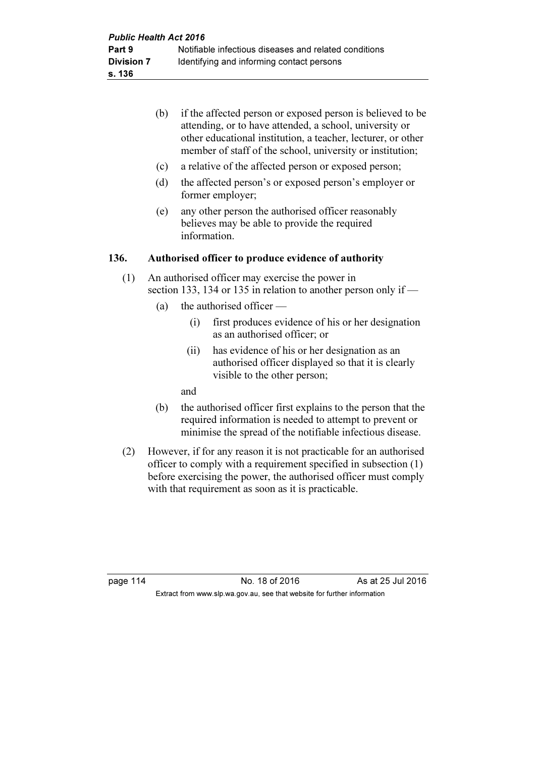- (b) if the affected person or exposed person is believed to be attending, or to have attended, a school, university or other educational institution, a teacher, lecturer, or other member of staff of the school, university or institution;
- (c) a relative of the affected person or exposed person;
- (d) the affected person's or exposed person's employer or former employer;
- (e) any other person the authorised officer reasonably believes may be able to provide the required information.

#### 136. Authorised officer to produce evidence of authority

- (1) An authorised officer may exercise the power in section 133, 134 or 135 in relation to another person only if —
	- (a) the authorised officer
		- (i) first produces evidence of his or her designation as an authorised officer; or
		- (ii) has evidence of his or her designation as an authorised officer displayed so that it is clearly visible to the other person;

and

- (b) the authorised officer first explains to the person that the required information is needed to attempt to prevent or minimise the spread of the notifiable infectious disease.
- (2) However, if for any reason it is not practicable for an authorised officer to comply with a requirement specified in subsection (1) before exercising the power, the authorised officer must comply with that requirement as soon as it is practicable.

page 114 **No. 18 of 2016** As at 25 Jul 2016 Extract from www.slp.wa.gov.au, see that website for further information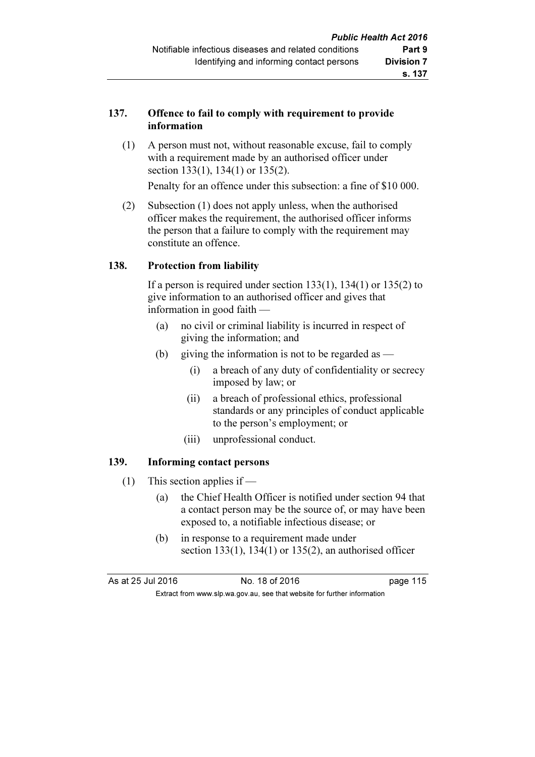## 137. Offence to fail to comply with requirement to provide information

 (1) A person must not, without reasonable excuse, fail to comply with a requirement made by an authorised officer under section 133(1), 134(1) or 135(2).

Penalty for an offence under this subsection: a fine of \$10 000.

 (2) Subsection (1) does not apply unless, when the authorised officer makes the requirement, the authorised officer informs the person that a failure to comply with the requirement may constitute an offence.

#### 138. Protection from liability

If a person is required under section  $133(1)$ ,  $134(1)$  or  $135(2)$  to give information to an authorised officer and gives that information in good faith —

- (a) no civil or criminal liability is incurred in respect of giving the information; and
- (b) giving the information is not to be regarded as  $-$ 
	- (i) a breach of any duty of confidentiality or secrecy imposed by law; or
	- (ii) a breach of professional ethics, professional standards or any principles of conduct applicable to the person's employment; or
	- (iii) unprofessional conduct.

## 139. Informing contact persons

- (1) This section applies if
	- (a) the Chief Health Officer is notified under section 94 that a contact person may be the source of, or may have been exposed to, a notifiable infectious disease; or
	- (b) in response to a requirement made under section  $133(1)$ ,  $134(1)$  or  $135(2)$ , an authorised officer

| As at 25 Jul 2016 | No. 18 of 2016                                                           | page 115 |
|-------------------|--------------------------------------------------------------------------|----------|
|                   | Extract from www.slp.wa.gov.au, see that website for further information |          |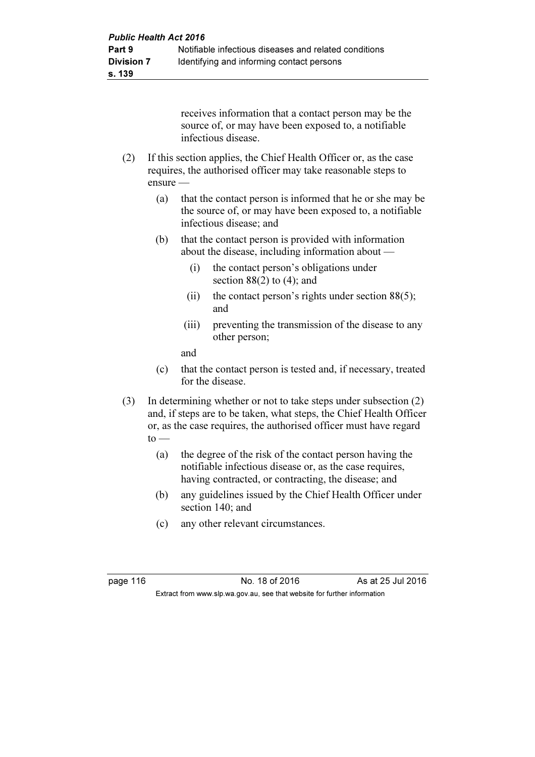receives information that a contact person may be the source of, or may have been exposed to, a notifiable infectious disease.

- (2) If this section applies, the Chief Health Officer or, as the case requires, the authorised officer may take reasonable steps to ensure —
	- (a) that the contact person is informed that he or she may be the source of, or may have been exposed to, a notifiable infectious disease; and
	- (b) that the contact person is provided with information about the disease, including information about —
		- (i) the contact person's obligations under section  $88(2)$  to  $(4)$ ; and
		- (ii) the contact person's rights under section  $88(5)$ ; and
		- (iii) preventing the transmission of the disease to any other person;

and

- (c) that the contact person is tested and, if necessary, treated for the disease.
- (3) In determining whether or not to take steps under subsection (2) and, if steps are to be taken, what steps, the Chief Health Officer or, as the case requires, the authorised officer must have regard  $to$  —
	- (a) the degree of the risk of the contact person having the notifiable infectious disease or, as the case requires, having contracted, or contracting, the disease; and
	- (b) any guidelines issued by the Chief Health Officer under section 140; and
	- (c) any other relevant circumstances.

page 116 **No. 18 of 2016** As at 25 Jul 2016 Extract from www.slp.wa.gov.au, see that website for further information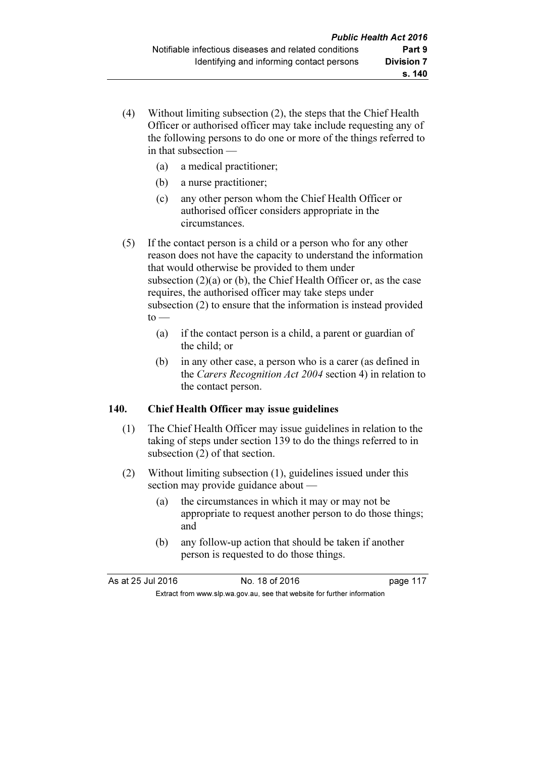- (4) Without limiting subsection (2), the steps that the Chief Health Officer or authorised officer may take include requesting any of the following persons to do one or more of the things referred to in that subsection —
	- (a) a medical practitioner;
	- (b) a nurse practitioner;
	- (c) any other person whom the Chief Health Officer or authorised officer considers appropriate in the circumstances.
- (5) If the contact person is a child or a person who for any other reason does not have the capacity to understand the information that would otherwise be provided to them under subsection  $(2)(a)$  or  $(b)$ , the Chief Health Officer or, as the case requires, the authorised officer may take steps under subsection (2) to ensure that the information is instead provided  $to -$ 
	- (a) if the contact person is a child, a parent or guardian of the child; or
	- (b) in any other case, a person who is a carer (as defined in the Carers Recognition Act 2004 section 4) in relation to the contact person.

## 140. Chief Health Officer may issue guidelines

- (1) The Chief Health Officer may issue guidelines in relation to the taking of steps under section 139 to do the things referred to in subsection (2) of that section.
- (2) Without limiting subsection (1), guidelines issued under this section may provide guidance about —
	- (a) the circumstances in which it may or may not be appropriate to request another person to do those things; and
	- (b) any follow-up action that should be taken if another person is requested to do those things.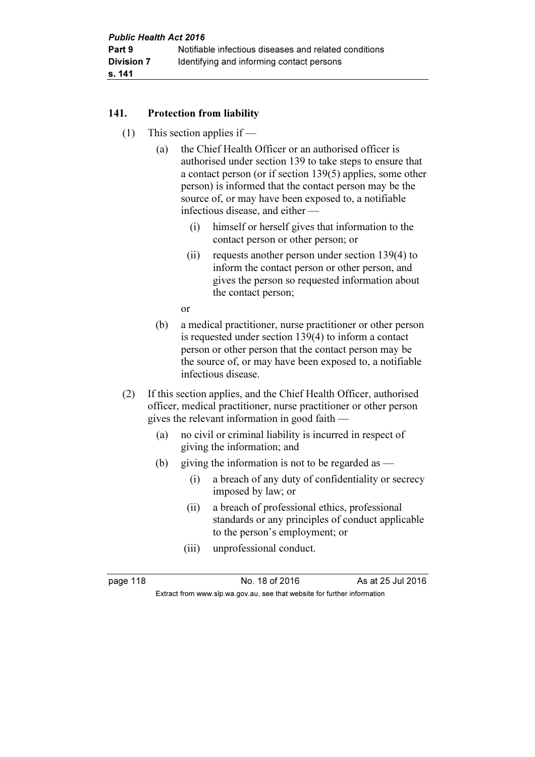## 141. Protection from liability

- (1) This section applies if
	- (a) the Chief Health Officer or an authorised officer is authorised under section 139 to take steps to ensure that a contact person (or if section 139(5) applies, some other person) is informed that the contact person may be the source of, or may have been exposed to, a notifiable infectious disease, and either —
		- (i) himself or herself gives that information to the contact person or other person; or
		- (ii) requests another person under section 139(4) to inform the contact person or other person, and gives the person so requested information about the contact person;
		- or
	- (b) a medical practitioner, nurse practitioner or other person is requested under section 139(4) to inform a contact person or other person that the contact person may be the source of, or may have been exposed to, a notifiable infectious disease.
- (2) If this section applies, and the Chief Health Officer, authorised officer, medical practitioner, nurse practitioner or other person gives the relevant information in good faith —
	- (a) no civil or criminal liability is incurred in respect of giving the information; and
	- (b) giving the information is not to be regarded as  $-$ 
		- (i) a breach of any duty of confidentiality or secrecy imposed by law; or
		- (ii) a breach of professional ethics, professional standards or any principles of conduct applicable to the person's employment; or
		- (iii) unprofessional conduct.

page 118 **No. 18 of 2016** As at 25 Jul 2016 Extract from www.slp.wa.gov.au, see that website for further information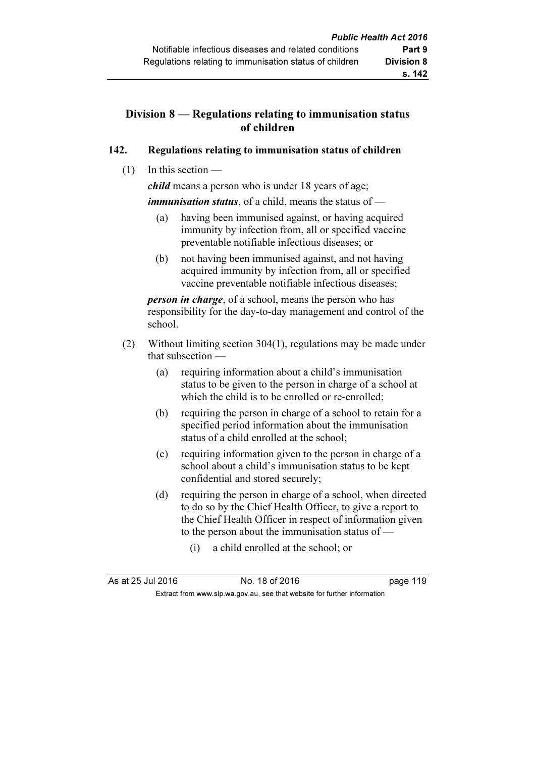## Division 8 — Regulations relating to immunisation status of children

## 142. Regulations relating to immunisation status of children

 $(1)$  In this section —

child means a person who is under 18 years of age;

*immunisation status,* of a child, means the status of —

- (a) having been immunised against, or having acquired immunity by infection from, all or specified vaccine preventable notifiable infectious diseases; or
- (b) not having been immunised against, and not having acquired immunity by infection from, all or specified vaccine preventable notifiable infectious diseases;

**person in charge**, of a school, means the person who has responsibility for the day-to-day management and control of the school.

- (2) Without limiting section 304(1), regulations may be made under that subsection —
	- (a) requiring information about a child's immunisation status to be given to the person in charge of a school at which the child is to be enrolled or re-enrolled;
	- (b) requiring the person in charge of a school to retain for a specified period information about the immunisation status of a child enrolled at the school;
	- (c) requiring information given to the person in charge of a school about a child's immunisation status to be kept confidential and stored securely;
	- (d) requiring the person in charge of a school, when directed to do so by the Chief Health Officer, to give a report to the Chief Health Officer in respect of information given to the person about the immunisation status of —
		- (i) a child enrolled at the school; or

As at 25 Jul 2016 18 0.18 of 2016 19 Extract from www.slp.wa.gov.au, see that website for further information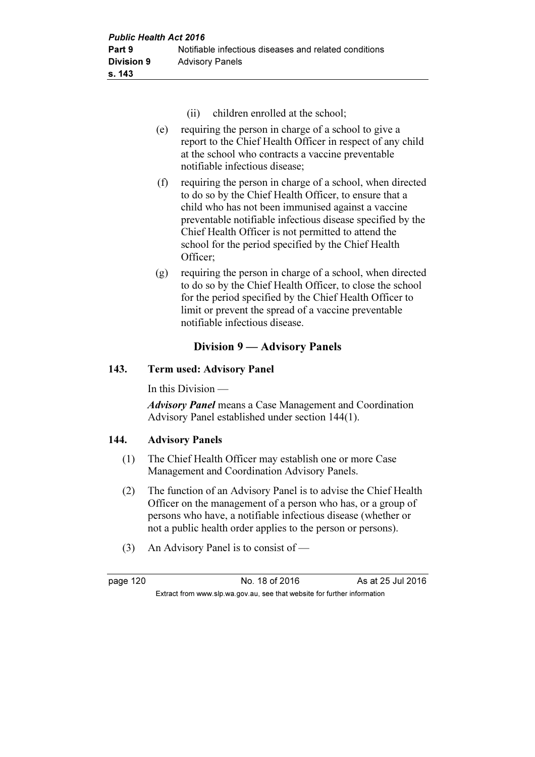- (ii) children enrolled at the school;
- (e) requiring the person in charge of a school to give a report to the Chief Health Officer in respect of any child at the school who contracts a vaccine preventable notifiable infectious disease;
- (f) requiring the person in charge of a school, when directed to do so by the Chief Health Officer, to ensure that a child who has not been immunised against a vaccine preventable notifiable infectious disease specified by the Chief Health Officer is not permitted to attend the school for the period specified by the Chief Health Officer;
- (g) requiring the person in charge of a school, when directed to do so by the Chief Health Officer, to close the school for the period specified by the Chief Health Officer to limit or prevent the spread of a vaccine preventable notifiable infectious disease.

## Division 9 — Advisory Panels

## 143. Term used: Advisory Panel

In this Division —

Advisory Panel means a Case Management and Coordination Advisory Panel established under section 144(1).

## 144. Advisory Panels

- (1) The Chief Health Officer may establish one or more Case Management and Coordination Advisory Panels.
- (2) The function of an Advisory Panel is to advise the Chief Health Officer on the management of a person who has, or a group of persons who have, a notifiable infectious disease (whether or not a public health order applies to the person or persons).
- (3) An Advisory Panel is to consist of —

page 120 **No. 18 of 2016** As at 25 Jul 2016 Extract from www.slp.wa.gov.au, see that website for further information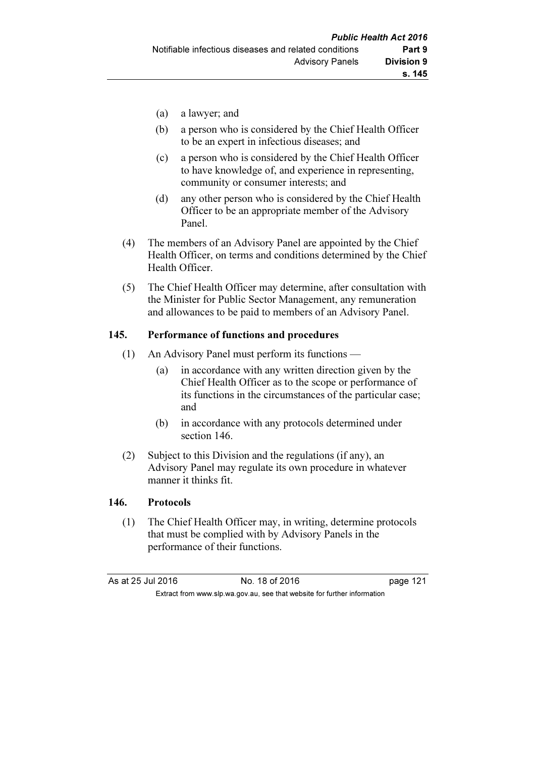- (a) a lawyer; and
- (b) a person who is considered by the Chief Health Officer to be an expert in infectious diseases; and
- (c) a person who is considered by the Chief Health Officer to have knowledge of, and experience in representing, community or consumer interests; and
- (d) any other person who is considered by the Chief Health Officer to be an appropriate member of the Advisory Panel.
- (4) The members of an Advisory Panel are appointed by the Chief Health Officer, on terms and conditions determined by the Chief Health Officer.
- (5) The Chief Health Officer may determine, after consultation with the Minister for Public Sector Management, any remuneration and allowances to be paid to members of an Advisory Panel.

## 145. Performance of functions and procedures

- (1) An Advisory Panel must perform its functions
	- (a) in accordance with any written direction given by the Chief Health Officer as to the scope or performance of its functions in the circumstances of the particular case; and
	- (b) in accordance with any protocols determined under section 146.
- (2) Subject to this Division and the regulations (if any), an Advisory Panel may regulate its own procedure in whatever manner it thinks fit.

#### 146. Protocols

 (1) The Chief Health Officer may, in writing, determine protocols that must be complied with by Advisory Panels in the performance of their functions.

| As at 25 Jul 2016                                                        |  | No. 18 of 2016 | page 121 |
|--------------------------------------------------------------------------|--|----------------|----------|
| Extract from www.slp.wa.gov.au, see that website for further information |  |                |          |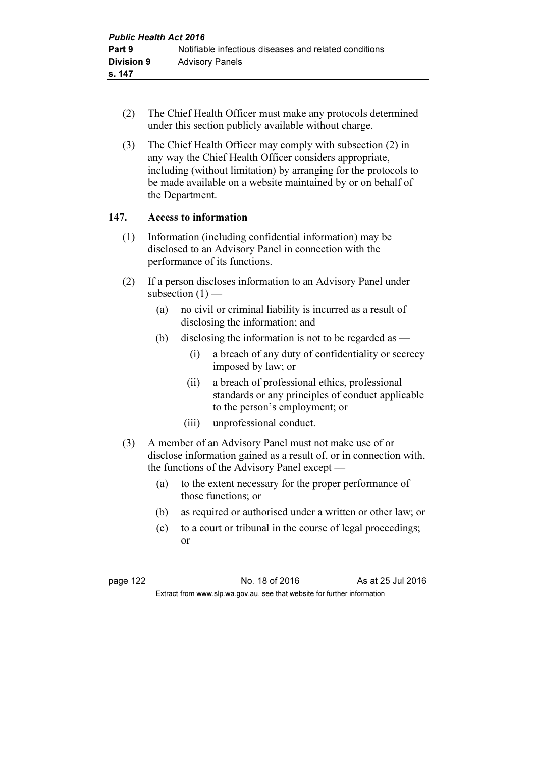- (2) The Chief Health Officer must make any protocols determined under this section publicly available without charge.
- (3) The Chief Health Officer may comply with subsection (2) in any way the Chief Health Officer considers appropriate, including (without limitation) by arranging for the protocols to be made available on a website maintained by or on behalf of the Department.

## 147. Access to information

- (1) Information (including confidential information) may be disclosed to an Advisory Panel in connection with the performance of its functions.
- (2) If a person discloses information to an Advisory Panel under subsection  $(1)$  —
	- (a) no civil or criminal liability is incurred as a result of disclosing the information; and
	- (b) disclosing the information is not to be regarded as  $-$ 
		- (i) a breach of any duty of confidentiality or secrecy imposed by law; or
		- (ii) a breach of professional ethics, professional standards or any principles of conduct applicable to the person's employment; or
		- (iii) unprofessional conduct.
- (3) A member of an Advisory Panel must not make use of or disclose information gained as a result of, or in connection with, the functions of the Advisory Panel except —
	- (a) to the extent necessary for the proper performance of those functions; or
	- (b) as required or authorised under a written or other law; or
	- (c) to a court or tribunal in the course of legal proceedings; or

page 122 **No. 18 of 2016** As at 25 Jul 2016 Extract from www.slp.wa.gov.au, see that website for further information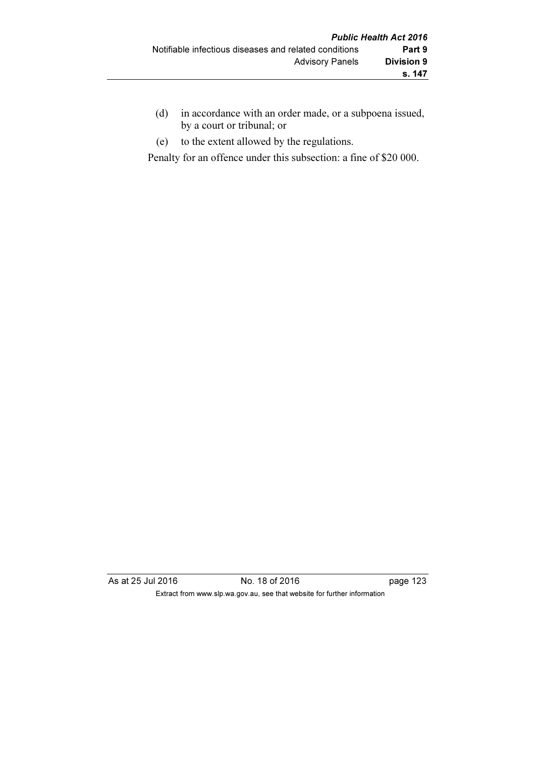- (d) in accordance with an order made, or a subpoena issued, by a court or tribunal; or
- (e) to the extent allowed by the regulations.

Penalty for an offence under this subsection: a fine of \$20 000.

As at 25 Jul 2016 18 of 2016 18 of 2016 123 Extract from www.slp.wa.gov.au, see that website for further information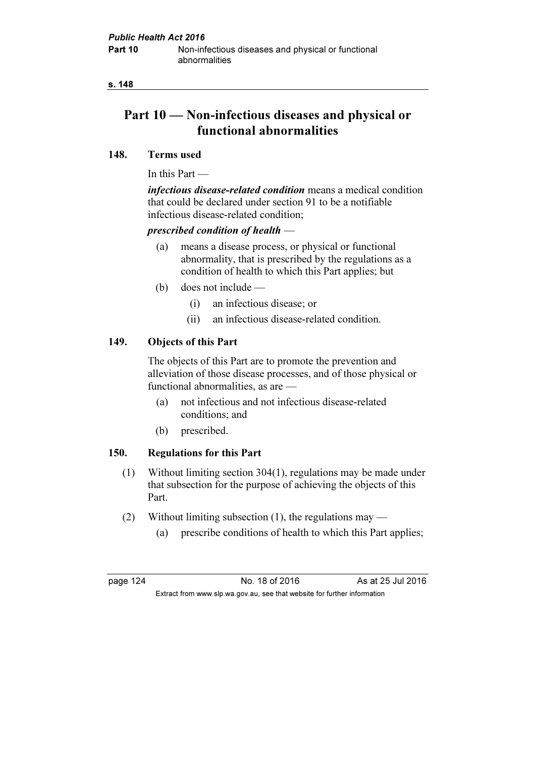s. 148

# Part 10 — Non-infectious diseases and physical or functional abnormalities

#### 148. Terms used

In this Part —

infectious disease-related condition means a medical condition that could be declared under section 91 to be a notifiable infectious disease-related condition;

## prescribed condition of health —

- (a) means a disease process, or physical or functional abnormality, that is prescribed by the regulations as a condition of health to which this Part applies; but
- (b) does not include
	- (i) an infectious disease; or
	- (ii) an infectious disease-related condition.

## 149. Objects of this Part

 The objects of this Part are to promote the prevention and alleviation of those disease processes, and of those physical or functional abnormalities, as are —

- (a) not infectious and not infectious disease-related conditions; and
- (b) prescribed.

## 150. Regulations for this Part

- (1) Without limiting section 304(1), regulations may be made under that subsection for the purpose of achieving the objects of this Part.
- (2) Without limiting subsection (1), the regulations may
	- (a) prescribe conditions of health to which this Part applies;

page 124 **No. 18 of 2016** As at 25 Jul 2016 Extract from www.slp.wa.gov.au, see that website for further information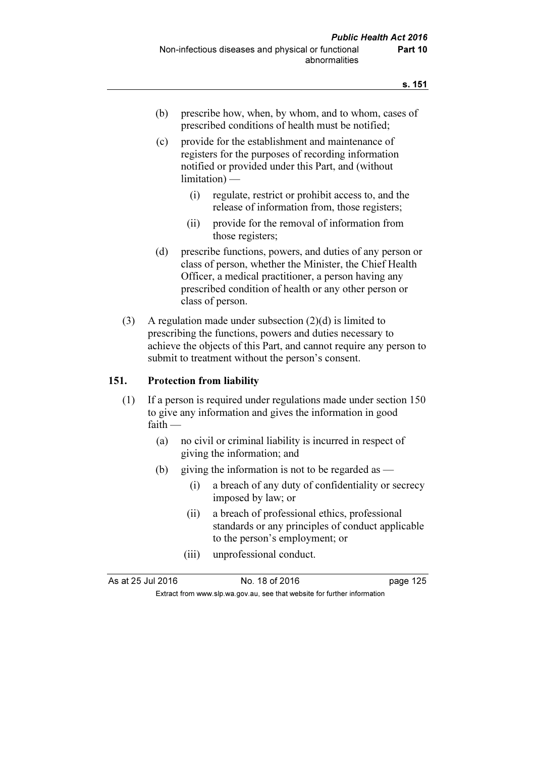- (b) prescribe how, when, by whom, and to whom, cases of prescribed conditions of health must be notified;
- (c) provide for the establishment and maintenance of registers for the purposes of recording information notified or provided under this Part, and (without limitation) —
	- (i) regulate, restrict or prohibit access to, and the release of information from, those registers;
	- (ii) provide for the removal of information from those registers;
- (d) prescribe functions, powers, and duties of any person or class of person, whether the Minister, the Chief Health Officer, a medical practitioner, a person having any prescribed condition of health or any other person or class of person.
- (3) A regulation made under subsection (2)(d) is limited to prescribing the functions, powers and duties necessary to achieve the objects of this Part, and cannot require any person to submit to treatment without the person's consent.

#### 151. Protection from liability

- (1) If a person is required under regulations made under section 150 to give any information and gives the information in good faith —
	- (a) no civil or criminal liability is incurred in respect of giving the information; and
	- (b) giving the information is not to be regarded as  $-$ 
		- (i) a breach of any duty of confidentiality or secrecy imposed by law; or
		- (ii) a breach of professional ethics, professional standards or any principles of conduct applicable to the person's employment; or
		- (iii) unprofessional conduct.

As at 25 Jul 2016 No. 18 of 2016 page 125

Extract from www.slp.wa.gov.au, see that website for further information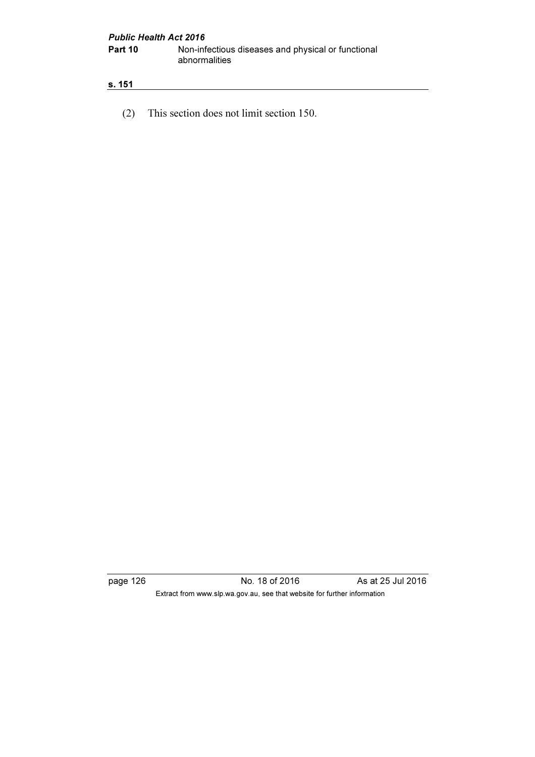#### s. 151

(2) This section does not limit section 150.

page 126 **No. 18 of 2016** As at 25 Jul 2016 Extract from www.slp.wa.gov.au, see that website for further information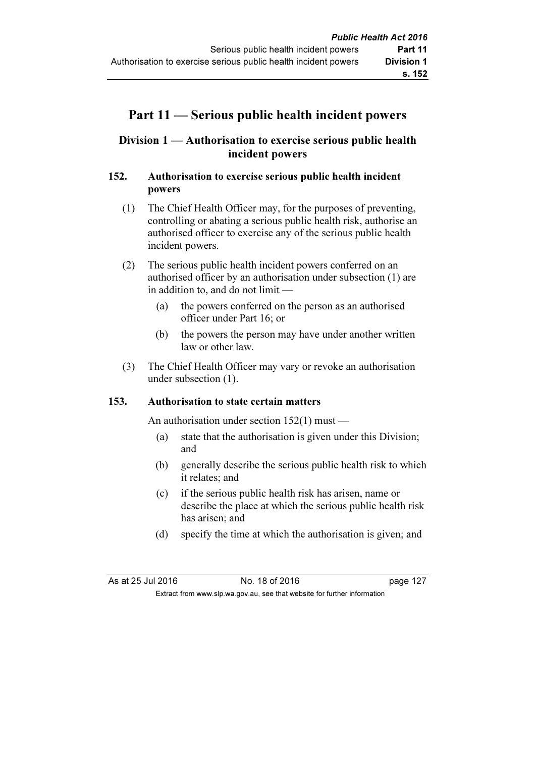# Part 11 — Serious public health incident powers

# Division 1 — Authorisation to exercise serious public health incident powers

# 152. Authorisation to exercise serious public health incident powers

- (1) The Chief Health Officer may, for the purposes of preventing, controlling or abating a serious public health risk, authorise an authorised officer to exercise any of the serious public health incident powers.
- (2) The serious public health incident powers conferred on an authorised officer by an authorisation under subsection (1) are in addition to, and do not limit —
	- (a) the powers conferred on the person as an authorised officer under Part 16; or
	- (b) the powers the person may have under another written law or other law.
- (3) The Chief Health Officer may vary or revoke an authorisation under subsection (1).

# 153. Authorisation to state certain matters

An authorisation under section 152(1) must —

- (a) state that the authorisation is given under this Division; and
- (b) generally describe the serious public health risk to which it relates; and
- (c) if the serious public health risk has arisen, name or describe the place at which the serious public health risk has arisen; and
- (d) specify the time at which the authorisation is given; and

As at 25 Jul 2016 18 0.18 of 2016 19:00 127 Extract from www.slp.wa.gov.au, see that website for further information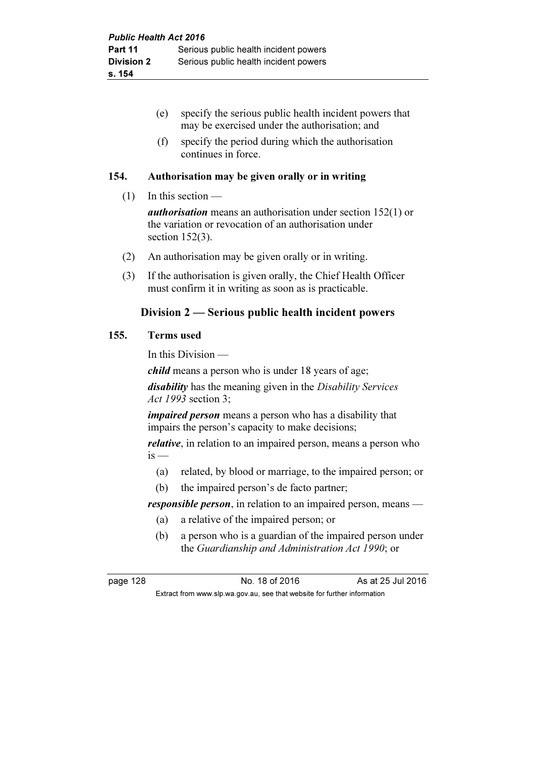|      | specify the serious public health incident powers that<br>(e)<br>may be exercised under the authorisation; and<br>specify the period during which the authorisation<br>(f)<br>continues in force. |
|------|---------------------------------------------------------------------------------------------------------------------------------------------------------------------------------------------------|
| 154. | Authorisation may be given orally or in writing                                                                                                                                                   |
| (1)  | In this section $-$                                                                                                                                                                               |
|      | <i>authorisation</i> means an authorisation under section $152(1)$ or<br>the variation or revocation of an authorisation under<br>section $152(3)$ .                                              |
| (2)  | An authorisation may be given orally or in writing.                                                                                                                                               |
| (3)  | If the authorisation is given orally, the Chief Health Officer<br>must confirm it in writing as soon as is practicable.                                                                           |
|      | Division 2 — Serious public health incident powers                                                                                                                                                |
| 155. | <b>Terms</b> used                                                                                                                                                                                 |
|      | In this Division -                                                                                                                                                                                |
|      | <i>child</i> means a person who is under 18 years of age;                                                                                                                                         |
|      | <i>disability</i> has the meaning given in the <i>Disability Services</i><br><i>Act 1993</i> section 3;                                                                                           |
|      | <i>impaired person</i> means a person who has a disability that<br>impairs the person's capacity to make decisions;                                                                               |

relative, in relation to an impaired person, means a person who  $is$  —

- (a) related, by blood or marriage, to the impaired person; or
- (b) the impaired person's de facto partner;

responsible person, in relation to an impaired person, means —

- (a) a relative of the impaired person; or
- (b) a person who is a guardian of the impaired person under the Guardianship and Administration Act 1990; or

 $155.$ 

page 128 **No. 18 of 2016** As at 25 Jul 2016

Extract from www.slp.wa.gov.au, see that website for further information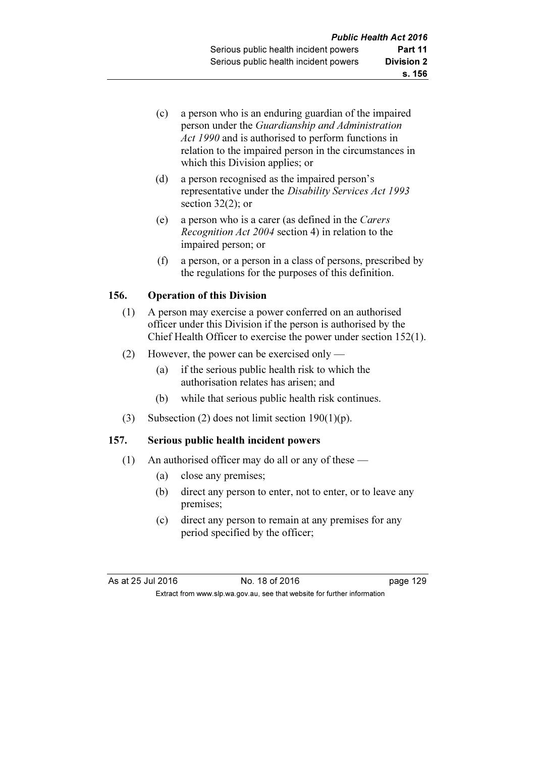- (c) a person who is an enduring guardian of the impaired person under the Guardianship and Administration Act 1990 and is authorised to perform functions in relation to the impaired person in the circumstances in which this Division applies; or
- (d) a person recognised as the impaired person's representative under the Disability Services Act 1993 section 32(2); or
- (e) a person who is a carer (as defined in the Carers Recognition Act 2004 section 4) in relation to the impaired person; or
- (f) a person, or a person in a class of persons, prescribed by the regulations for the purposes of this definition.

# 156. Operation of this Division

- (1) A person may exercise a power conferred on an authorised officer under this Division if the person is authorised by the Chief Health Officer to exercise the power under section 152(1).
- (2) However, the power can be exercised only
	- (a) if the serious public health risk to which the authorisation relates has arisen; and
	- (b) while that serious public health risk continues.
- (3) Subsection (2) does not limit section  $190(1)(p)$ .

# 157. Serious public health incident powers

- (1) An authorised officer may do all or any of these
	- (a) close any premises;
	- (b) direct any person to enter, not to enter, or to leave any premises;
	- (c) direct any person to remain at any premises for any period specified by the officer;

| As at 25 Jul 2016 | No. 18 of 2016                                                           | page 129 |
|-------------------|--------------------------------------------------------------------------|----------|
|                   | Extract from www.slp.wa.gov.au, see that website for further information |          |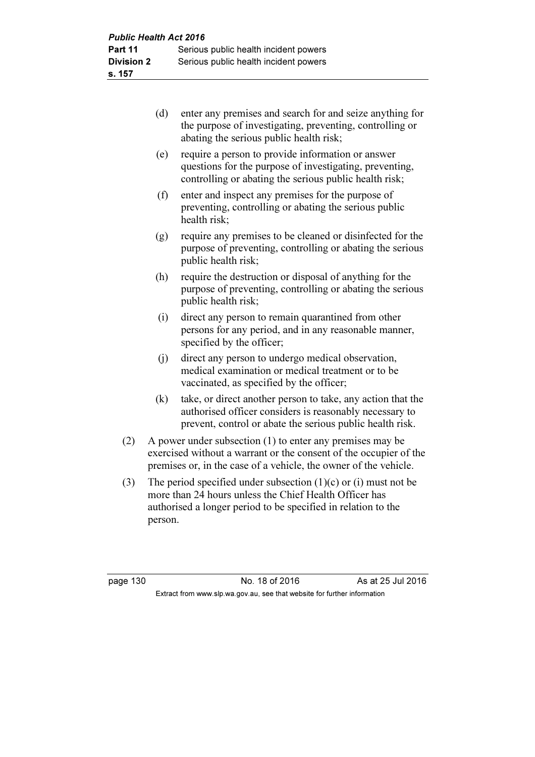- (d) enter any premises and search for and seize anything for the purpose of investigating, preventing, controlling or abating the serious public health risk;
- (e) require a person to provide information or answer questions for the purpose of investigating, preventing, controlling or abating the serious public health risk;
- (f) enter and inspect any premises for the purpose of preventing, controlling or abating the serious public health risk;
- (g) require any premises to be cleaned or disinfected for the purpose of preventing, controlling or abating the serious public health risk;
- (h) require the destruction or disposal of anything for the purpose of preventing, controlling or abating the serious public health risk;
- (i) direct any person to remain quarantined from other persons for any period, and in any reasonable manner, specified by the officer;
- (j) direct any person to undergo medical observation, medical examination or medical treatment or to be vaccinated, as specified by the officer;
- (k) take, or direct another person to take, any action that the authorised officer considers is reasonably necessary to prevent, control or abate the serious public health risk.
- (2) A power under subsection (1) to enter any premises may be exercised without a warrant or the consent of the occupier of the premises or, in the case of a vehicle, the owner of the vehicle.
- (3) The period specified under subsection (1)(c) or (i) must not be more than 24 hours unless the Chief Health Officer has authorised a longer period to be specified in relation to the person.

page 130 No. 18 of 2016 As at 25 Jul 2016 Extract from www.slp.wa.gov.au, see that website for further information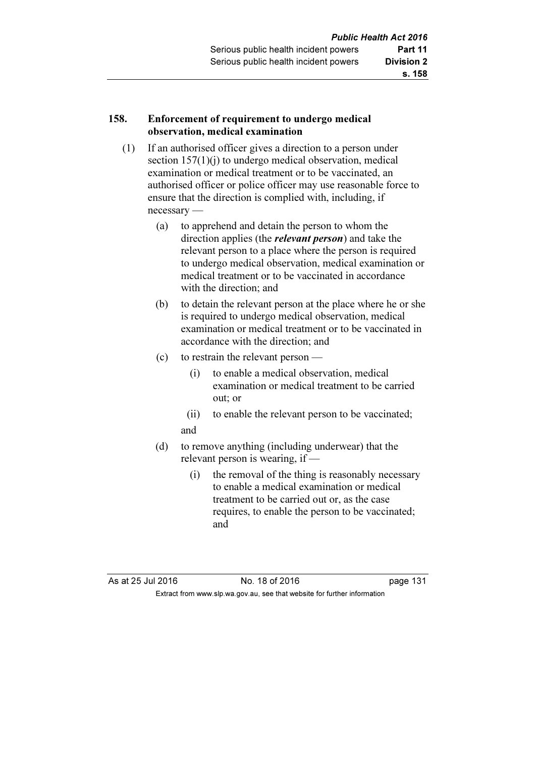#### 158. Enforcement of requirement to undergo medical observation, medical examination

- (1) If an authorised officer gives a direction to a person under section 157(1)(j) to undergo medical observation, medical examination or medical treatment or to be vaccinated, an authorised officer or police officer may use reasonable force to ensure that the direction is complied with, including, if necessary —
	- (a) to apprehend and detain the person to whom the direction applies (the *relevant person*) and take the relevant person to a place where the person is required to undergo medical observation, medical examination or medical treatment or to be vaccinated in accordance with the direction; and
	- (b) to detain the relevant person at the place where he or she is required to undergo medical observation, medical examination or medical treatment or to be vaccinated in accordance with the direction; and
	- (c) to restrain the relevant person
		- (i) to enable a medical observation, medical examination or medical treatment to be carried out; or
		- (ii) to enable the relevant person to be vaccinated; and
	- (d) to remove anything (including underwear) that the relevant person is wearing, if —
		- (i) the removal of the thing is reasonably necessary to enable a medical examination or medical treatment to be carried out or, as the case requires, to enable the person to be vaccinated; and

As at 25 Jul 2016 18 0.18 of 2016 1991 10:45 page 131 Extract from www.slp.wa.gov.au, see that website for further information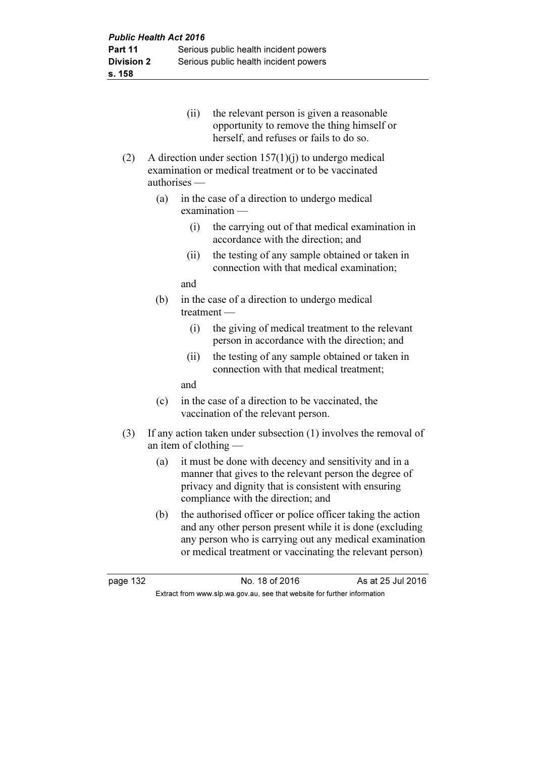- (ii) the relevant person is given a reasonable opportunity to remove the thing himself or herself, and refuses or fails to do so.
- (2) A direction under section  $157(1)(i)$  to undergo medical examination or medical treatment or to be vaccinated authorises —
	- (a) in the case of a direction to undergo medical examination —
		- (i) the carrying out of that medical examination in accordance with the direction; and
		- (ii) the testing of any sample obtained or taken in connection with that medical examination;

and

- (b) in the case of a direction to undergo medical treatment —
	- (i) the giving of medical treatment to the relevant person in accordance with the direction; and
	- (ii) the testing of any sample obtained or taken in connection with that medical treatment;

and

- (c) in the case of a direction to be vaccinated, the vaccination of the relevant person.
- (3) If any action taken under subsection (1) involves the removal of an item of clothing —
	- (a) it must be done with decency and sensitivity and in a manner that gives to the relevant person the degree of privacy and dignity that is consistent with ensuring compliance with the direction; and
	- (b) the authorised officer or police officer taking the action and any other person present while it is done (excluding any person who is carrying out any medical examination or medical treatment or vaccinating the relevant person)

page 132 No. 18 of 2016 As at 25 Jul 2016 Extract from www.slp.wa.gov.au, see that website for further information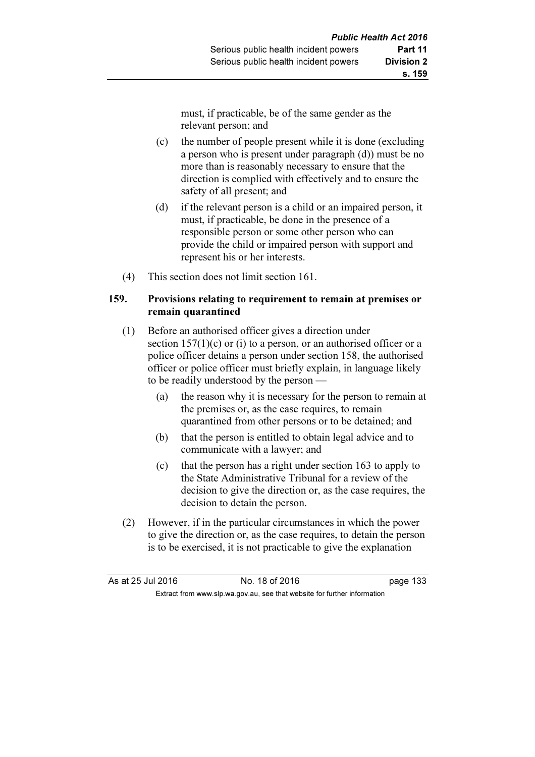must, if practicable, be of the same gender as the relevant person; and

- (c) the number of people present while it is done (excluding a person who is present under paragraph (d)) must be no more than is reasonably necessary to ensure that the direction is complied with effectively and to ensure the safety of all present; and
- (d) if the relevant person is a child or an impaired person, it must, if practicable, be done in the presence of a responsible person or some other person who can provide the child or impaired person with support and represent his or her interests.
- (4) This section does not limit section 161.

#### 159. Provisions relating to requirement to remain at premises or remain quarantined

- (1) Before an authorised officer gives a direction under section  $157(1)(c)$  or (i) to a person, or an authorised officer or a police officer detains a person under section 158, the authorised officer or police officer must briefly explain, in language likely to be readily understood by the person —
	- (a) the reason why it is necessary for the person to remain at the premises or, as the case requires, to remain quarantined from other persons or to be detained; and
	- (b) that the person is entitled to obtain legal advice and to communicate with a lawyer; and
	- (c) that the person has a right under section 163 to apply to the State Administrative Tribunal for a review of the decision to give the direction or, as the case requires, the decision to detain the person.
- (2) However, if in the particular circumstances in which the power to give the direction or, as the case requires, to detain the person is to be exercised, it is not practicable to give the explanation

| As at 25 Jul 2016 | No. 18 of 2016                                                           | page 133 |
|-------------------|--------------------------------------------------------------------------|----------|
|                   | Extract from www.slp.wa.gov.au, see that website for further information |          |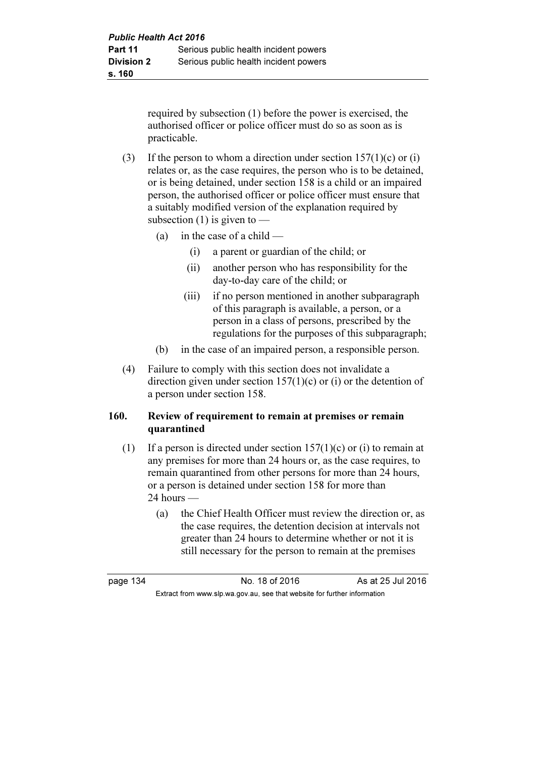required by subsection (1) before the power is exercised, the authorised officer or police officer must do so as soon as is practicable.

- (3) If the person to whom a direction under section  $157(1)(c)$  or (i) relates or, as the case requires, the person who is to be detained, or is being detained, under section 158 is a child or an impaired person, the authorised officer or police officer must ensure that a suitably modified version of the explanation required by subsection  $(1)$  is given to —
	- (a) in the case of a child  $-$ 
		- (i) a parent or guardian of the child; or
		- (ii) another person who has responsibility for the day-to-day care of the child; or
		- (iii) if no person mentioned in another subparagraph of this paragraph is available, a person, or a person in a class of persons, prescribed by the regulations for the purposes of this subparagraph;
	- (b) in the case of an impaired person, a responsible person.
- (4) Failure to comply with this section does not invalidate a direction given under section  $157(1)(c)$  or (i) or the detention of a person under section 158.

#### 160. Review of requirement to remain at premises or remain quarantined

- (1) If a person is directed under section  $157(1)(c)$  or (i) to remain at any premises for more than 24 hours or, as the case requires, to remain quarantined from other persons for more than 24 hours, or a person is detained under section 158 for more than  $24$  hours —
	- (a) the Chief Health Officer must review the direction or, as the case requires, the detention decision at intervals not greater than 24 hours to determine whether or not it is still necessary for the person to remain at the premises

page 134 **No. 18 of 2016** As at 25 Jul 2016 Extract from www.slp.wa.gov.au, see that website for further information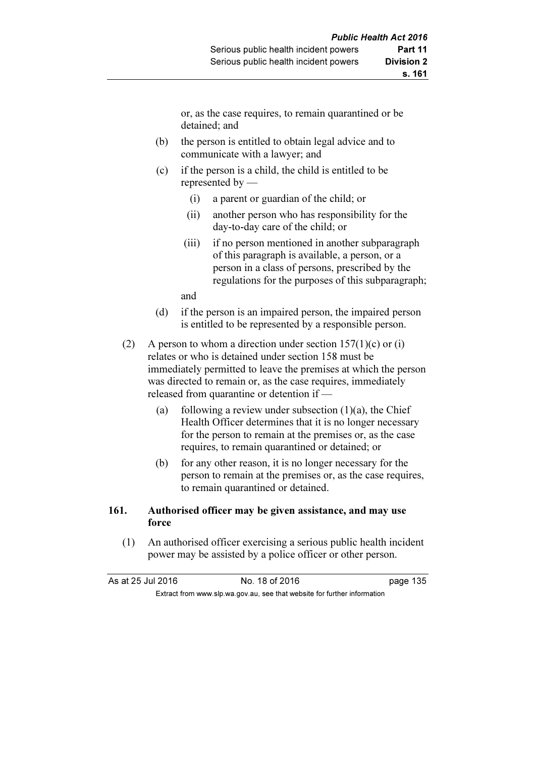or, as the case requires, to remain quarantined or be detained; and

- (b) the person is entitled to obtain legal advice and to communicate with a lawyer; and
- (c) if the person is a child, the child is entitled to be represented by —
	- (i) a parent or guardian of the child; or
	- (ii) another person who has responsibility for the day-to-day care of the child; or
	- (iii) if no person mentioned in another subparagraph of this paragraph is available, a person, or a person in a class of persons, prescribed by the regulations for the purposes of this subparagraph;

and

- (d) if the person is an impaired person, the impaired person is entitled to be represented by a responsible person.
- (2) A person to whom a direction under section  $157(1)(c)$  or (i) relates or who is detained under section 158 must be immediately permitted to leave the premises at which the person was directed to remain or, as the case requires, immediately released from quarantine or detention if —
	- (a) following a review under subsection  $(1)(a)$ , the Chief Health Officer determines that it is no longer necessary for the person to remain at the premises or, as the case requires, to remain quarantined or detained; or
	- (b) for any other reason, it is no longer necessary for the person to remain at the premises or, as the case requires, to remain quarantined or detained.

#### 161. Authorised officer may be given assistance, and may use force

 (1) An authorised officer exercising a serious public health incident power may be assisted by a police officer or other person.

As at 25 Jul 2016 No. 18 of 2016 page 135 Extract from www.slp.wa.gov.au, see that website for further information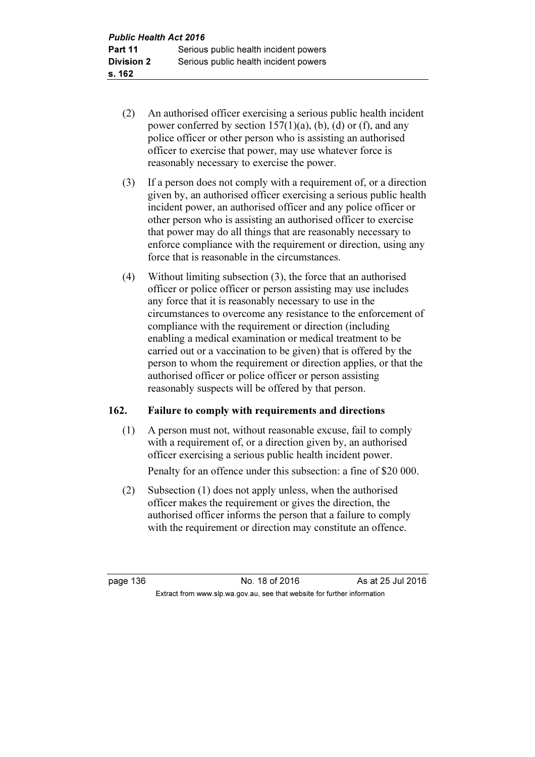- (2) An authorised officer exercising a serious public health incident power conferred by section  $157(1)(a)$ , (b), (d) or (f), and any police officer or other person who is assisting an authorised officer to exercise that power, may use whatever force is reasonably necessary to exercise the power.
- (3) If a person does not comply with a requirement of, or a direction given by, an authorised officer exercising a serious public health incident power, an authorised officer and any police officer or other person who is assisting an authorised officer to exercise that power may do all things that are reasonably necessary to enforce compliance with the requirement or direction, using any force that is reasonable in the circumstances.
- (4) Without limiting subsection (3), the force that an authorised officer or police officer or person assisting may use includes any force that it is reasonably necessary to use in the circumstances to overcome any resistance to the enforcement of compliance with the requirement or direction (including enabling a medical examination or medical treatment to be carried out or a vaccination to be given) that is offered by the person to whom the requirement or direction applies, or that the authorised officer or police officer or person assisting reasonably suspects will be offered by that person.

# 162. Failure to comply with requirements and directions

 (1) A person must not, without reasonable excuse, fail to comply with a requirement of, or a direction given by, an authorised officer exercising a serious public health incident power.

Penalty for an offence under this subsection: a fine of \$20 000.

 (2) Subsection (1) does not apply unless, when the authorised officer makes the requirement or gives the direction, the authorised officer informs the person that a failure to comply with the requirement or direction may constitute an offence.

page 136 **No. 18 of 2016** As at 25 Jul 2016 Extract from www.slp.wa.gov.au, see that website for further information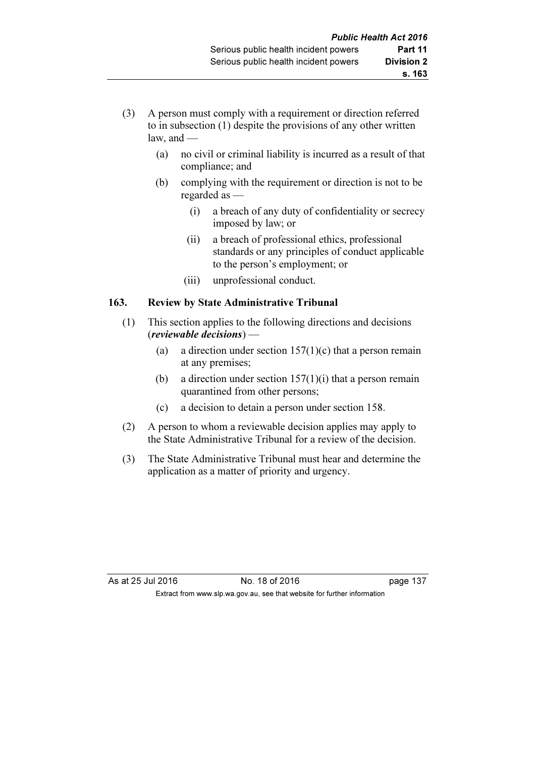- (3) A person must comply with a requirement or direction referred to in subsection (1) despite the provisions of any other written law, and  $-$ 
	- (a) no civil or criminal liability is incurred as a result of that compliance; and
	- (b) complying with the requirement or direction is not to be regarded as —
		- (i) a breach of any duty of confidentiality or secrecy imposed by law; or
		- (ii) a breach of professional ethics, professional standards or any principles of conduct applicable to the person's employment; or
		- (iii) unprofessional conduct.

# 163. Review by State Administrative Tribunal

- (1) This section applies to the following directions and decisions (reviewable decisions) —
	- (a) a direction under section  $157(1)(c)$  that a person remain at any premises;
	- (b) a direction under section  $157(1)(i)$  that a person remain quarantined from other persons;
	- (c) a decision to detain a person under section 158.
- (2) A person to whom a reviewable decision applies may apply to the State Administrative Tribunal for a review of the decision.
- (3) The State Administrative Tribunal must hear and determine the application as a matter of priority and urgency.

As at 25 Jul 2016 18 0.18 of 2016 1991 10:41 137 Extract from www.slp.wa.gov.au, see that website for further information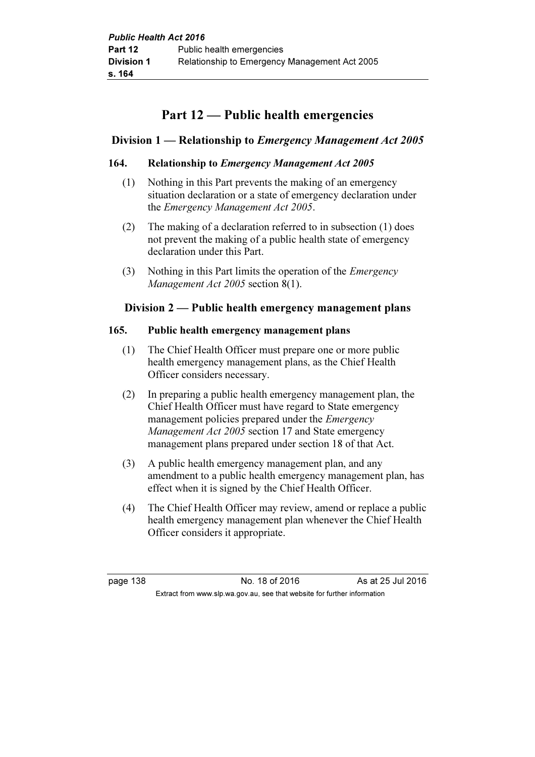# Part 12 — Public health emergencies

# Division 1 — Relationship to Emergency Management Act 2005

## 164. Relationship to Emergency Management Act 2005

- (1) Nothing in this Part prevents the making of an emergency situation declaration or a state of emergency declaration under the Emergency Management Act 2005.
- (2) The making of a declaration referred to in subsection (1) does not prevent the making of a public health state of emergency declaration under this Part.
- (3) Nothing in this Part limits the operation of the Emergency Management Act 2005 section 8(1).

# Division 2 — Public health emergency management plans

#### 165. Public health emergency management plans

- (1) The Chief Health Officer must prepare one or more public health emergency management plans, as the Chief Health Officer considers necessary.
- (2) In preparing a public health emergency management plan, the Chief Health Officer must have regard to State emergency management policies prepared under the Emergency Management Act 2005 section 17 and State emergency management plans prepared under section 18 of that Act.
- (3) A public health emergency management plan, and any amendment to a public health emergency management plan, has effect when it is signed by the Chief Health Officer.
- (4) The Chief Health Officer may review, amend or replace a public health emergency management plan whenever the Chief Health Officer considers it appropriate.

page 138 No. 18 of 2016 As at 25 Jul 2016 Extract from www.slp.wa.gov.au, see that website for further information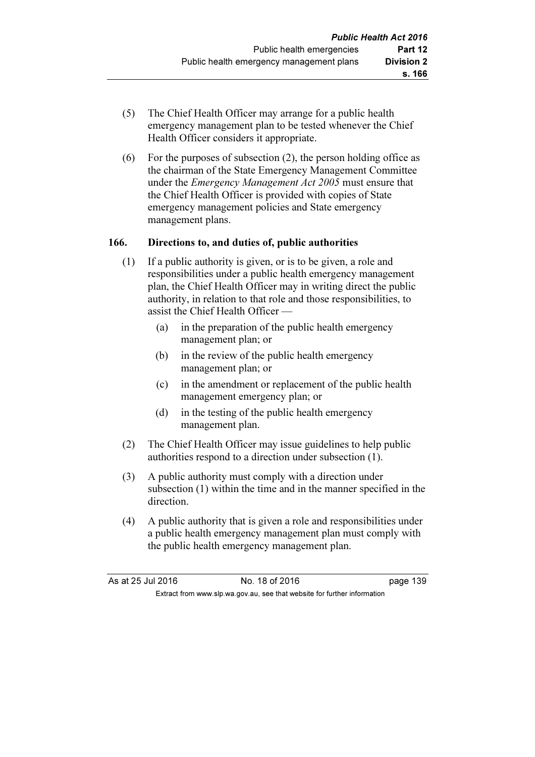- (5) The Chief Health Officer may arrange for a public health emergency management plan to be tested whenever the Chief Health Officer considers it appropriate.
- (6) For the purposes of subsection (2), the person holding office as the chairman of the State Emergency Management Committee under the *Emergency Management Act 2005* must ensure that the Chief Health Officer is provided with copies of State emergency management policies and State emergency management plans.

#### 166. Directions to, and duties of, public authorities

- (1) If a public authority is given, or is to be given, a role and responsibilities under a public health emergency management plan, the Chief Health Officer may in writing direct the public authority, in relation to that role and those responsibilities, to assist the Chief Health Officer —
	- (a) in the preparation of the public health emergency management plan; or
	- (b) in the review of the public health emergency management plan; or
	- (c) in the amendment or replacement of the public health management emergency plan; or
	- (d) in the testing of the public health emergency management plan.
- (2) The Chief Health Officer may issue guidelines to help public authorities respond to a direction under subsection (1).
- (3) A public authority must comply with a direction under subsection (1) within the time and in the manner specified in the direction.
- (4) A public authority that is given a role and responsibilities under a public health emergency management plan must comply with the public health emergency management plan.

| As at 25 Jul 2016 | No. 18 of 2016                                                           | page 139 |
|-------------------|--------------------------------------------------------------------------|----------|
|                   | Extract from www.slp.wa.gov.au, see that website for further information |          |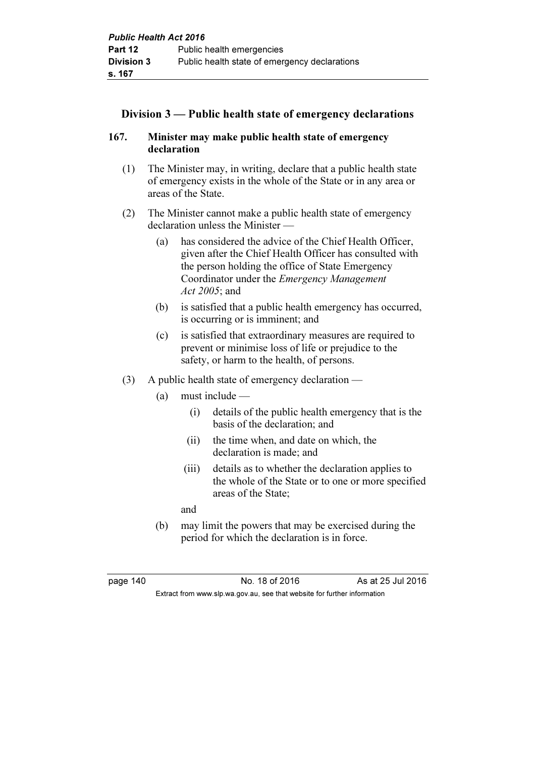# Division 3 — Public health state of emergency declarations

# 167. Minister may make public health state of emergency declaration

- (1) The Minister may, in writing, declare that a public health state of emergency exists in the whole of the State or in any area or areas of the State.
- (2) The Minister cannot make a public health state of emergency declaration unless the Minister —
	- (a) has considered the advice of the Chief Health Officer, given after the Chief Health Officer has consulted with the person holding the office of State Emergency Coordinator under the Emergency Management Act 2005: and
	- (b) is satisfied that a public health emergency has occurred, is occurring or is imminent; and
	- (c) is satisfied that extraordinary measures are required to prevent or minimise loss of life or prejudice to the safety, or harm to the health, of persons.
- (3) A public health state of emergency declaration
	- (a) must include
		- (i) details of the public health emergency that is the basis of the declaration; and
		- (ii) the time when, and date on which, the declaration is made; and
		- (iii) details as to whether the declaration applies to the whole of the State or to one or more specified areas of the State;

and

 (b) may limit the powers that may be exercised during the period for which the declaration is in force.

page 140 **No. 18 of 2016** As at 25 Jul 2016 Extract from www.slp.wa.gov.au, see that website for further information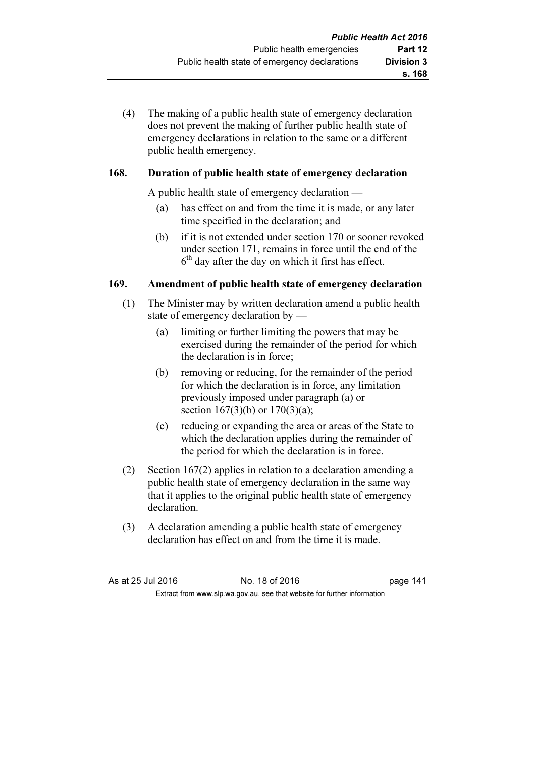(4) The making of a public health state of emergency declaration does not prevent the making of further public health state of emergency declarations in relation to the same or a different public health emergency.

# 168. Duration of public health state of emergency declaration

A public health state of emergency declaration —

- (a) has effect on and from the time it is made, or any later time specified in the declaration; and
- (b) if it is not extended under section 170 or sooner revoked under section 171, remains in force until the end of the  $6<sup>th</sup>$  day after the day on which it first has effect.

#### 169. Amendment of public health state of emergency declaration

- (1) The Minister may by written declaration amend a public health state of emergency declaration by —
	- (a) limiting or further limiting the powers that may be exercised during the remainder of the period for which the declaration is in force;
	- (b) removing or reducing, for the remainder of the period for which the declaration is in force, any limitation previously imposed under paragraph (a) or section 167(3)(b) or 170(3)(a);
	- (c) reducing or expanding the area or areas of the State to which the declaration applies during the remainder of the period for which the declaration is in force.
- (2) Section 167(2) applies in relation to a declaration amending a public health state of emergency declaration in the same way that it applies to the original public health state of emergency declaration.
- (3) A declaration amending a public health state of emergency declaration has effect on and from the time it is made.

| As at 25 Jul 2016 | No. 18 of 2016                                                           | page 141 |
|-------------------|--------------------------------------------------------------------------|----------|
|                   | Extract from www.slp.wa.gov.au, see that website for further information |          |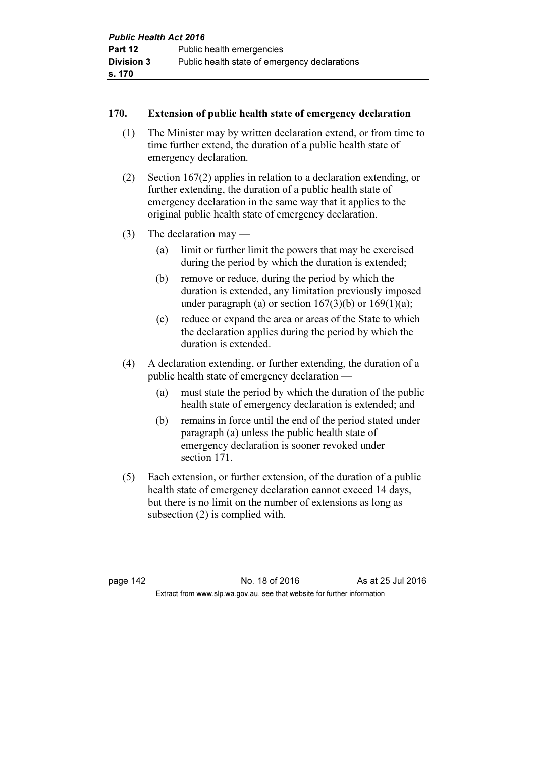## 170. Extension of public health state of emergency declaration

- (1) The Minister may by written declaration extend, or from time to time further extend, the duration of a public health state of emergency declaration.
- (2) Section 167(2) applies in relation to a declaration extending, or further extending, the duration of a public health state of emergency declaration in the same way that it applies to the original public health state of emergency declaration.
- (3) The declaration may
	- (a) limit or further limit the powers that may be exercised during the period by which the duration is extended;
	- (b) remove or reduce, during the period by which the duration is extended, any limitation previously imposed under paragraph (a) or section  $167(3)(b)$  or  $169(1)(a)$ ;
	- (c) reduce or expand the area or areas of the State to which the declaration applies during the period by which the duration is extended.
- (4) A declaration extending, or further extending, the duration of a public health state of emergency declaration —
	- (a) must state the period by which the duration of the public health state of emergency declaration is extended; and
	- (b) remains in force until the end of the period stated under paragraph (a) unless the public health state of emergency declaration is sooner revoked under section 171.
- (5) Each extension, or further extension, of the duration of a public health state of emergency declaration cannot exceed 14 days, but there is no limit on the number of extensions as long as subsection (2) is complied with.

page 142 **No. 18 of 2016** As at 25 Jul 2016 Extract from www.slp.wa.gov.au, see that website for further information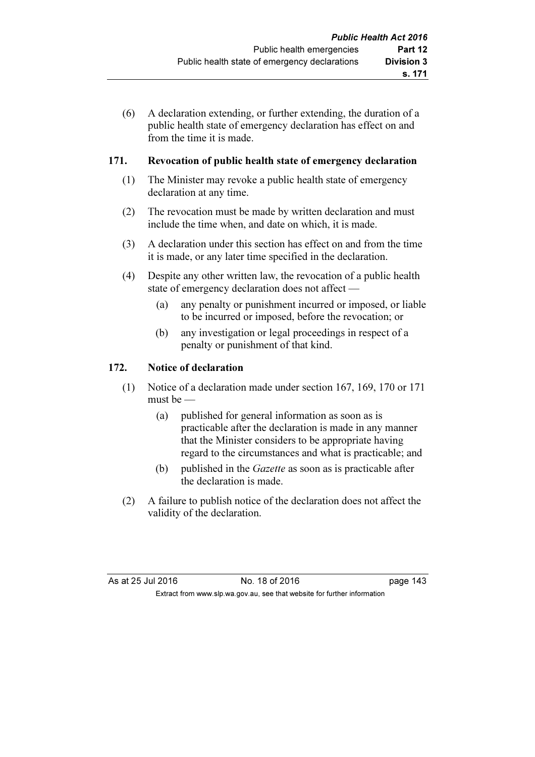(6) A declaration extending, or further extending, the duration of a public health state of emergency declaration has effect on and from the time it is made.

## 171. Revocation of public health state of emergency declaration

- (1) The Minister may revoke a public health state of emergency declaration at any time.
- (2) The revocation must be made by written declaration and must include the time when, and date on which, it is made.
- (3) A declaration under this section has effect on and from the time it is made, or any later time specified in the declaration.
- (4) Despite any other written law, the revocation of a public health state of emergency declaration does not affect —
	- (a) any penalty or punishment incurred or imposed, or liable to be incurred or imposed, before the revocation; or
	- (b) any investigation or legal proceedings in respect of a penalty or punishment of that kind.

# 172. Notice of declaration

- (1) Notice of a declaration made under section 167, 169, 170 or 171 must be —
	- (a) published for general information as soon as is practicable after the declaration is made in any manner that the Minister considers to be appropriate having regard to the circumstances and what is practicable; and
	- (b) published in the Gazette as soon as is practicable after the declaration is made.
- (2) A failure to publish notice of the declaration does not affect the validity of the declaration.

| As at 25 Jul 2016 | No. 18 of 2016                                                           | page 143 |
|-------------------|--------------------------------------------------------------------------|----------|
|                   | Extract from www.slp.wa.gov.au, see that website for further information |          |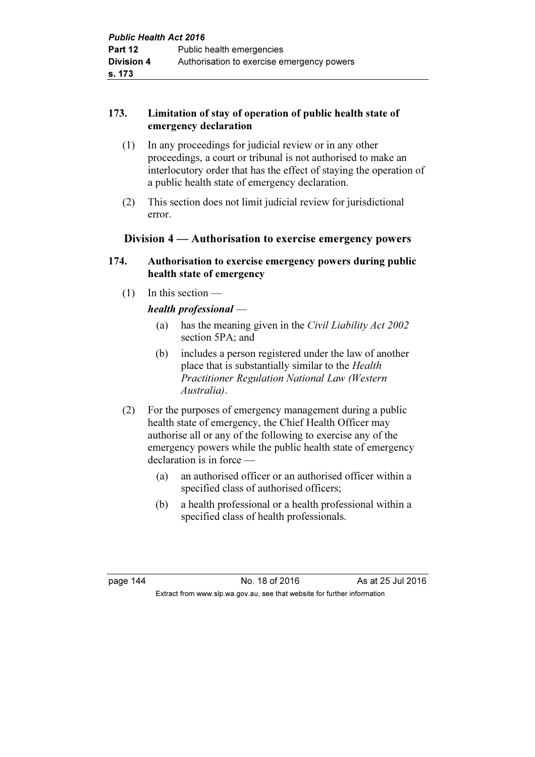# 173. Limitation of stay of operation of public health state of emergency declaration

- (1) In any proceedings for judicial review or in any other proceedings, a court or tribunal is not authorised to make an interlocutory order that has the effect of staying the operation of a public health state of emergency declaration.
- (2) This section does not limit judicial review for jurisdictional error.

# Division 4 — Authorisation to exercise emergency powers

#### 174. Authorisation to exercise emergency powers during public health state of emergency

(1) In this section —

# health professional —

- (a) has the meaning given in the Civil Liability Act 2002 section 5PA; and
- (b) includes a person registered under the law of another place that is substantially similar to the Health Practitioner Regulation National Law (Western Australia).
- (2) For the purposes of emergency management during a public health state of emergency, the Chief Health Officer may authorise all or any of the following to exercise any of the emergency powers while the public health state of emergency declaration is in force —
	- (a) an authorised officer or an authorised officer within a specified class of authorised officers;
	- (b) a health professional or a health professional within a specified class of health professionals.

page 144 **No. 18 of 2016** As at 25 Jul 2016 Extract from www.slp.wa.gov.au, see that website for further information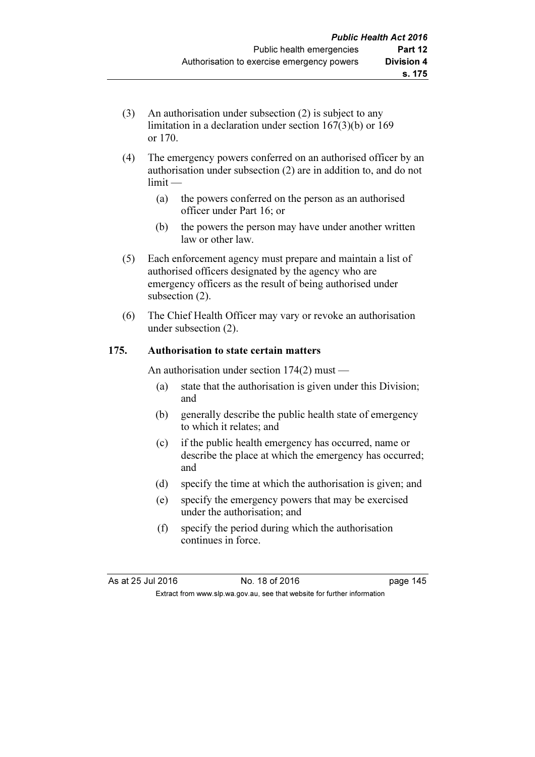- (3) An authorisation under subsection (2) is subject to any limitation in a declaration under section 167(3)(b) or 169 or 170.
- (4) The emergency powers conferred on an authorised officer by an authorisation under subsection (2) are in addition to, and do not limit —
	- (a) the powers conferred on the person as an authorised officer under Part 16; or
	- (b) the powers the person may have under another written law or other law.
- (5) Each enforcement agency must prepare and maintain a list of authorised officers designated by the agency who are emergency officers as the result of being authorised under subsection  $(2)$ .
- (6) The Chief Health Officer may vary or revoke an authorisation under subsection (2).

# 175. Authorisation to state certain matters

An authorisation under section 174(2) must —

- (a) state that the authorisation is given under this Division; and
- (b) generally describe the public health state of emergency to which it relates; and
- (c) if the public health emergency has occurred, name or describe the place at which the emergency has occurred; and
- (d) specify the time at which the authorisation is given; and
- (e) specify the emergency powers that may be exercised under the authorisation; and
- (f) specify the period during which the authorisation continues in force.

As at 25 Jul 2016 18 0.18 of 2016 1991 10:00 145 Extract from www.slp.wa.gov.au, see that website for further information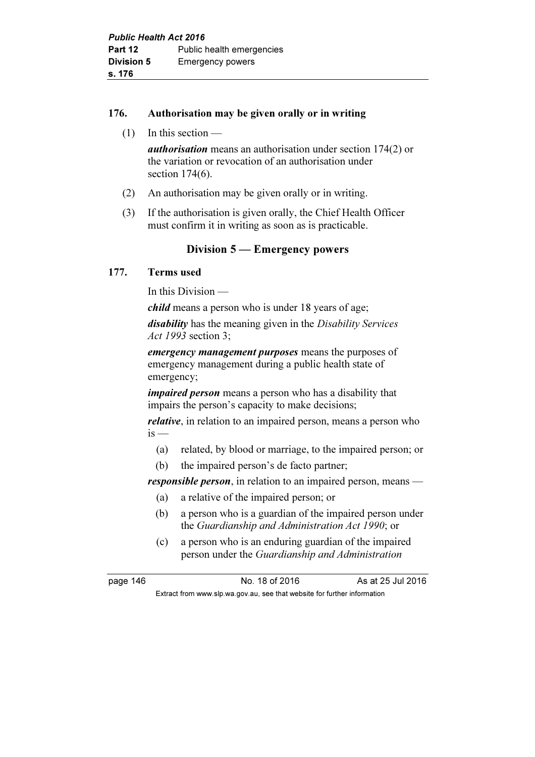#### 176. Authorisation may be given orally or in writing

(1) In this section —

authorisation means an authorisation under section 174(2) or the variation or revocation of an authorisation under section 174(6).

- (2) An authorisation may be given orally or in writing.
- (3) If the authorisation is given orally, the Chief Health Officer must confirm it in writing as soon as is practicable.

# Division 5 — Emergency powers

#### 177. Terms used

In this Division —

child means a person who is under 18 years of age;

disability has the meaning given in the Disability Services Act 1993 section 3;

emergency management purposes means the purposes of emergency management during a public health state of emergency;

*impaired person* means a person who has a disability that impairs the person's capacity to make decisions;

*relative*, in relation to an impaired person, means a person who  $is -$ 

- (a) related, by blood or marriage, to the impaired person; or
- (b) the impaired person's de facto partner;

responsible person, in relation to an impaired person, means —

- (a) a relative of the impaired person; or
- (b) a person who is a guardian of the impaired person under the Guardianship and Administration Act 1990; or
- (c) a person who is an enduring guardian of the impaired person under the Guardianship and Administration

page 146 **No. 18 of 2016** As at 25 Jul 2016

Extract from www.slp.wa.gov.au, see that website for further information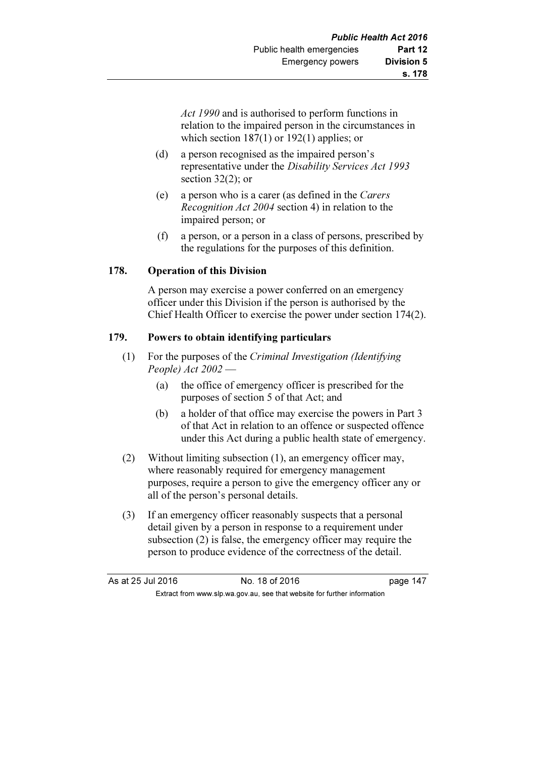Act 1990 and is authorised to perform functions in relation to the impaired person in the circumstances in which section 187(1) or 192(1) applies; or

- (d) a person recognised as the impaired person's representative under the Disability Services Act 1993 section 32(2); or
- (e) a person who is a carer (as defined in the Carers Recognition Act 2004 section 4) in relation to the impaired person; or
- (f) a person, or a person in a class of persons, prescribed by the regulations for the purposes of this definition.

#### 178. Operation of this Division

 A person may exercise a power conferred on an emergency officer under this Division if the person is authorised by the Chief Health Officer to exercise the power under section 174(2).

#### 179. Powers to obtain identifying particulars

- (1) For the purposes of the Criminal Investigation (Identifying People)  $Act\,2002$  —
	- (a) the office of emergency officer is prescribed for the purposes of section 5 of that Act; and
	- (b) a holder of that office may exercise the powers in Part 3 of that Act in relation to an offence or suspected offence under this Act during a public health state of emergency.
- (2) Without limiting subsection (1), an emergency officer may, where reasonably required for emergency management purposes, require a person to give the emergency officer any or all of the person's personal details.
- (3) If an emergency officer reasonably suspects that a personal detail given by a person in response to a requirement under subsection (2) is false, the emergency officer may require the person to produce evidence of the correctness of the detail.

| As at 25 Jul 2016 | No. 18 of 2016                                                           | page 147 |
|-------------------|--------------------------------------------------------------------------|----------|
|                   | Extract from www.slp.wa.gov.au, see that website for further information |          |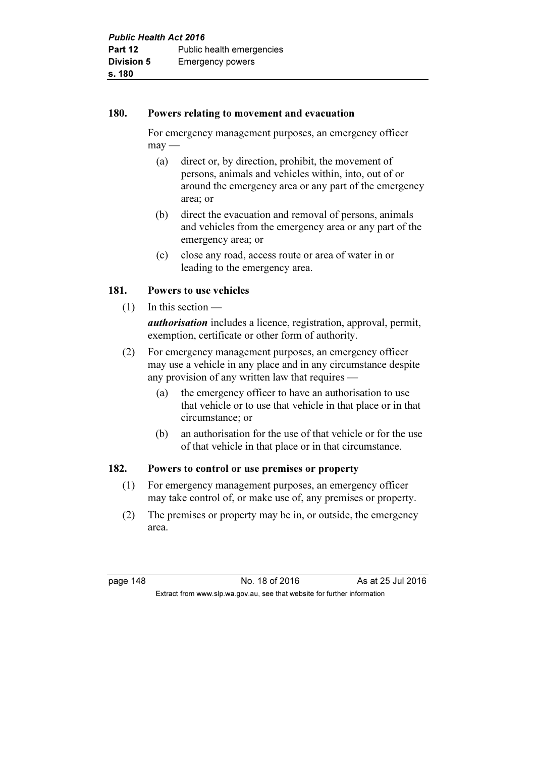#### 180. Powers relating to movement and evacuation

 For emergency management purposes, an emergency officer  $\text{max}$  —

- (a) direct or, by direction, prohibit, the movement of persons, animals and vehicles within, into, out of or around the emergency area or any part of the emergency area; or
- (b) direct the evacuation and removal of persons, animals and vehicles from the emergency area or any part of the emergency area; or
- (c) close any road, access route or area of water in or leading to the emergency area.

# 181. Powers to use vehicles

- $(1)$  In this section authorisation includes a licence, registration, approval, permit, exemption, certificate or other form of authority.
- (2) For emergency management purposes, an emergency officer may use a vehicle in any place and in any circumstance despite any provision of any written law that requires —
	- (a) the emergency officer to have an authorisation to use that vehicle or to use that vehicle in that place or in that circumstance; or
	- (b) an authorisation for the use of that vehicle or for the use of that vehicle in that place or in that circumstance.

# 182. Powers to control or use premises or property

- (1) For emergency management purposes, an emergency officer may take control of, or make use of, any premises or property.
- (2) The premises or property may be in, or outside, the emergency area.

page 148 **No. 18 of 2016** As at 25 Jul 2016 Extract from www.slp.wa.gov.au, see that website for further information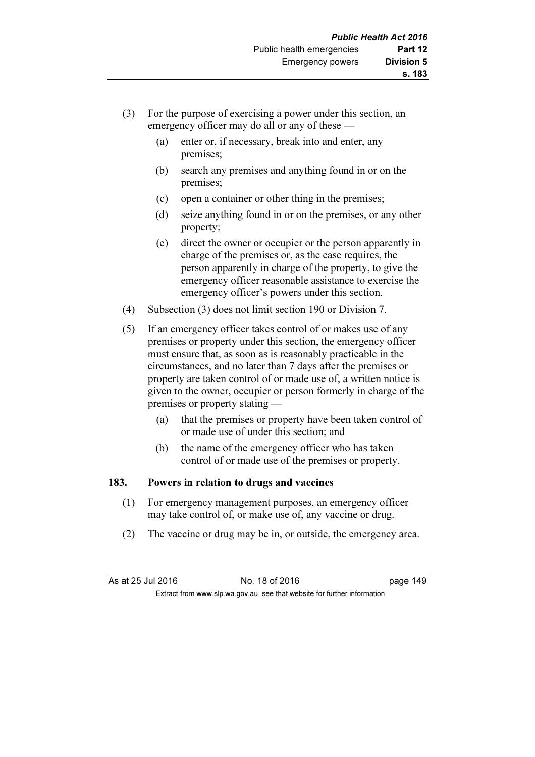- (3) For the purpose of exercising a power under this section, an emergency officer may do all or any of these —
	- (a) enter or, if necessary, break into and enter, any premises;
	- (b) search any premises and anything found in or on the premises;
	- (c) open a container or other thing in the premises;
	- (d) seize anything found in or on the premises, or any other property;
	- (e) direct the owner or occupier or the person apparently in charge of the premises or, as the case requires, the person apparently in charge of the property, to give the emergency officer reasonable assistance to exercise the emergency officer's powers under this section.
- (4) Subsection (3) does not limit section 190 or Division 7.
- (5) If an emergency officer takes control of or makes use of any premises or property under this section, the emergency officer must ensure that, as soon as is reasonably practicable in the circumstances, and no later than 7 days after the premises or property are taken control of or made use of, a written notice is given to the owner, occupier or person formerly in charge of the premises or property stating —
	- (a) that the premises or property have been taken control of or made use of under this section; and
	- (b) the name of the emergency officer who has taken control of or made use of the premises or property.

#### 183. Powers in relation to drugs and vaccines

- (1) For emergency management purposes, an emergency officer may take control of, or make use of, any vaccine or drug.
- (2) The vaccine or drug may be in, or outside, the emergency area.

| As at 25 Jul 2016 | No. 18 of 2016                                                           | page 149 |
|-------------------|--------------------------------------------------------------------------|----------|
|                   | Extract from www.slp.wa.gov.au, see that website for further information |          |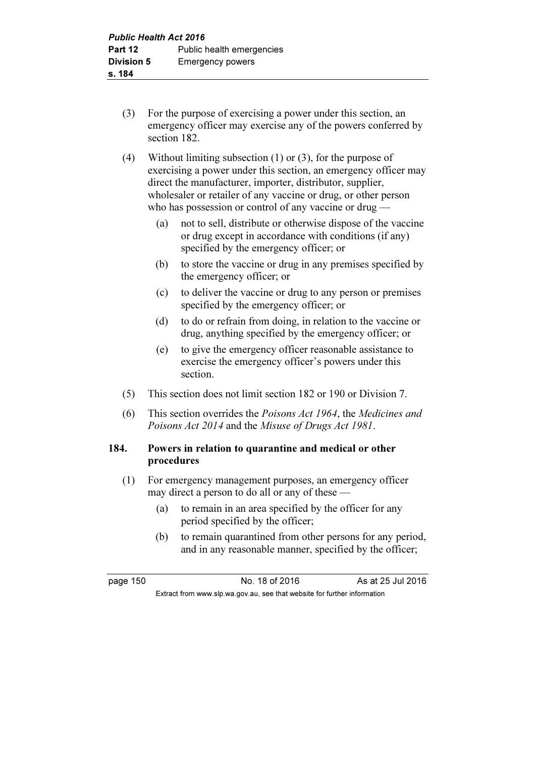- (3) For the purpose of exercising a power under this section, an emergency officer may exercise any of the powers conferred by section 182.
- (4) Without limiting subsection (1) or (3), for the purpose of exercising a power under this section, an emergency officer may direct the manufacturer, importer, distributor, supplier, wholesaler or retailer of any vaccine or drug, or other person who has possession or control of any vaccine or drug —
	- (a) not to sell, distribute or otherwise dispose of the vaccine or drug except in accordance with conditions (if any) specified by the emergency officer; or
	- (b) to store the vaccine or drug in any premises specified by the emergency officer; or
	- (c) to deliver the vaccine or drug to any person or premises specified by the emergency officer; or
	- (d) to do or refrain from doing, in relation to the vaccine or drug, anything specified by the emergency officer; or
	- (e) to give the emergency officer reasonable assistance to exercise the emergency officer's powers under this section.
- (5) This section does not limit section 182 or 190 or Division 7.
- (6) This section overrides the Poisons Act 1964, the Medicines and Poisons Act 2014 and the Misuse of Drugs Act 1981.

# 184. Powers in relation to quarantine and medical or other procedures

- (1) For emergency management purposes, an emergency officer may direct a person to do all or any of these —
	- (a) to remain in an area specified by the officer for any period specified by the officer;
	- (b) to remain quarantined from other persons for any period, and in any reasonable manner, specified by the officer;

page 150 No. 18 of 2016 As at 25 Jul 2016 Extract from www.slp.wa.gov.au, see that website for further information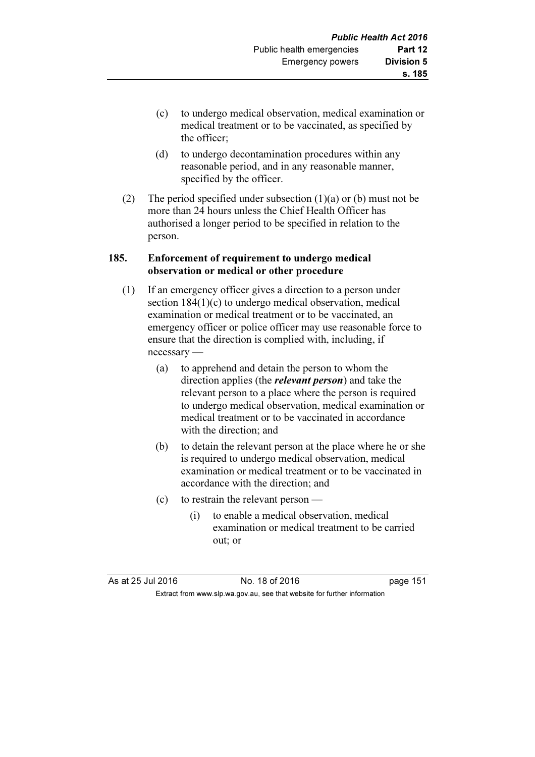- (c) to undergo medical observation, medical examination or medical treatment or to be vaccinated, as specified by the officer;
- (d) to undergo decontamination procedures within any reasonable period, and in any reasonable manner, specified by the officer.
- (2) The period specified under subsection  $(1)(a)$  or  $(b)$  must not be more than 24 hours unless the Chief Health Officer has authorised a longer period to be specified in relation to the person.

#### 185. Enforcement of requirement to undergo medical observation or medical or other procedure

- (1) If an emergency officer gives a direction to a person under section 184(1)(c) to undergo medical observation, medical examination or medical treatment or to be vaccinated, an emergency officer or police officer may use reasonable force to ensure that the direction is complied with, including, if necessary —
	- (a) to apprehend and detain the person to whom the direction applies (the *relevant person*) and take the relevant person to a place where the person is required to undergo medical observation, medical examination or medical treatment or to be vaccinated in accordance with the direction; and
	- (b) to detain the relevant person at the place where he or she is required to undergo medical observation, medical examination or medical treatment or to be vaccinated in accordance with the direction; and
	- (c) to restrain the relevant person
		- (i) to enable a medical observation, medical examination or medical treatment to be carried out; or

As at 25 Jul 2016 18 0.18 of 2016 1991 10:45 Page 151 Extract from www.slp.wa.gov.au, see that website for further information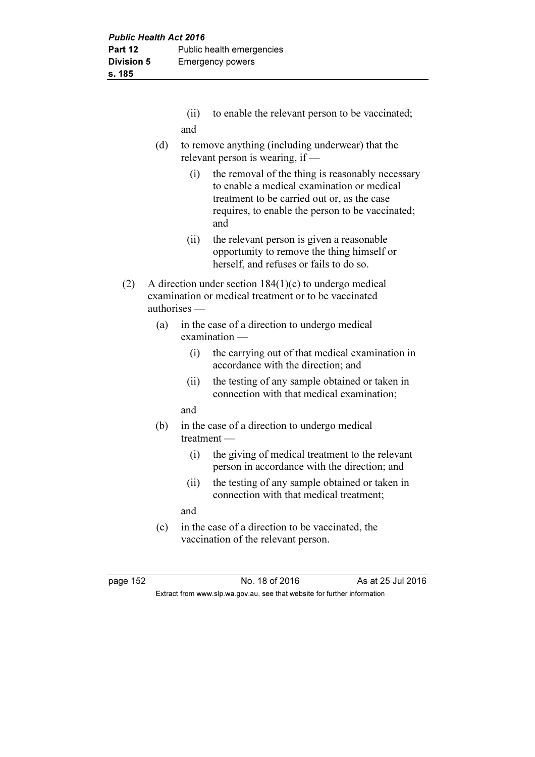|     | (ii) to enable the relevant person to be vaccinated; |
|-----|------------------------------------------------------|
| and |                                                      |

- (d) to remove anything (including underwear) that the relevant person is wearing, if —
	- (i) the removal of the thing is reasonably necessary to enable a medical examination or medical treatment to be carried out or, as the case requires, to enable the person to be vaccinated; and
	- (ii) the relevant person is given a reasonable opportunity to remove the thing himself or herself, and refuses or fails to do so.
- (2) A direction under section 184(1)(c) to undergo medical examination or medical treatment or to be vaccinated authorises —
	- (a) in the case of a direction to undergo medical examination —
		- (i) the carrying out of that medical examination in accordance with the direction; and
		- (ii) the testing of any sample obtained or taken in connection with that medical examination;

and

- (b) in the case of a direction to undergo medical treatment —
	- (i) the giving of medical treatment to the relevant person in accordance with the direction; and
	- (ii) the testing of any sample obtained or taken in connection with that medical treatment;

and

 (c) in the case of a direction to be vaccinated, the vaccination of the relevant person.

page 152 No. 18 of 2016 As at 25 Jul 2016 Extract from www.slp.wa.gov.au, see that website for further information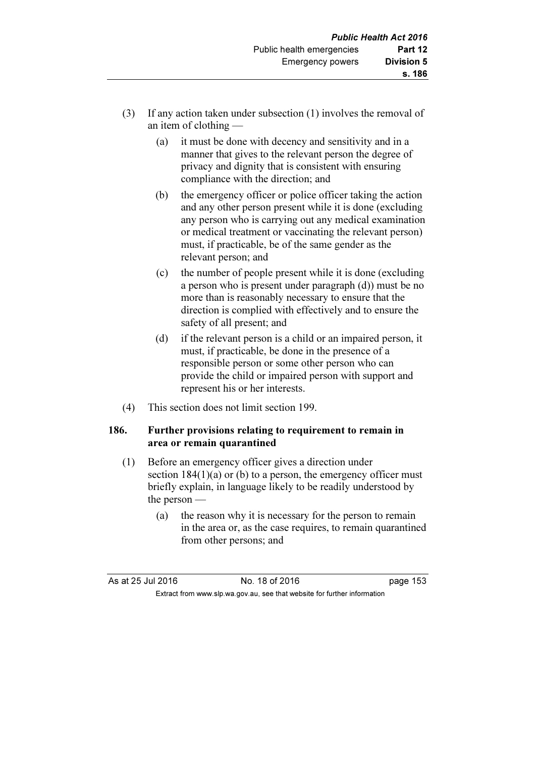- (3) If any action taken under subsection (1) involves the removal of an item of clothing —
	- (a) it must be done with decency and sensitivity and in a manner that gives to the relevant person the degree of privacy and dignity that is consistent with ensuring compliance with the direction; and
	- (b) the emergency officer or police officer taking the action and any other person present while it is done (excluding any person who is carrying out any medical examination or medical treatment or vaccinating the relevant person) must, if practicable, be of the same gender as the relevant person; and
	- (c) the number of people present while it is done (excluding a person who is present under paragraph (d)) must be no more than is reasonably necessary to ensure that the direction is complied with effectively and to ensure the safety of all present; and
	- (d) if the relevant person is a child or an impaired person, it must, if practicable, be done in the presence of a responsible person or some other person who can provide the child or impaired person with support and represent his or her interests.
- (4) This section does not limit section 199.

#### 186. Further provisions relating to requirement to remain in area or remain quarantined

- (1) Before an emergency officer gives a direction under section  $184(1)(a)$  or (b) to a person, the emergency officer must briefly explain, in language likely to be readily understood by the person —
	- (a) the reason why it is necessary for the person to remain in the area or, as the case requires, to remain quarantined from other persons; and

| As at 25 Jul 2016 | No. 18 of 2016                                                           | page 153 |
|-------------------|--------------------------------------------------------------------------|----------|
|                   | Extract from www.slp.wa.gov.au, see that website for further information |          |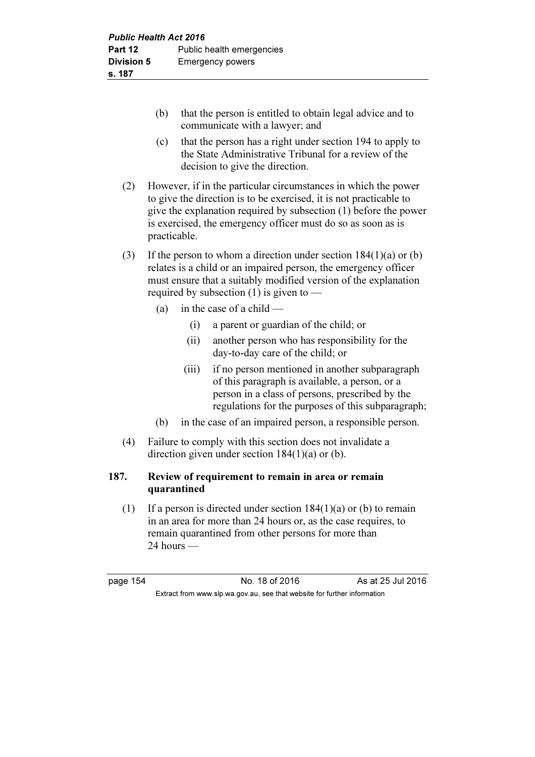- (b) that the person is entitled to obtain legal advice and to communicate with a lawyer; and
- (c) that the person has a right under section 194 to apply to the State Administrative Tribunal for a review of the decision to give the direction.
- (2) However, if in the particular circumstances in which the power to give the direction is to be exercised, it is not practicable to give the explanation required by subsection (1) before the power is exercised, the emergency officer must do so as soon as is practicable.
- (3) If the person to whom a direction under section  $184(1)(a)$  or (b) relates is a child or an impaired person, the emergency officer must ensure that a suitably modified version of the explanation required by subsection (1) is given to —
	- (a) in the case of a child  $-$ 
		- (i) a parent or guardian of the child; or
		- (ii) another person who has responsibility for the day-to-day care of the child; or
		- (iii) if no person mentioned in another subparagraph of this paragraph is available, a person, or a person in a class of persons, prescribed by the regulations for the purposes of this subparagraph;
	- (b) in the case of an impaired person, a responsible person.
- (4) Failure to comply with this section does not invalidate a direction given under section 184(1)(a) or (b).

# 187. Review of requirement to remain in area or remain quarantined

(1) If a person is directed under section  $184(1)(a)$  or (b) to remain in an area for more than 24 hours or, as the case requires, to remain quarantined from other persons for more than 24 hours —

page 154 **No. 18 of 2016** As at 25 Jul 2016 Extract from www.slp.wa.gov.au, see that website for further information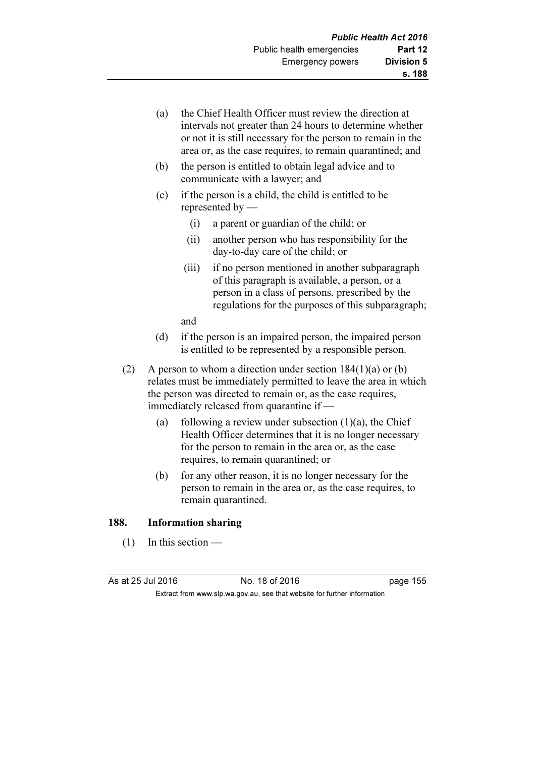- (a) the Chief Health Officer must review the direction at intervals not greater than 24 hours to determine whether or not it is still necessary for the person to remain in the area or, as the case requires, to remain quarantined; and
- (b) the person is entitled to obtain legal advice and to communicate with a lawyer; and
- (c) if the person is a child, the child is entitled to be represented by —
	- (i) a parent or guardian of the child; or
	- (ii) another person who has responsibility for the day-to-day care of the child; or
	- (iii) if no person mentioned in another subparagraph of this paragraph is available, a person, or a person in a class of persons, prescribed by the regulations for the purposes of this subparagraph;

and

- (d) if the person is an impaired person, the impaired person is entitled to be represented by a responsible person.
- (2) A person to whom a direction under section  $184(1)(a)$  or (b) relates must be immediately permitted to leave the area in which the person was directed to remain or, as the case requires, immediately released from quarantine if —
	- (a) following a review under subsection  $(1)(a)$ , the Chief Health Officer determines that it is no longer necessary for the person to remain in the area or, as the case requires, to remain quarantined; or
	- (b) for any other reason, it is no longer necessary for the person to remain in the area or, as the case requires, to remain quarantined.

#### 188. Information sharing

 $(1)$  In this section —

As at 25 Jul 2016 18 0.18 of 2016 1991 12016 1202 1203 1204 1205 1206 1207 1208 1209 1209 1209 1209 1209 1209 1

Extract from www.slp.wa.gov.au, see that website for further information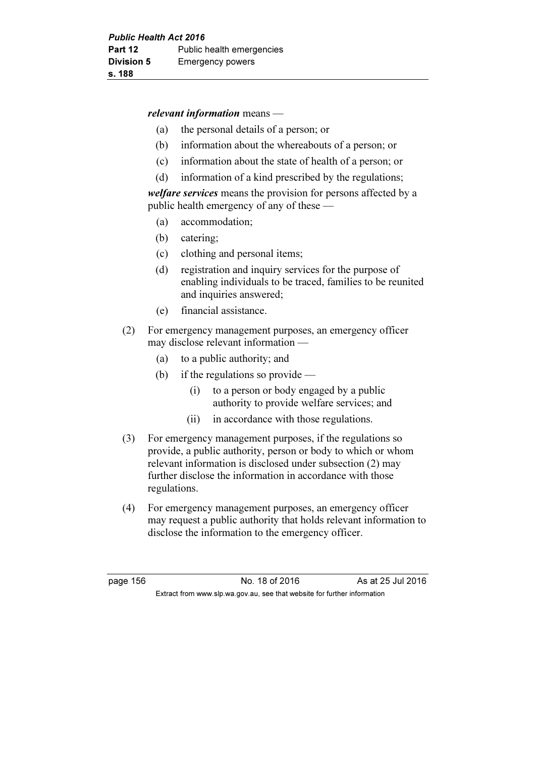#### relevant information means —

- (a) the personal details of a person; or
- (b) information about the whereabouts of a person; or
- (c) information about the state of health of a person; or
- (d) information of a kind prescribed by the regulations;

welfare services means the provision for persons affected by a public health emergency of any of these —

- (a) accommodation;
- (b) catering;
- (c) clothing and personal items;
- (d) registration and inquiry services for the purpose of enabling individuals to be traced, families to be reunited and inquiries answered;
- (e) financial assistance.
- (2) For emergency management purposes, an emergency officer may disclose relevant information —
	- (a) to a public authority; and
	- (b) if the regulations so provide  $-$ 
		- (i) to a person or body engaged by a public authority to provide welfare services; and
		- (ii) in accordance with those regulations.
- (3) For emergency management purposes, if the regulations so provide, a public authority, person or body to which or whom relevant information is disclosed under subsection (2) may further disclose the information in accordance with those regulations.
- (4) For emergency management purposes, an emergency officer may request a public authority that holds relevant information to disclose the information to the emergency officer.

page 156 **No. 18 of 2016** As at 25 Jul 2016 Extract from www.slp.wa.gov.au, see that website for further information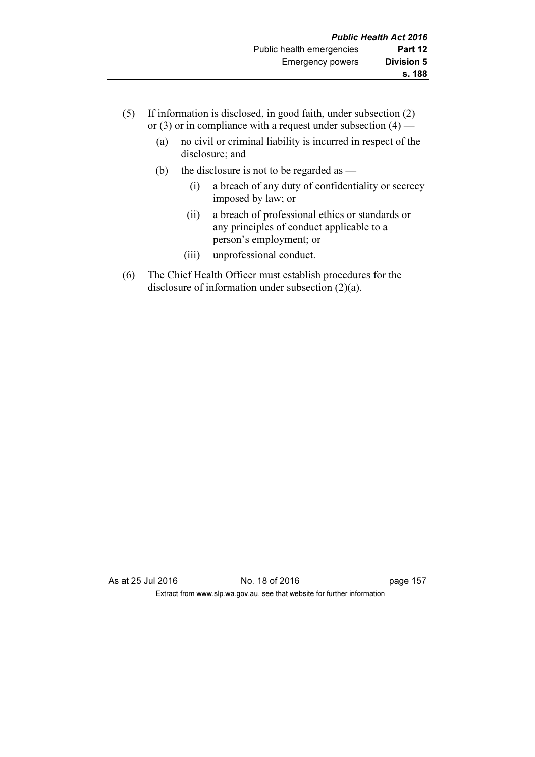- (5) If information is disclosed, in good faith, under subsection (2) or (3) or in compliance with a request under subsection  $(4)$  —
	- (a) no civil or criminal liability is incurred in respect of the disclosure; and
	- (b) the disclosure is not to be regarded as
		- (i) a breach of any duty of confidentiality or secrecy imposed by law; or
		- (ii) a breach of professional ethics or standards or any principles of conduct applicable to a person's employment; or
		- (iii) unprofessional conduct.
- (6) The Chief Health Officer must establish procedures for the disclosure of information under subsection (2)(a).

As at 25 Jul 2016 18 of 2016 18 of 2016 Extract from www.slp.wa.gov.au, see that website for further information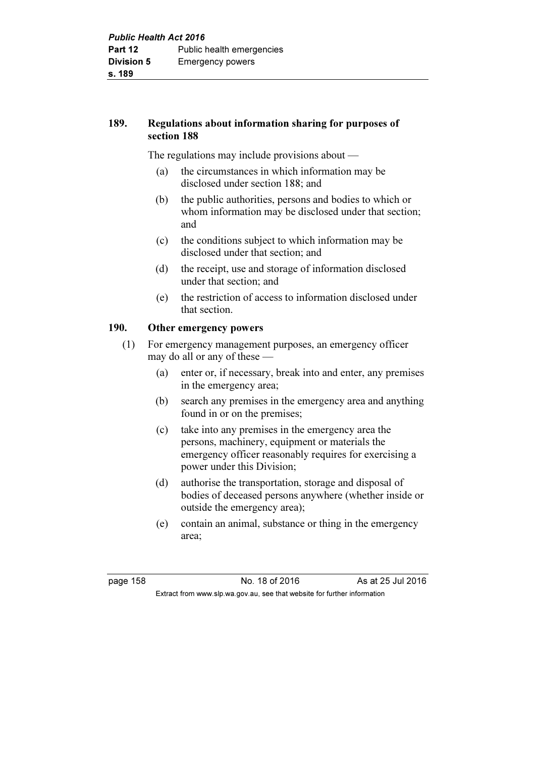# 189. Regulations about information sharing for purposes of section 188

The regulations may include provisions about —

- (a) the circumstances in which information may be disclosed under section 188; and
- (b) the public authorities, persons and bodies to which or whom information may be disclosed under that section; and
- (c) the conditions subject to which information may be disclosed under that section; and
- (d) the receipt, use and storage of information disclosed under that section; and
- (e) the restriction of access to information disclosed under that section.

# 190. Other emergency powers

 (1) For emergency management purposes, an emergency officer may do all or any of these —

- (a) enter or, if necessary, break into and enter, any premises in the emergency area;
- (b) search any premises in the emergency area and anything found in or on the premises;
- (c) take into any premises in the emergency area the persons, machinery, equipment or materials the emergency officer reasonably requires for exercising a power under this Division;
- (d) authorise the transportation, storage and disposal of bodies of deceased persons anywhere (whether inside or outside the emergency area);
- (e) contain an animal, substance or thing in the emergency area;

page 158 **No. 18 of 2016** As at 25 Jul 2016 Extract from www.slp.wa.gov.au, see that website for further information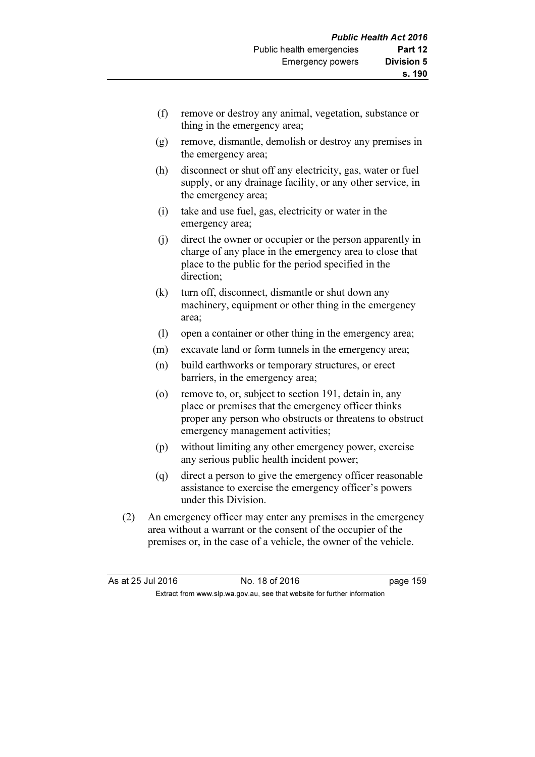- (f) remove or destroy any animal, vegetation, substance or thing in the emergency area;
- (g) remove, dismantle, demolish or destroy any premises in the emergency area;
- (h) disconnect or shut off any electricity, gas, water or fuel supply, or any drainage facility, or any other service, in the emergency area;
- (i) take and use fuel, gas, electricity or water in the emergency area;
- (j) direct the owner or occupier or the person apparently in charge of any place in the emergency area to close that place to the public for the period specified in the direction;
- (k) turn off, disconnect, dismantle or shut down any machinery, equipment or other thing in the emergency area;
- (l) open a container or other thing in the emergency area;
- (m) excavate land or form tunnels in the emergency area;
- (n) build earthworks or temporary structures, or erect barriers, in the emergency area;
- (o) remove to, or, subject to section 191, detain in, any place or premises that the emergency officer thinks proper any person who obstructs or threatens to obstruct emergency management activities;
- (p) without limiting any other emergency power, exercise any serious public health incident power;
- (q) direct a person to give the emergency officer reasonable assistance to exercise the emergency officer's powers under this Division.
- (2) An emergency officer may enter any premises in the emergency area without a warrant or the consent of the occupier of the premises or, in the case of a vehicle, the owner of the vehicle.

| As at 25 Jul 2016 | No. 18 of 2016                                                           | page 159 |
|-------------------|--------------------------------------------------------------------------|----------|
|                   | Extract from www.slp.wa.gov.au, see that website for further information |          |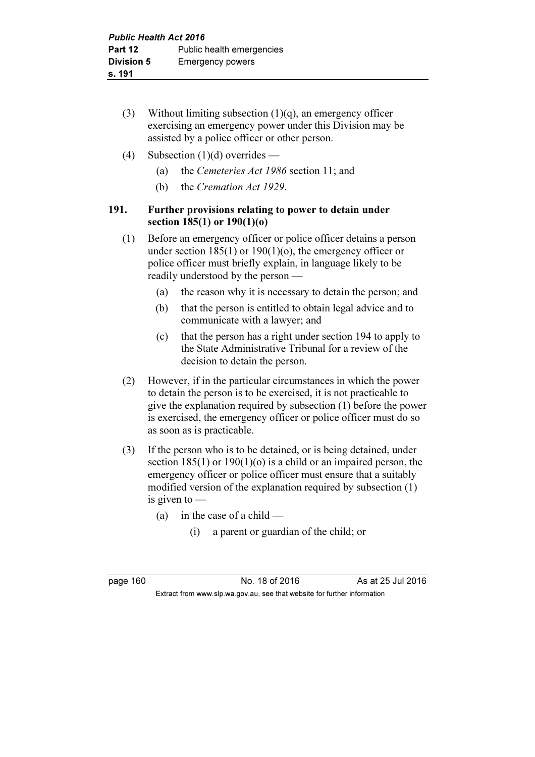- (3) Without limiting subsection  $(1)(q)$ , an emergency officer exercising an emergency power under this Division may be assisted by a police officer or other person.
- (4) Subsection  $(1)(d)$  overrides
	- (a) the Cemeteries Act 1986 section 11; and
	- (b) the Cremation Act 1929.

#### 191. Further provisions relating to power to detain under section 185(1) or 190(1)(o)

- (1) Before an emergency officer or police officer detains a person under section  $185(1)$  or  $190(1)(o)$ , the emergency officer or police officer must briefly explain, in language likely to be readily understood by the person —
	- (a) the reason why it is necessary to detain the person; and
	- (b) that the person is entitled to obtain legal advice and to communicate with a lawyer; and
	- (c) that the person has a right under section 194 to apply to the State Administrative Tribunal for a review of the decision to detain the person.
- (2) However, if in the particular circumstances in which the power to detain the person is to be exercised, it is not practicable to give the explanation required by subsection (1) before the power is exercised, the emergency officer or police officer must do so as soon as is practicable.
- (3) If the person who is to be detained, or is being detained, under section 185(1) or 190(1)(o) is a child or an impaired person, the emergency officer or police officer must ensure that a suitably modified version of the explanation required by subsection (1) is given to —
	- (a) in the case of a child  $-$ 
		- (i) a parent or guardian of the child; or

page 160 No. 18 of 2016 As at 25 Jul 2016 Extract from www.slp.wa.gov.au, see that website for further information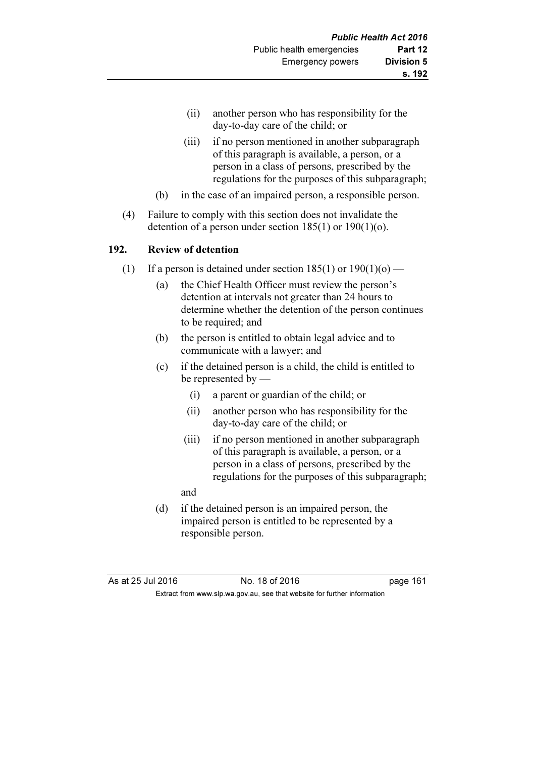- (ii) another person who has responsibility for the day-to-day care of the child; or
- (iii) if no person mentioned in another subparagraph of this paragraph is available, a person, or a person in a class of persons, prescribed by the regulations for the purposes of this subparagraph;
- (b) in the case of an impaired person, a responsible person.
- (4) Failure to comply with this section does not invalidate the detention of a person under section  $185(1)$  or  $190(1)(o)$ .

#### 192. Review of detention

- (1) If a person is detained under section  $185(1)$  or  $190(1)(o)$ 
	- (a) the Chief Health Officer must review the person's detention at intervals not greater than 24 hours to determine whether the detention of the person continues to be required; and
	- (b) the person is entitled to obtain legal advice and to communicate with a lawyer; and
	- (c) if the detained person is a child, the child is entitled to be represented by —
		- (i) a parent or guardian of the child; or
		- (ii) another person who has responsibility for the day-to-day care of the child; or
		- (iii) if no person mentioned in another subparagraph of this paragraph is available, a person, or a person in a class of persons, prescribed by the regulations for the purposes of this subparagraph;
		- and
	- (d) if the detained person is an impaired person, the impaired person is entitled to be represented by a responsible person.

| As at 25 Jul 2016 | No. 18 of 2016                                                           | page 161 |
|-------------------|--------------------------------------------------------------------------|----------|
|                   | Extract from www.slp.wa.gov.au, see that website for further information |          |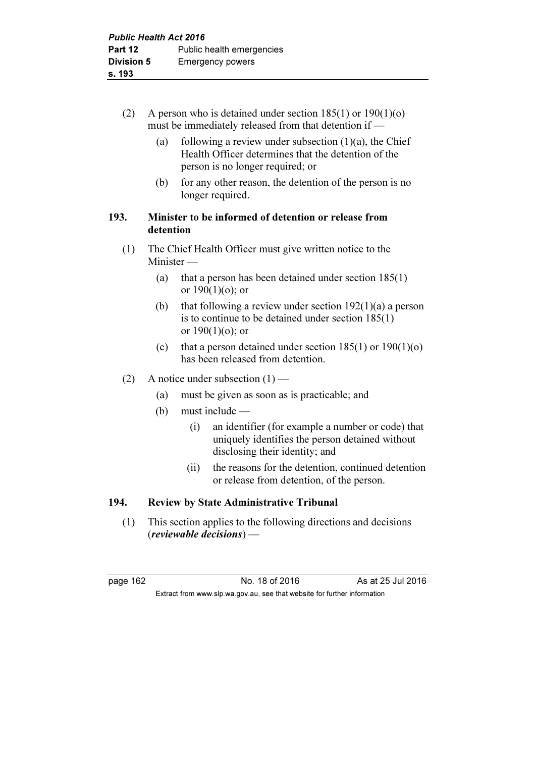- (2) A person who is detained under section  $185(1)$  or  $190(1)(o)$ must be immediately released from that detention if —
	- (a) following a review under subsection  $(1)(a)$ , the Chief Health Officer determines that the detention of the person is no longer required; or
	- (b) for any other reason, the detention of the person is no longer required.

# 193. Minister to be informed of detention or release from detention

- (1) The Chief Health Officer must give written notice to the Minister —
	- (a) that a person has been detained under section 185(1) or  $190(1)(o)$ ; or
	- (b) that following a review under section  $192(1)(a)$  a person is to continue to be detained under section 185(1) or  $190(1)(o)$ ; or
	- (c) that a person detained under section  $185(1)$  or  $190(1)(o)$ has been released from detention.
- (2) A notice under subsection  $(1)$ 
	- (a) must be given as soon as is practicable; and
	- (b) must include
		- (i) an identifier (for example a number or code) that uniquely identifies the person detained without disclosing their identity; and
		- (ii) the reasons for the detention, continued detention or release from detention, of the person.

# 194. Review by State Administrative Tribunal

 (1) This section applies to the following directions and decisions (reviewable decisions) —

page 162 **No. 18 of 2016** As at 25 Jul 2016 Extract from www.slp.wa.gov.au, see that website for further information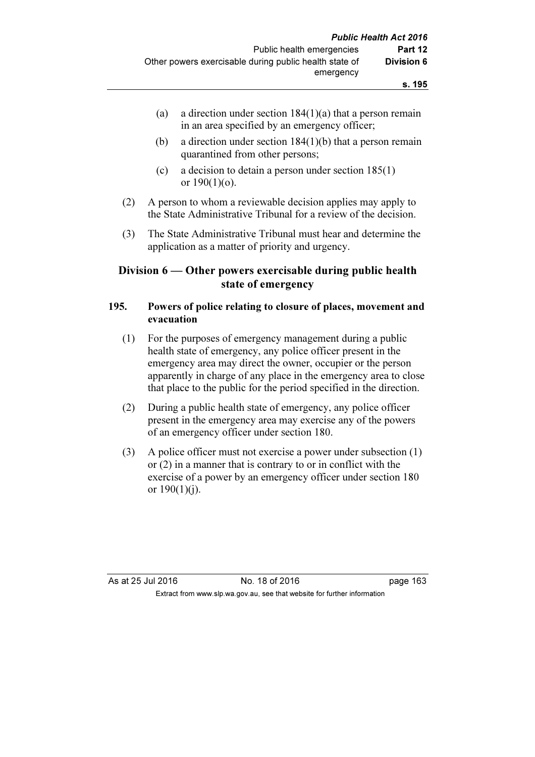- (a) a direction under section  $184(1)(a)$  that a person remain in an area specified by an emergency officer;
- (b) a direction under section 184(1)(b) that a person remain quarantined from other persons;
- (c) a decision to detain a person under section 185(1) or  $190(1)(o)$ .
- (2) A person to whom a reviewable decision applies may apply to the State Administrative Tribunal for a review of the decision.
- (3) The State Administrative Tribunal must hear and determine the application as a matter of priority and urgency.

### Division 6 — Other powers exercisable during public health state of emergency

### 195. Powers of police relating to closure of places, movement and evacuation

- (1) For the purposes of emergency management during a public health state of emergency, any police officer present in the emergency area may direct the owner, occupier or the person apparently in charge of any place in the emergency area to close that place to the public for the period specified in the direction.
- (2) During a public health state of emergency, any police officer present in the emergency area may exercise any of the powers of an emergency officer under section 180.
- (3) A police officer must not exercise a power under subsection (1) or (2) in a manner that is contrary to or in conflict with the exercise of a power by an emergency officer under section 180 or  $190(1)(i)$ .

As at 25 Jul 2016 18 0.18 of 2016 18 0.18 page 163 Extract from www.slp.wa.gov.au, see that website for further information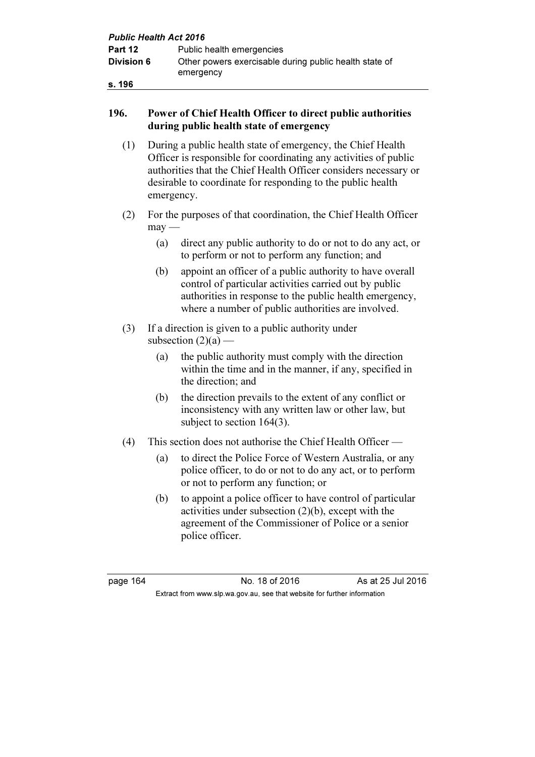| <b>Public Health Act 2016</b> |                                                                     |  |
|-------------------------------|---------------------------------------------------------------------|--|
| Part 12                       | Public health emergencies                                           |  |
| <b>Division 6</b>             | Other powers exercisable during public health state of<br>emergency |  |
| s. 196                        |                                                                     |  |

### 196. Power of Chief Health Officer to direct public authorities during public health state of emergency

- (1) During a public health state of emergency, the Chief Health Officer is responsible for coordinating any activities of public authorities that the Chief Health Officer considers necessary or desirable to coordinate for responding to the public health emergency.
- (2) For the purposes of that coordination, the Chief Health Officer  $may$ —
	- (a) direct any public authority to do or not to do any act, or to perform or not to perform any function; and
	- (b) appoint an officer of a public authority to have overall control of particular activities carried out by public authorities in response to the public health emergency, where a number of public authorities are involved.
- (3) If a direction is given to a public authority under subsection  $(2)(a)$  —
	- (a) the public authority must comply with the direction within the time and in the manner, if any, specified in the direction; and
	- (b) the direction prevails to the extent of any conflict or inconsistency with any written law or other law, but subject to section 164(3).
- (4) This section does not authorise the Chief Health Officer
	- (a) to direct the Police Force of Western Australia, or any police officer, to do or not to do any act, or to perform or not to perform any function; or
	- (b) to appoint a police officer to have control of particular activities under subsection (2)(b), except with the agreement of the Commissioner of Police or a senior police officer.

page 164 **No. 18 of 2016** As at 25 Jul 2016 Extract from www.slp.wa.gov.au, see that website for further information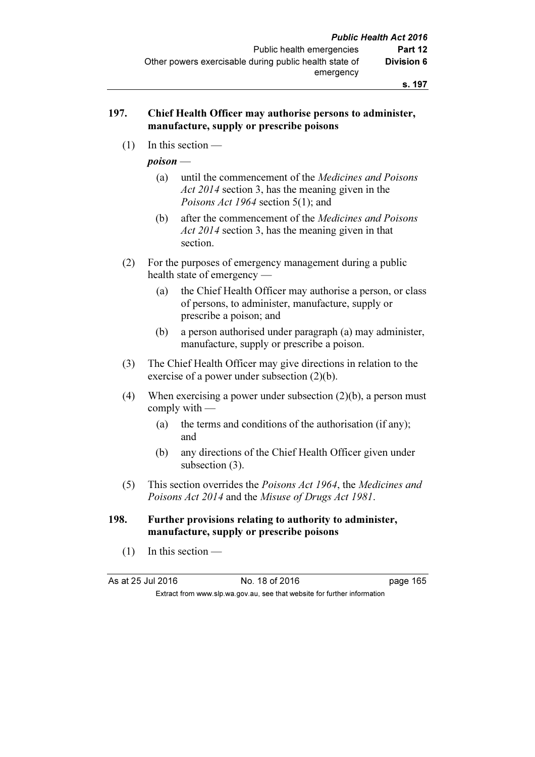#### 197. Chief Health Officer may authorise persons to administer, manufacture, supply or prescribe poisons

(1) In this section —

poison —

- (a) until the commencement of the Medicines and Poisons Act 2014 section 3, has the meaning given in the Poisons Act 1964 section 5(1); and
- (b) after the commencement of the Medicines and Poisons Act 2014 section 3, has the meaning given in that section.
- (2) For the purposes of emergency management during a public health state of emergency —
	- (a) the Chief Health Officer may authorise a person, or class of persons, to administer, manufacture, supply or prescribe a poison; and
	- (b) a person authorised under paragraph (a) may administer, manufacture, supply or prescribe a poison.
- (3) The Chief Health Officer may give directions in relation to the exercise of a power under subsection (2)(b).
- (4) When exercising a power under subsection (2)(b), a person must comply with —
	- (a) the terms and conditions of the authorisation (if any); and
	- (b) any directions of the Chief Health Officer given under subsection (3).
- (5) This section overrides the Poisons Act 1964, the Medicines and Poisons Act 2014 and the Misuse of Drugs Act 1981.

#### 198. Further provisions relating to authority to administer, manufacture, supply or prescribe poisons

(1) In this section —

As at 25 Jul 2016 18 0.18 of 2016 18 0.18 page 165

Extract from www.slp.wa.gov.au, see that website for further information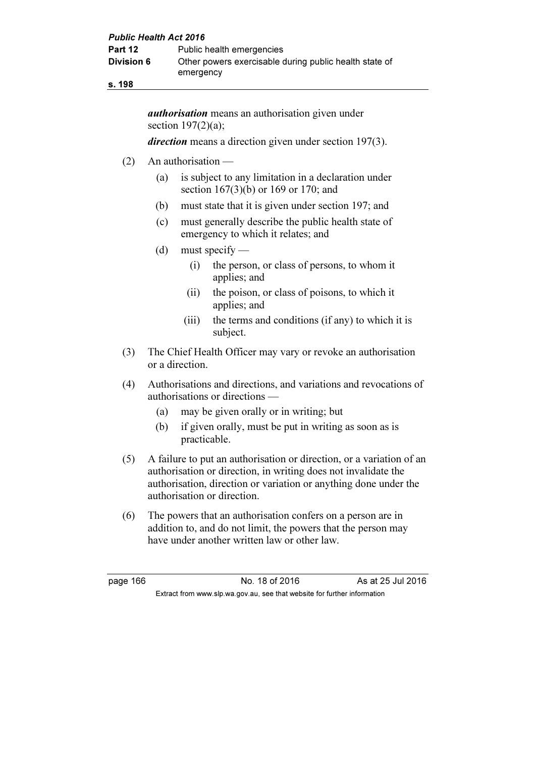| <b>Public Health Act 2016</b> |                                                                     |  |
|-------------------------------|---------------------------------------------------------------------|--|
| Part 12                       | Public health emergencies                                           |  |
| <b>Division 6</b>             | Other powers exercisable during public health state of<br>emergency |  |
|                               |                                                                     |  |

s. 198

*authorisation* means an authorisation given under section  $197(2)(a)$ ;

direction means a direction given under section 197(3).

- (2) An authorisation
	- (a) is subject to any limitation in a declaration under section 167(3)(b) or 169 or 170; and
	- (b) must state that it is given under section 197; and
	- (c) must generally describe the public health state of emergency to which it relates; and
	- (d) must specify
		- (i) the person, or class of persons, to whom it applies; and
		- (ii) the poison, or class of poisons, to which it applies; and
		- (iii) the terms and conditions (if any) to which it is subject.
- (3) The Chief Health Officer may vary or revoke an authorisation or a direction.
- (4) Authorisations and directions, and variations and revocations of authorisations or directions —
	- (a) may be given orally or in writing; but
	- (b) if given orally, must be put in writing as soon as is practicable.
- (5) A failure to put an authorisation or direction, or a variation of an authorisation or direction, in writing does not invalidate the authorisation, direction or variation or anything done under the authorisation or direction.
- (6) The powers that an authorisation confers on a person are in addition to, and do not limit, the powers that the person may have under another written law or other law.

page 166 **No. 18 of 2016** As at 25 Jul 2016 Extract from www.slp.wa.gov.au, see that website for further information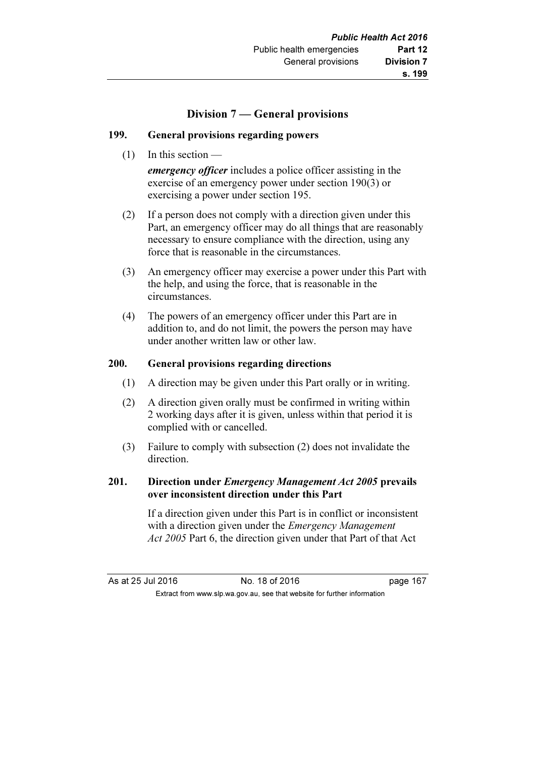### Division 7 — General provisions

### 199. General provisions regarding powers

(1) In this section —

emergency officer includes a police officer assisting in the exercise of an emergency power under section 190(3) or exercising a power under section 195.

- (2) If a person does not comply with a direction given under this Part, an emergency officer may do all things that are reasonably necessary to ensure compliance with the direction, using any force that is reasonable in the circumstances.
- (3) An emergency officer may exercise a power under this Part with the help, and using the force, that is reasonable in the circumstances.
- (4) The powers of an emergency officer under this Part are in addition to, and do not limit, the powers the person may have under another written law or other law.

### 200. General provisions regarding directions

- (1) A direction may be given under this Part orally or in writing.
- (2) A direction given orally must be confirmed in writing within 2 working days after it is given, unless within that period it is complied with or cancelled.
- (3) Failure to comply with subsection (2) does not invalidate the direction.

### 201. Direction under *Emergency Management Act 2005* prevails over inconsistent direction under this Part

 If a direction given under this Part is in conflict or inconsistent with a direction given under the *Emergency Management* Act 2005 Part 6, the direction given under that Part of that Act

As at 25 Jul 2016 18 0.18 of 2016 18 0.18 page 167 Extract from www.slp.wa.gov.au, see that website for further information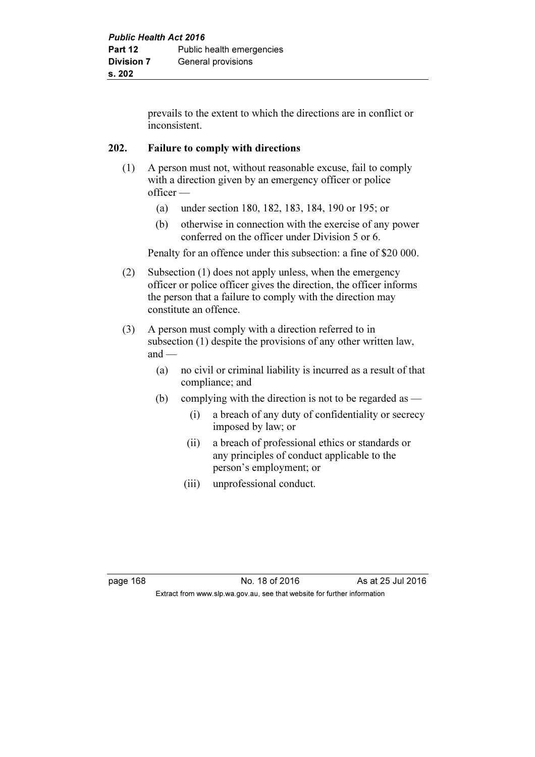prevails to the extent to which the directions are in conflict or inconsistent.

### 202. Failure to comply with directions

- (1) A person must not, without reasonable excuse, fail to comply with a direction given by an emergency officer or police officer —
	- (a) under section 180, 182, 183, 184, 190 or 195; or
	- (b) otherwise in connection with the exercise of any power conferred on the officer under Division 5 or 6.

Penalty for an offence under this subsection: a fine of \$20 000.

- (2) Subsection (1) does not apply unless, when the emergency officer or police officer gives the direction, the officer informs the person that a failure to comply with the direction may constitute an offence.
- (3) A person must comply with a direction referred to in subsection (1) despite the provisions of any other written law,  $and$  —
	- (a) no civil or criminal liability is incurred as a result of that compliance; and
	- (b) complying with the direction is not to be regarded as  $-$ 
		- (i) a breach of any duty of confidentiality or secrecy imposed by law; or
		- (ii) a breach of professional ethics or standards or any principles of conduct applicable to the person's employment; or
		- (iii) unprofessional conduct.

page 168 **No. 18 of 2016** As at 25 Jul 2016 Extract from www.slp.wa.gov.au, see that website for further information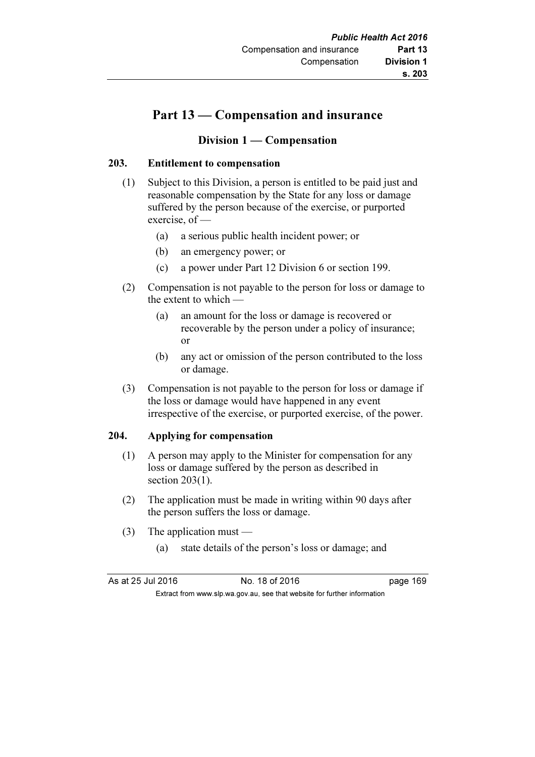# Part 13 — Compensation and insurance

### Division 1 — Compensation

### 203. Entitlement to compensation

- (1) Subject to this Division, a person is entitled to be paid just and reasonable compensation by the State for any loss or damage suffered by the person because of the exercise, or purported exercise, of —
	- (a) a serious public health incident power; or
	- (b) an emergency power; or
	- (c) a power under Part 12 Division 6 or section 199.
- (2) Compensation is not payable to the person for loss or damage to the extent to which —
	- (a) an amount for the loss or damage is recovered or recoverable by the person under a policy of insurance; or
	- (b) any act or omission of the person contributed to the loss or damage.
- (3) Compensation is not payable to the person for loss or damage if the loss or damage would have happened in any event irrespective of the exercise, or purported exercise, of the power.

### 204. Applying for compensation

- (1) A person may apply to the Minister for compensation for any loss or damage suffered by the person as described in section 203(1).
- (2) The application must be made in writing within 90 days after the person suffers the loss or damage.
- (3) The application must
	- (a) state details of the person's loss or damage; and

| As at 25 Jul 2016 | No. 18 of 2016                                                           | page 169 |
|-------------------|--------------------------------------------------------------------------|----------|
|                   | Extract from www.slp.wa.gov.au, see that website for further information |          |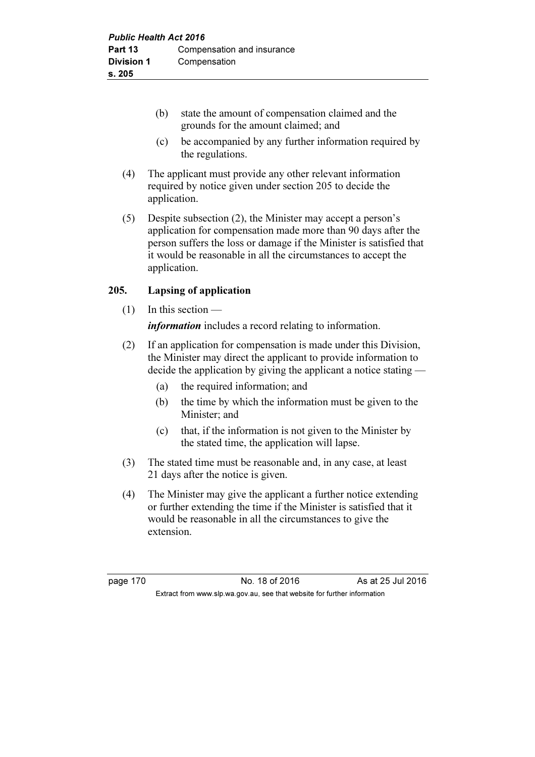- (b) state the amount of compensation claimed and the grounds for the amount claimed; and
- (c) be accompanied by any further information required by the regulations.
- (4) The applicant must provide any other relevant information required by notice given under section 205 to decide the application.
- (5) Despite subsection (2), the Minister may accept a person's application for compensation made more than 90 days after the person suffers the loss or damage if the Minister is satisfied that it would be reasonable in all the circumstances to accept the application.

### 205. Lapsing of application

- $(1)$  In this section *information* includes a record relating to information.
- (2) If an application for compensation is made under this Division, the Minister may direct the applicant to provide information to decide the application by giving the applicant a notice stating —
	- (a) the required information; and
	- (b) the time by which the information must be given to the Minister; and
	- (c) that, if the information is not given to the Minister by the stated time, the application will lapse.
- (3) The stated time must be reasonable and, in any case, at least 21 days after the notice is given.
- (4) The Minister may give the applicant a further notice extending or further extending the time if the Minister is satisfied that it would be reasonable in all the circumstances to give the extension.

page 170 No. 18 of 2016 As at 25 Jul 2016 Extract from www.slp.wa.gov.au, see that website for further information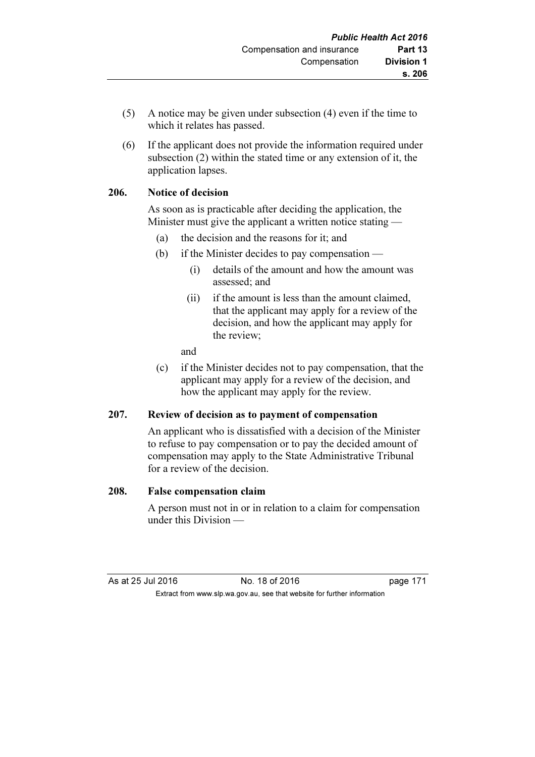- (5) A notice may be given under subsection (4) even if the time to which it relates has passed.
- (6) If the applicant does not provide the information required under subsection (2) within the stated time or any extension of it, the application lapses.

### 206. Notice of decision

 As soon as is practicable after deciding the application, the Minister must give the applicant a written notice stating —

- (a) the decision and the reasons for it; and
- (b) if the Minister decides to pay compensation
	- (i) details of the amount and how the amount was assessed; and
	- (ii) if the amount is less than the amount claimed, that the applicant may apply for a review of the decision, and how the applicant may apply for the review;

and

 (c) if the Minister decides not to pay compensation, that the applicant may apply for a review of the decision, and how the applicant may apply for the review.

### 207. Review of decision as to payment of compensation

 An applicant who is dissatisfied with a decision of the Minister to refuse to pay compensation or to pay the decided amount of compensation may apply to the State Administrative Tribunal for a review of the decision.

#### 208. False compensation claim

 A person must not in or in relation to a claim for compensation under this Division —

As at 25 Jul 2016 18 of 2016 **No. 18 of 2016** Extract from www.slp.wa.gov.au, see that website for further information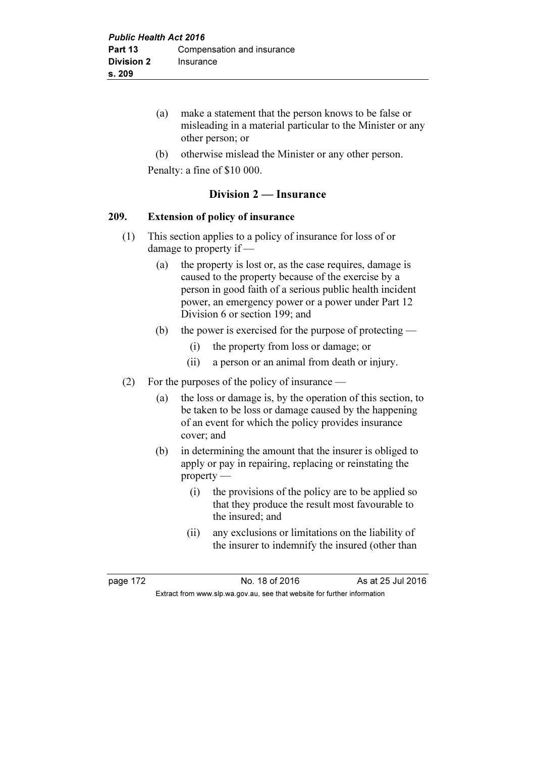- (a) make a statement that the person knows to be false or misleading in a material particular to the Minister or any other person; or
- (b) otherwise mislead the Minister or any other person.

Penalty: a fine of \$10 000.

### Division 2 — Insurance

#### 209. Extension of policy of insurance

- (1) This section applies to a policy of insurance for loss of or damage to property if —
	- (a) the property is lost or, as the case requires, damage is caused to the property because of the exercise by a person in good faith of a serious public health incident power, an emergency power or a power under Part 12 Division 6 or section 199; and
	- (b) the power is exercised for the purpose of protecting
		- (i) the property from loss or damage; or
		- (ii) a person or an animal from death or injury.
- (2) For the purposes of the policy of insurance
	- (a) the loss or damage is, by the operation of this section, to be taken to be loss or damage caused by the happening of an event for which the policy provides insurance cover; and
	- (b) in determining the amount that the insurer is obliged to apply or pay in repairing, replacing or reinstating the property —
		- (i) the provisions of the policy are to be applied so that they produce the result most favourable to the insured; and
		- (ii) any exclusions or limitations on the liability of the insurer to indemnify the insured (other than

page 172 **No. 18 of 2016** As at 25 Jul 2016 Extract from www.slp.wa.gov.au, see that website for further information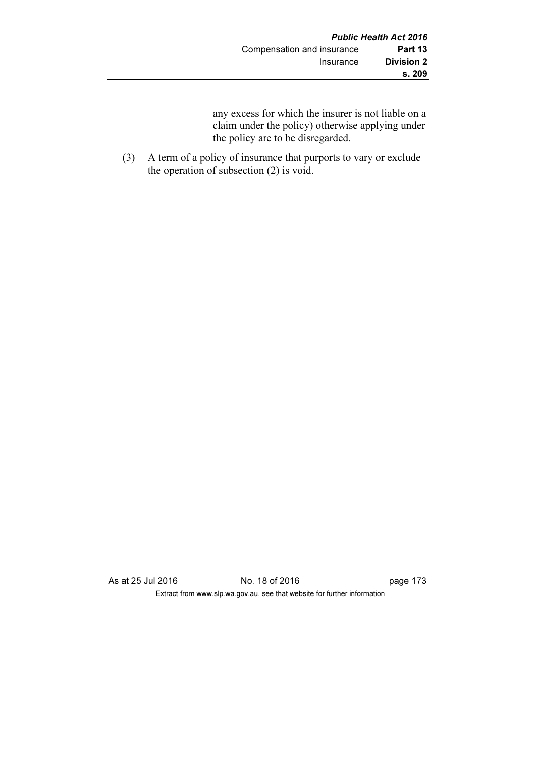any excess for which the insurer is not liable on a claim under the policy) otherwise applying under the policy are to be disregarded.

 (3) A term of a policy of insurance that purports to vary or exclude the operation of subsection (2) is void.

As at 25 Jul 2016 No. 18 of 2016 page 173 Extract from www.slp.wa.gov.au, see that website for further information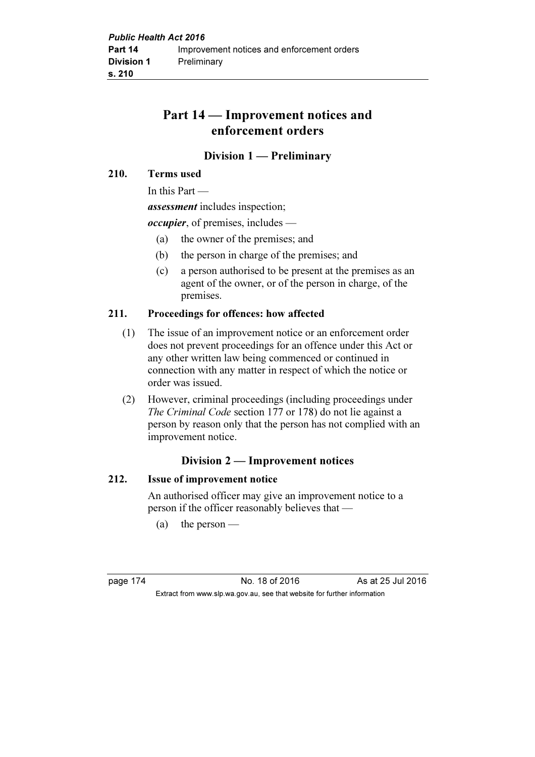# Part 14 — Improvement notices and enforcement orders

### Division 1 — Preliminary

#### 210. Terms used

In this Part —

assessment includes inspection;

*occupier*, of premises, includes —

- (a) the owner of the premises; and
- (b) the person in charge of the premises; and
- (c) a person authorised to be present at the premises as an agent of the owner, or of the person in charge, of the premises.

### 211. Proceedings for offences: how affected

- (1) The issue of an improvement notice or an enforcement order does not prevent proceedings for an offence under this Act or any other written law being commenced or continued in connection with any matter in respect of which the notice or order was issued.
- (2) However, criminal proceedings (including proceedings under The Criminal Code section 177 or 178) do not lie against a person by reason only that the person has not complied with an improvement notice.

### Division 2 — Improvement notices

### 212. Issue of improvement notice

 An authorised officer may give an improvement notice to a person if the officer reasonably believes that —

(a) the person —

page 174 No. 18 of 2016 As at 25 Jul 2016 Extract from www.slp.wa.gov.au, see that website for further information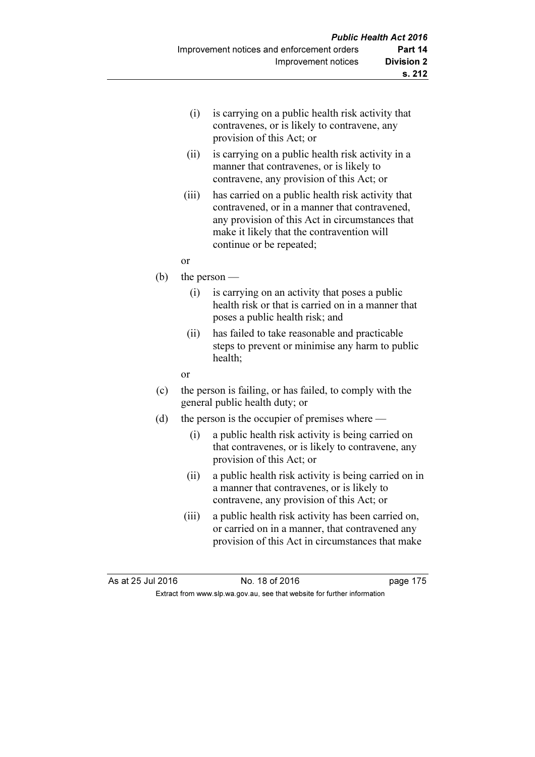- (i) is carrying on a public health risk activity that contravenes, or is likely to contravene, any provision of this Act; or
- (ii) is carrying on a public health risk activity in a manner that contravenes, or is likely to contravene, any provision of this Act; or
- (iii) has carried on a public health risk activity that contravened, or in a manner that contravened, any provision of this Act in circumstances that make it likely that the contravention will continue or be repeated;
- or
- (b) the person
	- (i) is carrying on an activity that poses a public health risk or that is carried on in a manner that poses a public health risk; and
	- (ii) has failed to take reasonable and practicable steps to prevent or minimise any harm to public health;

or

- (c) the person is failing, or has failed, to comply with the general public health duty; or
- (d) the person is the occupier of premises where
	- (i) a public health risk activity is being carried on that contravenes, or is likely to contravene, any provision of this Act; or
	- (ii) a public health risk activity is being carried on in a manner that contravenes, or is likely to contravene, any provision of this Act; or
	- (iii) a public health risk activity has been carried on, or carried on in a manner, that contravened any provision of this Act in circumstances that make

As at 25 Jul 2016 18 0.18 of 2016 1991 10:475 Extract from www.slp.wa.gov.au, see that website for further information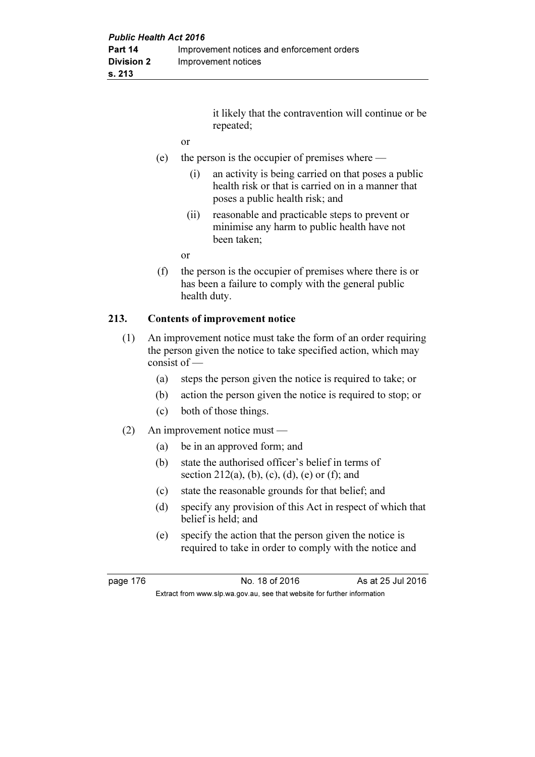it likely that the contravention will continue or be repeated;

- or
- (e) the person is the occupier of premises where
	- (i) an activity is being carried on that poses a public health risk or that is carried on in a manner that poses a public health risk; and
	- (ii) reasonable and practicable steps to prevent or minimise any harm to public health have not been taken;

or

 (f) the person is the occupier of premises where there is or has been a failure to comply with the general public health duty.

### 213. Contents of improvement notice

- (1) An improvement notice must take the form of an order requiring the person given the notice to take specified action, which may consist of —
	- (a) steps the person given the notice is required to take; or
	- (b) action the person given the notice is required to stop; or
	- (c) both of those things.
- (2) An improvement notice must
	- (a) be in an approved form; and
	- (b) state the authorised officer's belief in terms of section 212(a), (b), (c), (d), (e) or (f); and
	- (c) state the reasonable grounds for that belief; and
	- (d) specify any provision of this Act in respect of which that belief is held; and
	- (e) specify the action that the person given the notice is required to take in order to comply with the notice and

page 176 **No. 18 of 2016** As at 25 Jul 2016 Extract from www.slp.wa.gov.au, see that website for further information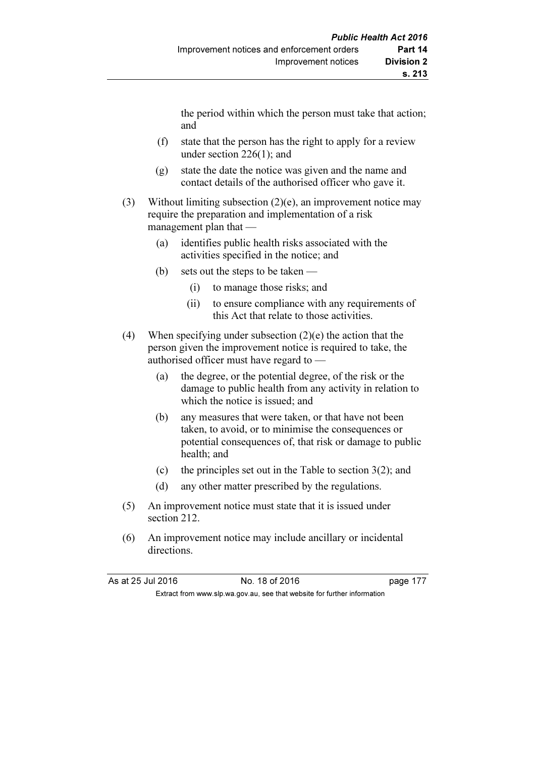the period within which the person must take that action; and

- (f) state that the person has the right to apply for a review under section 226(1); and
- (g) state the date the notice was given and the name and contact details of the authorised officer who gave it.
- (3) Without limiting subsection  $(2)(e)$ , an improvement notice may require the preparation and implementation of a risk management plan that —
	- (a) identifies public health risks associated with the activities specified in the notice; and
	- (b) sets out the steps to be taken
		- (i) to manage those risks; and
		- (ii) to ensure compliance with any requirements of this Act that relate to those activities.
- (4) When specifying under subsection (2)(e) the action that the person given the improvement notice is required to take, the authorised officer must have regard to —
	- (a) the degree, or the potential degree, of the risk or the damage to public health from any activity in relation to which the notice is issued; and
	- (b) any measures that were taken, or that have not been taken, to avoid, or to minimise the consequences or potential consequences of, that risk or damage to public health; and
	- (c) the principles set out in the Table to section  $3(2)$ ; and
	- (d) any other matter prescribed by the regulations.
- (5) An improvement notice must state that it is issued under section 212.
- (6) An improvement notice may include ancillary or incidental directions.

As at 25 Jul 2016 No. 18 of 2016 Extract from www.slp.wa.gov.au, see that website for further information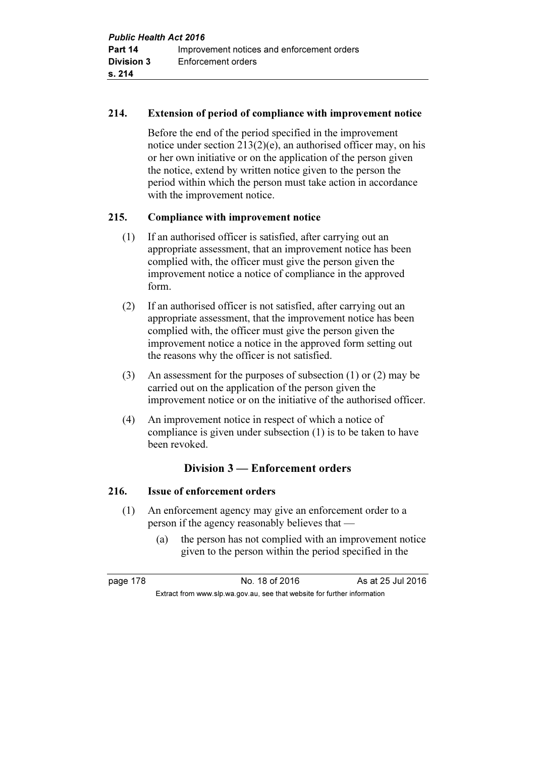### 214. Extension of period of compliance with improvement notice

 Before the end of the period specified in the improvement notice under section 213(2)(e), an authorised officer may, on his or her own initiative or on the application of the person given the notice, extend by written notice given to the person the period within which the person must take action in accordance with the improvement notice.

### 215. Compliance with improvement notice

- (1) If an authorised officer is satisfied, after carrying out an appropriate assessment, that an improvement notice has been complied with, the officer must give the person given the improvement notice a notice of compliance in the approved form.
- (2) If an authorised officer is not satisfied, after carrying out an appropriate assessment, that the improvement notice has been complied with, the officer must give the person given the improvement notice a notice in the approved form setting out the reasons why the officer is not satisfied.
- (3) An assessment for the purposes of subsection (1) or (2) may be carried out on the application of the person given the improvement notice or on the initiative of the authorised officer.
- (4) An improvement notice in respect of which a notice of compliance is given under subsection (1) is to be taken to have been revoked.

### Division 3 — Enforcement orders

### 216. Issue of enforcement orders

- (1) An enforcement agency may give an enforcement order to a person if the agency reasonably believes that —
	- (a) the person has not complied with an improvement notice given to the person within the period specified in the

page 178 **No. 18 of 2016** As at 25 Jul 2016 Extract from www.slp.wa.gov.au, see that website for further information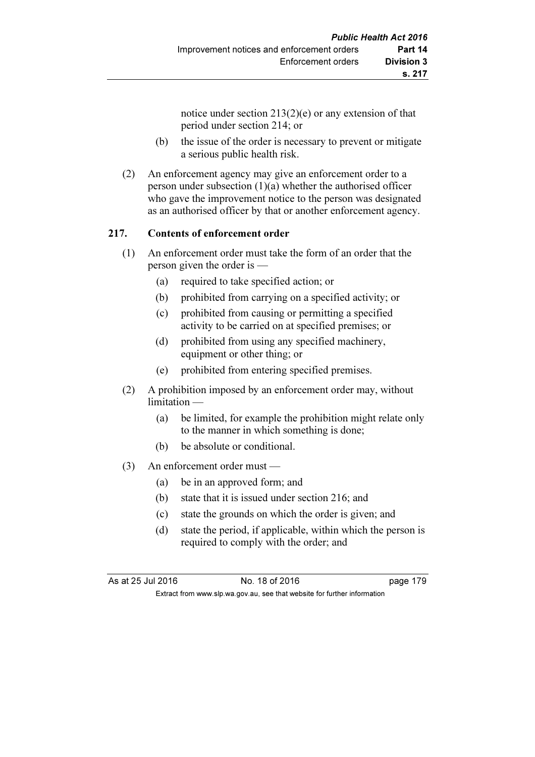notice under section 213(2)(e) or any extension of that period under section 214; or

- (b) the issue of the order is necessary to prevent or mitigate a serious public health risk.
- (2) An enforcement agency may give an enforcement order to a person under subsection (1)(a) whether the authorised officer who gave the improvement notice to the person was designated as an authorised officer by that or another enforcement agency.

### 217. Contents of enforcement order

- (1) An enforcement order must take the form of an order that the person given the order is —
	- (a) required to take specified action; or
	- (b) prohibited from carrying on a specified activity; or
	- (c) prohibited from causing or permitting a specified activity to be carried on at specified premises; or
	- (d) prohibited from using any specified machinery, equipment or other thing; or
	- (e) prohibited from entering specified premises.
- (2) A prohibition imposed by an enforcement order may, without limitation —
	- (a) be limited, for example the prohibition might relate only to the manner in which something is done;
	- (b) be absolute or conditional.
- (3) An enforcement order must
	- (a) be in an approved form; and
	- (b) state that it is issued under section 216; and
	- (c) state the grounds on which the order is given; and
	- (d) state the period, if applicable, within which the person is required to comply with the order; and

As at 25 Jul 2016 18 0.18 of 2016 19 Extract from www.slp.wa.gov.au, see that website for further information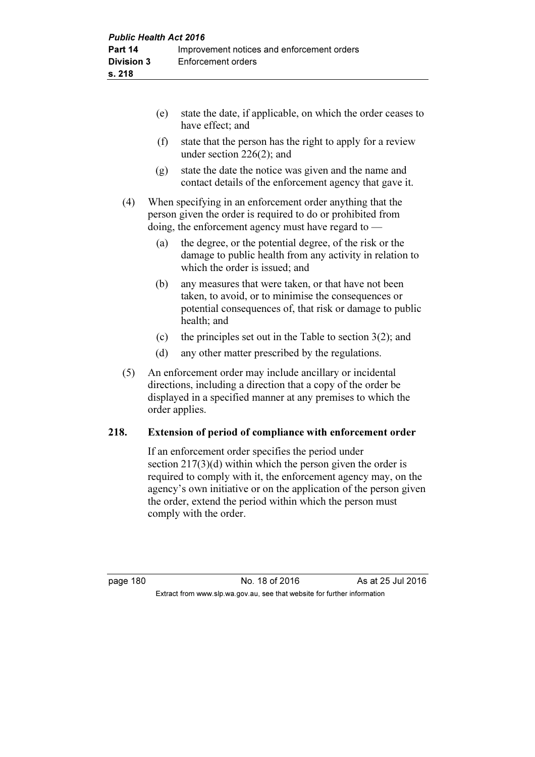|     | (e) | state the date, if applicable, on which the order ceases to<br>have effect; and                                                                                                   |
|-----|-----|-----------------------------------------------------------------------------------------------------------------------------------------------------------------------------------|
|     | (f) | state that the person has the right to apply for a review<br>under section $226(2)$ ; and                                                                                         |
|     | (g) | state the date the notice was given and the name and<br>contact details of the enforcement agency that gave it.                                                                   |
| (4) |     | When specifying in an enforcement order anything that the<br>person given the order is required to do or prohibited from<br>doing, the enforcement agency must have regard to $-$ |
|     | (a) | the degree, or the potential degree, of the risk or the<br>damage to public health from any activity in relation to<br>which the order is issued; and                             |
|     | (b) | any measures that were taken, or that have not been<br>taken, to avoid, or to minimise the consequences or                                                                        |

- potential consequences of, that risk or damage to public health; and
- (c) the principles set out in the Table to section  $3(2)$ ; and
- (d) any other matter prescribed by the regulations.
- (5) An enforcement order may include ancillary or incidental directions, including a direction that a copy of the order be displayed in a specified manner at any premises to which the order applies.

#### 218. Extension of period of compliance with enforcement order

 If an enforcement order specifies the period under section 217(3)(d) within which the person given the order is required to comply with it, the enforcement agency may, on the agency's own initiative or on the application of the person given the order, extend the period within which the person must comply with the order.

page 180 No. 18 of 2016 As at 25 Jul 2016 Extract from www.slp.wa.gov.au, see that website for further information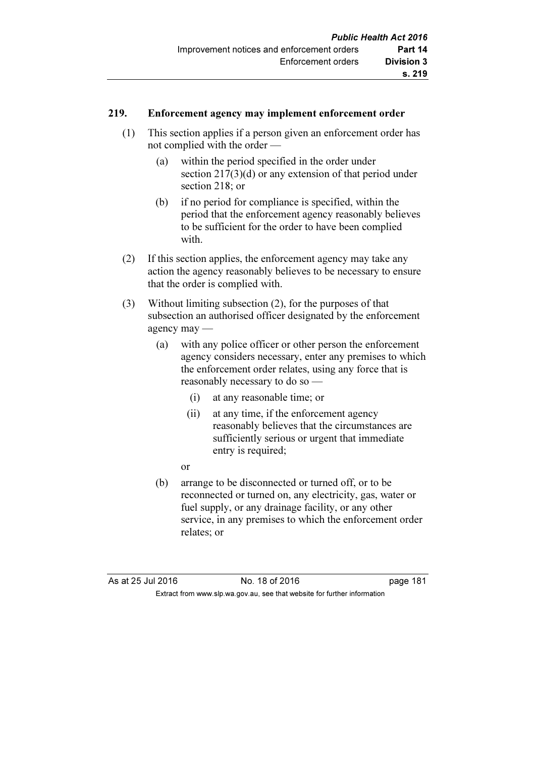### 219. Enforcement agency may implement enforcement order

- (1) This section applies if a person given an enforcement order has not complied with the order —
	- (a) within the period specified in the order under section 217(3)(d) or any extension of that period under section 218; or
	- (b) if no period for compliance is specified, within the period that the enforcement agency reasonably believes to be sufficient for the order to have been complied with.
- (2) If this section applies, the enforcement agency may take any action the agency reasonably believes to be necessary to ensure that the order is complied with.
- (3) Without limiting subsection (2), for the purposes of that subsection an authorised officer designated by the enforcement agency may —
	- (a) with any police officer or other person the enforcement agency considers necessary, enter any premises to which the enforcement order relates, using any force that is reasonably necessary to do so —
		- (i) at any reasonable time; or
		- (ii) at any time, if the enforcement agency reasonably believes that the circumstances are sufficiently serious or urgent that immediate entry is required;
		- or
	- (b) arrange to be disconnected or turned off, or to be reconnected or turned on, any electricity, gas, water or fuel supply, or any drainage facility, or any other service, in any premises to which the enforcement order relates; or

As at 25 Jul 2016 18 0.18 of 2016 18 0.18 page 181 Extract from www.slp.wa.gov.au, see that website for further information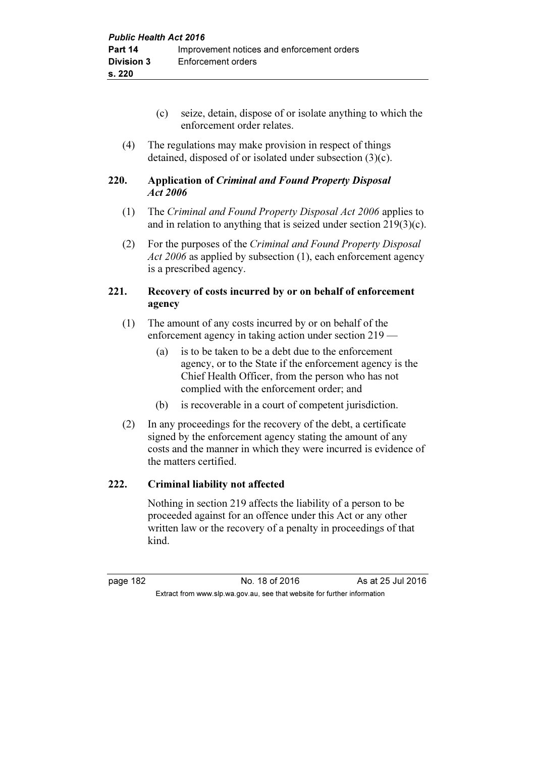- (c) seize, detain, dispose of or isolate anything to which the enforcement order relates.
- (4) The regulations may make provision in respect of things detained, disposed of or isolated under subsection (3)(c).

### 220. Application of Criminal and Found Property Disposal Act 2006

- (1) The Criminal and Found Property Disposal Act 2006 applies to and in relation to anything that is seized under section 219(3)(c).
- (2) For the purposes of the Criminal and Found Property Disposal Act 2006 as applied by subsection (1), each enforcement agency is a prescribed agency.

### 221. Recovery of costs incurred by or on behalf of enforcement agency

- (1) The amount of any costs incurred by or on behalf of the enforcement agency in taking action under section 219 —
	- (a) is to be taken to be a debt due to the enforcement agency, or to the State if the enforcement agency is the Chief Health Officer, from the person who has not complied with the enforcement order; and
	- (b) is recoverable in a court of competent jurisdiction.
- (2) In any proceedings for the recovery of the debt, a certificate signed by the enforcement agency stating the amount of any costs and the manner in which they were incurred is evidence of the matters certified.

### 222. Criminal liability not affected

 Nothing in section 219 affects the liability of a person to be proceeded against for an offence under this Act or any other written law or the recovery of a penalty in proceedings of that kind.

page 182 **No. 18 of 2016** As at 25 Jul 2016 Extract from www.slp.wa.gov.au, see that website for further information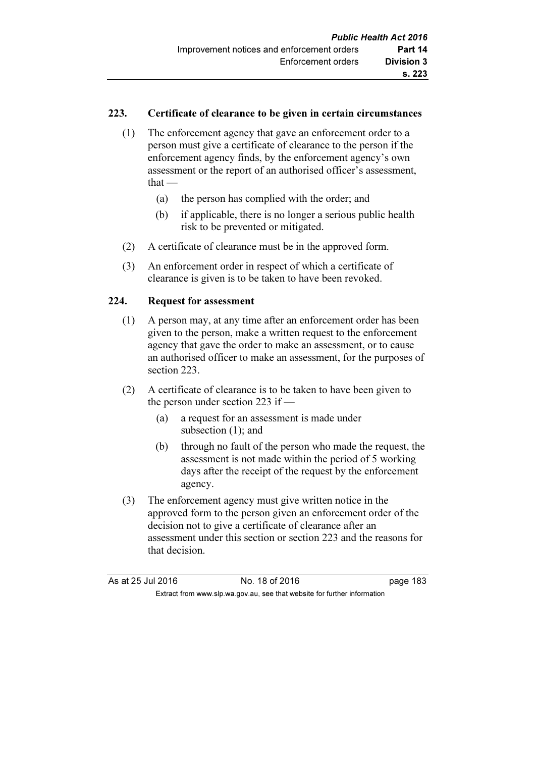### 223. Certificate of clearance to be given in certain circumstances

- (1) The enforcement agency that gave an enforcement order to a person must give a certificate of clearance to the person if the enforcement agency finds, by the enforcement agency's own assessment or the report of an authorised officer's assessment, that $-$ 
	- (a) the person has complied with the order; and
	- (b) if applicable, there is no longer a serious public health risk to be prevented or mitigated.
- (2) A certificate of clearance must be in the approved form.
- (3) An enforcement order in respect of which a certificate of clearance is given is to be taken to have been revoked.

### 224. Request for assessment

- (1) A person may, at any time after an enforcement order has been given to the person, make a written request to the enforcement agency that gave the order to make an assessment, or to cause an authorised officer to make an assessment, for the purposes of section 223.
- (2) A certificate of clearance is to be taken to have been given to the person under section 223 if —
	- (a) a request for an assessment is made under subsection (1); and
	- (b) through no fault of the person who made the request, the assessment is not made within the period of 5 working days after the receipt of the request by the enforcement agency.
- (3) The enforcement agency must give written notice in the approved form to the person given an enforcement order of the decision not to give a certificate of clearance after an assessment under this section or section 223 and the reasons for that decision.

| As at 25 Jul 2016 | No. 18 of 2016                                                           | page 183 |
|-------------------|--------------------------------------------------------------------------|----------|
|                   | Extract from www.slp.wa.gov.au, see that website for further information |          |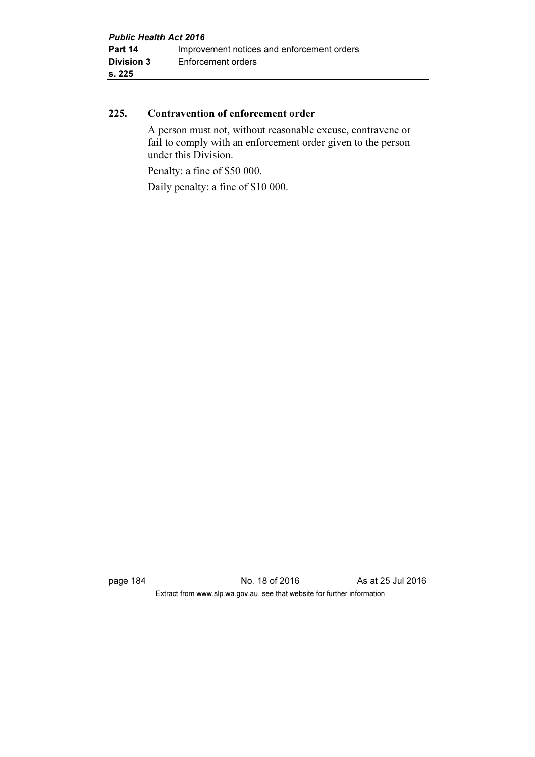#### 225. Contravention of enforcement order

 A person must not, without reasonable excuse, contravene or fail to comply with an enforcement order given to the person under this Division.

Penalty: a fine of \$50 000.

Daily penalty: a fine of \$10 000.

page 184 **No. 18 of 2016** As at 25 Jul 2016 Extract from www.slp.wa.gov.au, see that website for further information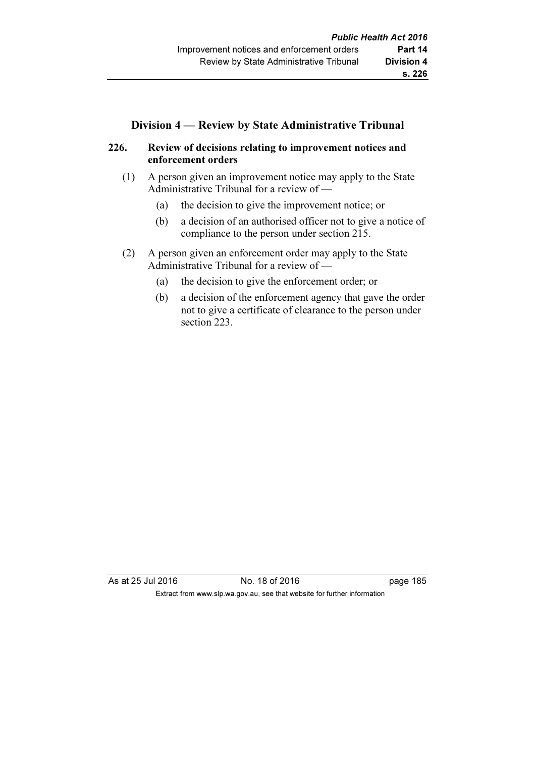### Division 4 — Review by State Administrative Tribunal

### 226. Review of decisions relating to improvement notices and enforcement orders

- (1) A person given an improvement notice may apply to the State Administrative Tribunal for a review of —
	- (a) the decision to give the improvement notice; or
	- (b) a decision of an authorised officer not to give a notice of compliance to the person under section 215.
- (2) A person given an enforcement order may apply to the State Administrative Tribunal for a review of —
	- (a) the decision to give the enforcement order; or
	- (b) a decision of the enforcement agency that gave the order not to give a certificate of clearance to the person under section 223.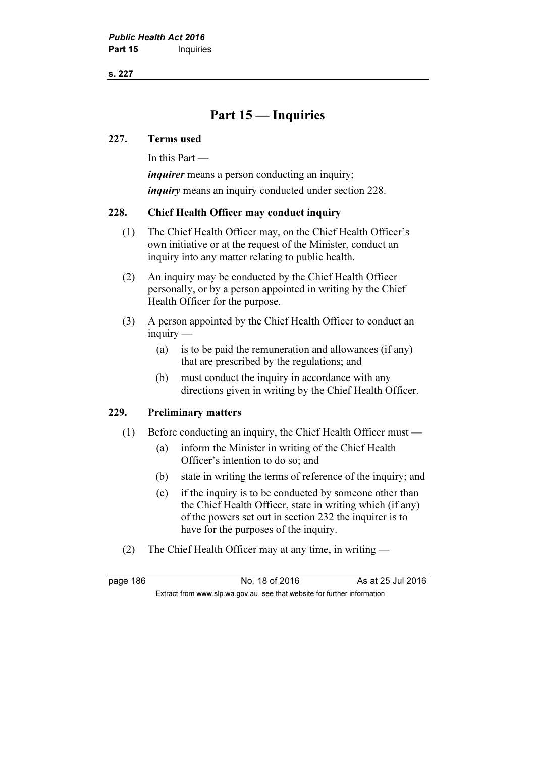s. 227

## Part 15 — Inquiries

#### 227. Terms used

In this Part —

*inquirer* means a person conducting an inquiry; inquiry means an inquiry conducted under section 228.

#### 228. Chief Health Officer may conduct inquiry

- (1) The Chief Health Officer may, on the Chief Health Officer's own initiative or at the request of the Minister, conduct an inquiry into any matter relating to public health.
- (2) An inquiry may be conducted by the Chief Health Officer personally, or by a person appointed in writing by the Chief Health Officer for the purpose.
- (3) A person appointed by the Chief Health Officer to conduct an inquiry —
	- (a) is to be paid the remuneration and allowances (if any) that are prescribed by the regulations; and
	- (b) must conduct the inquiry in accordance with any directions given in writing by the Chief Health Officer.

#### 229. Preliminary matters

- (1) Before conducting an inquiry, the Chief Health Officer must
	- (a) inform the Minister in writing of the Chief Health Officer's intention to do so; and
	- (b) state in writing the terms of reference of the inquiry; and
	- (c) if the inquiry is to be conducted by someone other than the Chief Health Officer, state in writing which (if any) of the powers set out in section 232 the inquirer is to have for the purposes of the inquiry.
- (2) The Chief Health Officer may at any time, in writing —

page 186 **No. 18 of 2016** As at 25 Jul 2016 Extract from www.slp.wa.gov.au, see that website for further information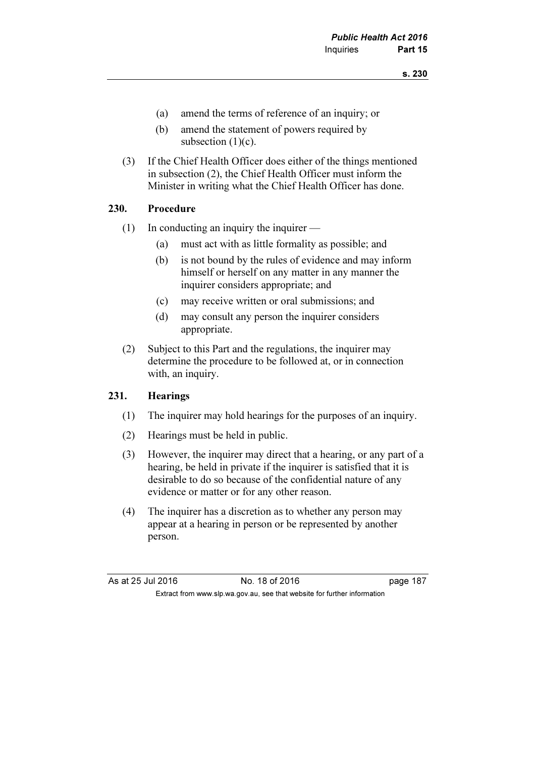- (a) amend the terms of reference of an inquiry; or
- (b) amend the statement of powers required by subsection  $(1)(c)$ .
- (3) If the Chief Health Officer does either of the things mentioned in subsection (2), the Chief Health Officer must inform the Minister in writing what the Chief Health Officer has done.

#### 230. Procedure

- (1) In conducting an inquiry the inquirer
	- (a) must act with as little formality as possible; and
	- (b) is not bound by the rules of evidence and may inform himself or herself on any matter in any manner the inquirer considers appropriate; and
	- (c) may receive written or oral submissions; and
	- (d) may consult any person the inquirer considers appropriate.
- (2) Subject to this Part and the regulations, the inquirer may determine the procedure to be followed at, or in connection with, an inquiry.

#### 231. Hearings

- (1) The inquirer may hold hearings for the purposes of an inquiry.
- (2) Hearings must be held in public.
- (3) However, the inquirer may direct that a hearing, or any part of a hearing, be held in private if the inquirer is satisfied that it is desirable to do so because of the confidential nature of any evidence or matter or for any other reason.
- (4) The inquirer has a discretion as to whether any person may appear at a hearing in person or be represented by another person.

| As at 25 Jul 2016 | No. 18 of 2016                                                           | page 187 |
|-------------------|--------------------------------------------------------------------------|----------|
|                   | Extract from www.slp.wa.gov.au, see that website for further information |          |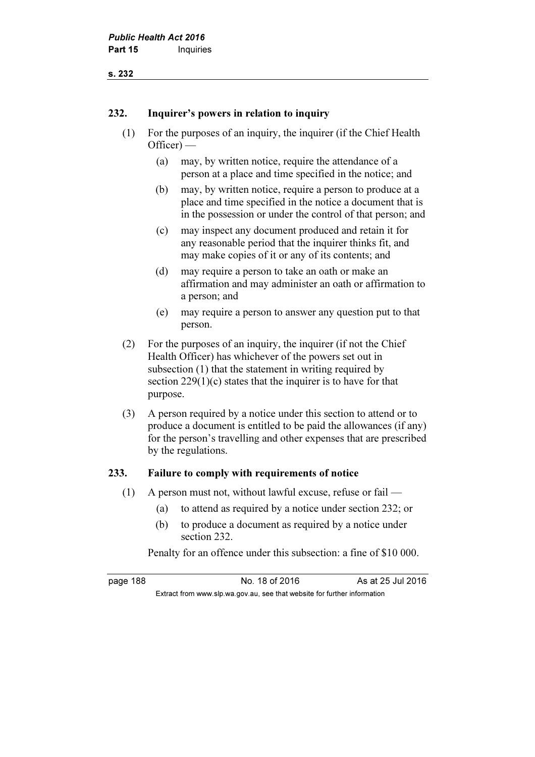#### s. 232

#### 232. Inquirer's powers in relation to inquiry

- (1) For the purposes of an inquiry, the inquirer (if the Chief Health Officer) —
	- (a) may, by written notice, require the attendance of a person at a place and time specified in the notice; and
	- (b) may, by written notice, require a person to produce at a place and time specified in the notice a document that is in the possession or under the control of that person; and
	- (c) may inspect any document produced and retain it for any reasonable period that the inquirer thinks fit, and may make copies of it or any of its contents; and
	- (d) may require a person to take an oath or make an affirmation and may administer an oath or affirmation to a person; and
	- (e) may require a person to answer any question put to that person.
- (2) For the purposes of an inquiry, the inquirer (if not the Chief Health Officer) has whichever of the powers set out in subsection (1) that the statement in writing required by section 229(1)(c) states that the inquirer is to have for that purpose.
- (3) A person required by a notice under this section to attend or to produce a document is entitled to be paid the allowances (if any) for the person's travelling and other expenses that are prescribed by the regulations.

#### 233. Failure to comply with requirements of notice

(1) A person must not, without lawful excuse, refuse or fail —

Extract from www.slp.wa.gov.au, see that website for further information

- (a) to attend as required by a notice under section 232; or
- (b) to produce a document as required by a notice under section 232.

Penalty for an offence under this subsection: a fine of \$10 000.

page 188 **No. 18 of 2016** As at 25 Jul 2016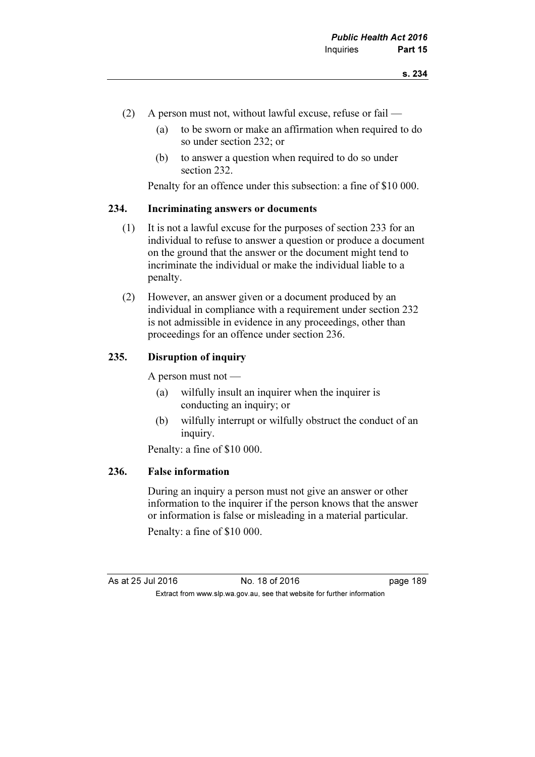- (2) A person must not, without lawful excuse, refuse or fail
	- (a) to be sworn or make an affirmation when required to do so under section 232; or
	- (b) to answer a question when required to do so under section 232.

Penalty for an offence under this subsection: a fine of \$10 000.

#### 234. Incriminating answers or documents

- (1) It is not a lawful excuse for the purposes of section 233 for an individual to refuse to answer a question or produce a document on the ground that the answer or the document might tend to incriminate the individual or make the individual liable to a penalty.
- (2) However, an answer given or a document produced by an individual in compliance with a requirement under section 232 is not admissible in evidence in any proceedings, other than proceedings for an offence under section 236.

#### 235. Disruption of inquiry

A person must not —

- (a) wilfully insult an inquirer when the inquirer is conducting an inquiry; or
- (b) wilfully interrupt or wilfully obstruct the conduct of an inquiry.

Penalty: a fine of \$10 000.

#### 236. False information

 During an inquiry a person must not give an answer or other information to the inquirer if the person knows that the answer or information is false or misleading in a material particular.

Penalty: a fine of \$10 000.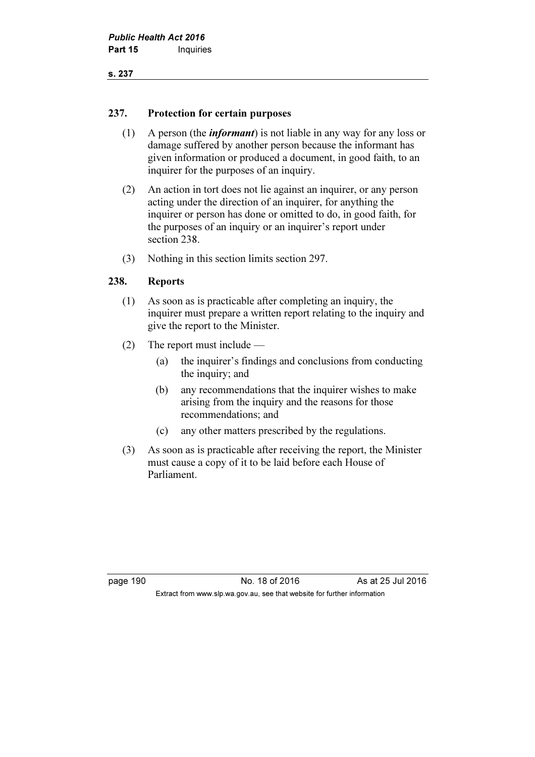#### 237. Protection for certain purposes

- (1) A person (the *informant*) is not liable in any way for any loss or damage suffered by another person because the informant has given information or produced a document, in good faith, to an inquirer for the purposes of an inquiry.
- (2) An action in tort does not lie against an inquirer, or any person acting under the direction of an inquirer, for anything the inquirer or person has done or omitted to do, in good faith, for the purposes of an inquiry or an inquirer's report under section 238.
- (3) Nothing in this section limits section 297.

### 238. Reports

- (1) As soon as is practicable after completing an inquiry, the inquirer must prepare a written report relating to the inquiry and give the report to the Minister.
- (2) The report must include
	- (a) the inquirer's findings and conclusions from conducting the inquiry; and
	- (b) any recommendations that the inquirer wishes to make arising from the inquiry and the reasons for those recommendations; and
	- (c) any other matters prescribed by the regulations.
- (3) As soon as is practicable after receiving the report, the Minister must cause a copy of it to be laid before each House of Parliament.

page 190 No. 18 of 2016 As at 25 Jul 2016 Extract from www.slp.wa.gov.au, see that website for further information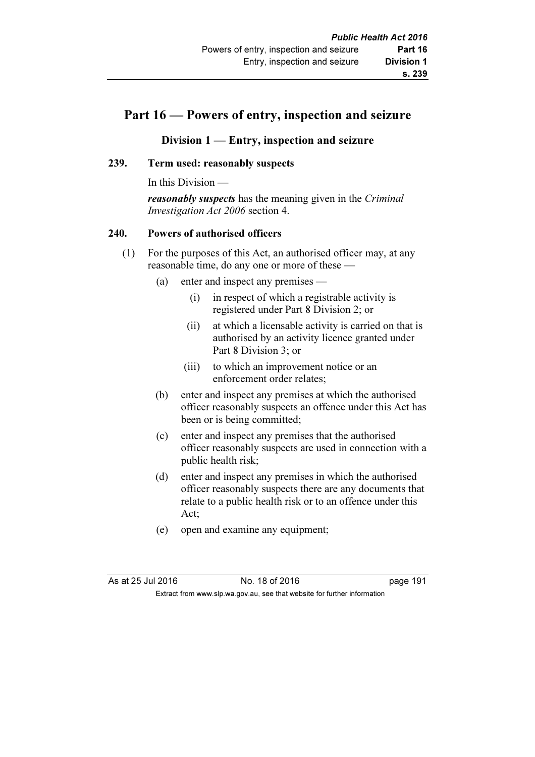## Part 16 — Powers of entry, inspection and seizure

### Division 1 — Entry, inspection and seizure

#### 239. Term used: reasonably suspects

In this Division —

**reasonably suspects** has the meaning given in the *Criminal* Investigation Act 2006 section 4.

#### 240. Powers of authorised officers

- (1) For the purposes of this Act, an authorised officer may, at any reasonable time, do any one or more of these —
	- (a) enter and inspect any premises
		- (i) in respect of which a registrable activity is registered under Part 8 Division 2; or
		- (ii) at which a licensable activity is carried on that is authorised by an activity licence granted under Part 8 Division 3; or
		- (iii) to which an improvement notice or an enforcement order relates;
	- (b) enter and inspect any premises at which the authorised officer reasonably suspects an offence under this Act has been or is being committed;
	- (c) enter and inspect any premises that the authorised officer reasonably suspects are used in connection with a public health risk;
	- (d) enter and inspect any premises in which the authorised officer reasonably suspects there are any documents that relate to a public health risk or to an offence under this Act;
	- (e) open and examine any equipment;

As at 25 Jul 2016 18 0.18 of 2016 191 Extract from www.slp.wa.gov.au, see that website for further information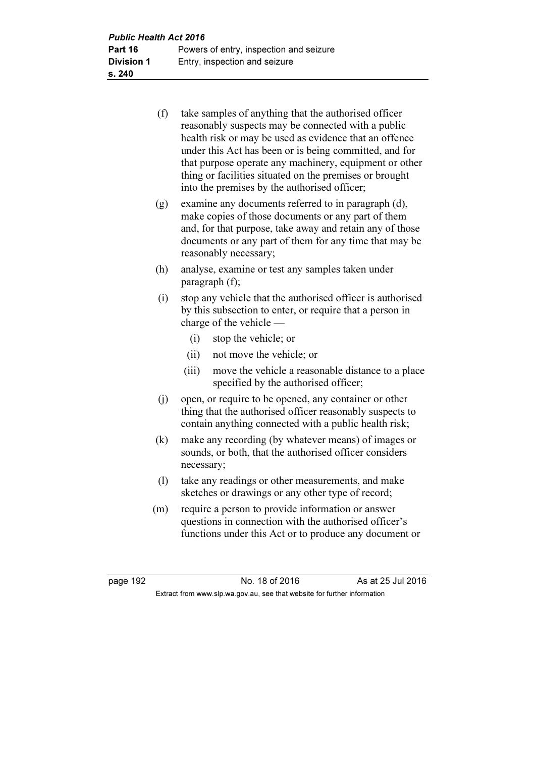| (f) | take samples of anything that the authorised officer    |
|-----|---------------------------------------------------------|
|     | reasonably suspects may be connected with a public      |
|     | health risk or may be used as evidence that an offence  |
|     | under this Act has been or is being committed, and for  |
|     | that purpose operate any machinery, equipment or other  |
|     | thing or facilities situated on the premises or brought |
|     | into the premises by the authorised officer;            |

- (g) examine any documents referred to in paragraph (d), make copies of those documents or any part of them and, for that purpose, take away and retain any of those documents or any part of them for any time that may be reasonably necessary;
- (h) analyse, examine or test any samples taken under paragraph (f);
- (i) stop any vehicle that the authorised officer is authorised by this subsection to enter, or require that a person in charge of the vehicle —
	- (i) stop the vehicle; or
	- (ii) not move the vehicle; or
	- (iii) move the vehicle a reasonable distance to a place specified by the authorised officer;
- (j) open, or require to be opened, any container or other thing that the authorised officer reasonably suspects to contain anything connected with a public health risk;
- (k) make any recording (by whatever means) of images or sounds, or both, that the authorised officer considers necessary;
- (l) take any readings or other measurements, and make sketches or drawings or any other type of record;
- (m) require a person to provide information or answer questions in connection with the authorised officer's functions under this Act or to produce any document or

page 192 **No. 18 of 2016** As at 25 Jul 2016 Extract from www.slp.wa.gov.au, see that website for further information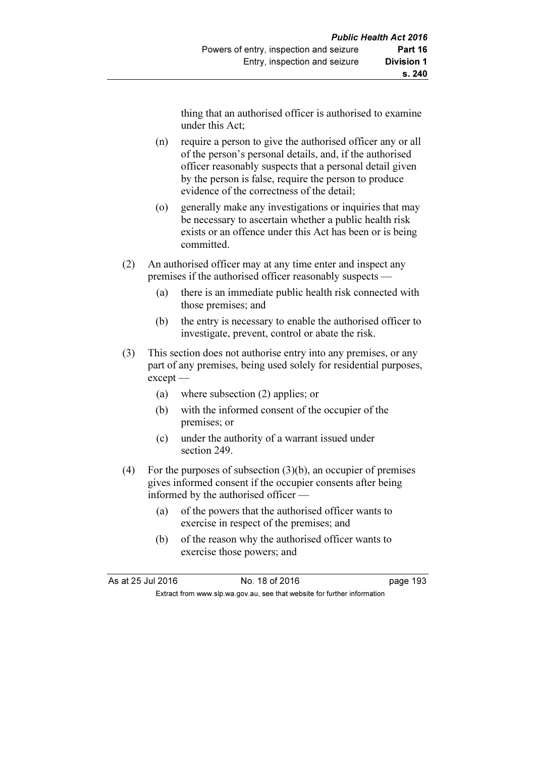thing that an authorised officer is authorised to examine under this Act;

- (n) require a person to give the authorised officer any or all of the person's personal details, and, if the authorised officer reasonably suspects that a personal detail given by the person is false, require the person to produce evidence of the correctness of the detail;
- (o) generally make any investigations or inquiries that may be necessary to ascertain whether a public health risk exists or an offence under this Act has been or is being committed.
- (2) An authorised officer may at any time enter and inspect any premises if the authorised officer reasonably suspects —
	- (a) there is an immediate public health risk connected with those premises; and
	- (b) the entry is necessary to enable the authorised officer to investigate, prevent, control or abate the risk.
- (3) This section does not authorise entry into any premises, or any part of any premises, being used solely for residential purposes, except —
	- (a) where subsection (2) applies; or
	- (b) with the informed consent of the occupier of the premises; or
	- (c) under the authority of a warrant issued under section 249.
- (4) For the purposes of subsection  $(3)(b)$ , an occupier of premises gives informed consent if the occupier consents after being informed by the authorised officer —
	- (a) of the powers that the authorised officer wants to exercise in respect of the premises; and
	- (b) of the reason why the authorised officer wants to exercise those powers; and

As at 25 Jul 2016 18 0.18 of 2016 193 Extract from www.slp.wa.gov.au, see that website for further information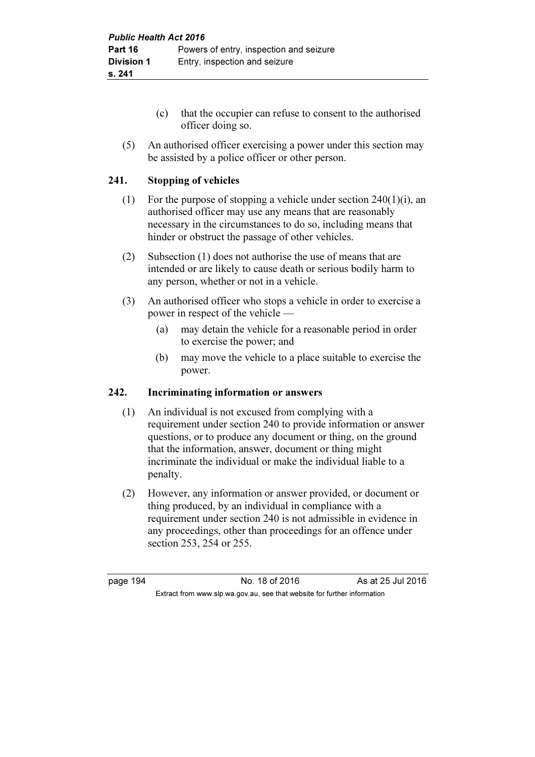- (c) that the occupier can refuse to consent to the authorised officer doing so.
- (5) An authorised officer exercising a power under this section may be assisted by a police officer or other person.

### 241. Stopping of vehicles

- (1) For the purpose of stopping a vehicle under section  $240(1)(i)$ , an authorised officer may use any means that are reasonably necessary in the circumstances to do so, including means that hinder or obstruct the passage of other vehicles.
- (2) Subsection (1) does not authorise the use of means that are intended or are likely to cause death or serious bodily harm to any person, whether or not in a vehicle.
- (3) An authorised officer who stops a vehicle in order to exercise a power in respect of the vehicle —
	- (a) may detain the vehicle for a reasonable period in order to exercise the power; and
	- (b) may move the vehicle to a place suitable to exercise the power.

#### 242. Incriminating information or answers

- (1) An individual is not excused from complying with a requirement under section 240 to provide information or answer questions, or to produce any document or thing, on the ground that the information, answer, document or thing might incriminate the individual or make the individual liable to a penalty.
- (2) However, any information or answer provided, or document or thing produced, by an individual in compliance with a requirement under section 240 is not admissible in evidence in any proceedings, other than proceedings for an offence under section 253, 254 or 255.

page 194 **No. 18 of 2016** As at 25 Jul 2016 Extract from www.slp.wa.gov.au, see that website for further information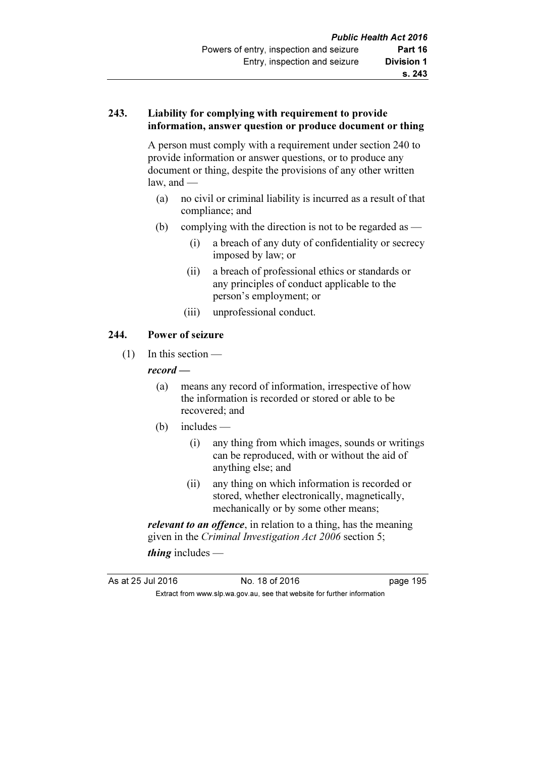### 243. Liability for complying with requirement to provide information, answer question or produce document or thing

 A person must comply with a requirement under section 240 to provide information or answer questions, or to produce any document or thing, despite the provisions of any other written law, and  $-$ 

- (a) no civil or criminal liability is incurred as a result of that compliance; and
- (b) complying with the direction is not to be regarded as  $-$ 
	- (i) a breach of any duty of confidentiality or secrecy imposed by law; or
	- (ii) a breach of professional ethics or standards or any principles of conduct applicable to the person's employment; or
	- (iii) unprofessional conduct.

### 244. Power of seizure

(1) In this section —

#### record —

- (a) means any record of information, irrespective of how the information is recorded or stored or able to be recovered; and
- (b) includes
	- (i) any thing from which images, sounds or writings can be reproduced, with or without the aid of anything else; and
	- (ii) any thing on which information is recorded or stored, whether electronically, magnetically, mechanically or by some other means;

relevant to an offence, in relation to a thing, has the meaning given in the Criminal Investigation Act 2006 section 5; thing includes  $-$ 

As at 25 Jul 2016 18 0.18 of 2016 195 Extract from www.slp.wa.gov.au, see that website for further information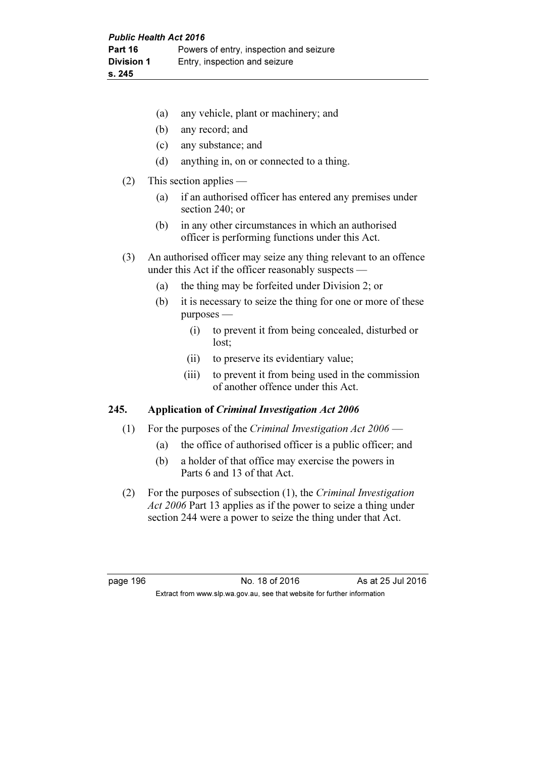|  |  | (a) any vehicle, plant or machinery; and |
|--|--|------------------------------------------|
|--|--|------------------------------------------|

- (b) any record; and
- (c) any substance; and
- (d) anything in, on or connected to a thing.
- (2) This section applies
	- (a) if an authorised officer has entered any premises under section 240; or
	- (b) in any other circumstances in which an authorised officer is performing functions under this Act.
- (3) An authorised officer may seize any thing relevant to an offence under this Act if the officer reasonably suspects —
	- (a) the thing may be forfeited under Division 2; or
	- (b) it is necessary to seize the thing for one or more of these purposes —
		- (i) to prevent it from being concealed, disturbed or lost;
		- (ii) to preserve its evidentiary value;
		- (iii) to prevent it from being used in the commission of another offence under this Act.

#### 245. Application of Criminal Investigation Act 2006

- (1) For the purposes of the Criminal Investigation Act  $2006$ 
	- (a) the office of authorised officer is a public officer; and
	- (b) a holder of that office may exercise the powers in Parts 6 and 13 of that Act.
- (2) For the purposes of subsection (1), the Criminal Investigation Act 2006 Part 13 applies as if the power to seize a thing under section 244 were a power to seize the thing under that Act.

page 196 **No. 18 of 2016** As at 25 Jul 2016 Extract from www.slp.wa.gov.au, see that website for further information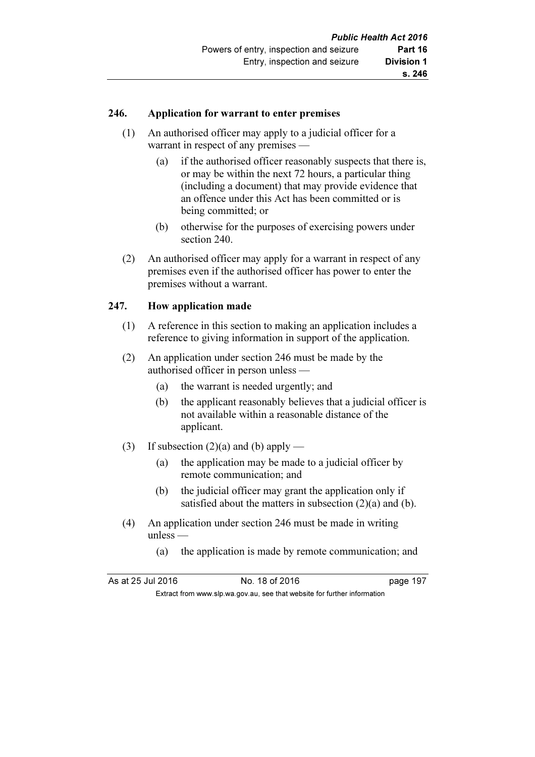#### 246. Application for warrant to enter premises

- (1) An authorised officer may apply to a judicial officer for a warrant in respect of any premises —
	- (a) if the authorised officer reasonably suspects that there is, or may be within the next 72 hours, a particular thing (including a document) that may provide evidence that an offence under this Act has been committed or is being committed; or
	- (b) otherwise for the purposes of exercising powers under section 240.
- (2) An authorised officer may apply for a warrant in respect of any premises even if the authorised officer has power to enter the premises without a warrant.

### 247. How application made

- (1) A reference in this section to making an application includes a reference to giving information in support of the application.
- (2) An application under section 246 must be made by the authorised officer in person unless —
	- (a) the warrant is needed urgently; and
	- (b) the applicant reasonably believes that a judicial officer is not available within a reasonable distance of the applicant.
- (3) If subsection  $(2)(a)$  and  $(b)$  apply
	- (a) the application may be made to a judicial officer by remote communication; and
	- (b) the judicial officer may grant the application only if satisfied about the matters in subsection (2)(a) and (b).
- (4) An application under section 246 must be made in writing unless —
	- (a) the application is made by remote communication; and

As at 25 Jul 2016 18 0.18 of 2016 197

Extract from www.slp.wa.gov.au, see that website for further information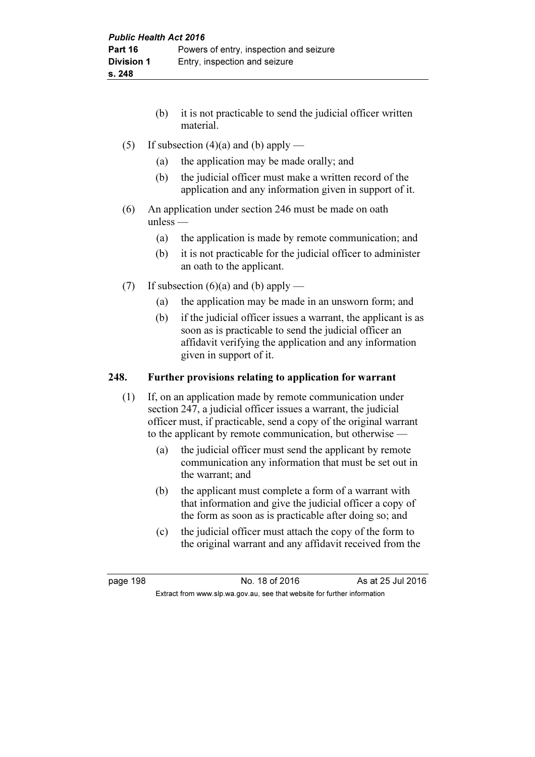- (b) it is not practicable to send the judicial officer written material.
- (5) If subsection  $(4)(a)$  and (b) apply
	- (a) the application may be made orally; and
	- (b) the judicial officer must make a written record of the application and any information given in support of it.
- (6) An application under section 246 must be made on oath unless —
	- (a) the application is made by remote communication; and
	- (b) it is not practicable for the judicial officer to administer an oath to the applicant.
- (7) If subsection  $(6)(a)$  and  $(b)$  apply
	- (a) the application may be made in an unsworn form; and
	- (b) if the judicial officer issues a warrant, the applicant is as soon as is practicable to send the judicial officer an affidavit verifying the application and any information given in support of it.

### 248. Further provisions relating to application for warrant

- (1) If, on an application made by remote communication under section 247, a judicial officer issues a warrant, the judicial officer must, if practicable, send a copy of the original warrant to the applicant by remote communication, but otherwise —
	- (a) the judicial officer must send the applicant by remote communication any information that must be set out in the warrant; and
	- (b) the applicant must complete a form of a warrant with that information and give the judicial officer a copy of the form as soon as is practicable after doing so; and
	- (c) the judicial officer must attach the copy of the form to the original warrant and any affidavit received from the

page 198 **No. 18 of 2016** As at 25 Jul 2016 Extract from www.slp.wa.gov.au, see that website for further information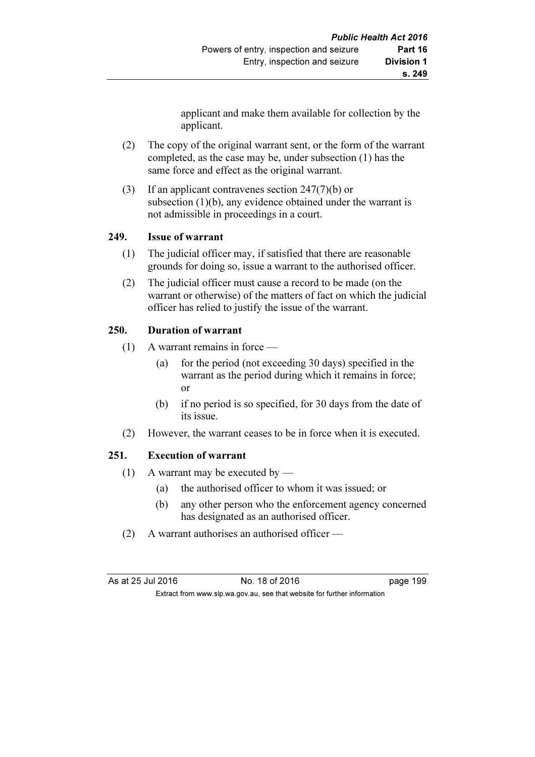applicant and make them available for collection by the applicant.

- (2) The copy of the original warrant sent, or the form of the warrant completed, as the case may be, under subsection (1) has the same force and effect as the original warrant.
- (3) If an applicant contravenes section 247(7)(b) or subsection (1)(b), any evidence obtained under the warrant is not admissible in proceedings in a court.

### 249. Issue of warrant

- (1) The judicial officer may, if satisfied that there are reasonable grounds for doing so, issue a warrant to the authorised officer.
- (2) The judicial officer must cause a record to be made (on the warrant or otherwise) of the matters of fact on which the judicial officer has relied to justify the issue of the warrant.

### 250. Duration of warrant

- (1) A warrant remains in force
	- (a) for the period (not exceeding 30 days) specified in the warrant as the period during which it remains in force; or
	- (b) if no period is so specified, for 30 days from the date of its issue.
- (2) However, the warrant ceases to be in force when it is executed.

# 251. Execution of warrant

- (1) A warrant may be executed by
	- (a) the authorised officer to whom it was issued; or
	- (b) any other person who the enforcement agency concerned has designated as an authorised officer.
- (2) A warrant authorises an authorised officer —

As at 25 Jul 2016 18 Oct 2016 18 of 2016

Extract from www.slp.wa.gov.au, see that website for further information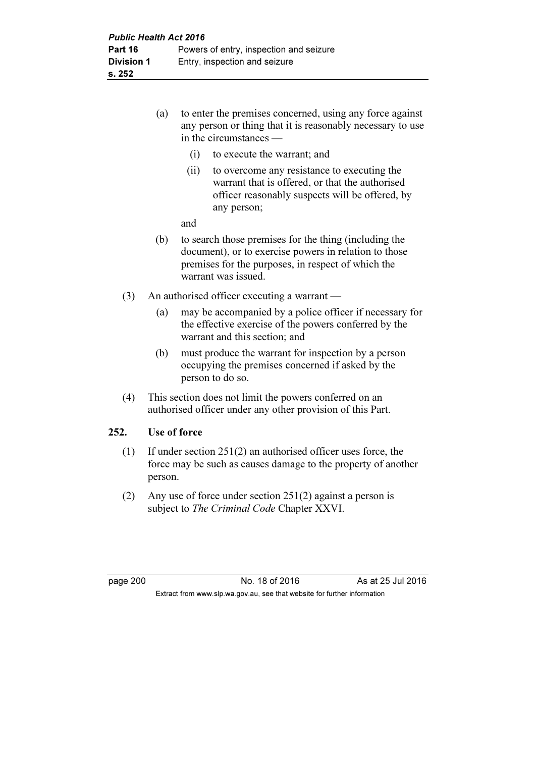- (a) to enter the premises concerned, using any force against any person or thing that it is reasonably necessary to use in the circumstances —
	- (i) to execute the warrant; and
	- (ii) to overcome any resistance to executing the warrant that is offered, or that the authorised officer reasonably suspects will be offered, by any person;

and

- (b) to search those premises for the thing (including the document), or to exercise powers in relation to those premises for the purposes, in respect of which the warrant was issued.
- (3) An authorised officer executing a warrant
	- (a) may be accompanied by a police officer if necessary for the effective exercise of the powers conferred by the warrant and this section; and
	- (b) must produce the warrant for inspection by a person occupying the premises concerned if asked by the person to do so.
- (4) This section does not limit the powers conferred on an authorised officer under any other provision of this Part.

### 252. Use of force

- (1) If under section 251(2) an authorised officer uses force, the force may be such as causes damage to the property of another person.
- (2) Any use of force under section 251(2) against a person is subject to The Criminal Code Chapter XXVI.

page 200 No. 18 of 2016 As at 25 Jul 2016 Extract from www.slp.wa.gov.au, see that website for further information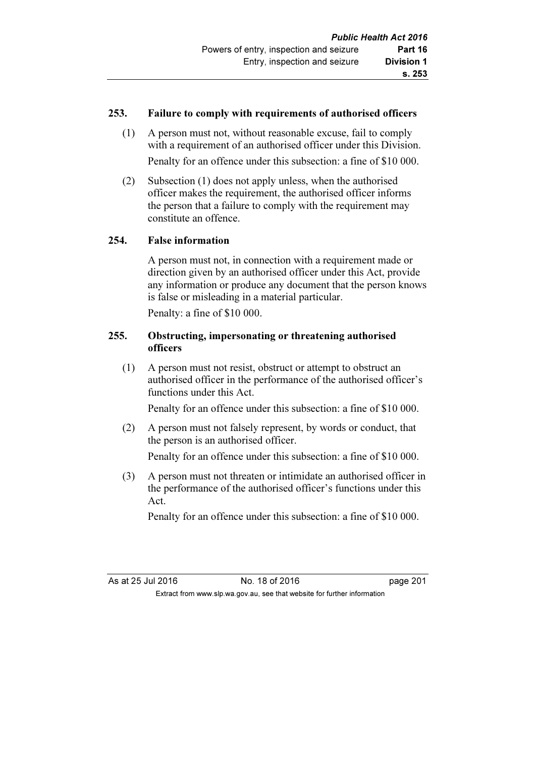### 253. Failure to comply with requirements of authorised officers

 (1) A person must not, without reasonable excuse, fail to comply with a requirement of an authorised officer under this Division.

Penalty for an offence under this subsection: a fine of \$10 000.

 (2) Subsection (1) does not apply unless, when the authorised officer makes the requirement, the authorised officer informs the person that a failure to comply with the requirement may constitute an offence.

### 254. False information

 A person must not, in connection with a requirement made or direction given by an authorised officer under this Act, provide any information or produce any document that the person knows is false or misleading in a material particular.

Penalty: a fine of \$10 000.

### 255. Obstructing, impersonating or threatening authorised officers

 (1) A person must not resist, obstruct or attempt to obstruct an authorised officer in the performance of the authorised officer's functions under this Act.

Penalty for an offence under this subsection: a fine of \$10 000.

 (2) A person must not falsely represent, by words or conduct, that the person is an authorised officer.

Penalty for an offence under this subsection: a fine of \$10 000.

 (3) A person must not threaten or intimidate an authorised officer in the performance of the authorised officer's functions under this Act.

Penalty for an offence under this subsection: a fine of \$10 000.

As at 25 Jul 2016 18 of 2016 No. 18 of 2016 Extract from www.slp.wa.gov.au, see that website for further information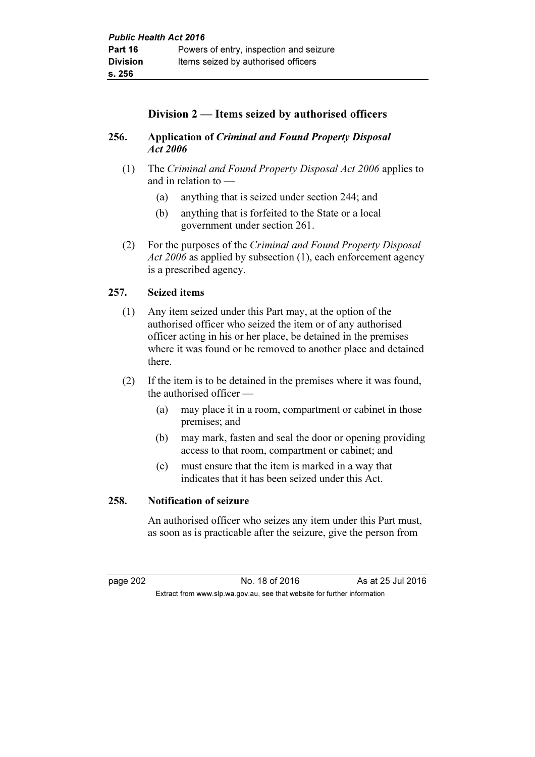# Division 2 — Items seized by authorised officers

# 256. Application of Criminal and Found Property Disposal Act 2006

- (1) The Criminal and Found Property Disposal Act 2006 applies to and in relation to —
	- (a) anything that is seized under section 244; and
	- (b) anything that is forfeited to the State or a local government under section 261.
- (2) For the purposes of the Criminal and Found Property Disposal Act 2006 as applied by subsection (1), each enforcement agency is a prescribed agency.

# 257. Seized items

- (1) Any item seized under this Part may, at the option of the authorised officer who seized the item or of any authorised officer acting in his or her place, be detained in the premises where it was found or be removed to another place and detained there.
- (2) If the item is to be detained in the premises where it was found, the authorised officer —
	- (a) may place it in a room, compartment or cabinet in those premises; and
	- (b) may mark, fasten and seal the door or opening providing access to that room, compartment or cabinet; and
	- (c) must ensure that the item is marked in a way that indicates that it has been seized under this Act.

### 258. Notification of seizure

 An authorised officer who seizes any item under this Part must, as soon as is practicable after the seizure, give the person from

page 202 No. 18 of 2016 As at 25 Jul 2016 Extract from www.slp.wa.gov.au, see that website for further information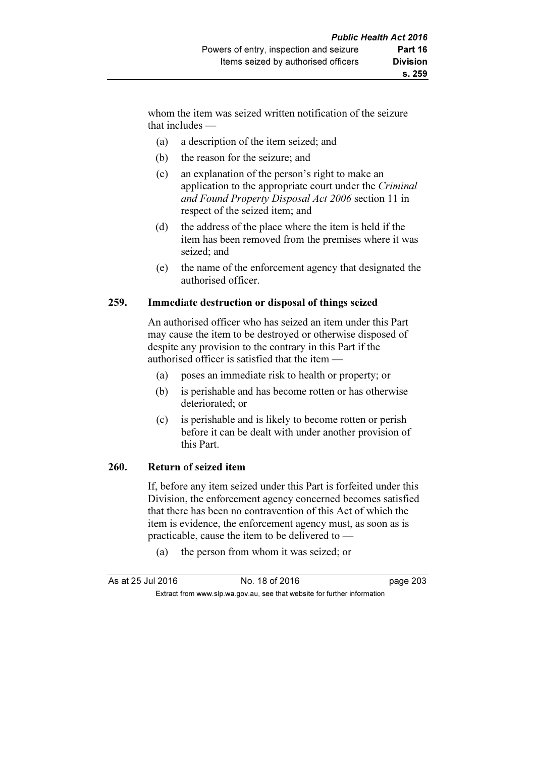whom the item was seized written notification of the seizure that includes —

- (a) a description of the item seized; and
- (b) the reason for the seizure; and
- (c) an explanation of the person's right to make an application to the appropriate court under the Criminal and Found Property Disposal Act 2006 section 11 in respect of the seized item; and
- (d) the address of the place where the item is held if the item has been removed from the premises where it was seized; and
- (e) the name of the enforcement agency that designated the authorised officer.

### 259. Immediate destruction or disposal of things seized

 An authorised officer who has seized an item under this Part may cause the item to be destroyed or otherwise disposed of despite any provision to the contrary in this Part if the authorised officer is satisfied that the item —

- (a) poses an immediate risk to health or property; or
- (b) is perishable and has become rotten or has otherwise deteriorated; or
- (c) is perishable and is likely to become rotten or perish before it can be dealt with under another provision of this Part.

#### 260. Return of seized item

 If, before any item seized under this Part is forfeited under this Division, the enforcement agency concerned becomes satisfied that there has been no contravention of this Act of which the item is evidence, the enforcement agency must, as soon as is practicable, cause the item to be delivered to —

(a) the person from whom it was seized; or

| As at 25 Jul 2016 | No. 18 of 2016                                                           | page 203 |
|-------------------|--------------------------------------------------------------------------|----------|
|                   | Extract from www.slp.wa.gov.au, see that website for further information |          |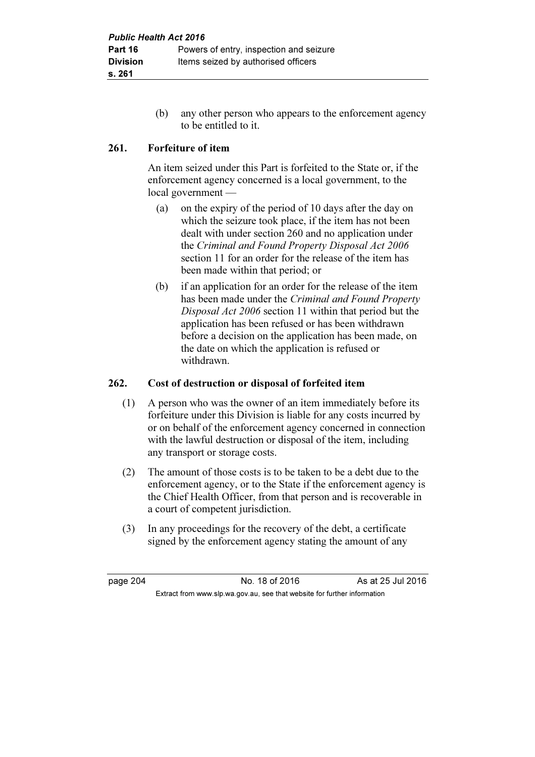(b) any other person who appears to the enforcement agency to be entitled to it.

# 261. Forfeiture of item

 An item seized under this Part is forfeited to the State or, if the enforcement agency concerned is a local government, to the local government —

- (a) on the expiry of the period of 10 days after the day on which the seizure took place, if the item has not been dealt with under section 260 and no application under the Criminal and Found Property Disposal Act 2006 section 11 for an order for the release of the item has been made within that period; or
- (b) if an application for an order for the release of the item has been made under the Criminal and Found Property Disposal Act 2006 section 11 within that period but the application has been refused or has been withdrawn before a decision on the application has been made, on the date on which the application is refused or withdrawn.

# 262. Cost of destruction or disposal of forfeited item

- (1) A person who was the owner of an item immediately before its forfeiture under this Division is liable for any costs incurred by or on behalf of the enforcement agency concerned in connection with the lawful destruction or disposal of the item, including any transport or storage costs.
- (2) The amount of those costs is to be taken to be a debt due to the enforcement agency, or to the State if the enforcement agency is the Chief Health Officer, from that person and is recoverable in a court of competent jurisdiction.
- (3) In any proceedings for the recovery of the debt, a certificate signed by the enforcement agency stating the amount of any

page 204 **No. 18 of 2016** As at 25 Jul 2016 Extract from www.slp.wa.gov.au, see that website for further information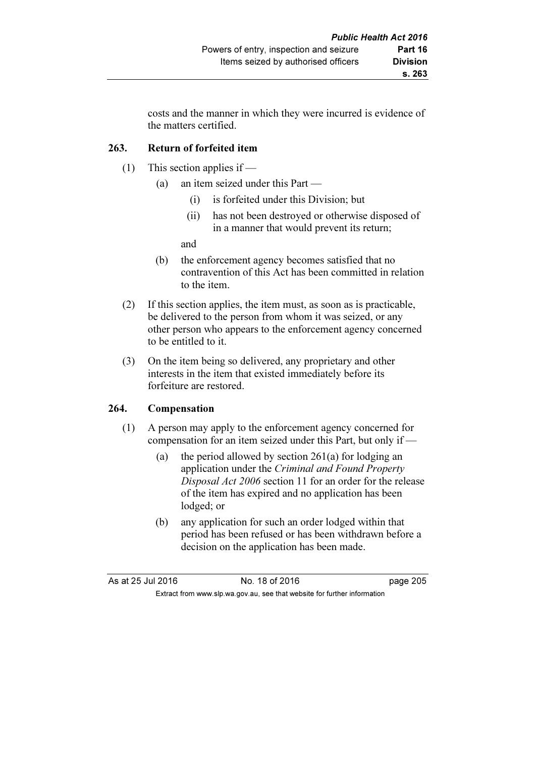costs and the manner in which they were incurred is evidence of the matters certified.

# 263. Return of forfeited item

- (1) This section applies if
	- (a) an item seized under this Part
		- (i) is forfeited under this Division; but
		- (ii) has not been destroyed or otherwise disposed of in a manner that would prevent its return;

and

- (b) the enforcement agency becomes satisfied that no contravention of this Act has been committed in relation to the item.
- (2) If this section applies, the item must, as soon as is practicable, be delivered to the person from whom it was seized, or any other person who appears to the enforcement agency concerned to be entitled to it.
- (3) On the item being so delivered, any proprietary and other interests in the item that existed immediately before its forfeiture are restored.

# 264. Compensation

- (1) A person may apply to the enforcement agency concerned for compensation for an item seized under this Part, but only if —
	- (a) the period allowed by section 261(a) for lodging an application under the Criminal and Found Property Disposal Act 2006 section 11 for an order for the release of the item has expired and no application has been lodged; or
	- (b) any application for such an order lodged within that period has been refused or has been withdrawn before a decision on the application has been made.

| As at 25 Jul 2016 | No. 18 of 2016                                                           | page 205 |
|-------------------|--------------------------------------------------------------------------|----------|
|                   | Extract from www.slp.wa.gov.au, see that website for further information |          |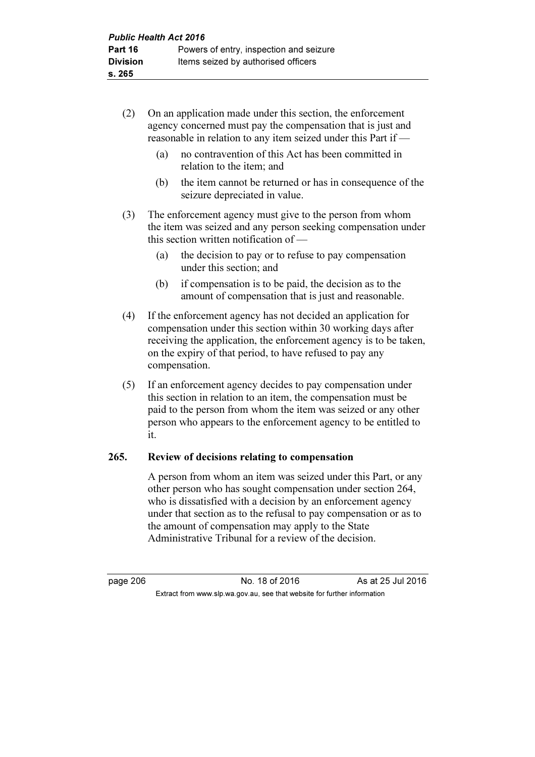- (2) On an application made under this section, the enforcement agency concerned must pay the compensation that is just and reasonable in relation to any item seized under this Part if —
	- (a) no contravention of this Act has been committed in relation to the item; and
	- (b) the item cannot be returned or has in consequence of the seizure depreciated in value.
- (3) The enforcement agency must give to the person from whom the item was seized and any person seeking compensation under this section written notification of —
	- (a) the decision to pay or to refuse to pay compensation under this section; and
	- (b) if compensation is to be paid, the decision as to the amount of compensation that is just and reasonable.
- (4) If the enforcement agency has not decided an application for compensation under this section within 30 working days after receiving the application, the enforcement agency is to be taken, on the expiry of that period, to have refused to pay any compensation.
- (5) If an enforcement agency decides to pay compensation under this section in relation to an item, the compensation must be paid to the person from whom the item was seized or any other person who appears to the enforcement agency to be entitled to it.

# 265. Review of decisions relating to compensation

 A person from whom an item was seized under this Part, or any other person who has sought compensation under section 264, who is dissatisfied with a decision by an enforcement agency under that section as to the refusal to pay compensation or as to the amount of compensation may apply to the State Administrative Tribunal for a review of the decision.

page 206 **No. 18 of 2016** As at 25 Jul 2016 Extract from www.slp.wa.gov.au, see that website for further information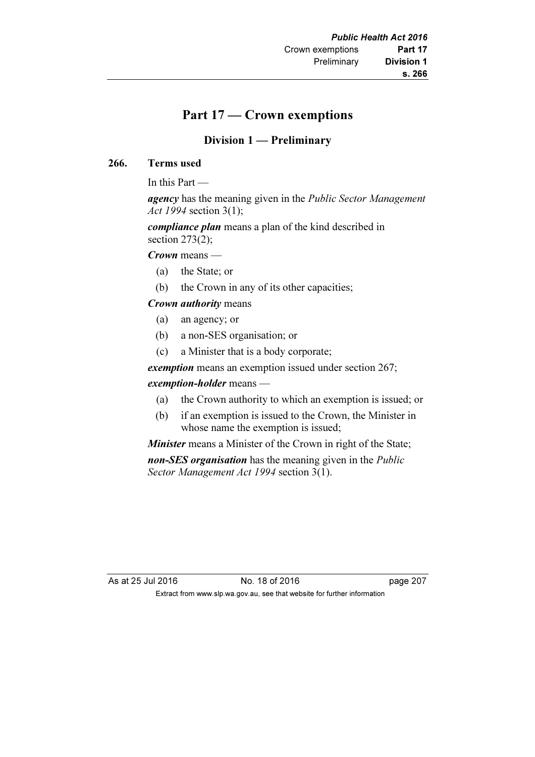# Part 17 — Crown exemptions

# Division 1 — Preliminary

### 266. Terms used

In this Part —

agency has the meaning given in the *Public Sector Management* Act 1994 section 3(1);

compliance plan means a plan of the kind described in section  $273(2)$ ;

Crown means —

- (a) the State; or
- (b) the Crown in any of its other capacities;

### Crown authority means

- (a) an agency; or
- (b) a non-SES organisation; or
- (c) a Minister that is a body corporate;

exemption means an exemption issued under section 267;

#### exemption-holder means —

- (a) the Crown authority to which an exemption is issued; or
- (b) if an exemption is issued to the Crown, the Minister in whose name the exemption is issued;

**Minister** means a Minister of the Crown in right of the State; non-SES organisation has the meaning given in the *Public* Sector Management Act 1994 section 3(1).

As at 25 Jul 2016 18 of 2016 18 of 2016 Extract from www.slp.wa.gov.au, see that website for further information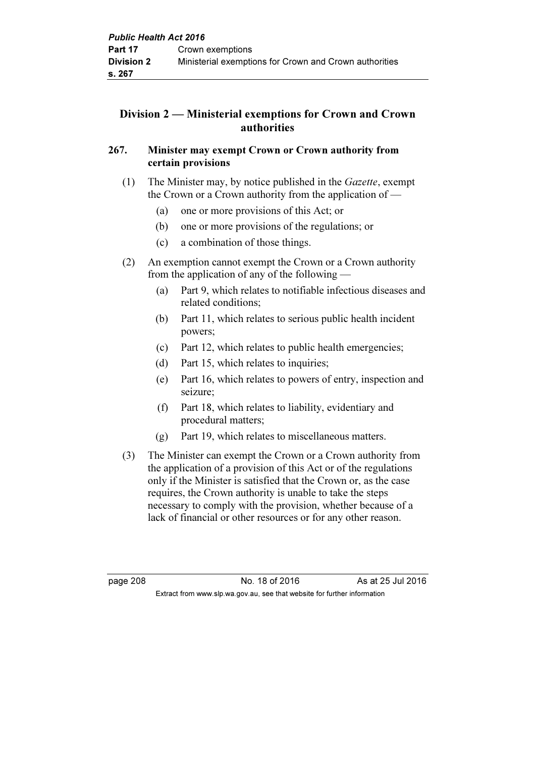# Division 2 — Ministerial exemptions for Crown and Crown authorities

# 267. Minister may exempt Crown or Crown authority from certain provisions

- (1) The Minister may, by notice published in the Gazette, exempt the Crown or a Crown authority from the application of —
	- (a) one or more provisions of this Act; or
	- (b) one or more provisions of the regulations; or
	- (c) a combination of those things.
- (2) An exemption cannot exempt the Crown or a Crown authority from the application of any of the following —
	- (a) Part 9, which relates to notifiable infectious diseases and related conditions;
	- (b) Part 11, which relates to serious public health incident powers;
	- (c) Part 12, which relates to public health emergencies;
	- (d) Part 15, which relates to inquiries;
	- (e) Part 16, which relates to powers of entry, inspection and seizure;
	- (f) Part 18, which relates to liability, evidentiary and procedural matters;
	- (g) Part 19, which relates to miscellaneous matters.
- (3) The Minister can exempt the Crown or a Crown authority from the application of a provision of this Act or of the regulations only if the Minister is satisfied that the Crown or, as the case requires, the Crown authority is unable to take the steps necessary to comply with the provision, whether because of a lack of financial or other resources or for any other reason.

page 208 No. 18 of 2016 As at 25 Jul 2016 Extract from www.slp.wa.gov.au, see that website for further information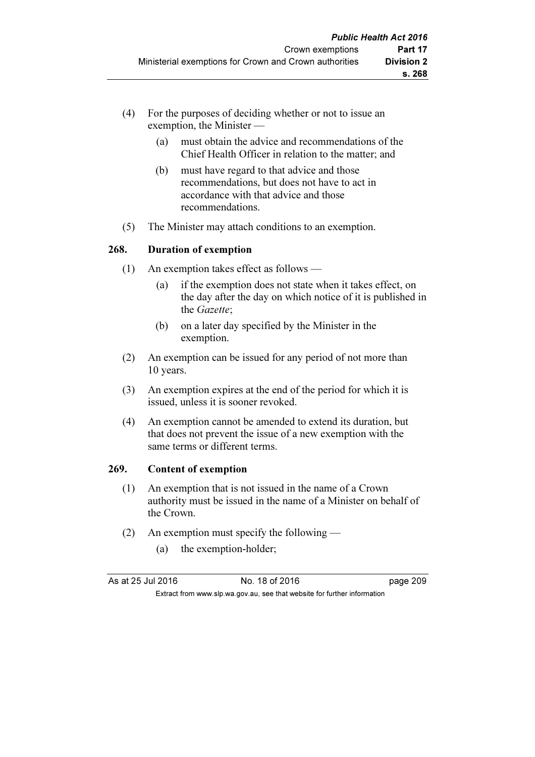- (4) For the purposes of deciding whether or not to issue an exemption, the Minister —
	- (a) must obtain the advice and recommendations of the Chief Health Officer in relation to the matter; and
	- (b) must have regard to that advice and those recommendations, but does not have to act in accordance with that advice and those recommendations.
- (5) The Minister may attach conditions to an exemption.

### 268. Duration of exemption

- (1) An exemption takes effect as follows
	- (a) if the exemption does not state when it takes effect, on the day after the day on which notice of it is published in the Gazette;
	- (b) on a later day specified by the Minister in the exemption.
- (2) An exemption can be issued for any period of not more than 10 years.
- (3) An exemption expires at the end of the period for which it is issued, unless it is sooner revoked.
- (4) An exemption cannot be amended to extend its duration, but that does not prevent the issue of a new exemption with the same terms or different terms.

#### 269. Content of exemption

- (1) An exemption that is not issued in the name of a Crown authority must be issued in the name of a Minister on behalf of the Crown.
- (2) An exemption must specify the following
	- (a) the exemption-holder;

| As at 25 Jul 2016 | No. 18 of 2016                                                           | page 209 |
|-------------------|--------------------------------------------------------------------------|----------|
|                   | Extract from www.slp.wa.gov.au, see that website for further information |          |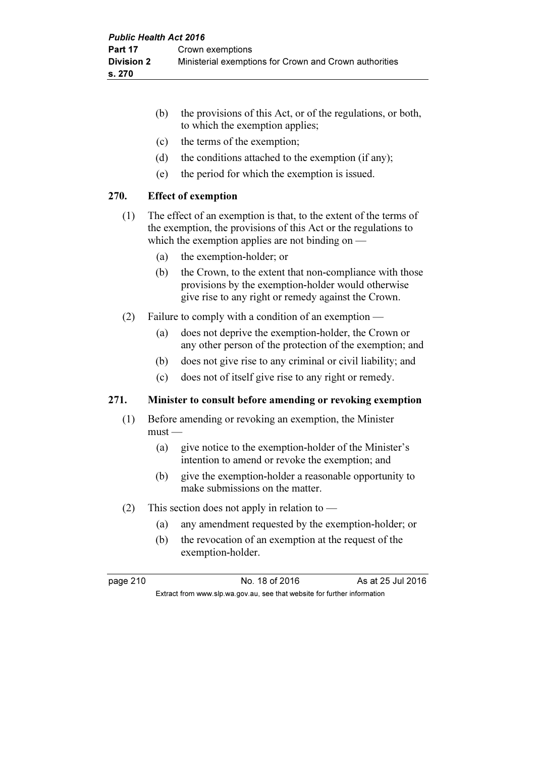|      | (b) | the provisions of this Act, or of the regulations, or both,<br>to which the exemption applies;                                                                                             |
|------|-----|--------------------------------------------------------------------------------------------------------------------------------------------------------------------------------------------|
|      | (c) | the terms of the exemption;                                                                                                                                                                |
|      | (d) | the conditions attached to the exemption (if any);                                                                                                                                         |
|      | (e) | the period for which the exemption is issued.                                                                                                                                              |
| 270. |     | <b>Effect of exemption</b>                                                                                                                                                                 |
| (1)  |     | The effect of an exemption is that, to the extent of the terms of<br>the exemption, the provisions of this Act or the regulations to<br>which the exemption applies are not binding on $-$ |
|      | (a) | the exemption-holder; or                                                                                                                                                                   |
|      | (b) | the Crown, to the extent that non-compliance with those<br>provisions by the exemption-holder would otherwise<br>give rise to any right or remedy against the Crown.                       |
| (2)  |     | Failure to comply with a condition of an exemption —                                                                                                                                       |
|      | (a) | does not deprive the exemption-holder, the Crown or<br>any other person of the protection of the exemption; and                                                                            |
|      | (b) | does not give rise to any criminal or civil liability; and                                                                                                                                 |
|      | (c) | does not of itself give rise to any right or remedy.                                                                                                                                       |

# 271. Minister to consult before amending or revoking exemption

- (1) Before amending or revoking an exemption, the Minister  $must$ —
	- (a) give notice to the exemption-holder of the Minister's intention to amend or revoke the exemption; and
	- (b) give the exemption-holder a reasonable opportunity to make submissions on the matter.
- (2) This section does not apply in relation to
	- (a) any amendment requested by the exemption-holder; or
	- (b) the revocation of an exemption at the request of the exemption-holder.

page 210 No. 18 of 2016 As at 25 Jul 2016 Extract from www.slp.wa.gov.au, see that website for further information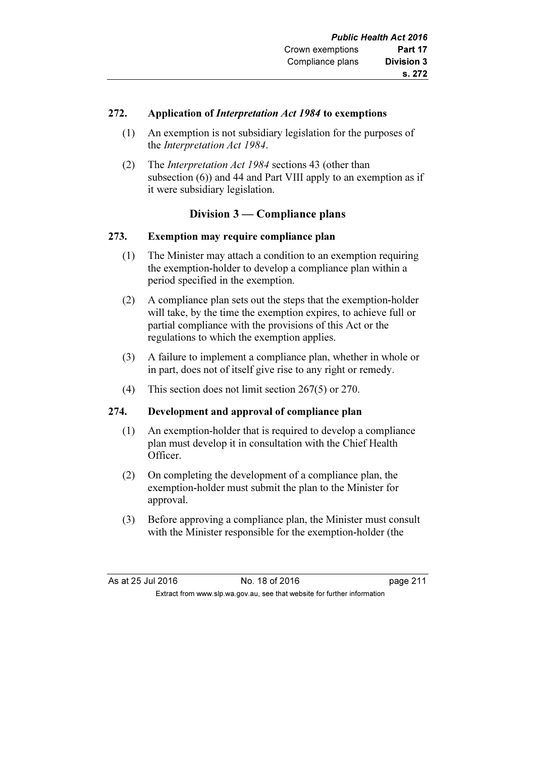### 272. Application of Interpretation Act 1984 to exemptions

- (1) An exemption is not subsidiary legislation for the purposes of the Interpretation Act 1984.
- (2) The Interpretation Act 1984 sections 43 (other than subsection (6)) and 44 and Part VIII apply to an exemption as if it were subsidiary legislation.

# Division 3 — Compliance plans

### 273. Exemption may require compliance plan

- (1) The Minister may attach a condition to an exemption requiring the exemption-holder to develop a compliance plan within a period specified in the exemption.
- (2) A compliance plan sets out the steps that the exemption-holder will take, by the time the exemption expires, to achieve full or partial compliance with the provisions of this Act or the regulations to which the exemption applies.
- (3) A failure to implement a compliance plan, whether in whole or in part, does not of itself give rise to any right or remedy.
- (4) This section does not limit section 267(5) or 270.

# 274. Development and approval of compliance plan

- (1) An exemption-holder that is required to develop a compliance plan must develop it in consultation with the Chief Health Officer.
- (2) On completing the development of a compliance plan, the exemption-holder must submit the plan to the Minister for approval.
- (3) Before approving a compliance plan, the Minister must consult with the Minister responsible for the exemption-holder (the

| As at 25 Jul 2016 | No. 18 of 2016                                                           | page 211 |
|-------------------|--------------------------------------------------------------------------|----------|
|                   | Extract from www.slp.wa.gov.au, see that website for further information |          |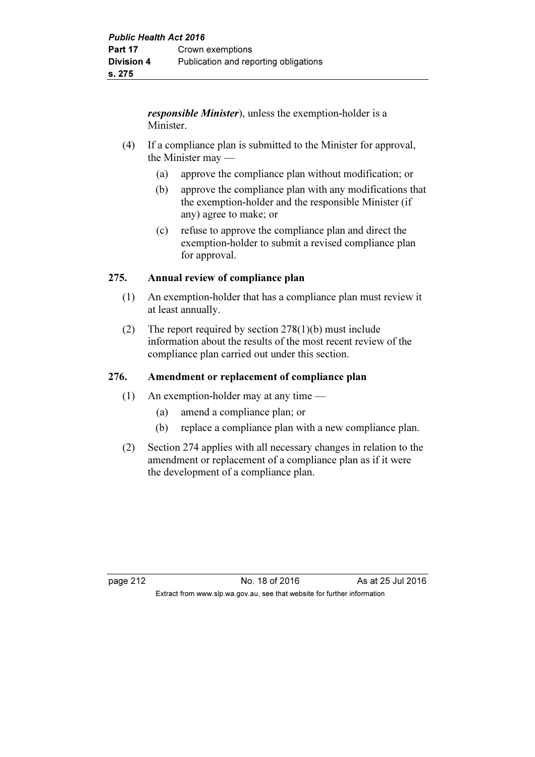responsible Minister), unless the exemption-holder is a Minister.

- (4) If a compliance plan is submitted to the Minister for approval, the Minister may —
	- (a) approve the compliance plan without modification; or
	- (b) approve the compliance plan with any modifications that the exemption-holder and the responsible Minister (if any) agree to make; or
	- (c) refuse to approve the compliance plan and direct the exemption-holder to submit a revised compliance plan for approval.

# 275. Annual review of compliance plan

- (1) An exemption-holder that has a compliance plan must review it at least annually.
- (2) The report required by section 278(1)(b) must include information about the results of the most recent review of the compliance plan carried out under this section.

# 276. Amendment or replacement of compliance plan

- (1) An exemption-holder may at any time
	- (a) amend a compliance plan; or
	- (b) replace a compliance plan with a new compliance plan.
- (2) Section 274 applies with all necessary changes in relation to the amendment or replacement of a compliance plan as if it were the development of a compliance plan.

page 212 No. 18 of 2016 As at 25 Jul 2016 Extract from www.slp.wa.gov.au, see that website for further information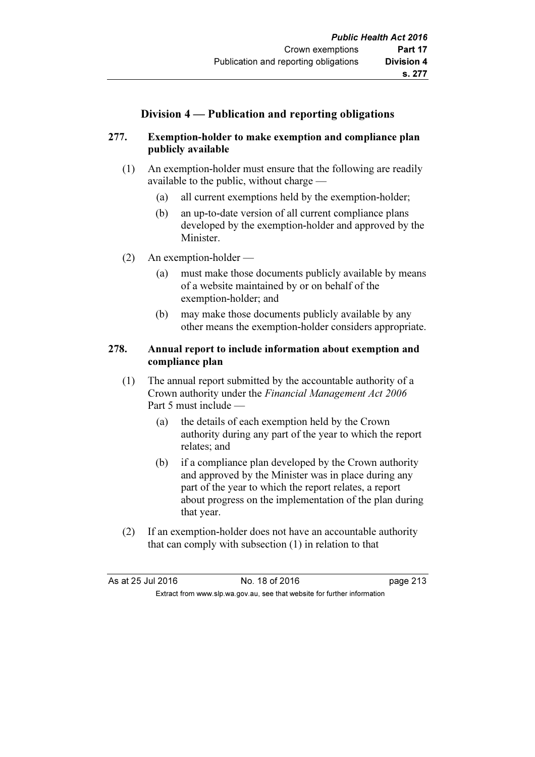# Division 4 — Publication and reporting obligations

# 277. Exemption-holder to make exemption and compliance plan publicly available

- (1) An exemption-holder must ensure that the following are readily available to the public, without charge —
	- (a) all current exemptions held by the exemption-holder;
	- (b) an up-to-date version of all current compliance plans developed by the exemption-holder and approved by the Minister.
- (2) An exemption-holder
	- (a) must make those documents publicly available by means of a website maintained by or on behalf of the exemption-holder; and
	- (b) may make those documents publicly available by any other means the exemption-holder considers appropriate.

# 278. Annual report to include information about exemption and compliance plan

- (1) The annual report submitted by the accountable authority of a Crown authority under the Financial Management Act 2006 Part 5 must include —
	- (a) the details of each exemption held by the Crown authority during any part of the year to which the report relates; and
	- (b) if a compliance plan developed by the Crown authority and approved by the Minister was in place during any part of the year to which the report relates, a report about progress on the implementation of the plan during that year.
- (2) If an exemption-holder does not have an accountable authority that can comply with subsection (1) in relation to that

| As at 25 Jul 2016 | No. 18 of 2016                                                           | page 213 |
|-------------------|--------------------------------------------------------------------------|----------|
|                   | Extract from www.slp.wa.gov.au, see that website for further information |          |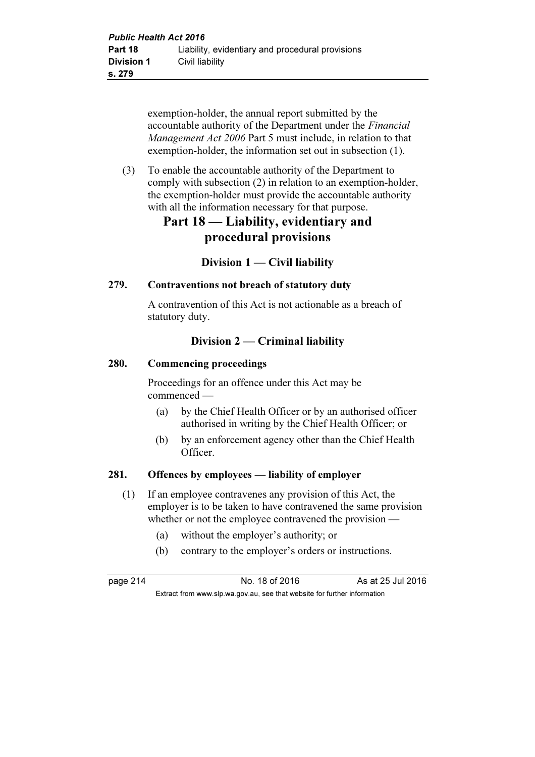exemption-holder, the annual report submitted by the accountable authority of the Department under the Financial Management Act 2006 Part 5 must include, in relation to that exemption-holder, the information set out in subsection (1).

 (3) To enable the accountable authority of the Department to comply with subsection (2) in relation to an exemption-holder, the exemption-holder must provide the accountable authority with all the information necessary for that purpose.

# Part 18 — Liability, evidentiary and procedural provisions

# Division  $1 -$  Civil liability

# 279. Contraventions not breach of statutory duty

 A contravention of this Act is not actionable as a breach of statutory duty.

# Division 2 — Criminal liability

# 280. Commencing proceedings

 Proceedings for an offence under this Act may be commenced —

- (a) by the Chief Health Officer or by an authorised officer authorised in writing by the Chief Health Officer; or
- (b) by an enforcement agency other than the Chief Health Officer.

# 281. Offences by employees — liability of employer

- (1) If an employee contravenes any provision of this Act, the employer is to be taken to have contravened the same provision whether or not the employee contravened the provision —
	- (a) without the employer's authority; or
	- (b) contrary to the employer's orders or instructions.

page 214 **No. 18 of 2016** As at 25 Jul 2016 Extract from www.slp.wa.gov.au, see that website for further information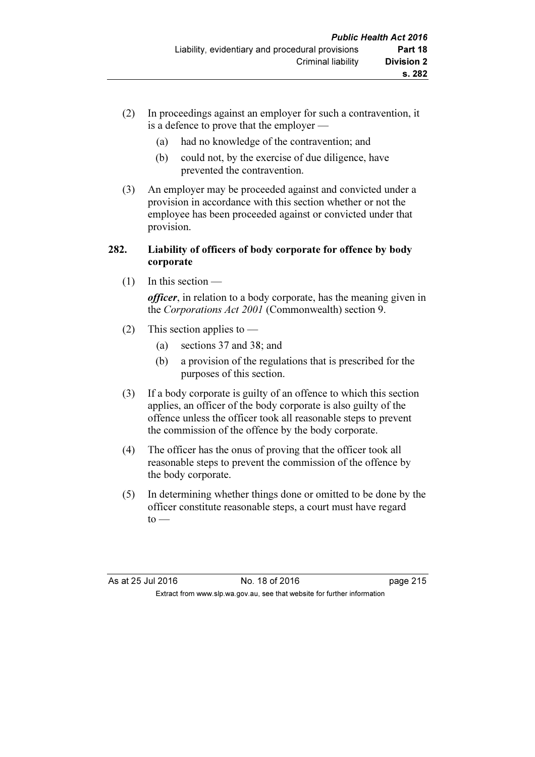- (2) In proceedings against an employer for such a contravention, it is a defence to prove that the employer —
	- (a) had no knowledge of the contravention; and
	- (b) could not, by the exercise of due diligence, have prevented the contravention.
- (3) An employer may be proceeded against and convicted under a provision in accordance with this section whether or not the employee has been proceeded against or convicted under that provision.

# 282. Liability of officers of body corporate for offence by body corporate

(1) In this section —

officer, in relation to a body corporate, has the meaning given in the Corporations Act 2001 (Commonwealth) section 9.

- (2) This section applies to  $-$ 
	- (a) sections 37 and 38; and
	- (b) a provision of the regulations that is prescribed for the purposes of this section.
- (3) If a body corporate is guilty of an offence to which this section applies, an officer of the body corporate is also guilty of the offence unless the officer took all reasonable steps to prevent the commission of the offence by the body corporate.
- (4) The officer has the onus of proving that the officer took all reasonable steps to prevent the commission of the offence by the body corporate.
- (5) In determining whether things done or omitted to be done by the officer constitute reasonable steps, a court must have regard  $to -$

As at 25 Jul 2016 18 One 2016 18 of 2016 Extract from www.slp.wa.gov.au, see that website for further information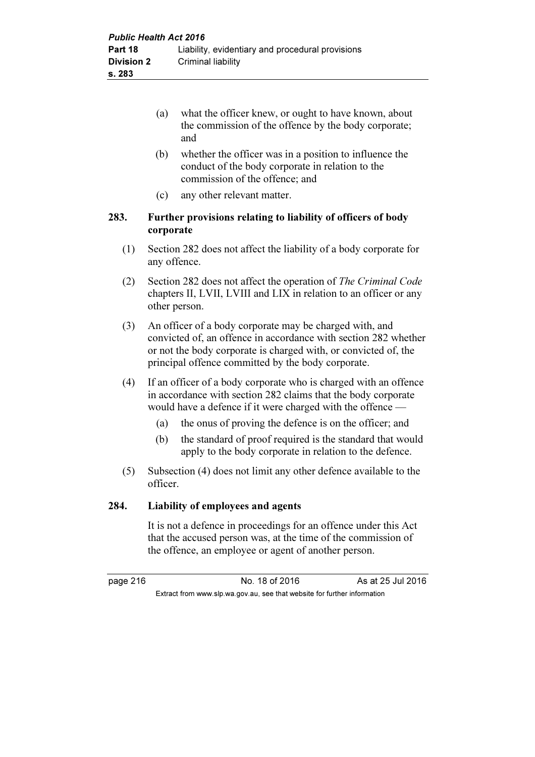- (a) what the officer knew, or ought to have known, about the commission of the offence by the body corporate; and
- (b) whether the officer was in a position to influence the conduct of the body corporate in relation to the commission of the offence; and
- (c) any other relevant matter.

### 283. Further provisions relating to liability of officers of body corporate

- (1) Section 282 does not affect the liability of a body corporate for any offence.
- (2) Section 282 does not affect the operation of The Criminal Code chapters II, LVII, LVIII and LIX in relation to an officer or any other person.
- (3) An officer of a body corporate may be charged with, and convicted of, an offence in accordance with section 282 whether or not the body corporate is charged with, or convicted of, the principal offence committed by the body corporate.
- (4) If an officer of a body corporate who is charged with an offence in accordance with section 282 claims that the body corporate would have a defence if it were charged with the offence —
	- (a) the onus of proving the defence is on the officer; and
	- (b) the standard of proof required is the standard that would apply to the body corporate in relation to the defence.
- (5) Subsection (4) does not limit any other defence available to the officer.

# 284. Liability of employees and agents

 It is not a defence in proceedings for an offence under this Act that the accused person was, at the time of the commission of the offence, an employee or agent of another person.

page 216 **No. 18 of 2016** As at 25 Jul 2016 Extract from www.slp.wa.gov.au, see that website for further information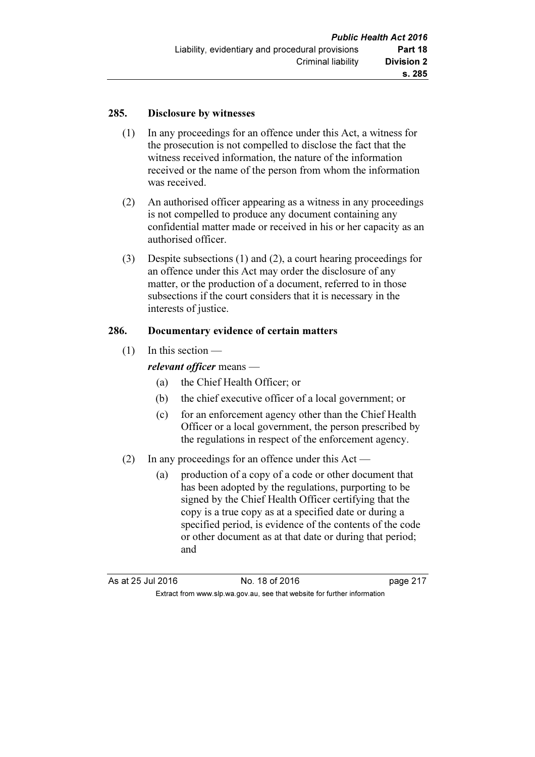### 285. Disclosure by witnesses

- (1) In any proceedings for an offence under this Act, a witness for the prosecution is not compelled to disclose the fact that the witness received information, the nature of the information received or the name of the person from whom the information was received.
- (2) An authorised officer appearing as a witness in any proceedings is not compelled to produce any document containing any confidential matter made or received in his or her capacity as an authorised officer.
- (3) Despite subsections (1) and (2), a court hearing proceedings for an offence under this Act may order the disclosure of any matter, or the production of a document, referred to in those subsections if the court considers that it is necessary in the interests of justice.

### 286. Documentary evidence of certain matters

(1) In this section —

relevant officer means -

- (a) the Chief Health Officer; or
- (b) the chief executive officer of a local government; or
- (c) for an enforcement agency other than the Chief Health Officer or a local government, the person prescribed by the regulations in respect of the enforcement agency.
- (2) In any proceedings for an offence under this Act
	- (a) production of a copy of a code or other document that has been adopted by the regulations, purporting to be signed by the Chief Health Officer certifying that the copy is a true copy as at a specified date or during a specified period, is evidence of the contents of the code or other document as at that date or during that period; and

As at 25 Jul 2016 18 of 2016 18 of 2016 Extract from www.slp.wa.gov.au, see that website for further information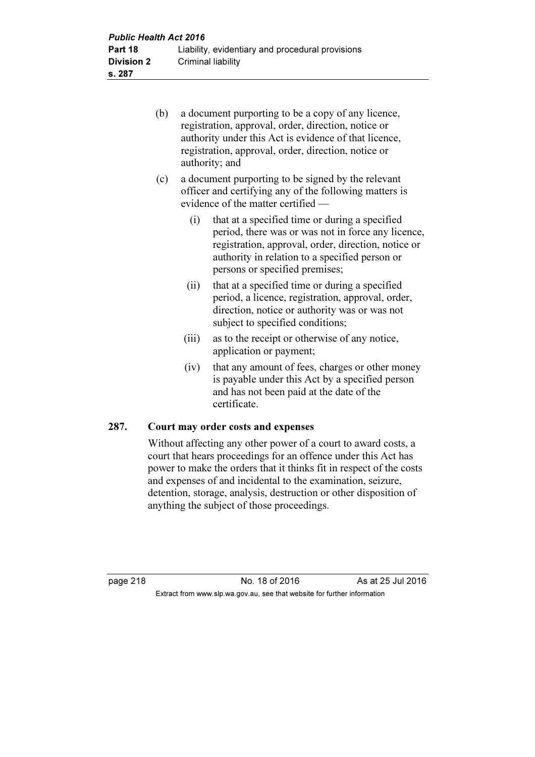| <b>Public Health Act 2016</b> |                                                  |  |  |
|-------------------------------|--------------------------------------------------|--|--|
| Part 18                       | Liability, evidentiary and procedural provisions |  |  |
| <b>Division 2</b>             | Criminal liability                               |  |  |
| s. 287                        |                                                  |  |  |

- (b) a document purporting to be a copy of any licence, registration, approval, order, direction, notice or authority under this Act is evidence of that licence, registration, approval, order, direction, notice or authority; and
- (c) a document purporting to be signed by the relevant officer and certifying any of the following matters is evidence of the matter certified —
	- (i) that at a specified time or during a specified period, there was or was not in force any licence, registration, approval, order, direction, notice or authority in relation to a specified person or persons or specified premises;
	- (ii) that at a specified time or during a specified period, a licence, registration, approval, order, direction, notice or authority was or was not subject to specified conditions;
	- (iii) as to the receipt or otherwise of any notice, application or payment;
	- (iv) that any amount of fees, charges or other money is payable under this Act by a specified person and has not been paid at the date of the certificate.

#### 287. Court may order costs and expenses

 Without affecting any other power of a court to award costs, a court that hears proceedings for an offence under this Act has power to make the orders that it thinks fit in respect of the costs and expenses of and incidental to the examination, seizure, detention, storage, analysis, destruction or other disposition of anything the subject of those proceedings.

page 218 **No. 18 of 2016** As at 25 Jul 2016 Extract from www.slp.wa.gov.au, see that website for further information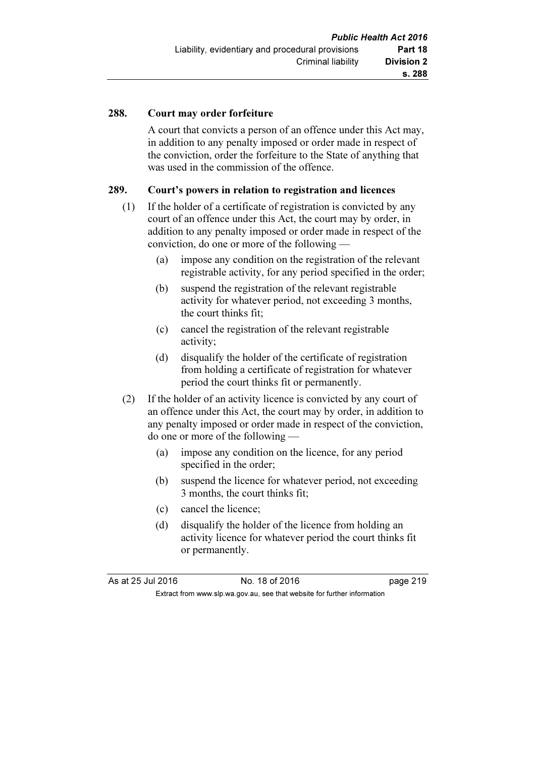### 288. Court may order forfeiture

 A court that convicts a person of an offence under this Act may, in addition to any penalty imposed or order made in respect of the conviction, order the forfeiture to the State of anything that was used in the commission of the offence.

#### 289. Court's powers in relation to registration and licences

- (1) If the holder of a certificate of registration is convicted by any court of an offence under this Act, the court may by order, in addition to any penalty imposed or order made in respect of the conviction, do one or more of the following —
	- (a) impose any condition on the registration of the relevant registrable activity, for any period specified in the order;
	- (b) suspend the registration of the relevant registrable activity for whatever period, not exceeding 3 months, the court thinks fit;
	- (c) cancel the registration of the relevant registrable activity;
	- (d) disqualify the holder of the certificate of registration from holding a certificate of registration for whatever period the court thinks fit or permanently.
- (2) If the holder of an activity licence is convicted by any court of an offence under this Act, the court may by order, in addition to any penalty imposed or order made in respect of the conviction, do one or more of the following —
	- (a) impose any condition on the licence, for any period specified in the order;
	- (b) suspend the licence for whatever period, not exceeding 3 months, the court thinks fit;
	- (c) cancel the licence;
	- (d) disqualify the holder of the licence from holding an activity licence for whatever period the court thinks fit or permanently.

| As at 25 Jul 2016 | No. 18 of 2016                                                           | page 219 |
|-------------------|--------------------------------------------------------------------------|----------|
|                   | Extract from www.slp.wa.gov.au, see that website for further information |          |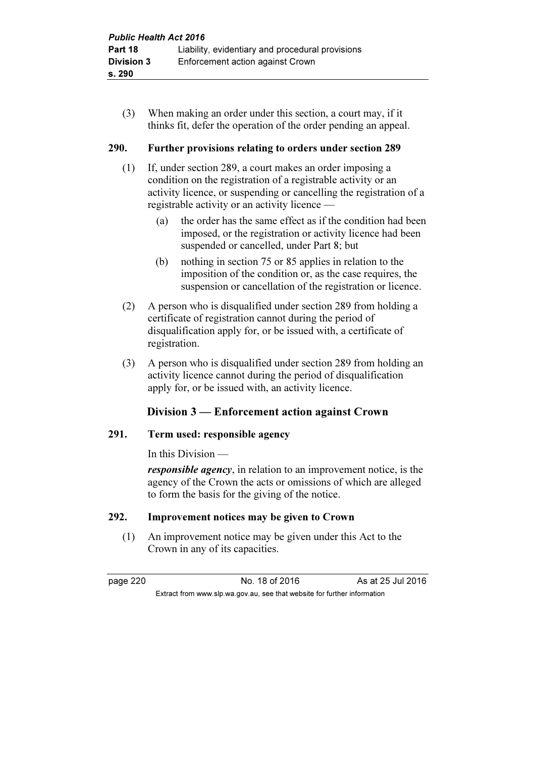(3) When making an order under this section, a court may, if it thinks fit, defer the operation of the order pending an appeal.

### 290. Further provisions relating to orders under section 289

- (1) If, under section 289, a court makes an order imposing a condition on the registration of a registrable activity or an activity licence, or suspending or cancelling the registration of a registrable activity or an activity licence —
	- (a) the order has the same effect as if the condition had been imposed, or the registration or activity licence had been suspended or cancelled, under Part 8; but
	- (b) nothing in section 75 or 85 applies in relation to the imposition of the condition or, as the case requires, the suspension or cancellation of the registration or licence.
- (2) A person who is disqualified under section 289 from holding a certificate of registration cannot during the period of disqualification apply for, or be issued with, a certificate of registration.
- (3) A person who is disqualified under section 289 from holding an activity licence cannot during the period of disqualification apply for, or be issued with, an activity licence.

# Division 3 — Enforcement action against Crown

#### 291. Term used: responsible agency

In this Division —

responsible agency, in relation to an improvement notice, is the agency of the Crown the acts or omissions of which are alleged to form the basis for the giving of the notice.

# 292. Improvement notices may be given to Crown

 (1) An improvement notice may be given under this Act to the Crown in any of its capacities.

Extract from www.slp.wa.gov.au, see that website for further information

page 220 No. 18 of 2016 As at 25 Jul 2016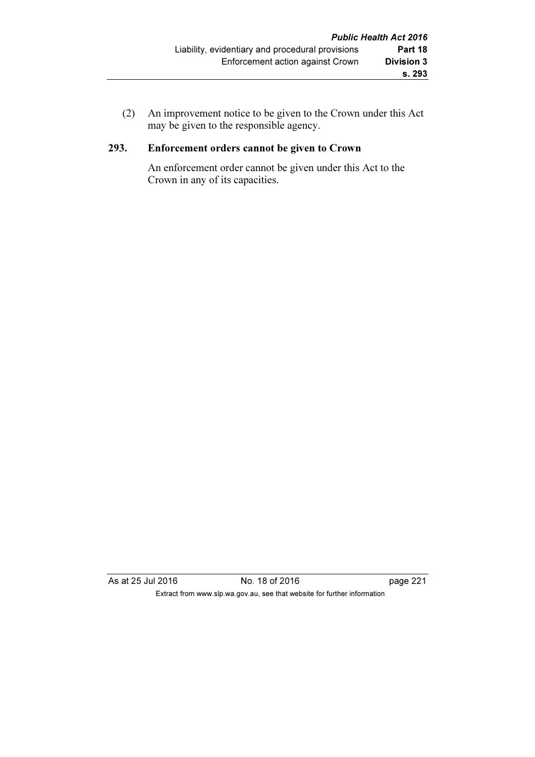(2) An improvement notice to be given to the Crown under this Act may be given to the responsible agency.

# 293. Enforcement orders cannot be given to Crown

 An enforcement order cannot be given under this Act to the Crown in any of its capacities.

As at 25 Jul 2016 **No. 18 of 2016 page 221** Extract from www.slp.wa.gov.au, see that website for further information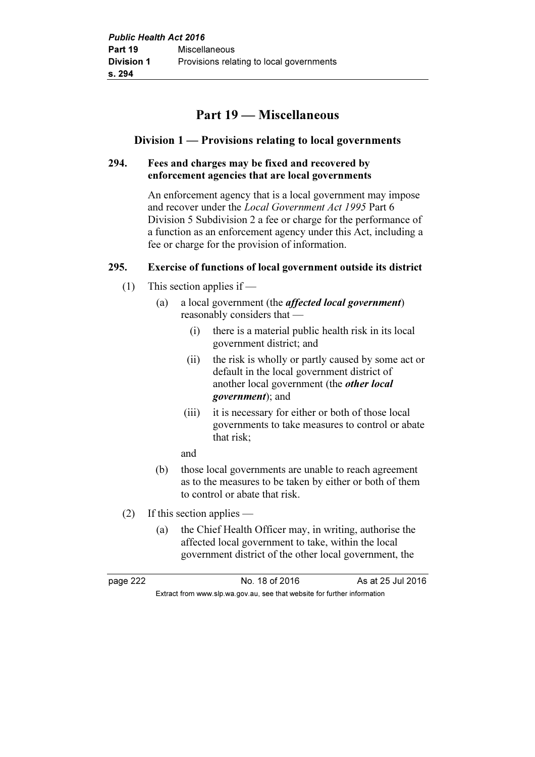# Part 19 — Miscellaneous

# Division 1 — Provisions relating to local governments

### 294. Fees and charges may be fixed and recovered by enforcement agencies that are local governments

 An enforcement agency that is a local government may impose and recover under the Local Government Act 1995 Part 6 Division 5 Subdivision 2 a fee or charge for the performance of a function as an enforcement agency under this Act, including a fee or charge for the provision of information.

### 295. Exercise of functions of local government outside its district

- (1) This section applies if
	- (a) a local government (the affected local government) reasonably considers that —
		- (i) there is a material public health risk in its local government district; and
		- (ii) the risk is wholly or partly caused by some act or default in the local government district of another local government (the other local government); and
		- (iii) it is necessary for either or both of those local governments to take measures to control or abate that risk;
		- and
	- (b) those local governments are unable to reach agreement as to the measures to be taken by either or both of them to control or abate that risk.
- (2) If this section applies
	- (a) the Chief Health Officer may, in writing, authorise the affected local government to take, within the local government district of the other local government, the

page 222 No. 18 of 2016 As at 25 Jul 2016 Extract from www.slp.wa.gov.au, see that website for further information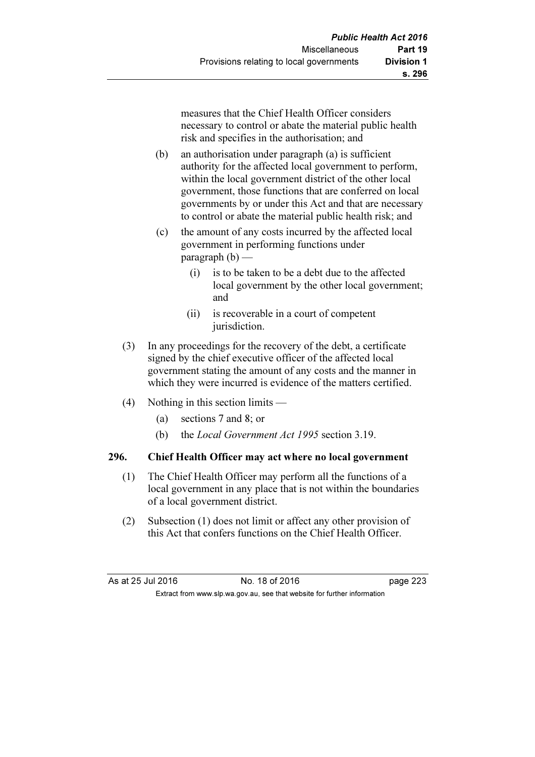measures that the Chief Health Officer considers necessary to control or abate the material public health risk and specifies in the authorisation; and

- (b) an authorisation under paragraph (a) is sufficient authority for the affected local government to perform, within the local government district of the other local government, those functions that are conferred on local governments by or under this Act and that are necessary to control or abate the material public health risk; and
- (c) the amount of any costs incurred by the affected local government in performing functions under  $\text{parameter}(\mathbf{b})$  —
	- (i) is to be taken to be a debt due to the affected local government by the other local government; and
	- (ii) is recoverable in a court of competent jurisdiction.
- (3) In any proceedings for the recovery of the debt, a certificate signed by the chief executive officer of the affected local government stating the amount of any costs and the manner in which they were incurred is evidence of the matters certified.
- (4) Nothing in this section limits
	- (a) sections 7 and 8; or
	- (b) the Local Government Act 1995 section 3.19.

# 296. Chief Health Officer may act where no local government

- (1) The Chief Health Officer may perform all the functions of a local government in any place that is not within the boundaries of a local government district.
- (2) Subsection (1) does not limit or affect any other provision of this Act that confers functions on the Chief Health Officer.

As at 25 Jul 2016 18 O. 18 of 2016 18 O. 18 of 2016

Extract from www.slp.wa.gov.au, see that website for further information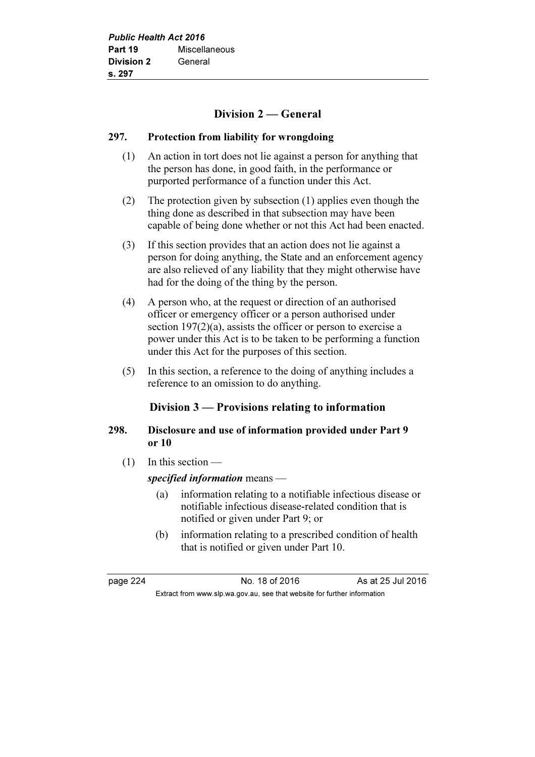# Division 2 — General

#### 297. Protection from liability for wrongdoing

- (1) An action in tort does not lie against a person for anything that the person has done, in good faith, in the performance or purported performance of a function under this Act.
- (2) The protection given by subsection (1) applies even though the thing done as described in that subsection may have been capable of being done whether or not this Act had been enacted.
- (3) If this section provides that an action does not lie against a person for doing anything, the State and an enforcement agency are also relieved of any liability that they might otherwise have had for the doing of the thing by the person.
- (4) A person who, at the request or direction of an authorised officer or emergency officer or a person authorised under section 197(2)(a), assists the officer or person to exercise a power under this Act is to be taken to be performing a function under this Act for the purposes of this section.
- (5) In this section, a reference to the doing of anything includes a reference to an omission to do anything.

# Division 3 — Provisions relating to information

# 298. Disclosure and use of information provided under Part 9 or 10

 $(1)$  In this section —

specified information means —

- (a) information relating to a notifiable infectious disease or notifiable infectious disease-related condition that is notified or given under Part 9; or
- (b) information relating to a prescribed condition of health that is notified or given under Part 10.

page 224 No. 18 of 2016 As at 25 Jul 2016 Extract from www.slp.wa.gov.au, see that website for further information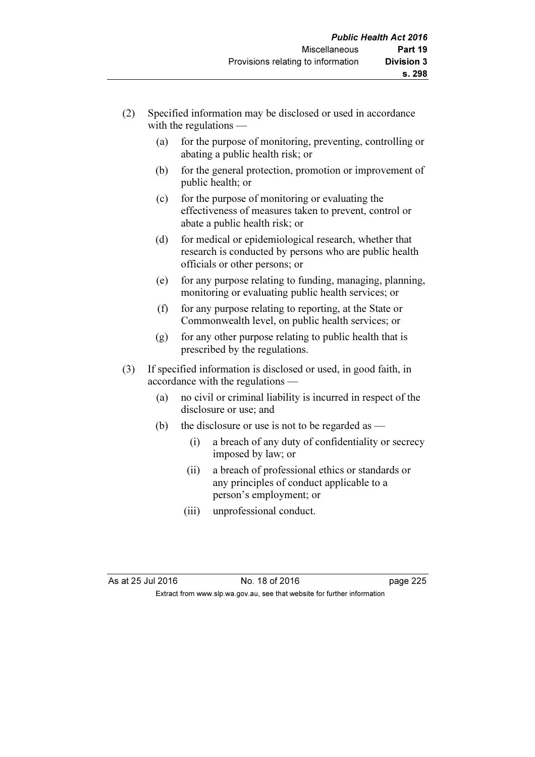- (2) Specified information may be disclosed or used in accordance with the regulations —
	- (a) for the purpose of monitoring, preventing, controlling or abating a public health risk; or
	- (b) for the general protection, promotion or improvement of public health; or
	- (c) for the purpose of monitoring or evaluating the effectiveness of measures taken to prevent, control or abate a public health risk; or
	- (d) for medical or epidemiological research, whether that research is conducted by persons who are public health officials or other persons; or
	- (e) for any purpose relating to funding, managing, planning, monitoring or evaluating public health services; or
	- (f) for any purpose relating to reporting, at the State or Commonwealth level, on public health services; or
	- $(g)$  for any other purpose relating to public health that is prescribed by the regulations.
- (3) If specified information is disclosed or used, in good faith, in accordance with the regulations —
	- (a) no civil or criminal liability is incurred in respect of the disclosure or use; and
	- (b) the disclosure or use is not to be regarded as  $-$ 
		- (i) a breach of any duty of confidentiality or secrecy imposed by law; or
		- (ii) a breach of professional ethics or standards or any principles of conduct applicable to a person's employment; or
		- (iii) unprofessional conduct.

As at 25 Jul 2016 18 of 2016 18 of 2016 Extract from www.slp.wa.gov.au, see that website for further information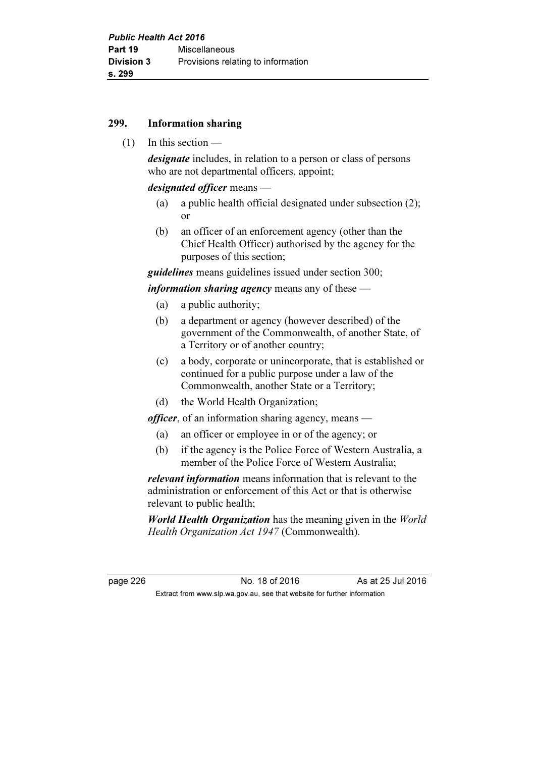#### 299. Information sharing

 $(1)$  In this section —

designate includes, in relation to a person or class of persons who are not departmental officers, appoint;

designated officer means —

- (a) a public health official designated under subsection (2); or
- (b) an officer of an enforcement agency (other than the Chief Health Officer) authorised by the agency for the purposes of this section;

guidelines means guidelines issued under section 300;

*information sharing agency* means any of these  $-$ 

- (a) a public authority;
- (b) a department or agency (however described) of the government of the Commonwealth, of another State, of a Territory or of another country;
- (c) a body, corporate or unincorporate, that is established or continued for a public purpose under a law of the Commonwealth, another State or a Territory;
- (d) the World Health Organization;

officer, of an information sharing agency, means —

- (a) an officer or employee in or of the agency; or
- (b) if the agency is the Police Force of Western Australia, a member of the Police Force of Western Australia;

relevant information means information that is relevant to the administration or enforcement of this Act or that is otherwise relevant to public health;

**World Health Organization** has the meaning given in the World Health Organization Act 1947 (Commonwealth).

page 226 **No. 18 of 2016** As at 25 Jul 2016 Extract from www.slp.wa.gov.au, see that website for further information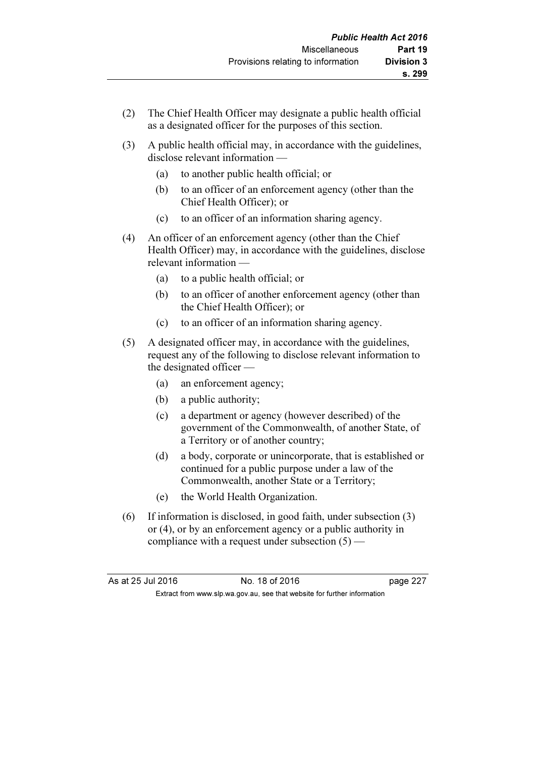- (2) The Chief Health Officer may designate a public health official as a designated officer for the purposes of this section.
- (3) A public health official may, in accordance with the guidelines, disclose relevant information —
	- (a) to another public health official; or
	- (b) to an officer of an enforcement agency (other than the Chief Health Officer); or
	- (c) to an officer of an information sharing agency.
- (4) An officer of an enforcement agency (other than the Chief Health Officer) may, in accordance with the guidelines, disclose relevant information —
	- (a) to a public health official; or
	- (b) to an officer of another enforcement agency (other than the Chief Health Officer); or
	- (c) to an officer of an information sharing agency.
- (5) A designated officer may, in accordance with the guidelines, request any of the following to disclose relevant information to the designated officer —
	- (a) an enforcement agency;
	- (b) a public authority;
	- (c) a department or agency (however described) of the government of the Commonwealth, of another State, of a Territory or of another country;
	- (d) a body, corporate or unincorporate, that is established or continued for a public purpose under a law of the Commonwealth, another State or a Territory;
	- (e) the World Health Organization.
- (6) If information is disclosed, in good faith, under subsection (3) or (4), or by an enforcement agency or a public authority in compliance with a request under subsection (5) —

| As at 25 Jul 2016 | No. 18 of 2016                                                           | page 227 |
|-------------------|--------------------------------------------------------------------------|----------|
|                   | Extract from www.slp.wa.gov.au, see that website for further information |          |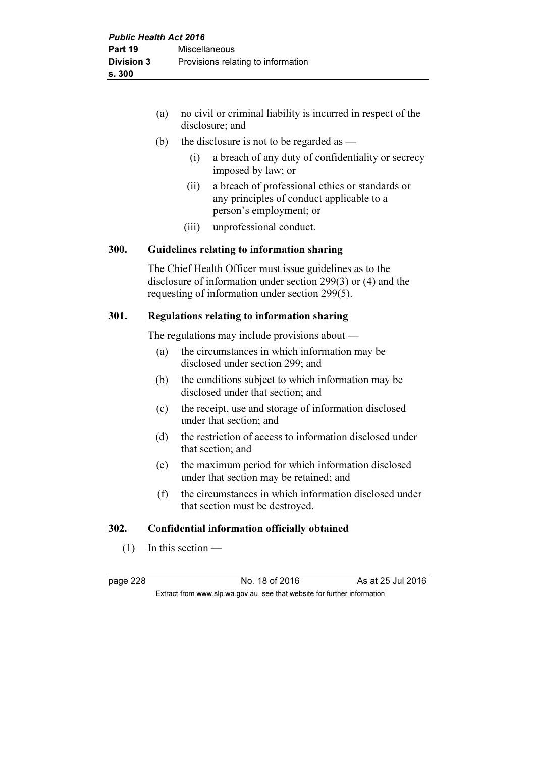- (a) no civil or criminal liability is incurred in respect of the disclosure; and
- (b) the disclosure is not to be regarded as  $-$ 
	- (i) a breach of any duty of confidentiality or secrecy imposed by law; or
	- (ii) a breach of professional ethics or standards or any principles of conduct applicable to a person's employment; or
	- (iii) unprofessional conduct.

### 300. Guidelines relating to information sharing

 The Chief Health Officer must issue guidelines as to the disclosure of information under section 299(3) or (4) and the requesting of information under section 299(5).

#### 301. Regulations relating to information sharing

The regulations may include provisions about —

- (a) the circumstances in which information may be disclosed under section 299; and
- (b) the conditions subject to which information may be disclosed under that section; and
- (c) the receipt, use and storage of information disclosed under that section; and
- (d) the restriction of access to information disclosed under that section; and
- (e) the maximum period for which information disclosed under that section may be retained; and
- (f) the circumstances in which information disclosed under that section must be destroyed.

### 302. Confidential information officially obtained

 $(1)$  In this section —

page 228 No. 18 of 2016 As at 25 Jul 2016 Extract from www.slp.wa.gov.au, see that website for further information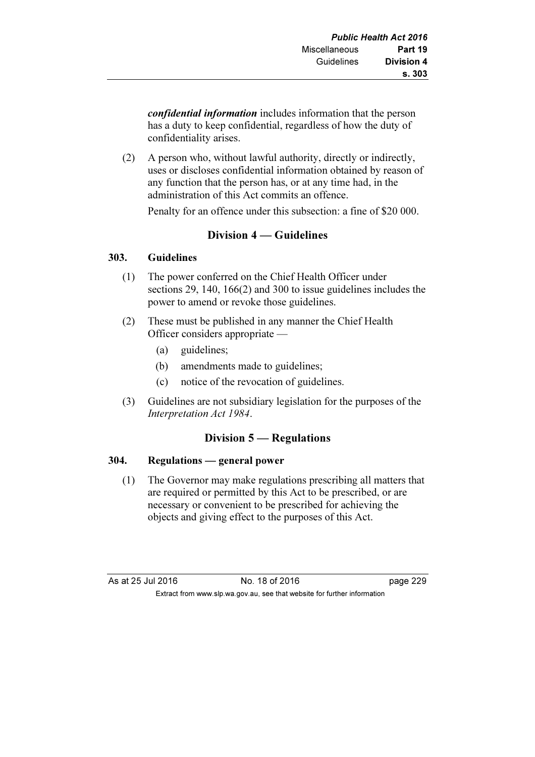confidential information includes information that the person has a duty to keep confidential, regardless of how the duty of confidentiality arises.

 (2) A person who, without lawful authority, directly or indirectly, uses or discloses confidential information obtained by reason of any function that the person has, or at any time had, in the administration of this Act commits an offence.

Penalty for an offence under this subsection: a fine of \$20 000.

# Division 4 — Guidelines

### 303. Guidelines

- (1) The power conferred on the Chief Health Officer under sections 29, 140, 166(2) and 300 to issue guidelines includes the power to amend or revoke those guidelines.
- (2) These must be published in any manner the Chief Health Officer considers appropriate —
	- (a) guidelines;
	- (b) amendments made to guidelines;
	- (c) notice of the revocation of guidelines.
- (3) Guidelines are not subsidiary legislation for the purposes of the Interpretation Act 1984.

# Division 5 — Regulations

# 304. Regulations — general power

 (1) The Governor may make regulations prescribing all matters that are required or permitted by this Act to be prescribed, or are necessary or convenient to be prescribed for achieving the objects and giving effect to the purposes of this Act.

As at 25 Jul 2016 18 of 2016 18 of 2016 Extract from www.slp.wa.gov.au, see that website for further information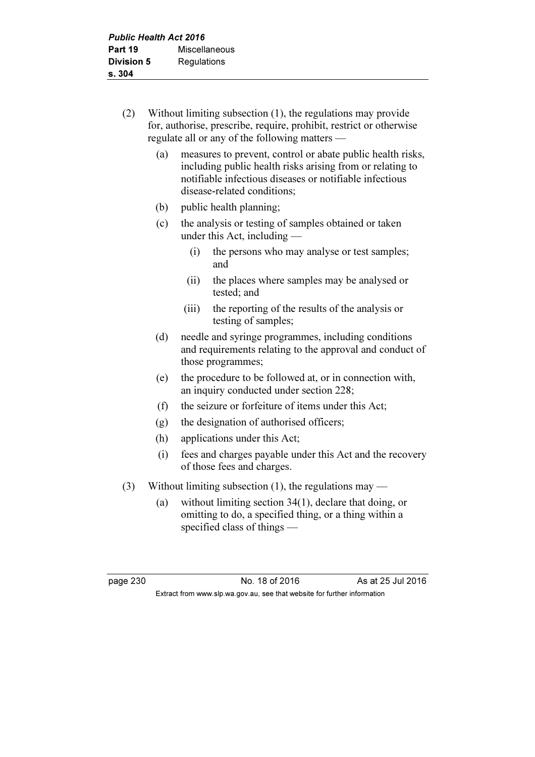- (2) Without limiting subsection (1), the regulations may provide for, authorise, prescribe, require, prohibit, restrict or otherwise regulate all or any of the following matters —
	- (a) measures to prevent, control or abate public health risks, including public health risks arising from or relating to notifiable infectious diseases or notifiable infectious disease-related conditions;
	- (b) public health planning;
	- (c) the analysis or testing of samples obtained or taken under this Act, including —
		- (i) the persons who may analyse or test samples; and
		- (ii) the places where samples may be analysed or tested; and
		- (iii) the reporting of the results of the analysis or testing of samples;
	- (d) needle and syringe programmes, including conditions and requirements relating to the approval and conduct of those programmes;
	- (e) the procedure to be followed at, or in connection with, an inquiry conducted under section 228;
	- (f) the seizure or forfeiture of items under this Act;
	- (g) the designation of authorised officers;
	- (h) applications under this Act;
	- (i) fees and charges payable under this Act and the recovery of those fees and charges.
- (3) Without limiting subsection (1), the regulations may
	- (a) without limiting section 34(1), declare that doing, or omitting to do, a specified thing, or a thing within a specified class of things —

page 230 No. 18 of 2016 As at 25 Jul 2016 Extract from www.slp.wa.gov.au, see that website for further information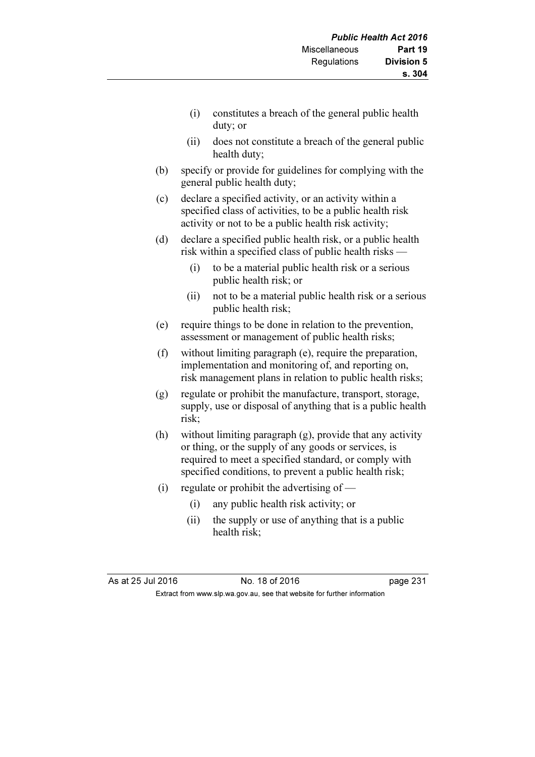- (i) constitutes a breach of the general public health duty; or
- (ii) does not constitute a breach of the general public health duty;
- (b) specify or provide for guidelines for complying with the general public health duty;
- (c) declare a specified activity, or an activity within a specified class of activities, to be a public health risk activity or not to be a public health risk activity;
- (d) declare a specified public health risk, or a public health risk within a specified class of public health risks —
	- (i) to be a material public health risk or a serious public health risk; or
	- (ii) not to be a material public health risk or a serious public health risk;
- (e) require things to be done in relation to the prevention, assessment or management of public health risks;
- (f) without limiting paragraph (e), require the preparation, implementation and monitoring of, and reporting on, risk management plans in relation to public health risks;
- (g) regulate or prohibit the manufacture, transport, storage, supply, use or disposal of anything that is a public health risk;
- (h) without limiting paragraph (g), provide that any activity or thing, or the supply of any goods or services, is required to meet a specified standard, or comply with specified conditions, to prevent a public health risk;
- (i) regulate or prohibit the advertising of  $-$ 
	- (i) any public health risk activity; or
	- (ii) the supply or use of anything that is a public health risk;

As at 25 Jul 2016 18 Oct 2016 18 of 2016 Extract from www.slp.wa.gov.au, see that website for further information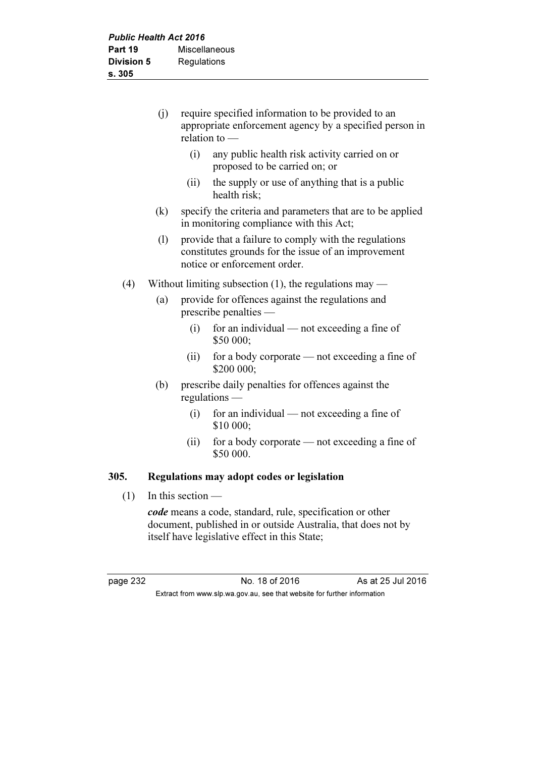|      | (i) | require specified information to be provided to an<br>appropriate enforcement agency by a specified person in<br>relation to $-$ |                                                                                                                                              |
|------|-----|----------------------------------------------------------------------------------------------------------------------------------|----------------------------------------------------------------------------------------------------------------------------------------------|
|      |     | (i)                                                                                                                              | any public health risk activity carried on or<br>proposed to be carried on; or                                                               |
|      |     | (ii)                                                                                                                             | the supply or use of anything that is a public<br>health risk;                                                                               |
|      | (k) |                                                                                                                                  | specify the criteria and parameters that are to be applied<br>in monitoring compliance with this Act;                                        |
|      | (1) |                                                                                                                                  | provide that a failure to comply with the regulations<br>constitutes grounds for the issue of an improvement<br>notice or enforcement order. |
| (4)  |     |                                                                                                                                  | Without limiting subsection $(1)$ , the regulations may —                                                                                    |
|      | (a) |                                                                                                                                  | provide for offences against the regulations and<br>$prescribe$ penalties —                                                                  |
|      |     | (i)                                                                                                                              | for an individual — not exceeding a fine of<br>\$50 000;                                                                                     |
|      |     | (ii)                                                                                                                             | for a body corporate — not exceeding a fine of<br>\$200 000;                                                                                 |
|      | (b) |                                                                                                                                  | prescribe daily penalties for offences against the<br>$regulations$ —                                                                        |
|      |     | (i)                                                                                                                              | for an individual — not exceeding a fine of<br>\$10 000;                                                                                     |
|      |     | (ii)                                                                                                                             | for a body corporate — not exceeding a fine of<br>\$50 000.                                                                                  |
| 305. |     |                                                                                                                                  | Regulations may adopt codes or legislation                                                                                                   |
| (1)  |     | In this section $-$                                                                                                              |                                                                                                                                              |
|      |     |                                                                                                                                  |                                                                                                                                              |

code means a code, standard, rule, specification or other document, published in or outside Australia, that does not by itself have legislative effect in this State;

page 232 No. 18 of 2016 As at 25 Jul 2016 Extract from www.slp.wa.gov.au, see that website for further information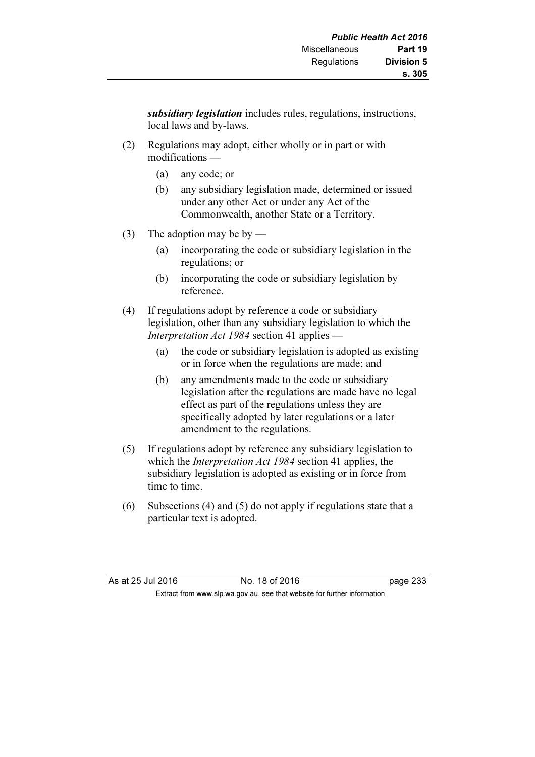subsidiary *legislation* includes rules, regulations, instructions, local laws and by-laws.

- (2) Regulations may adopt, either wholly or in part or with modifications —
	- (a) any code; or
	- (b) any subsidiary legislation made, determined or issued under any other Act or under any Act of the Commonwealth, another State or a Territory.
- (3) The adoption may be by
	- (a) incorporating the code or subsidiary legislation in the regulations; or
	- (b) incorporating the code or subsidiary legislation by reference.
- (4) If regulations adopt by reference a code or subsidiary legislation, other than any subsidiary legislation to which the Interpretation Act 1984 section 41 applies —
	- (a) the code or subsidiary legislation is adopted as existing or in force when the regulations are made; and
	- (b) any amendments made to the code or subsidiary legislation after the regulations are made have no legal effect as part of the regulations unless they are specifically adopted by later regulations or a later amendment to the regulations.
- (5) If regulations adopt by reference any subsidiary legislation to which the *Interpretation Act 1984* section 41 applies, the subsidiary legislation is adopted as existing or in force from time to time.
- (6) Subsections (4) and (5) do not apply if regulations state that a particular text is adopted.

| As at 25 Jul 2016 | No. 18 of 2016                                                           | page 233 |
|-------------------|--------------------------------------------------------------------------|----------|
|                   | Extract from www.slp.wa.gov.au, see that website for further information |          |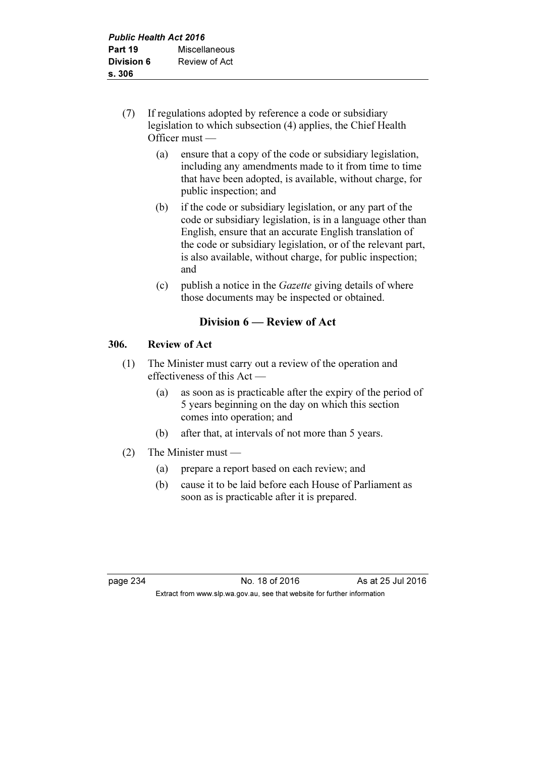- (7) If regulations adopted by reference a code or subsidiary legislation to which subsection (4) applies, the Chief Health Officer must —
	- (a) ensure that a copy of the code or subsidiary legislation, including any amendments made to it from time to time that have been adopted, is available, without charge, for public inspection; and
	- (b) if the code or subsidiary legislation, or any part of the code or subsidiary legislation, is in a language other than English, ensure that an accurate English translation of the code or subsidiary legislation, or of the relevant part, is also available, without charge, for public inspection; and
	- (c) publish a notice in the Gazette giving details of where those documents may be inspected or obtained.

# Division 6 — Review of Act

# 306. Review of Act

- (1) The Minister must carry out a review of the operation and effectiveness of this Act —
	- (a) as soon as is practicable after the expiry of the period of 5 years beginning on the day on which this section comes into operation; and
	- (b) after that, at intervals of not more than 5 years.
- (2) The Minister must
	- (a) prepare a report based on each review; and
	- (b) cause it to be laid before each House of Parliament as soon as is practicable after it is prepared.

page 234 No. 18 of 2016 As at 25 Jul 2016 Extract from www.slp.wa.gov.au, see that website for further information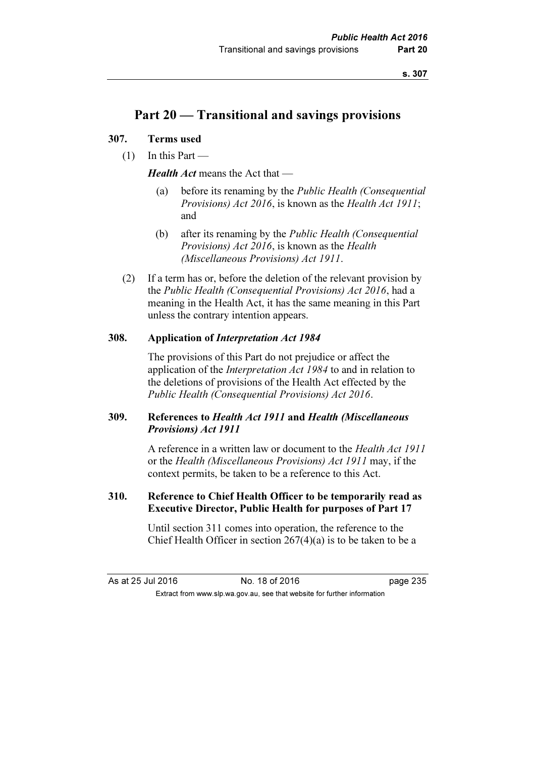# Part 20 — Transitional and savings provisions

#### 307. Terms used

 $(1)$  In this Part —

Health Act means the Act that —

- (a) before its renaming by the Public Health (Consequential Provisions) Act 2016, is known as the Health Act 1911; and
- (b) after its renaming by the Public Health (Consequential Provisions) Act 2016, is known as the Health (Miscellaneous Provisions) Act 1911.
- (2) If a term has or, before the deletion of the relevant provision by the Public Health (Consequential Provisions) Act 2016, had a meaning in the Health Act, it has the same meaning in this Part unless the contrary intention appears.

#### 308. Application of Interpretation Act 1984

 The provisions of this Part do not prejudice or affect the application of the Interpretation Act 1984 to and in relation to the deletions of provisions of the Health Act effected by the Public Health (Consequential Provisions) Act 2016.

### 309. References to Health Act 1911 and Health (Miscellaneous Provisions) Act 1911

 A reference in a written law or document to the Health Act 1911 or the Health (Miscellaneous Provisions) Act 1911 may, if the context permits, be taken to be a reference to this Act.

## 310. Reference to Chief Health Officer to be temporarily read as Executive Director, Public Health for purposes of Part 17

 Until section 311 comes into operation, the reference to the Chief Health Officer in section 267(4)(a) is to be taken to be a

| As at 25 Jul 2016 |  | No. 18 of 2016                                                           | page 235 |
|-------------------|--|--------------------------------------------------------------------------|----------|
|                   |  | Extract from www.slp.wa.gov.au, see that website for further information |          |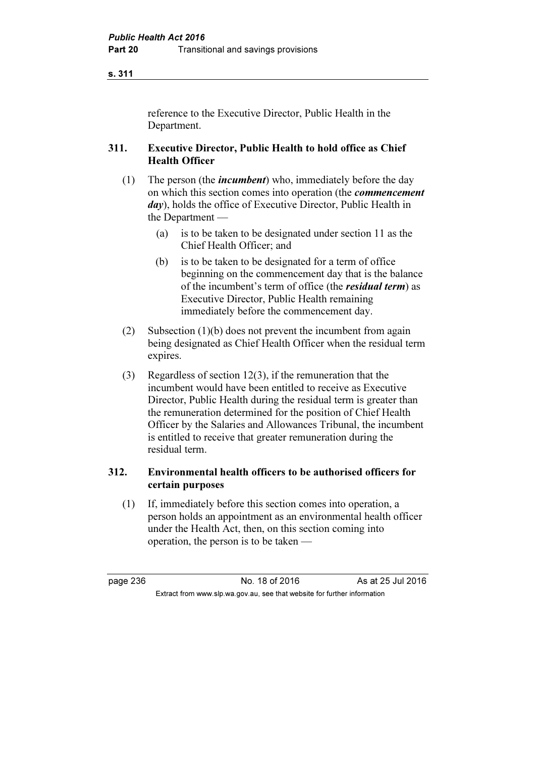reference to the Executive Director, Public Health in the Department.

#### 311. Executive Director, Public Health to hold office as Chief Health Officer

- (1) The person (the *incumbent*) who, immediately before the day on which this section comes into operation (the commencement day), holds the office of Executive Director, Public Health in the Department —
	- (a) is to be taken to be designated under section 11 as the Chief Health Officer; and
	- (b) is to be taken to be designated for a term of office beginning on the commencement day that is the balance of the incumbent's term of office (the residual term) as Executive Director, Public Health remaining immediately before the commencement day.
- (2) Subsection (1)(b) does not prevent the incumbent from again being designated as Chief Health Officer when the residual term expires.
- (3) Regardless of section 12(3), if the remuneration that the incumbent would have been entitled to receive as Executive Director, Public Health during the residual term is greater than the remuneration determined for the position of Chief Health Officer by the Salaries and Allowances Tribunal, the incumbent is entitled to receive that greater remuneration during the residual term.

#### 312. Environmental health officers to be authorised officers for certain purposes

 (1) If, immediately before this section comes into operation, a person holds an appointment as an environmental health officer under the Health Act, then, on this section coming into operation, the person is to be taken —

page 236 No. 18 of 2016 As at 25 Jul 2016 Extract from www.slp.wa.gov.au, see that website for further information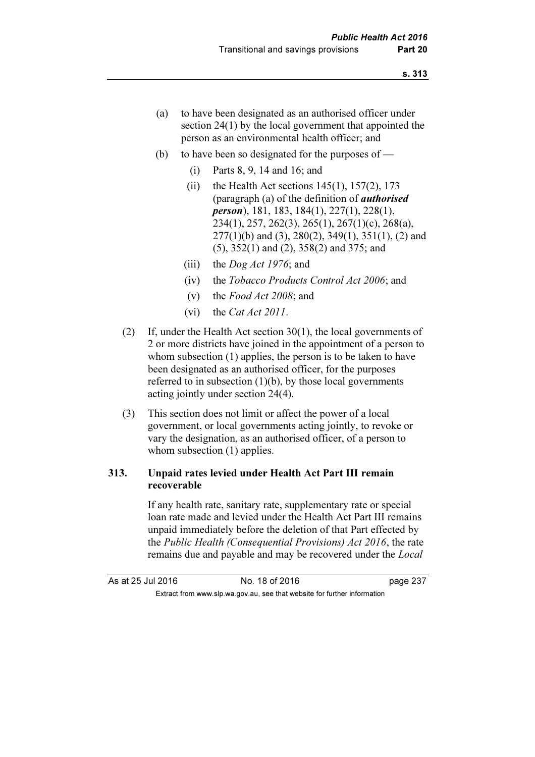- (a) to have been designated as an authorised officer under section 24(1) by the local government that appointed the person as an environmental health officer; and
- (b) to have been so designated for the purposes of  $-$ 
	- (i) Parts 8, 9, 14 and 16; and
	- (ii) the Health Act sections  $145(1)$ ,  $157(2)$ ,  $173$ (paragraph (a) of the definition of authorised person), 181, 183, 184(1), 227(1), 228(1), 234(1), 257, 262(3), 265(1), 267(1)(c), 268(a),  $277(1)(b)$  and (3),  $280(2)$ ,  $349(1)$ ,  $351(1)$ , (2) and (5), 352(1) and (2), 358(2) and 375; and
	- (iii) the *Dog Act 1976*; and
	- (iv) the Tobacco Products Control Act 2006; and
	- (v) the Food Act 2008; and
	- (vi) the Cat Act 2011.
- (2) If, under the Health Act section 30(1), the local governments of 2 or more districts have joined in the appointment of a person to whom subsection (1) applies, the person is to be taken to have been designated as an authorised officer, for the purposes referred to in subsection  $(1)(b)$ , by those local governments acting jointly under section 24(4).
- (3) This section does not limit or affect the power of a local government, or local governments acting jointly, to revoke or vary the designation, as an authorised officer, of a person to whom subsection (1) applies.

#### 313. Unpaid rates levied under Health Act Part III remain recoverable

 If any health rate, sanitary rate, supplementary rate or special loan rate made and levied under the Health Act Part III remains unpaid immediately before the deletion of that Part effected by the Public Health (Consequential Provisions) Act 2016, the rate remains due and payable and may be recovered under the Local

As at 25 Jul 2016 18 of 2016 18 of 2016 Extract from www.slp.wa.gov.au, see that website for further information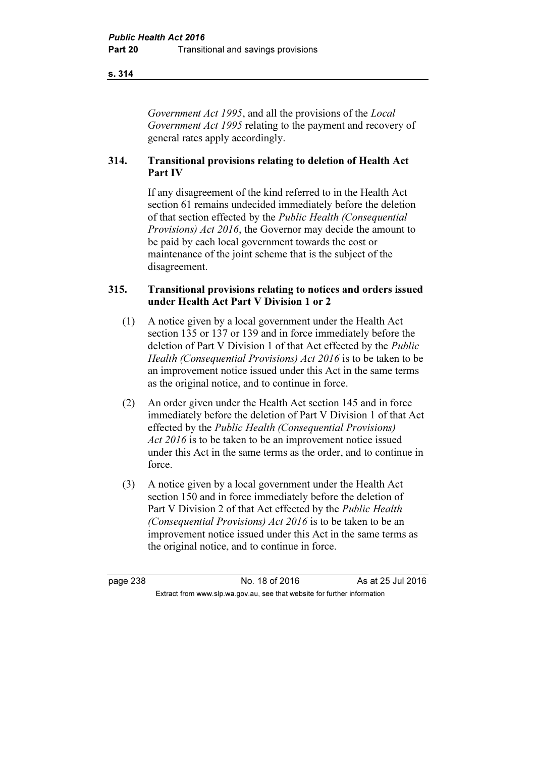Government Act 1995, and all the provisions of the Local Government Act 1995 relating to the payment and recovery of general rates apply accordingly.

# 314. Transitional provisions relating to deletion of Health Act Part IV

 If any disagreement of the kind referred to in the Health Act section 61 remains undecided immediately before the deletion of that section effected by the Public Health (Consequential Provisions) Act 2016, the Governor may decide the amount to be paid by each local government towards the cost or maintenance of the joint scheme that is the subject of the disagreement.

## 315. Transitional provisions relating to notices and orders issued under Health Act Part V Division 1 or 2

- (1) A notice given by a local government under the Health Act section 135 or 137 or 139 and in force immediately before the deletion of Part V Division 1 of that Act effected by the *Public* Health (Consequential Provisions) Act 2016 is to be taken to be an improvement notice issued under this Act in the same terms as the original notice, and to continue in force.
- (2) An order given under the Health Act section 145 and in force immediately before the deletion of Part V Division 1 of that Act effected by the Public Health (Consequential Provisions) Act 2016 is to be taken to be an improvement notice issued under this Act in the same terms as the order, and to continue in force.
- (3) A notice given by a local government under the Health Act section 150 and in force immediately before the deletion of Part V Division 2 of that Act effected by the Public Health (Consequential Provisions) Act 2016 is to be taken to be an improvement notice issued under this Act in the same terms as the original notice, and to continue in force.

page 238 No. 18 of 2016 As at 25 Jul 2016 Extract from www.slp.wa.gov.au, see that website for further information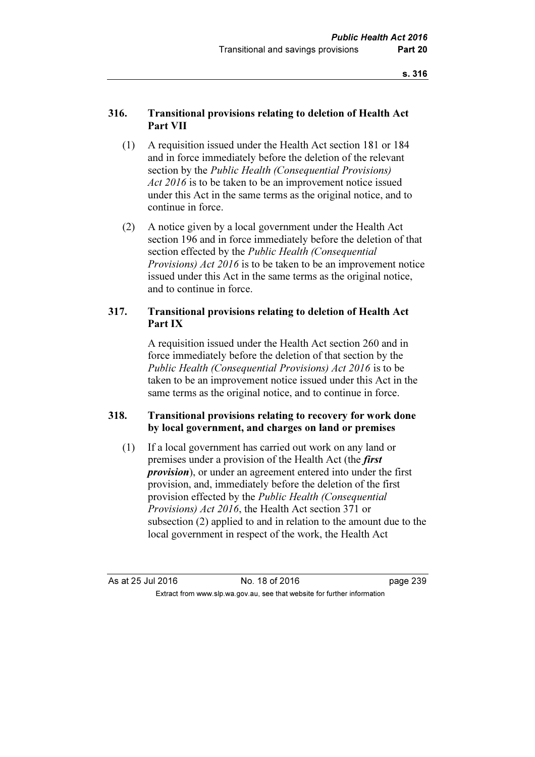### 316. Transitional provisions relating to deletion of Health Act Part VII

- (1) A requisition issued under the Health Act section 181 or 184 and in force immediately before the deletion of the relevant section by the Public Health (Consequential Provisions) Act 2016 is to be taken to be an improvement notice issued under this Act in the same terms as the original notice, and to continue in force.
- (2) A notice given by a local government under the Health Act section 196 and in force immediately before the deletion of that section effected by the *Public Health (Consequential*) Provisions) Act 2016 is to be taken to be an improvement notice issued under this Act in the same terms as the original notice, and to continue in force.

### 317. Transitional provisions relating to deletion of Health Act Part IX

 A requisition issued under the Health Act section 260 and in force immediately before the deletion of that section by the Public Health (Consequential Provisions) Act 2016 is to be taken to be an improvement notice issued under this Act in the same terms as the original notice, and to continue in force.

### 318. Transitional provisions relating to recovery for work done by local government, and charges on land or premises

 (1) If a local government has carried out work on any land or premises under a provision of the Health Act (the first provision), or under an agreement entered into under the first provision, and, immediately before the deletion of the first provision effected by the Public Health (Consequential Provisions) Act 2016, the Health Act section 371 or subsection (2) applied to and in relation to the amount due to the local government in respect of the work, the Health Act

As at 25 Jul 2016 No. 18 of 2016 page 239 Extract from www.slp.wa.gov.au, see that website for further information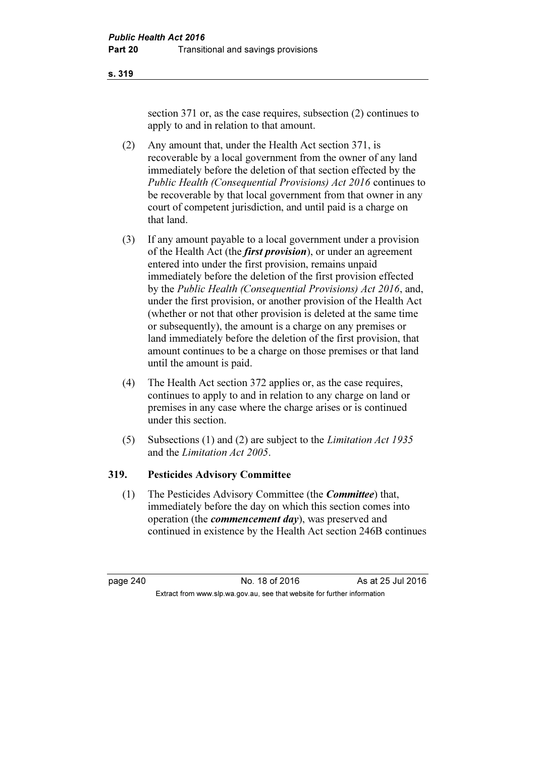section 371 or, as the case requires, subsection (2) continues to apply to and in relation to that amount.

- (2) Any amount that, under the Health Act section 371, is recoverable by a local government from the owner of any land immediately before the deletion of that section effected by the Public Health (Consequential Provisions) Act 2016 continues to be recoverable by that local government from that owner in any court of competent jurisdiction, and until paid is a charge on that land.
- (3) If any amount payable to a local government under a provision of the Health Act (the *first provision*), or under an agreement entered into under the first provision, remains unpaid immediately before the deletion of the first provision effected by the Public Health (Consequential Provisions) Act 2016, and, under the first provision, or another provision of the Health Act (whether or not that other provision is deleted at the same time or subsequently), the amount is a charge on any premises or land immediately before the deletion of the first provision, that amount continues to be a charge on those premises or that land until the amount is paid.
- (4) The Health Act section 372 applies or, as the case requires, continues to apply to and in relation to any charge on land or premises in any case where the charge arises or is continued under this section.
- (5) Subsections (1) and (2) are subject to the Limitation Act 1935 and the Limitation Act 2005.

#### 319. Pesticides Advisory Committee

 (1) The Pesticides Advisory Committee (the Committee) that, immediately before the day on which this section comes into operation (the *commencement day*), was preserved and continued in existence by the Health Act section 246B continues

page 240 **No. 18 of 2016** As at 25 Jul 2016 Extract from www.slp.wa.gov.au, see that website for further information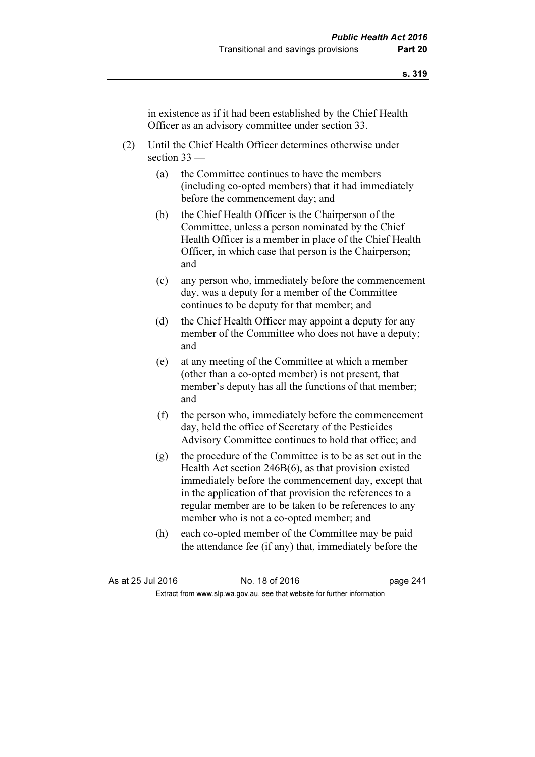in existence as if it had been established by the Chief Health Officer as an advisory committee under section 33.

- (2) Until the Chief Health Officer determines otherwise under section 33 —
	- (a) the Committee continues to have the members (including co-opted members) that it had immediately before the commencement day; and
	- (b) the Chief Health Officer is the Chairperson of the Committee, unless a person nominated by the Chief Health Officer is a member in place of the Chief Health Officer, in which case that person is the Chairperson; and
	- (c) any person who, immediately before the commencement day, was a deputy for a member of the Committee continues to be deputy for that member; and
	- (d) the Chief Health Officer may appoint a deputy for any member of the Committee who does not have a deputy; and
	- (e) at any meeting of the Committee at which a member (other than a co-opted member) is not present, that member's deputy has all the functions of that member; and
	- (f) the person who, immediately before the commencement day, held the office of Secretary of the Pesticides Advisory Committee continues to hold that office; and
	- (g) the procedure of the Committee is to be as set out in the Health Act section 246B(6), as that provision existed immediately before the commencement day, except that in the application of that provision the references to a regular member are to be taken to be references to any member who is not a co-opted member; and
	- (h) each co-opted member of the Committee may be paid the attendance fee (if any) that, immediately before the

| As at 25 Jul 2016 | No. 18 of 2016                                                           | page 241 |
|-------------------|--------------------------------------------------------------------------|----------|
|                   | Extract from www.slp.wa.gov.au, see that website for further information |          |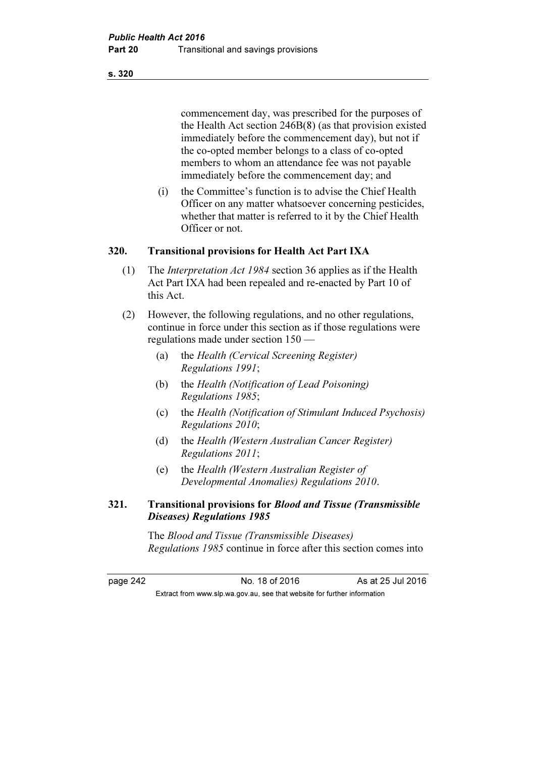commencement day, was prescribed for the purposes of the Health Act section 246B(8) (as that provision existed immediately before the commencement day), but not if the co-opted member belongs to a class of co-opted members to whom an attendance fee was not payable immediately before the commencement day; and

 (i) the Committee's function is to advise the Chief Health Officer on any matter whatsoever concerning pesticides, whether that matter is referred to it by the Chief Health Officer or not.

### 320. Transitional provisions for Health Act Part IXA

- (1) The Interpretation Act 1984 section 36 applies as if the Health Act Part IXA had been repealed and re-enacted by Part 10 of this Act.
- (2) However, the following regulations, and no other regulations, continue in force under this section as if those regulations were regulations made under section 150 —
	- (a) the Health (Cervical Screening Register) Regulations 1991;
	- (b) the Health (Notification of Lead Poisoning) Regulations 1985;
	- (c) the Health (Notification of Stimulant Induced Psychosis) Regulations 2010;
	- (d) the Health (Western Australian Cancer Register) Regulations 2011;
	- (e) the Health (Western Australian Register of Developmental Anomalies) Regulations 2010.

#### 321. Transitional provisions for Blood and Tissue (Transmissible Diseases) Regulations 1985

 The Blood and Tissue (Transmissible Diseases) Regulations 1985 continue in force after this section comes into

page 242 **No. 18 of 2016** As at 25 Jul 2016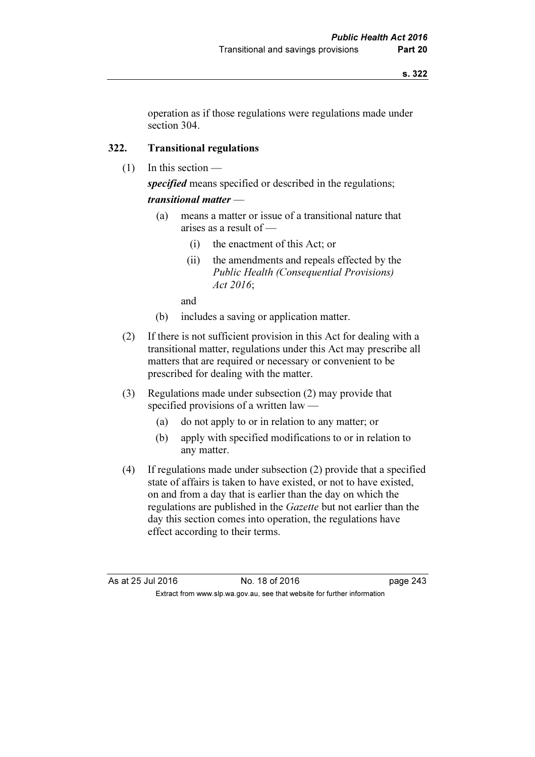operation as if those regulations were regulations made under section 304.

### 322. Transitional regulations

(1) In this section —

specified means specified or described in the regulations;

### transitional matter —

- (a) means a matter or issue of a transitional nature that arises as a result of —
	- (i) the enactment of this Act; or
	- (ii) the amendments and repeals effected by the Public Health (Consequential Provisions) Act 2016;

and

- (b) includes a saving or application matter.
- (2) If there is not sufficient provision in this Act for dealing with a transitional matter, regulations under this Act may prescribe all matters that are required or necessary or convenient to be prescribed for dealing with the matter.
- (3) Regulations made under subsection (2) may provide that specified provisions of a written law —
	- (a) do not apply to or in relation to any matter; or
	- (b) apply with specified modifications to or in relation to any matter.
- (4) If regulations made under subsection (2) provide that a specified state of affairs is taken to have existed, or not to have existed, on and from a day that is earlier than the day on which the regulations are published in the Gazette but not earlier than the day this section comes into operation, the regulations have effect according to their terms.

As at 25 Jul 2016 18 of 2016 18 of 2016 Extract from www.slp.wa.gov.au, see that website for further information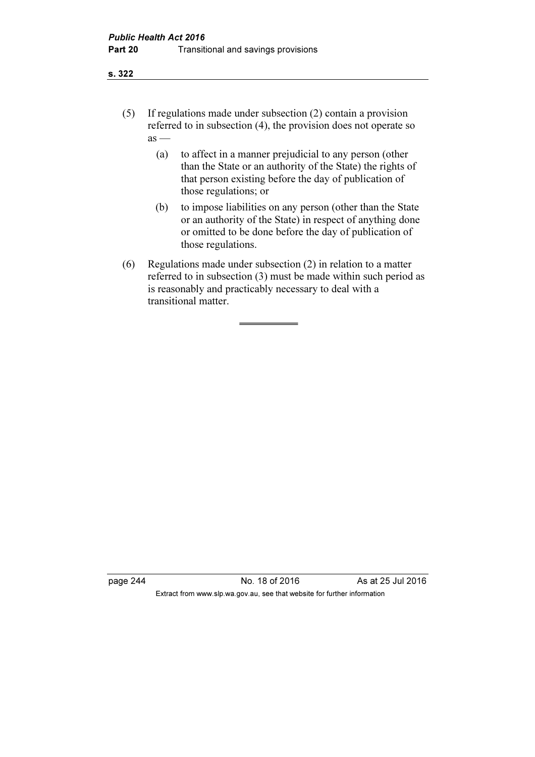- (5) If regulations made under subsection (2) contain a provision referred to in subsection (4), the provision does not operate so  $as -$ 
	- (a) to affect in a manner prejudicial to any person (other than the State or an authority of the State) the rights of that person existing before the day of publication of those regulations; or
	- (b) to impose liabilities on any person (other than the State or an authority of the State) in respect of anything done or omitted to be done before the day of publication of those regulations.
- (6) Regulations made under subsection (2) in relation to a matter referred to in subsection (3) must be made within such period as is reasonably and practicably necessary to deal with a transitional matter.

page 244 No. 18 of 2016 As at 25 Jul 2016 Extract from www.slp.wa.gov.au, see that website for further information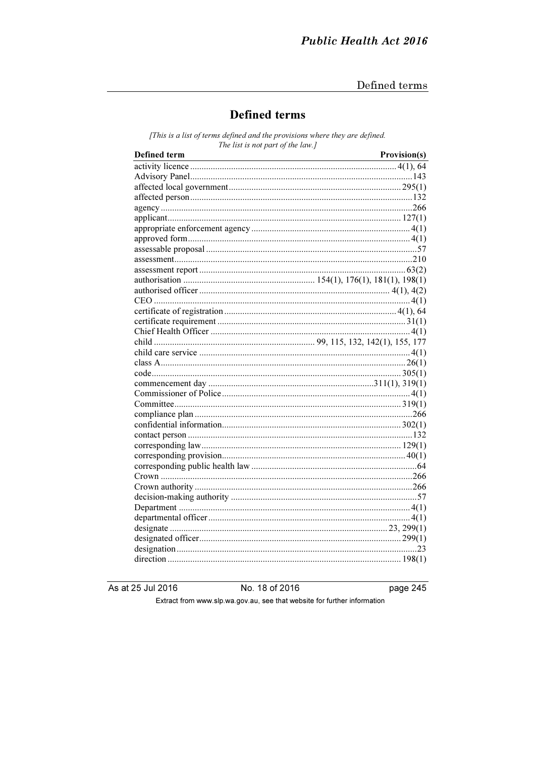# **Defined terms**

[This is a list of terms defined and the provisions where they are defined. The list is not part of the law.]

As at 25 Jul 2016

No. 18 of 2016

page 245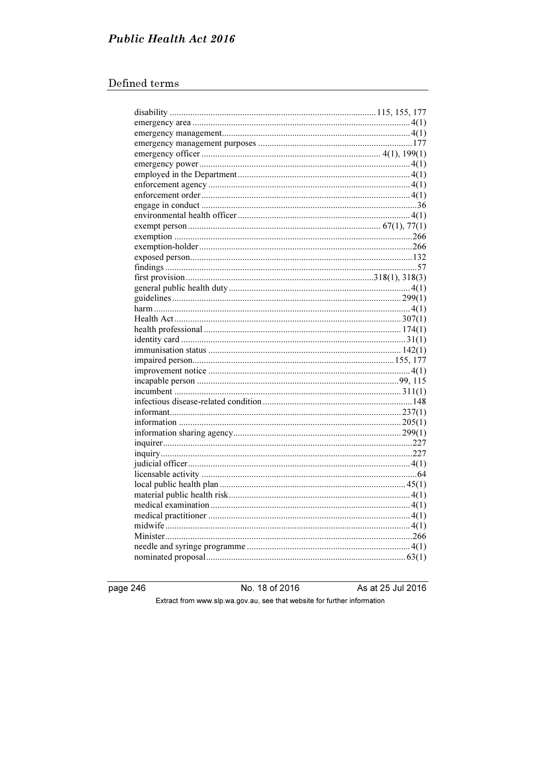# **Public Health Act 2016**

# Defined terms

page 246

No. 18 of 2016

As at 25 Jul 2016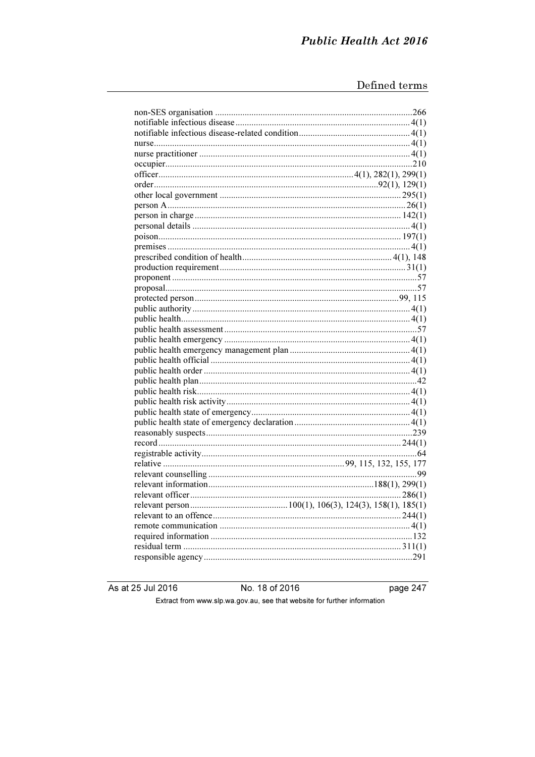As at 25 Jul 2016

No. 18 of 2016

page 247